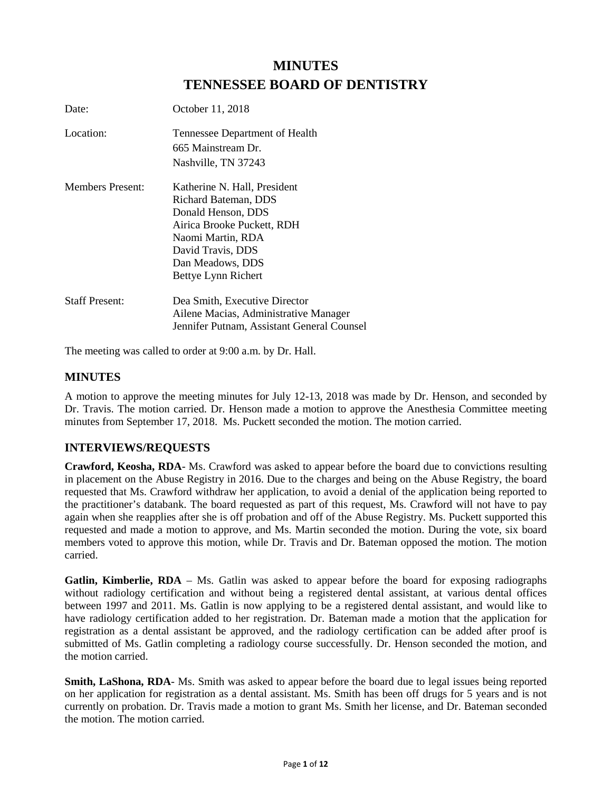# **MINUTES TENNESSEE BOARD OF DENTISTRY**

| Date:                   | October 11, 2018                                                                                                                                                                              |
|-------------------------|-----------------------------------------------------------------------------------------------------------------------------------------------------------------------------------------------|
| Location:               | Tennessee Department of Health<br>665 Mainstream Dr.<br>Nashville, TN 37243                                                                                                                   |
| <b>Members Present:</b> | Katherine N. Hall, President<br>Richard Bateman, DDS<br>Donald Henson, DDS<br>Airica Brooke Puckett, RDH<br>Naomi Martin, RDA<br>David Travis, DDS<br>Dan Meadows, DDS<br>Bettye Lynn Richert |
| <b>Staff Present:</b>   | Dea Smith, Executive Director<br>Ailene Macias, Administrative Manager<br>Jennifer Putnam, Assistant General Counsel                                                                          |

The meeting was called to order at 9:00 a.m. by Dr. Hall.

# **MINUTES**

A motion to approve the meeting minutes for July 12-13, 2018 was made by Dr. Henson, and seconded by Dr. Travis. The motion carried. Dr. Henson made a motion to approve the Anesthesia Committee meeting minutes from September 17, 2018. Ms. Puckett seconded the motion. The motion carried.

# **INTERVIEWS/REQUESTS**

**Crawford, Keosha, RDA**- Ms. Crawford was asked to appear before the board due to convictions resulting in placement on the Abuse Registry in 2016. Due to the charges and being on the Abuse Registry, the board requested that Ms. Crawford withdraw her application, to avoid a denial of the application being reported to the practitioner's databank. The board requested as part of this request, Ms. Crawford will not have to pay again when she reapplies after she is off probation and off of the Abuse Registry. Ms. Puckett supported this requested and made a motion to approve, and Ms. Martin seconded the motion. During the vote, six board members voted to approve this motion, while Dr. Travis and Dr. Bateman opposed the motion. The motion carried.

**Gatlin, Kimberlie, RDA** – Ms. Gatlin was asked to appear before the board for exposing radiographs without radiology certification and without being a registered dental assistant, at various dental offices between 1997 and 2011. Ms. Gatlin is now applying to be a registered dental assistant, and would like to have radiology certification added to her registration. Dr. Bateman made a motion that the application for registration as a dental assistant be approved, and the radiology certification can be added after proof is submitted of Ms. Gatlin completing a radiology course successfully. Dr. Henson seconded the motion, and the motion carried.

**Smith, LaShona, RDA**- Ms. Smith was asked to appear before the board due to legal issues being reported on her application for registration as a dental assistant. Ms. Smith has been off drugs for 5 years and is not currently on probation. Dr. Travis made a motion to grant Ms. Smith her license, and Dr. Bateman seconded the motion. The motion carried.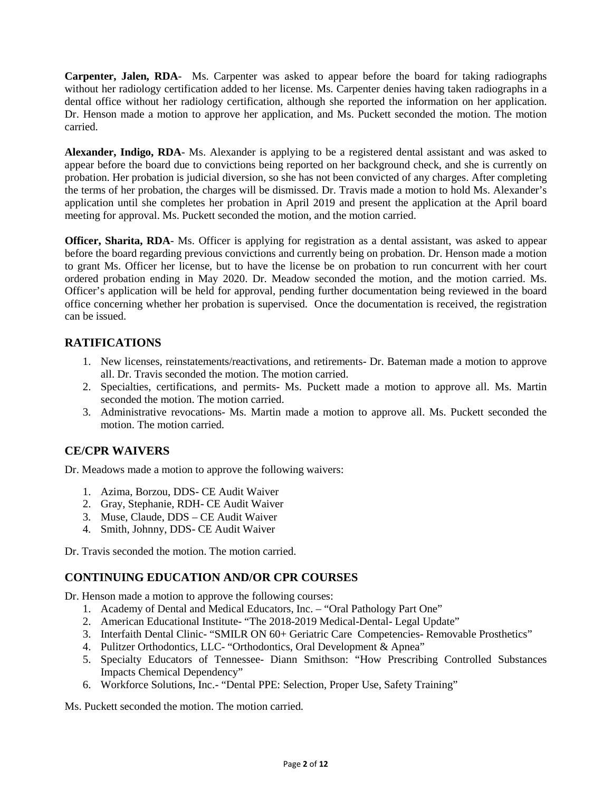**Carpenter, Jalen, RDA**- Ms. Carpenter was asked to appear before the board for taking radiographs without her radiology certification added to her license. Ms. Carpenter denies having taken radiographs in a dental office without her radiology certification, although she reported the information on her application. Dr. Henson made a motion to approve her application, and Ms. Puckett seconded the motion. The motion carried.

**Alexander, Indigo, RDA**- Ms. Alexander is applying to be a registered dental assistant and was asked to appear before the board due to convictions being reported on her background check, and she is currently on probation. Her probation is judicial diversion, so she has not been convicted of any charges. After completing the terms of her probation, the charges will be dismissed. Dr. Travis made a motion to hold Ms. Alexander's application until she completes her probation in April 2019 and present the application at the April board meeting for approval. Ms. Puckett seconded the motion, and the motion carried.

**Officer, Sharita, RDA**- Ms. Officer is applying for registration as a dental assistant, was asked to appear before the board regarding previous convictions and currently being on probation. Dr. Henson made a motion to grant Ms. Officer her license, but to have the license be on probation to run concurrent with her court ordered probation ending in May 2020. Dr. Meadow seconded the motion, and the motion carried. Ms. Officer's application will be held for approval, pending further documentation being reviewed in the board office concerning whether her probation is supervised. Once the documentation is received, the registration can be issued.

# **RATIFICATIONS**

- 1. New licenses, reinstatements/reactivations, and retirements- Dr. Bateman made a motion to approve all. Dr. Travis seconded the motion. The motion carried.
- 2. Specialties, certifications, and permits- Ms. Puckett made a motion to approve all. Ms. Martin seconded the motion. The motion carried.
- 3. Administrative revocations- Ms. Martin made a motion to approve all. Ms. Puckett seconded the motion. The motion carried.

# **CE/CPR WAIVERS**

Dr. Meadows made a motion to approve the following waivers:

- 1. Azima, Borzou, DDS- CE Audit Waiver
- 2. Gray, Stephanie, RDH- CE Audit Waiver
- 3. Muse, Claude, DDS CE Audit Waiver
- 4. Smith, Johnny, DDS- CE Audit Waiver

Dr. Travis seconded the motion. The motion carried.

## **CONTINUING EDUCATION AND/OR CPR COURSES**

Dr. Henson made a motion to approve the following courses:

- 1. Academy of Dental and Medical Educators, Inc. "Oral Pathology Part One"
- 2. American Educational Institute- "The 2018-2019 Medical-Dental- Legal Update"
- 3. Interfaith Dental Clinic- "SMILR ON 60+ Geriatric Care Competencies- Removable Prosthetics"
- 4. Pulitzer Orthodontics, LLC- "Orthodontics, Oral Development & Apnea"
- 5. Specialty Educators of Tennessee- Diann Smithson: "How Prescribing Controlled Substances Impacts Chemical Dependency"
- 6. Workforce Solutions, Inc.- "Dental PPE: Selection, Proper Use, Safety Training"

Ms. Puckett seconded the motion. The motion carried.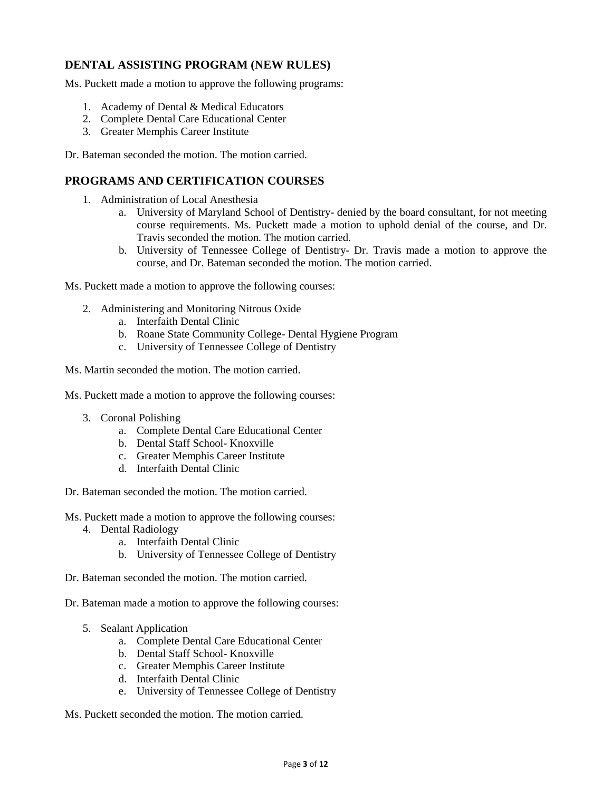# **DENTAL ASSISTING PROGRAM (NEW RULES)**

Ms. Puckett made a motion to approve the following programs:

- 1. Academy of Dental & Medical Educators
- 2. Complete Dental Care Educational Center
- 3. Greater Memphis Career Institute

Dr. Bateman seconded the motion. The motion carried.

# **PROGRAMS AND CERTIFICATION COURSES**

- 1. Administration of Local Anesthesia
	- a. University of Maryland School of Dentistry- denied by the board consultant, for not meeting course requirements. Ms. Puckett made a motion to uphold denial of the course, and Dr. Travis seconded the motion. The motion carried.
	- b. University of Tennessee College of Dentistry- Dr. Travis made a motion to approve the course, and Dr. Bateman seconded the motion. The motion carried.

Ms. Puckett made a motion to approve the following courses:

- 2. Administering and Monitoring Nitrous Oxide
	- a. Interfaith Dental Clinic
	- b. Roane State Community College- Dental Hygiene Program
	- c. University of Tennessee College of Dentistry

Ms. Martin seconded the motion. The motion carried.

Ms. Puckett made a motion to approve the following courses:

- 3. Coronal Polishing
	- a. Complete Dental Care Educational Center
	- b. Dental Staff School- Knoxville
	- c. Greater Memphis Career Institute
	- d. Interfaith Dental Clinic

Dr. Bateman seconded the motion. The motion carried.

Ms. Puckett made a motion to approve the following courses:

- 4. Dental Radiology
	- a. Interfaith Dental Clinic
	- b. University of Tennessee College of Dentistry
- Dr. Bateman seconded the motion. The motion carried.

Dr. Bateman made a motion to approve the following courses:

- 5. Sealant Application
	- a. Complete Dental Care Educational Center
	- b. Dental Staff School- Knoxville
	- c. Greater Memphis Career Institute
	- d. Interfaith Dental Clinic
	- e. University of Tennessee College of Dentistry

Ms. Puckett seconded the motion. The motion carried.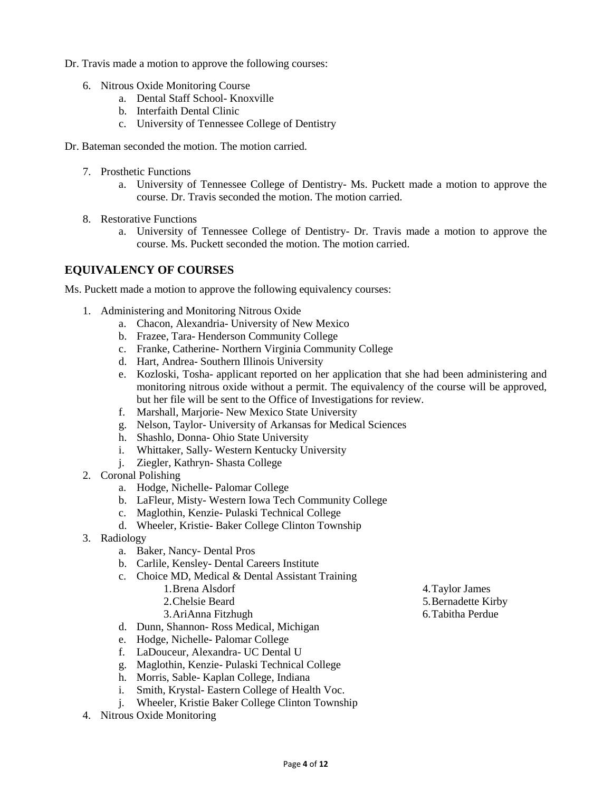Dr. Travis made a motion to approve the following courses:

- 6. Nitrous Oxide Monitoring Course
	- a. Dental Staff School- Knoxville
	- b. Interfaith Dental Clinic
	- c. University of Tennessee College of Dentistry
- Dr. Bateman seconded the motion. The motion carried.
	- 7. Prosthetic Functions
		- a. University of Tennessee College of Dentistry- Ms. Puckett made a motion to approve the course. Dr. Travis seconded the motion. The motion carried.
	- 8. Restorative Functions
		- a. University of Tennessee College of Dentistry- Dr. Travis made a motion to approve the course. Ms. Puckett seconded the motion. The motion carried.

# **EQUIVALENCY OF COURSES**

Ms. Puckett made a motion to approve the following equivalency courses:

- 1. Administering and Monitoring Nitrous Oxide
	- a. Chacon, Alexandria- University of New Mexico
	- b. Frazee, Tara- Henderson Community College
	- c. Franke, Catherine- Northern Virginia Community College
	- d. Hart, Andrea- Southern Illinois University
	- e. Kozloski, Tosha- applicant reported on her application that she had been administering and monitoring nitrous oxide without a permit. The equivalency of the course will be approved, but her file will be sent to the Office of Investigations for review.
	- f. Marshall, Marjorie- New Mexico State University
	- g. Nelson, Taylor- University of Arkansas for Medical Sciences
	- h. Shashlo, Donna- Ohio State University
	- i. Whittaker, Sally- Western Kentucky University
	- j. Ziegler, Kathryn- Shasta College
- 2. Coronal Polishing
	- a. Hodge, Nichelle- Palomar College
	- b. LaFleur, Misty- Western Iowa Tech Community College
	- c. Maglothin, Kenzie- Pulaski Technical College
	- d. Wheeler, Kristie- Baker College Clinton Township
- 3. Radiology
	- a. Baker, Nancy- Dental Pros
	- b. Carlile, Kensley- Dental Careers Institute
	- c. Choice MD, Medical & Dental Assistant Training
		- 1.Brena Alsdorf
			- 2.Chelsie Beard
			- 3.AriAnna Fitzhugh
	- d. Dunn, Shannon- Ross Medical, Michigan
	- e. Hodge, Nichelle- Palomar College
	- f. LaDouceur, Alexandra- UC Dental U
	- g. Maglothin, Kenzie- Pulaski Technical College
	- h. Morris, Sable- Kaplan College, Indiana
	- i. Smith, Krystal- Eastern College of Health Voc.
	- j. Wheeler, Kristie Baker College Clinton Township
- 4. Nitrous Oxide Monitoring

4.Taylor James 5.Bernadette Kirby 6.Tabitha Perdue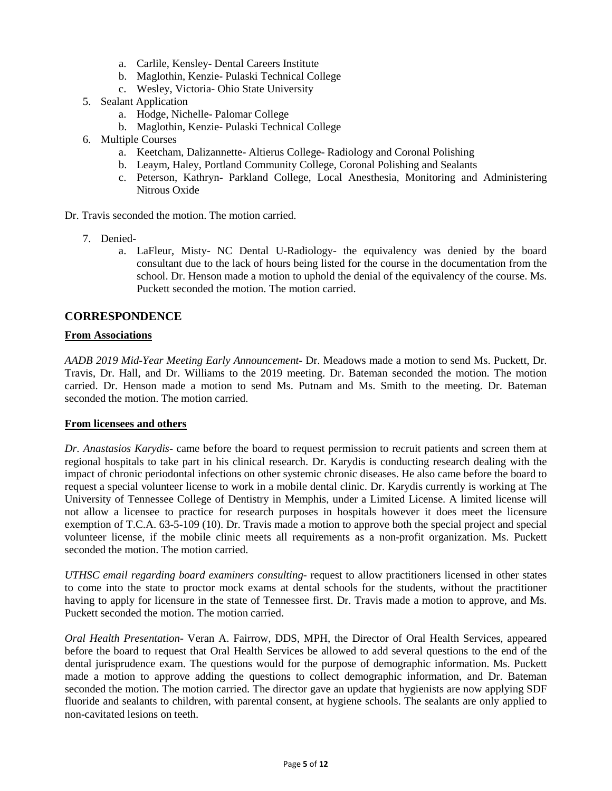- a. Carlile, Kensley- Dental Careers Institute
- b. Maglothin, Kenzie- Pulaski Technical College
- c. Wesley, Victoria- Ohio State University
- 5. Sealant Application
	- a. Hodge, Nichelle- Palomar College
	- b. Maglothin, Kenzie- Pulaski Technical College
- 6. Multiple Courses
	- a. Keetcham, Dalizannette- Altierus College- Radiology and Coronal Polishing
	- b. Leaym, Haley, Portland Community College, Coronal Polishing and Sealants
	- c. Peterson, Kathryn- Parkland College, Local Anesthesia, Monitoring and Administering Nitrous Oxide
- Dr. Travis seconded the motion. The motion carried.
	- 7. Denied
		- a. LaFleur, Misty- NC Dental U-Radiology- the equivalency was denied by the board consultant due to the lack of hours being listed for the course in the documentation from the school. Dr. Henson made a motion to uphold the denial of the equivalency of the course. Ms. Puckett seconded the motion. The motion carried.

### **CORRESPONDENCE**

#### **From Associations**

*AADB 2019 Mid-Year Meeting Early Announcement*- Dr. Meadows made a motion to send Ms. Puckett, Dr. Travis, Dr. Hall, and Dr. Williams to the 2019 meeting. Dr. Bateman seconded the motion. The motion carried. Dr. Henson made a motion to send Ms. Putnam and Ms. Smith to the meeting. Dr. Bateman seconded the motion. The motion carried.

#### **From licensees and others**

*Dr. Anastasios Karydis*- came before the board to request permission to recruit patients and screen them at regional hospitals to take part in his clinical research. Dr. Karydis is conducting research dealing with the impact of chronic periodontal infections on other systemic chronic diseases. He also came before the board to request a special volunteer license to work in a mobile dental clinic. Dr. Karydis currently is working at The University of Tennessee College of Dentistry in Memphis, under a Limited License. A limited license will not allow a licensee to practice for research purposes in hospitals however it does meet the licensure exemption of T.C.A. 63-5-109 (10). Dr. Travis made a motion to approve both the special project and special volunteer license, if the mobile clinic meets all requirements as a non-profit organization. Ms. Puckett seconded the motion. The motion carried.

*UTHSC email regarding board examiners consulting*- request to allow practitioners licensed in other states to come into the state to proctor mock exams at dental schools for the students, without the practitioner having to apply for licensure in the state of Tennessee first. Dr. Travis made a motion to approve, and Ms. Puckett seconded the motion. The motion carried.

*Oral Health Presentation*- Veran A. Fairrow, DDS, MPH, the Director of Oral Health Services, appeared before the board to request that Oral Health Services be allowed to add several questions to the end of the dental jurisprudence exam. The questions would for the purpose of demographic information. Ms. Puckett made a motion to approve adding the questions to collect demographic information, and Dr. Bateman seconded the motion. The motion carried. The director gave an update that hygienists are now applying SDF fluoride and sealants to children, with parental consent, at hygiene schools. The sealants are only applied to non-cavitated lesions on teeth.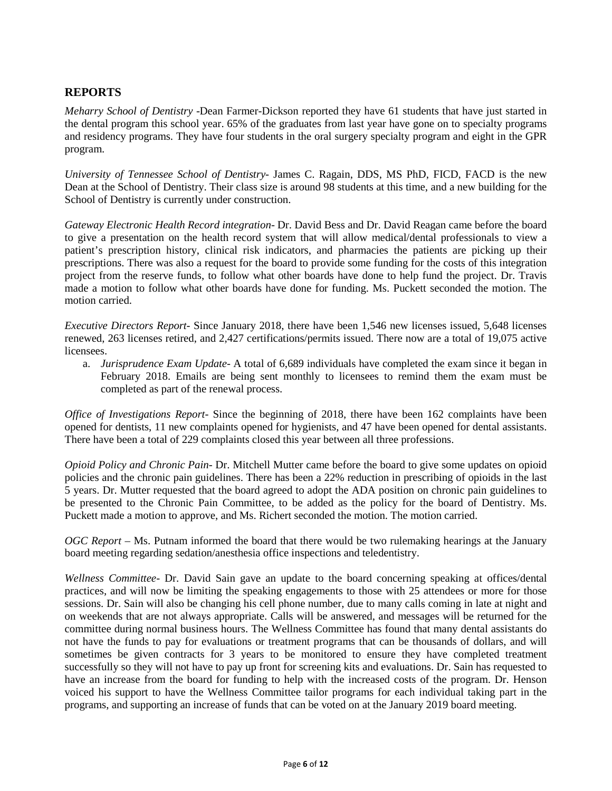# **REPORTS**

*Meharry School of Dentistry* -Dean Farmer-Dickson reported they have 61 students that have just started in the dental program this school year. 65% of the graduates from last year have gone on to specialty programs and residency programs. They have four students in the oral surgery specialty program and eight in the GPR program.

*University of Tennessee School of Dentistry-* James C. Ragain, DDS, MS PhD, FICD, FACD is the new Dean at the School of Dentistry. Their class size is around 98 students at this time, and a new building for the School of Dentistry is currently under construction.

*Gateway Electronic Health Record integration*- Dr. David Bess and Dr. David Reagan came before the board to give a presentation on the health record system that will allow medical/dental professionals to view a patient's prescription history, clinical risk indicators, and pharmacies the patients are picking up their prescriptions. There was also a request for the board to provide some funding for the costs of this integration project from the reserve funds, to follow what other boards have done to help fund the project. Dr. Travis made a motion to follow what other boards have done for funding. Ms. Puckett seconded the motion. The motion carried.

*Executive Directors Report*- Since January 2018, there have been 1,546 new licenses issued, 5,648 licenses renewed, 263 licenses retired, and 2,427 certifications/permits issued. There now are a total of 19,075 active licensees.

a. *Jurisprudence Exam Update*- A total of 6,689 individuals have completed the exam since it began in February 2018. Emails are being sent monthly to licensees to remind them the exam must be completed as part of the renewal process.

*Office of Investigations Report*- Since the beginning of 2018, there have been 162 complaints have been opened for dentists, 11 new complaints opened for hygienists, and 47 have been opened for dental assistants. There have been a total of 229 complaints closed this year between all three professions.

*Opioid Policy and Chronic Pain*- Dr. Mitchell Mutter came before the board to give some updates on opioid policies and the chronic pain guidelines. There has been a 22% reduction in prescribing of opioids in the last 5 years. Dr. Mutter requested that the board agreed to adopt the ADA position on chronic pain guidelines to be presented to the Chronic Pain Committee, to be added as the policy for the board of Dentistry. Ms. Puckett made a motion to approve, and Ms. Richert seconded the motion. The motion carried.

*OGC Report* – Ms. Putnam informed the board that there would be two rulemaking hearings at the January board meeting regarding sedation/anesthesia office inspections and teledentistry.

*Wellness Committee*- Dr. David Sain gave an update to the board concerning speaking at offices/dental practices, and will now be limiting the speaking engagements to those with 25 attendees or more for those sessions. Dr. Sain will also be changing his cell phone number, due to many calls coming in late at night and on weekends that are not always appropriate. Calls will be answered, and messages will be returned for the committee during normal business hours. The Wellness Committee has found that many dental assistants do not have the funds to pay for evaluations or treatment programs that can be thousands of dollars, and will sometimes be given contracts for 3 years to be monitored to ensure they have completed treatment successfully so they will not have to pay up front for screening kits and evaluations. Dr. Sain has requested to have an increase from the board for funding to help with the increased costs of the program. Dr. Henson voiced his support to have the Wellness Committee tailor programs for each individual taking part in the programs, and supporting an increase of funds that can be voted on at the January 2019 board meeting.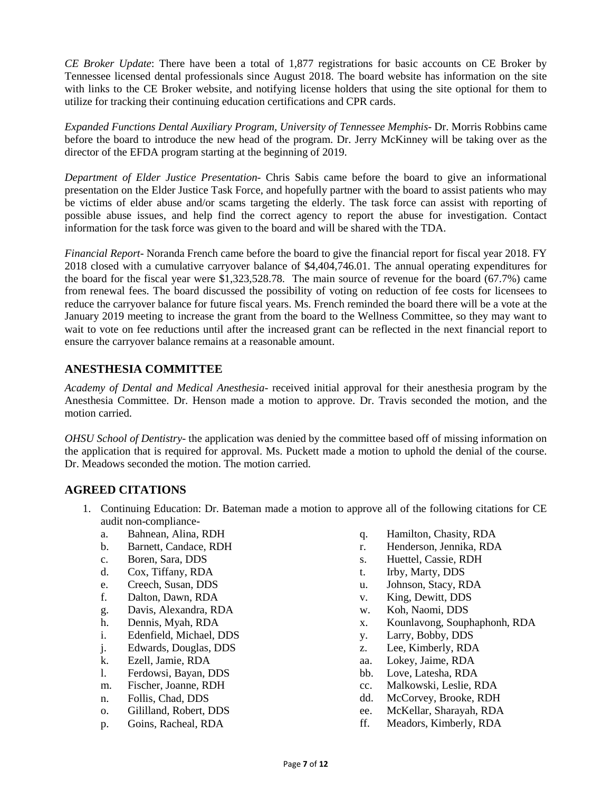*CE Broker Update*: There have been a total of 1,877 registrations for basic accounts on CE Broker by Tennessee licensed dental professionals since August 2018. The board website has information on the site with links to the CE Broker website, and notifying license holders that using the site optional for them to utilize for tracking their continuing education certifications and CPR cards.

*Expanded Functions Dental Auxiliary Program, University of Tennessee Memphis*- Dr. Morris Robbins came before the board to introduce the new head of the program. Dr. Jerry McKinney will be taking over as the director of the EFDA program starting at the beginning of 2019.

*Department of Elder Justice Presentation*- Chris Sabis came before the board to give an informational presentation on the Elder Justice Task Force, and hopefully partner with the board to assist patients who may be victims of elder abuse and/or scams targeting the elderly. The task force can assist with reporting of possible abuse issues, and help find the correct agency to report the abuse for investigation. Contact information for the task force was given to the board and will be shared with the TDA.

*Financial Report*- Noranda French came before the board to give the financial report for fiscal year 2018. FY 2018 closed with a cumulative carryover balance of \$4,404,746.01. The annual operating expenditures for the board for the fiscal year were \$1,323,528.78. The main source of revenue for the board (67.7%) came from renewal fees. The board discussed the possibility of voting on reduction of fee costs for licensees to reduce the carryover balance for future fiscal years. Ms. French reminded the board there will be a vote at the January 2019 meeting to increase the grant from the board to the Wellness Committee, so they may want to wait to vote on fee reductions until after the increased grant can be reflected in the next financial report to ensure the carryover balance remains at a reasonable amount.

# **ANESTHESIA COMMITTEE**

*Academy of Dental and Medical Anesthesia*- received initial approval for their anesthesia program by the Anesthesia Committee. Dr. Henson made a motion to approve. Dr. Travis seconded the motion, and the motion carried.

*OHSU School of Dentistry*- the application was denied by the committee based off of missing information on the application that is required for approval. Ms. Puckett made a motion to uphold the denial of the course. Dr. Meadows seconded the motion. The motion carried.

# **AGREED CITATIONS**

- 1. Continuing Education: Dr. Bateman made a motion to approve all of the following citations for CE audit non-compliance
	- a. Bahnean, Alina, RDH
	- b. Barnett, Candace, RDH
	- c. Boren, Sara, DDS
	- d. Cox, Tiffany, RDA
	- e. Creech, Susan, DDS
	- f. Dalton, Dawn, RDA
	- g. Davis, Alexandra, RDA
	- h. Dennis, Myah, RDA
	- i. Edenfield, Michael, DDS
	- j. Edwards, Douglas, DDS
	- k. Ezell, Jamie, RDA
	- l. Ferdowsi, Bayan, DDS
	- m. Fischer, Joanne, RDH
	- n. Follis, Chad, DDS
	- o. Gililland, Robert, DDS
	- p. Goins, Racheal, RDA
- q. Hamilton, Chasity, RDA
- r. Henderson, Jennika, RDA
- s. Huettel, Cassie, RDH
- t. Irby, Marty, DDS
- u. Johnson, Stacy, RDA
- v. King, Dewitt, DDS
- w. Koh, Naomi, DDS
- x. Kounlavong, Souphaphonh, RDA
- y. Larry, Bobby, DDS
- z. Lee, Kimberly, RDA
- aa. Lokey, Jaime, RDA
- bb. Love, Latesha, RDA
- cc. Malkowski, Leslie, RDA
- dd. McCorvey, Brooke, RDH
- ee. McKellar, Sharayah, RDA
- ff. Meadors, Kimberly, RDA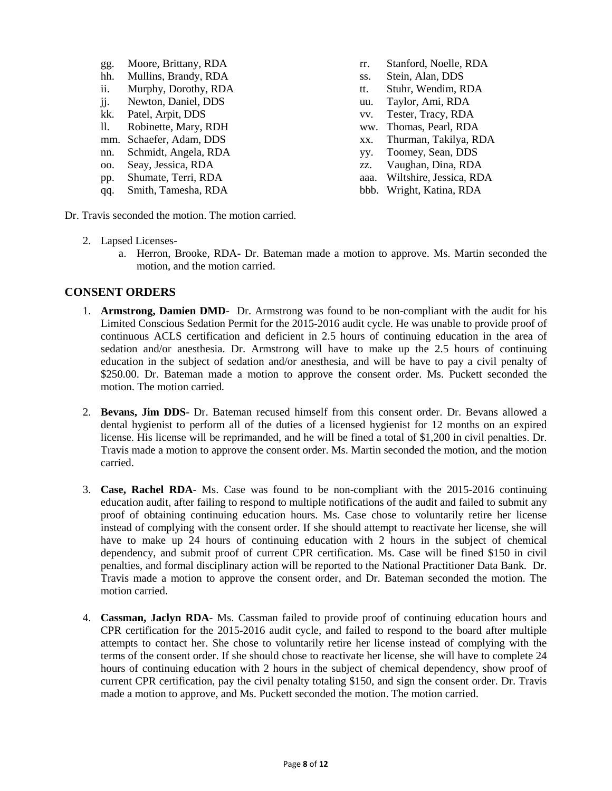| gg.                       | Moore, Brittany, RDA |
|---------------------------|----------------------|
| hh.                       | Mullins, Brandy, RDA |
| ii.                       | Murphy, Dorothy, RDA |
| $\overline{\mathbf{j}}$ . | Newton, Daniel, DDS  |
| kk.                       | Patel, Arpit, DDS    |
| 11.                       | Robinette, Mary, RDH |
| mm.                       | Schaefer, Adam, DDS  |
| nn.                       | Schmidt, Angela, RDA |
| OO.                       | Seay, Jessica, RDA   |
| pp.                       | Shumate, Terri, RDA  |
| qq.                       | Smith, Tamesha, RDA  |

rr. Stanford, Noelle, RDA ss. Stein, Alan, DDS tt. Stuhr, Wendim, RDA uu. Taylor, Ami, RDA vv. Tester, Tracy, RDA ww. Thomas, Pearl, RDA xx. Thurman, Takilya, RDA yy. Toomey, Sean, DDS zz. Vaughan, Dina, RDA aaa. Wiltshire, Jessica, RDA bbb. Wright, Katina, RDA

Dr. Travis seconded the motion. The motion carried.

- 2. Lapsed Licenses
	- a. Herron, Brooke, RDA- Dr. Bateman made a motion to approve. Ms. Martin seconded the motion, and the motion carried.

#### **CONSENT ORDERS**

- 1. **Armstrong, Damien DMD** Dr. Armstrong was found to be non-compliant with the audit for his Limited Conscious Sedation Permit for the 2015-2016 audit cycle. He was unable to provide proof of continuous ACLS certification and deficient in 2.5 hours of continuing education in the area of sedation and/or anesthesia. Dr. Armstrong will have to make up the 2.5 hours of continuing education in the subject of sedation and/or anesthesia, and will be have to pay a civil penalty of \$250.00. Dr. Bateman made a motion to approve the consent order. Ms. Puckett seconded the motion. The motion carried.
- 2. **Bevans, Jim DDS** Dr. Bateman recused himself from this consent order. Dr. Bevans allowed a dental hygienist to perform all of the duties of a licensed hygienist for 12 months on an expired license. His license will be reprimanded, and he will be fined a total of \$1,200 in civil penalties. Dr. Travis made a motion to approve the consent order. Ms. Martin seconded the motion, and the motion carried.
- 3. **Case, Rachel RDA** Ms. Case was found to be non-compliant with the 2015-2016 continuing education audit, after failing to respond to multiple notifications of the audit and failed to submit any proof of obtaining continuing education hours. Ms. Case chose to voluntarily retire her license instead of complying with the consent order. If she should attempt to reactivate her license, she will have to make up 24 hours of continuing education with 2 hours in the subject of chemical dependency, and submit proof of current CPR certification. Ms. Case will be fined \$150 in civil penalties, and formal disciplinary action will be reported to the National Practitioner Data Bank. Dr. Travis made a motion to approve the consent order, and Dr. Bateman seconded the motion. The motion carried.
- 4. **Cassman, Jaclyn RDA** Ms. Cassman failed to provide proof of continuing education hours and CPR certification for the 2015-2016 audit cycle, and failed to respond to the board after multiple attempts to contact her. She chose to voluntarily retire her license instead of complying with the terms of the consent order. If she should chose to reactivate her license, she will have to complete 24 hours of continuing education with 2 hours in the subject of chemical dependency, show proof of current CPR certification, pay the civil penalty totaling \$150, and sign the consent order. Dr. Travis made a motion to approve, and Ms. Puckett seconded the motion. The motion carried.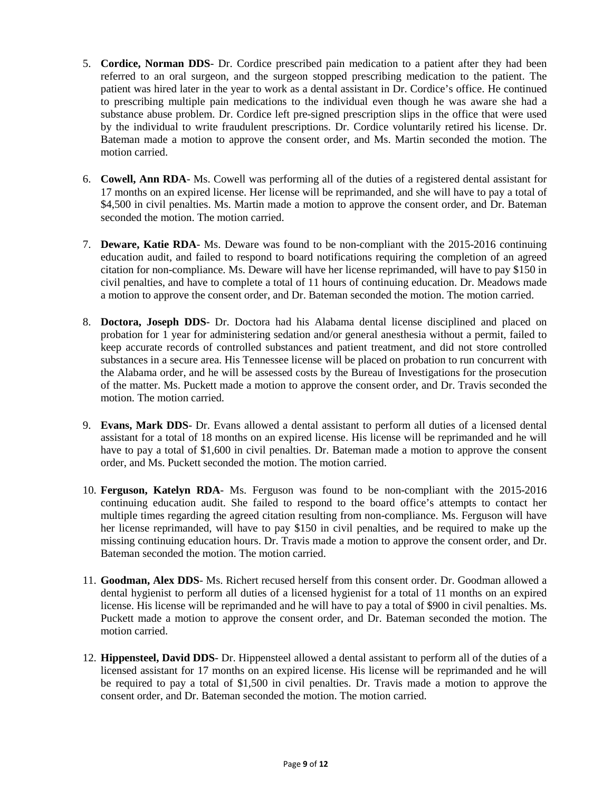- 5. **Cordice, Norman DDS** Dr. Cordice prescribed pain medication to a patient after they had been referred to an oral surgeon, and the surgeon stopped prescribing medication to the patient. The patient was hired later in the year to work as a dental assistant in Dr. Cordice's office. He continued to prescribing multiple pain medications to the individual even though he was aware she had a substance abuse problem. Dr. Cordice left pre-signed prescription slips in the office that were used by the individual to write fraudulent prescriptions. Dr. Cordice voluntarily retired his license. Dr. Bateman made a motion to approve the consent order, and Ms. Martin seconded the motion. The motion carried.
- 6. **Cowell, Ann RDA** Ms. Cowell was performing all of the duties of a registered dental assistant for 17 months on an expired license. Her license will be reprimanded, and she will have to pay a total of \$4,500 in civil penalties. Ms. Martin made a motion to approve the consent order, and Dr. Bateman seconded the motion. The motion carried.
- 7. **Deware, Katie RDA** Ms. Deware was found to be non-compliant with the 2015-2016 continuing education audit, and failed to respond to board notifications requiring the completion of an agreed citation for non-compliance. Ms. Deware will have her license reprimanded, will have to pay \$150 in civil penalties, and have to complete a total of 11 hours of continuing education. Dr. Meadows made a motion to approve the consent order, and Dr. Bateman seconded the motion. The motion carried.
- 8. **Doctora, Joseph DDS** Dr. Doctora had his Alabama dental license disciplined and placed on probation for 1 year for administering sedation and/or general anesthesia without a permit, failed to keep accurate records of controlled substances and patient treatment, and did not store controlled substances in a secure area. His Tennessee license will be placed on probation to run concurrent with the Alabama order, and he will be assessed costs by the Bureau of Investigations for the prosecution of the matter. Ms. Puckett made a motion to approve the consent order, and Dr. Travis seconded the motion. The motion carried.
- 9. **Evans, Mark DDS** Dr. Evans allowed a dental assistant to perform all duties of a licensed dental assistant for a total of 18 months on an expired license. His license will be reprimanded and he will have to pay a total of \$1,600 in civil penalties. Dr. Bateman made a motion to approve the consent order, and Ms. Puckett seconded the motion. The motion carried.
- 10. **Ferguson, Katelyn RDA** Ms. Ferguson was found to be non-compliant with the 2015-2016 continuing education audit. She failed to respond to the board office's attempts to contact her multiple times regarding the agreed citation resulting from non-compliance. Ms. Ferguson will have her license reprimanded, will have to pay \$150 in civil penalties, and be required to make up the missing continuing education hours. Dr. Travis made a motion to approve the consent order, and Dr. Bateman seconded the motion. The motion carried.
- 11. **Goodman, Alex DDS** Ms. Richert recused herself from this consent order. Dr. Goodman allowed a dental hygienist to perform all duties of a licensed hygienist for a total of 11 months on an expired license. His license will be reprimanded and he will have to pay a total of \$900 in civil penalties. Ms. Puckett made a motion to approve the consent order, and Dr. Bateman seconded the motion. The motion carried.
- 12. **Hippensteel, David DDS** Dr. Hippensteel allowed a dental assistant to perform all of the duties of a licensed assistant for 17 months on an expired license. His license will be reprimanded and he will be required to pay a total of \$1,500 in civil penalties. Dr. Travis made a motion to approve the consent order, and Dr. Bateman seconded the motion. The motion carried.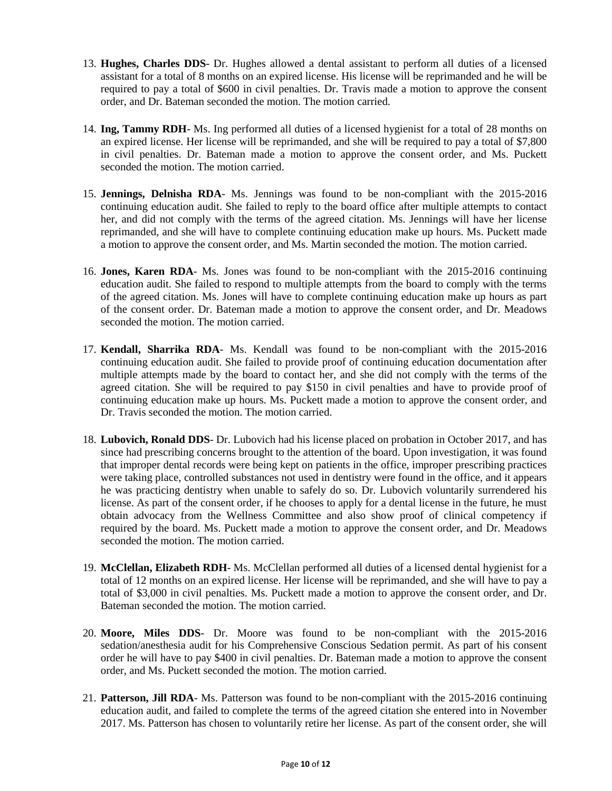- 13. **Hughes, Charles DDS** Dr. Hughes allowed a dental assistant to perform all duties of a licensed assistant for a total of 8 months on an expired license. His license will be reprimanded and he will be required to pay a total of \$600 in civil penalties. Dr. Travis made a motion to approve the consent order, and Dr. Bateman seconded the motion. The motion carried.
- 14. **Ing, Tammy RDH** Ms. Ing performed all duties of a licensed hygienist for a total of 28 months on an expired license. Her license will be reprimanded, and she will be required to pay a total of \$7,800 in civil penalties. Dr. Bateman made a motion to approve the consent order, and Ms. Puckett seconded the motion. The motion carried.
- 15. **Jennings, Delnisha RDA** Ms. Jennings was found to be non-compliant with the 2015-2016 continuing education audit. She failed to reply to the board office after multiple attempts to contact her, and did not comply with the terms of the agreed citation. Ms. Jennings will have her license reprimanded, and she will have to complete continuing education make up hours. Ms. Puckett made a motion to approve the consent order, and Ms. Martin seconded the motion. The motion carried.
- 16. **Jones, Karen RDA** Ms. Jones was found to be non-compliant with the 2015-2016 continuing education audit. She failed to respond to multiple attempts from the board to comply with the terms of the agreed citation. Ms. Jones will have to complete continuing education make up hours as part of the consent order. Dr. Bateman made a motion to approve the consent order, and Dr. Meadows seconded the motion. The motion carried.
- 17. **Kendall, Sharrika RDA** Ms. Kendall was found to be non-compliant with the 2015-2016 continuing education audit. She failed to provide proof of continuing education documentation after multiple attempts made by the board to contact her, and she did not comply with the terms of the agreed citation. She will be required to pay \$150 in civil penalties and have to provide proof of continuing education make up hours. Ms. Puckett made a motion to approve the consent order, and Dr. Travis seconded the motion. The motion carried.
- 18. **Lubovich, Ronald DDS** Dr. Lubovich had his license placed on probation in October 2017, and has since had prescribing concerns brought to the attention of the board. Upon investigation, it was found that improper dental records were being kept on patients in the office, improper prescribing practices were taking place, controlled substances not used in dentistry were found in the office, and it appears he was practicing dentistry when unable to safely do so. Dr. Lubovich voluntarily surrendered his license. As part of the consent order, if he chooses to apply for a dental license in the future, he must obtain advocacy from the Wellness Committee and also show proof of clinical competency if required by the board. Ms. Puckett made a motion to approve the consent order, and Dr. Meadows seconded the motion. The motion carried.
- 19. **McClellan, Elizabeth RDH** Ms. McClellan performed all duties of a licensed dental hygienist for a total of 12 months on an expired license. Her license will be reprimanded, and she will have to pay a total of \$3,000 in civil penalties. Ms. Puckett made a motion to approve the consent order, and Dr. Bateman seconded the motion. The motion carried.
- 20. **Moore, Miles DDS** Dr. Moore was found to be non-compliant with the 2015-2016 sedation/anesthesia audit for his Comprehensive Conscious Sedation permit. As part of his consent order he will have to pay \$400 in civil penalties. Dr. Bateman made a motion to approve the consent order, and Ms. Puckett seconded the motion. The motion carried.
- 21. **Patterson, Jill RDA** Ms. Patterson was found to be non-compliant with the 2015-2016 continuing education audit, and failed to complete the terms of the agreed citation she entered into in November 2017. Ms. Patterson has chosen to voluntarily retire her license. As part of the consent order, she will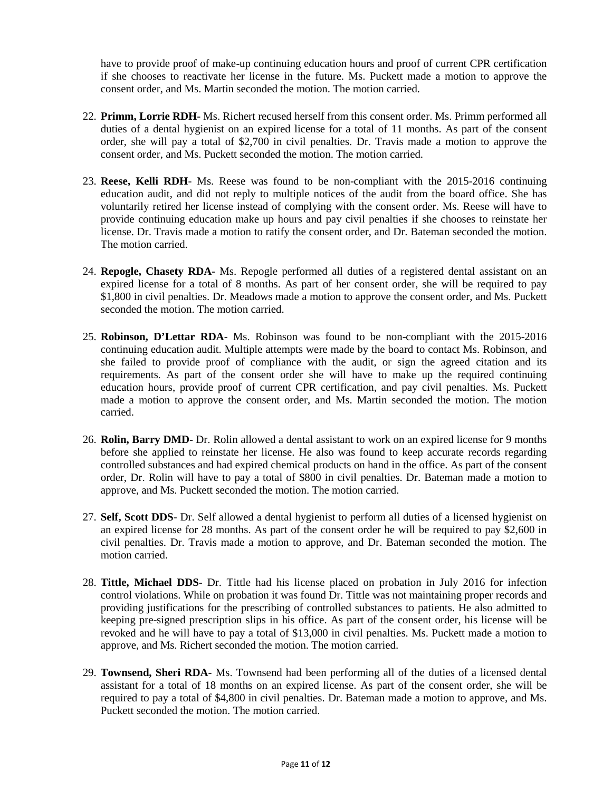have to provide proof of make-up continuing education hours and proof of current CPR certification if she chooses to reactivate her license in the future. Ms. Puckett made a motion to approve the consent order, and Ms. Martin seconded the motion. The motion carried.

- 22. **Primm, Lorrie RDH** Ms. Richert recused herself from this consent order. Ms. Primm performed all duties of a dental hygienist on an expired license for a total of 11 months. As part of the consent order, she will pay a total of \$2,700 in civil penalties. Dr. Travis made a motion to approve the consent order, and Ms. Puckett seconded the motion. The motion carried.
- 23. **Reese, Kelli RDH** Ms. Reese was found to be non-compliant with the 2015-2016 continuing education audit, and did not reply to multiple notices of the audit from the board office. She has voluntarily retired her license instead of complying with the consent order. Ms. Reese will have to provide continuing education make up hours and pay civil penalties if she chooses to reinstate her license. Dr. Travis made a motion to ratify the consent order, and Dr. Bateman seconded the motion. The motion carried.
- 24. **Repogle, Chasety RDA** Ms. Repogle performed all duties of a registered dental assistant on an expired license for a total of 8 months. As part of her consent order, she will be required to pay \$1,800 in civil penalties. Dr. Meadows made a motion to approve the consent order, and Ms. Puckett seconded the motion. The motion carried.
- 25. **Robinson, D'Lettar RDA** Ms. Robinson was found to be non-compliant with the 2015-2016 continuing education audit. Multiple attempts were made by the board to contact Ms. Robinson, and she failed to provide proof of compliance with the audit, or sign the agreed citation and its requirements. As part of the consent order she will have to make up the required continuing education hours, provide proof of current CPR certification, and pay civil penalties. Ms. Puckett made a motion to approve the consent order, and Ms. Martin seconded the motion. The motion carried.
- 26. **Rolin, Barry DMD** Dr. Rolin allowed a dental assistant to work on an expired license for 9 months before she applied to reinstate her license. He also was found to keep accurate records regarding controlled substances and had expired chemical products on hand in the office. As part of the consent order, Dr. Rolin will have to pay a total of \$800 in civil penalties. Dr. Bateman made a motion to approve, and Ms. Puckett seconded the motion. The motion carried.
- 27. **Self, Scott DDS** Dr. Self allowed a dental hygienist to perform all duties of a licensed hygienist on an expired license for 28 months. As part of the consent order he will be required to pay \$2,600 in civil penalties. Dr. Travis made a motion to approve, and Dr. Bateman seconded the motion. The motion carried.
- 28. **Tittle, Michael DDS** Dr. Tittle had his license placed on probation in July 2016 for infection control violations. While on probation it was found Dr. Tittle was not maintaining proper records and providing justifications for the prescribing of controlled substances to patients. He also admitted to keeping pre-signed prescription slips in his office. As part of the consent order, his license will be revoked and he will have to pay a total of \$13,000 in civil penalties. Ms. Puckett made a motion to approve, and Ms. Richert seconded the motion. The motion carried.
- 29. **Townsend, Sheri RDA** Ms. Townsend had been performing all of the duties of a licensed dental assistant for a total of 18 months on an expired license. As part of the consent order, she will be required to pay a total of \$4,800 in civil penalties. Dr. Bateman made a motion to approve, and Ms. Puckett seconded the motion. The motion carried.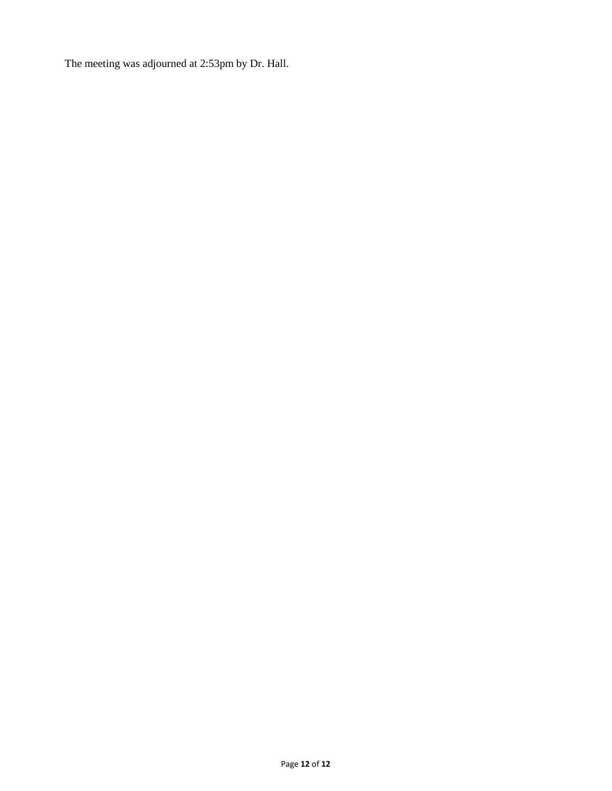The meeting was adjourned at 2:53pm by Dr. Hall.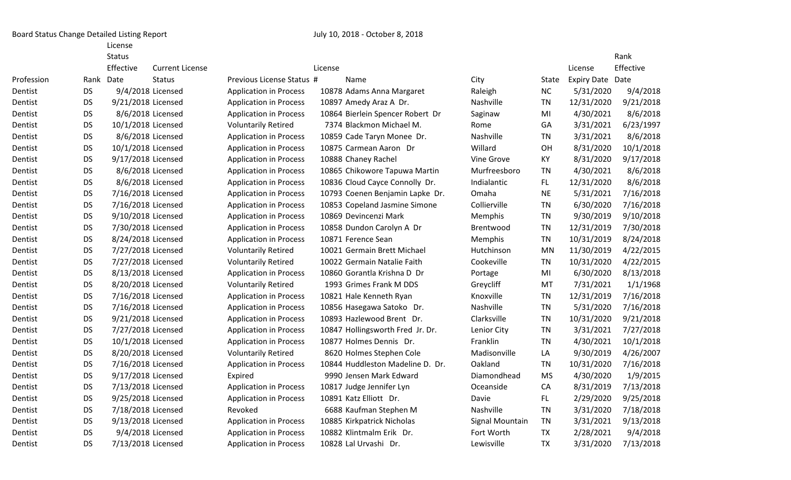Board Status Change Detailed Listing Report **Fig. 2018** 10, 2018 - October 8, 2018

License

|            |           | <b>Status</b>      |                        |                               |         |                                  |                  |           |                         | Rank      |
|------------|-----------|--------------------|------------------------|-------------------------------|---------|----------------------------------|------------------|-----------|-------------------------|-----------|
|            |           | Effective          | <b>Current License</b> |                               | License |                                  |                  |           | License                 | Effective |
| Profession |           | Rank Date          | <b>Status</b>          | Previous License Status #     |         | Name                             | City             | State     | <b>Expiry Date Date</b> |           |
| Dentist    | <b>DS</b> | 9/4/2018 Licensed  |                        | <b>Application in Process</b> |         | 10878 Adams Anna Margaret        | Raleigh          | NC        | 5/31/2020               | 9/4/2018  |
| Dentist    | <b>DS</b> | 9/21/2018 Licensed |                        | <b>Application in Process</b> |         | 10897 Amedy Araz A Dr.           | <b>Nashville</b> | TN        | 12/31/2020              | 9/21/2018 |
| Dentist    | <b>DS</b> | 8/6/2018 Licensed  |                        | <b>Application in Process</b> |         | 10864 Bierlein Spencer Robert Dr | Saginaw          | MI        | 4/30/2021               | 8/6/2018  |
| Dentist    | <b>DS</b> | 10/1/2018 Licensed |                        | <b>Voluntarily Retired</b>    |         | 7374 Blackmon Michael M.         | <b>Rome</b>      | GA        | 3/31/2021               | 6/23/1997 |
| Dentist    | <b>DS</b> | 8/6/2018 Licensed  |                        | <b>Application in Process</b> |         | 10859 Cade Taryn Monee Dr.       | Nashville        | <b>TN</b> | 3/31/2021               | 8/6/2018  |
| Dentist    | <b>DS</b> | 10/1/2018 Licensed |                        | <b>Application in Process</b> |         | 10875 Carmean Aaron Dr           | Willard          | <b>OH</b> | 8/31/2020               | 10/1/2018 |
| Dentist    | <b>DS</b> | 9/17/2018 Licensed |                        | <b>Application in Process</b> |         | 10888 Chaney Rachel              | Vine Grove       | KY        | 8/31/2020               | 9/17/2018 |
| Dentist    | <b>DS</b> | 8/6/2018 Licensed  |                        | <b>Application in Process</b> |         | 10865 Chikowore Tapuwa Martin    | Murfreesboro     | <b>TN</b> | 4/30/2021               | 8/6/2018  |
| Dentist    | <b>DS</b> | 8/6/2018 Licensed  |                        | <b>Application in Process</b> |         | 10836 Cloud Cayce Connolly Dr.   | Indialantic      | FL.       | 12/31/2020              | 8/6/2018  |
| Dentist    | <b>DS</b> | 7/16/2018 Licensed |                        | <b>Application in Process</b> |         | 10793 Coenen Benjamin Lapke Dr.  | Omaha            | <b>NE</b> | 5/31/2021               | 7/16/2018 |
| Dentist    | <b>DS</b> | 7/16/2018 Licensed |                        | <b>Application in Process</b> |         | 10853 Copeland Jasmine Simone    | Collierville     | TN        | 6/30/2020               | 7/16/2018 |
| Dentist    | <b>DS</b> | 9/10/2018 Licensed |                        | <b>Application in Process</b> |         | 10869 Devincenzi Mark            | Memphis          | <b>TN</b> | 9/30/2019               | 9/10/2018 |
| Dentist    | <b>DS</b> | 7/30/2018 Licensed |                        | <b>Application in Process</b> |         | 10858 Dundon Carolyn A Dr        | Brentwood        | TN        | 12/31/2019              | 7/30/2018 |
| Dentist    | <b>DS</b> | 8/24/2018 Licensed |                        | <b>Application in Process</b> |         | 10871 Ference Sean               | Memphis          | TN        | 10/31/2019              | 8/24/2018 |
| Dentist    | <b>DS</b> | 7/27/2018 Licensed |                        | <b>Voluntarily Retired</b>    |         | 10021 Germain Brett Michael      | Hutchinson       | <b>MN</b> | 11/30/2019              | 4/22/2015 |
| Dentist    | <b>DS</b> | 7/27/2018 Licensed |                        | <b>Voluntarily Retired</b>    |         | 10022 Germain Natalie Faith      | Cookeville       | TN        | 10/31/2020              | 4/22/2015 |
| Dentist    | <b>DS</b> | 8/13/2018 Licensed |                        | <b>Application in Process</b> |         | 10860 Gorantla Krishna D Dr      | Portage          | MI        | 6/30/2020               | 8/13/2018 |
| Dentist    | <b>DS</b> | 8/20/2018 Licensed |                        | <b>Voluntarily Retired</b>    |         | 1993 Grimes Frank M DDS          | Greycliff        | MT        | 7/31/2021               | 1/1/1968  |
| Dentist    | <b>DS</b> | 7/16/2018 Licensed |                        | <b>Application in Process</b> |         | 10821 Hale Kenneth Ryan          | Knoxville        | <b>TN</b> | 12/31/2019              | 7/16/2018 |
| Dentist    | <b>DS</b> | 7/16/2018 Licensed |                        | <b>Application in Process</b> |         | 10856 Hasegawa Satoko Dr.        | Nashville        | <b>TN</b> | 5/31/2020               | 7/16/2018 |
| Dentist    | <b>DS</b> | 9/21/2018 Licensed |                        | <b>Application in Process</b> |         | 10893 Hazlewood Brent Dr.        | Clarksville      | TN        | 10/31/2020              | 9/21/2018 |
| Dentist    | <b>DS</b> | 7/27/2018 Licensed |                        | <b>Application in Process</b> |         | 10847 Hollingsworth Fred Jr. Dr. | Lenior City      | <b>TN</b> | 3/31/2021               | 7/27/2018 |
| Dentist    | <b>DS</b> | 10/1/2018 Licensed |                        | <b>Application in Process</b> |         | 10877 Holmes Dennis Dr.          | Franklin         | TN        | 4/30/2021               | 10/1/2018 |
| Dentist    | <b>DS</b> | 8/20/2018 Licensed |                        | <b>Voluntarily Retired</b>    |         | 8620 Holmes Stephen Cole         | Madisonville     | LA        | 9/30/2019               | 4/26/2007 |
| Dentist    | <b>DS</b> | 7/16/2018 Licensed |                        | <b>Application in Process</b> |         | 10844 Huddleston Madeline D. Dr. | Oakland          | TN        | 10/31/2020              | 7/16/2018 |
| Dentist    | <b>DS</b> | 9/17/2018 Licensed |                        | Expired                       |         | 9990 Jensen Mark Edward          | Diamondhead      | <b>MS</b> | 4/30/2020               | 1/9/2015  |
| Dentist    | DS        | 7/13/2018 Licensed |                        | <b>Application in Process</b> |         | 10817 Judge Jennifer Lyn         | Oceanside        | CA        | 8/31/2019               | 7/13/2018 |
| Dentist    | <b>DS</b> | 9/25/2018 Licensed |                        | <b>Application in Process</b> |         | 10891 Katz Elliott Dr.           | Davie            | FL.       | 2/29/2020               | 9/25/2018 |
| Dentist    | <b>DS</b> | 7/18/2018 Licensed |                        | Revoked                       |         | 6688 Kaufman Stephen M           | Nashville        | <b>TN</b> | 3/31/2020               | 7/18/2018 |
| Dentist    | <b>DS</b> | 9/13/2018 Licensed |                        | <b>Application in Process</b> |         | 10885 Kirkpatrick Nicholas       | Signal Mountain  | <b>TN</b> | 3/31/2021               | 9/13/2018 |
| Dentist    | <b>DS</b> | 9/4/2018 Licensed  |                        | <b>Application in Process</b> |         | 10882 Klintmalm Erik Dr.         | Fort Worth       | <b>TX</b> | 2/28/2021               | 9/4/2018  |
| Dentist    | DS        | 7/13/2018 Licensed |                        | <b>Application in Process</b> |         | 10828 Lal Urvashi Dr.            | Lewisville       | TX        | 3/31/2020               | 7/13/2018 |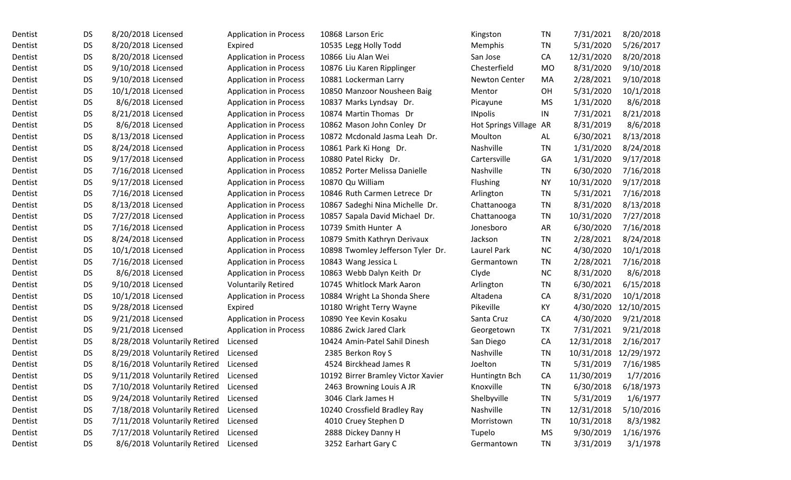| Dentist | DS        | 8/20/2018 Licensed            | <b>Application in Process</b> | 10868 Larson Eric                  | Kingston               | TN        | 7/31/2021  | 8/20/2018  |
|---------|-----------|-------------------------------|-------------------------------|------------------------------------|------------------------|-----------|------------|------------|
| Dentist | <b>DS</b> | 8/20/2018 Licensed            | Expired                       | 10535 Legg Holly Todd              | Memphis                | TN        | 5/31/2020  | 5/26/2017  |
| Dentist | <b>DS</b> | 8/20/2018 Licensed            | <b>Application in Process</b> | 10866 Liu Alan Wei                 | San Jose               | CA        | 12/31/2020 | 8/20/2018  |
| Dentist | <b>DS</b> | 9/10/2018 Licensed            | <b>Application in Process</b> | 10876 Liu Karen Ripplinger         | Chesterfield           | <b>MO</b> | 8/31/2020  | 9/10/2018  |
| Dentist | <b>DS</b> | 9/10/2018 Licensed            | <b>Application in Process</b> | 10881 Lockerman Larry              | <b>Newton Center</b>   | MA        | 2/28/2021  | 9/10/2018  |
| Dentist | <b>DS</b> | 10/1/2018 Licensed            | <b>Application in Process</b> | 10850 Manzoor Nousheen Baig        | Mentor                 | OH        | 5/31/2020  | 10/1/2018  |
| Dentist | <b>DS</b> | 8/6/2018 Licensed             | <b>Application in Process</b> | 10837 Marks Lyndsay Dr.            | Picayune               | <b>MS</b> | 1/31/2020  | 8/6/2018   |
| Dentist | <b>DS</b> | 8/21/2018 Licensed            | <b>Application in Process</b> | 10874 Martin Thomas Dr             | <b>INpolis</b>         | IN        | 7/31/2021  | 8/21/2018  |
| Dentist | <b>DS</b> | 8/6/2018 Licensed             | <b>Application in Process</b> | 10862 Mason John Conley Dr         | Hot Springs Village AR |           | 8/31/2019  | 8/6/2018   |
| Dentist | <b>DS</b> | 8/13/2018 Licensed            | <b>Application in Process</b> | 10872 Mcdonald Jasma Leah Dr.      | Moulton                | AL        | 6/30/2021  | 8/13/2018  |
| Dentist | <b>DS</b> | 8/24/2018 Licensed            | <b>Application in Process</b> | 10861 Park Ki Hong Dr.             | Nashville              | TN        | 1/31/2020  | 8/24/2018  |
| Dentist | <b>DS</b> | 9/17/2018 Licensed            | <b>Application in Process</b> | 10880 Patel Ricky Dr.              | Cartersville           | GA        | 1/31/2020  | 9/17/2018  |
| Dentist | <b>DS</b> | 7/16/2018 Licensed            | <b>Application in Process</b> | 10852 Porter Melissa Danielle      | Nashville              | TN        | 6/30/2020  | 7/16/2018  |
| Dentist | <b>DS</b> | 9/17/2018 Licensed            | <b>Application in Process</b> | 10870 Qu William                   | <b>Flushing</b>        | <b>NY</b> | 10/31/2020 | 9/17/2018  |
| Dentist | <b>DS</b> | 7/16/2018 Licensed            | <b>Application in Process</b> | 10846 Ruth Carmen Letrece Dr       | Arlington              | TN        | 5/31/2021  | 7/16/2018  |
| Dentist | <b>DS</b> | 8/13/2018 Licensed            | <b>Application in Process</b> | 10867 Sadeghi Nina Michelle Dr.    | Chattanooga            | TN        | 8/31/2020  | 8/13/2018  |
| Dentist | <b>DS</b> | 7/27/2018 Licensed            | <b>Application in Process</b> | 10857 Sapala David Michael Dr.     | Chattanooga            | TN        | 10/31/2020 | 7/27/2018  |
| Dentist | <b>DS</b> | 7/16/2018 Licensed            | <b>Application in Process</b> | 10739 Smith Hunter A               | Jonesboro              | AR        | 6/30/2020  | 7/16/2018  |
| Dentist | <b>DS</b> | 8/24/2018 Licensed            | <b>Application in Process</b> | 10879 Smith Kathryn Derivaux       | Jackson                | TN        | 2/28/2021  | 8/24/2018  |
| Dentist | <b>DS</b> | 10/1/2018 Licensed            | <b>Application in Process</b> | 10898 Twomley Jefferson Tyler Dr.  | Laurel Park            | <b>NC</b> | 4/30/2020  | 10/1/2018  |
| Dentist | <b>DS</b> | 7/16/2018 Licensed            | <b>Application in Process</b> | 10843 Wang Jessica L               | Germantown             | TN        | 2/28/2021  | 7/16/2018  |
| Dentist | <b>DS</b> | 8/6/2018 Licensed             | <b>Application in Process</b> | 10863 Webb Dalyn Keith Dr          | Clyde                  | <b>NC</b> | 8/31/2020  | 8/6/2018   |
| Dentist | <b>DS</b> | 9/10/2018 Licensed            | <b>Voluntarily Retired</b>    | 10745 Whitlock Mark Aaron          | Arlington              | TN        | 6/30/2021  | 6/15/2018  |
| Dentist | <b>DS</b> | 10/1/2018 Licensed            | <b>Application in Process</b> | 10884 Wright La Shonda Shere       | Altadena               | CA        | 8/31/2020  | 10/1/2018  |
| Dentist | <b>DS</b> | 9/28/2018 Licensed            | Expired                       | 10180 Wright Terry Wayne           | Pikeville              | KY        | 4/30/2020  | 12/10/2015 |
| Dentist | <b>DS</b> | 9/21/2018 Licensed            | <b>Application in Process</b> | 10890 Yee Kevin Kosaku             | Santa Cruz             | CA        | 4/30/2020  | 9/21/2018  |
| Dentist | <b>DS</b> | 9/21/2018 Licensed            | <b>Application in Process</b> | 10886 Zwick Jared Clark            | Georgetown             | TX        | 7/31/2021  | 9/21/2018  |
| Dentist | <b>DS</b> | 8/28/2018 Voluntarily Retired | Licensed                      | 10424 Amin-Patel Sahil Dinesh      | San Diego              | CA        | 12/31/2018 | 2/16/2017  |
| Dentist | <b>DS</b> | 8/29/2018 Voluntarily Retired | Licensed                      | 2385 Berkon Roy S                  | Nashville              | TN        | 10/31/2018 | 12/29/1972 |
| Dentist | <b>DS</b> | 8/16/2018 Voluntarily Retired | Licensed                      | 4524 Birckhead James R             | Joelton                | <b>TN</b> | 5/31/2019  | 7/16/1985  |
| Dentist | <b>DS</b> | 9/11/2018 Voluntarily Retired | Licensed                      | 10192 Birrer Bramley Victor Xavier | Huntingtn Bch          | CA        | 11/30/2019 | 1/7/2016   |
| Dentist | <b>DS</b> | 7/10/2018 Voluntarily Retired | Licensed                      | 2463 Browning Louis A JR           | Knoxville              | TN        | 6/30/2018  | 6/18/1973  |
| Dentist | <b>DS</b> | 9/24/2018 Voluntarily Retired | Licensed                      | 3046 Clark James H                 | Shelbyville            | TN        | 5/31/2019  | 1/6/1977   |
| Dentist | DS        | 7/18/2018 Voluntarily Retired | Licensed                      | 10240 Crossfield Bradley Ray       | Nashville              | TN        | 12/31/2018 | 5/10/2016  |
| Dentist | <b>DS</b> | 7/11/2018 Voluntarily Retired | Licensed                      | 4010 Cruey Stephen D               | Morristown             | TN        | 10/31/2018 | 8/3/1982   |
| Dentist | DS        | 7/17/2018 Voluntarily Retired | Licensed                      | 2888 Dickey Danny H                | Tupelo                 | <b>MS</b> | 9/30/2019  | 1/16/1976  |
| Dentist | <b>DS</b> | 8/6/2018 Voluntarily Retired  | Licensed                      | 3252 Earhart Gary C                | Germantown             | <b>TN</b> | 3/31/2019  | 3/1/1978   |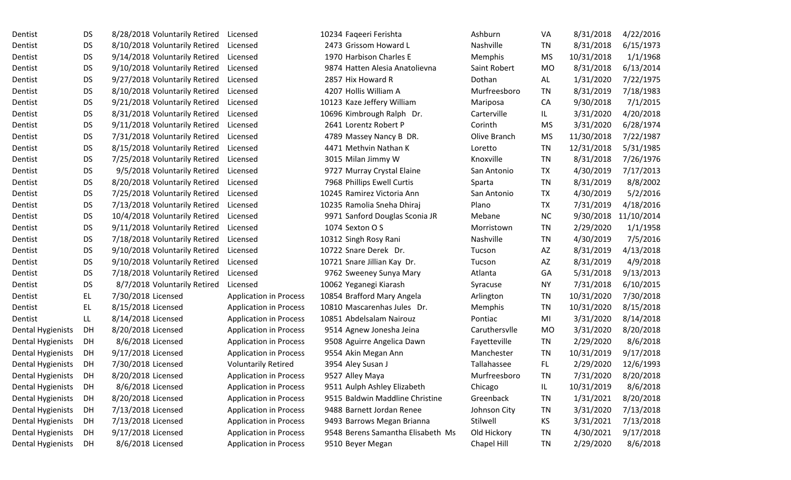| Dentist                  | DS.       | 8/28/2018 Voluntarily Retired | Licensed                      | 10234 Faqeeri Ferishta            | Ashburn       | VA        | 8/31/2018  | 4/22/2016  |
|--------------------------|-----------|-------------------------------|-------------------------------|-----------------------------------|---------------|-----------|------------|------------|
| Dentist                  | <b>DS</b> | 8/10/2018 Voluntarily Retired | Licensed                      | 2473 Grissom Howard L             | Nashville     | TN        | 8/31/2018  | 6/15/1973  |
| Dentist                  | <b>DS</b> | 9/14/2018 Voluntarily Retired | Licensed                      | 1970 Harbison Charles E           | Memphis       | <b>MS</b> | 10/31/2018 | 1/1/1968   |
| Dentist                  | <b>DS</b> | 9/10/2018 Voluntarily Retired | Licensed                      | 9874 Hatten Alesia Anatolievna    | Saint Robert  | <b>MO</b> | 8/31/2018  | 6/13/2014  |
| Dentist                  | <b>DS</b> | 9/27/2018 Voluntarily Retired | Licensed                      | 2857 Hix Howard R                 | Dothan        | AL        | 1/31/2020  | 7/22/1975  |
| Dentist                  | <b>DS</b> | 8/10/2018 Voluntarily Retired | Licensed                      | 4207 Hollis William A             | Murfreesboro  | TN        | 8/31/2019  | 7/18/1983  |
| Dentist                  | <b>DS</b> | 9/21/2018 Voluntarily Retired | Licensed                      | 10123 Kaze Jeffery William        | Mariposa      | CA        | 9/30/2018  | 7/1/2015   |
| Dentist                  | <b>DS</b> | 8/31/2018 Voluntarily Retired | Licensed                      | 10696 Kimbrough Ralph Dr.         | Carterville   | IL.       | 3/31/2020  | 4/20/2018  |
| Dentist                  | <b>DS</b> | 9/11/2018 Voluntarily Retired | Licensed                      | 2641 Lorentz Robert P             | Corinth       | <b>MS</b> | 3/31/2020  | 6/28/1974  |
| Dentist                  | <b>DS</b> | 7/31/2018 Voluntarily Retired | Licensed                      | 4789 Massey Nancy B DR.           | Olive Branch  | <b>MS</b> | 11/30/2018 | 7/22/1987  |
| Dentist                  | <b>DS</b> | 8/15/2018 Voluntarily Retired | Licensed                      | 4471 Methvin Nathan K             | Loretto       | TN        | 12/31/2018 | 5/31/1985  |
| Dentist                  | <b>DS</b> | 7/25/2018 Voluntarily Retired | Licensed                      | 3015 Milan Jimmy W                | Knoxville     | <b>TN</b> | 8/31/2018  | 7/26/1976  |
| Dentist                  | <b>DS</b> | 9/5/2018 Voluntarily Retired  | Licensed                      | 9727 Murray Crystal Elaine        | San Antonio   | TX        | 4/30/2019  | 7/17/2013  |
| Dentist                  | <b>DS</b> | 8/20/2018 Voluntarily Retired | Licensed                      | 7968 Phillips Ewell Curtis        | Sparta        | <b>TN</b> | 8/31/2019  | 8/8/2002   |
| Dentist                  | <b>DS</b> | 7/25/2018 Voluntarily Retired | Licensed                      | 10245 Ramirez Victoria Ann        | San Antonio   | TX        | 4/30/2019  | 5/2/2016   |
| Dentist                  | <b>DS</b> | 7/13/2018 Voluntarily Retired | Licensed                      | 10235 Ramolia Sneha Dhiraj        | Plano         | TX        | 7/31/2019  | 4/18/2016  |
| Dentist                  | <b>DS</b> | 10/4/2018 Voluntarily Retired | Licensed                      | 9971 Sanford Douglas Sconia JR    | Mebane        | <b>NC</b> | 9/30/2018  | 11/10/2014 |
| Dentist                  | <b>DS</b> | 9/11/2018 Voluntarily Retired | Licensed                      | 1074 Sexton O S                   | Morristown    | <b>TN</b> | 2/29/2020  | 1/1/1958   |
| Dentist                  | <b>DS</b> | 7/18/2018 Voluntarily Retired | Licensed                      | 10312 Singh Rosy Rani             | Nashville     | <b>TN</b> | 4/30/2019  | 7/5/2016   |
| Dentist                  | <b>DS</b> | 9/10/2018 Voluntarily Retired | Licensed                      | 10722 Snare Derek Dr.             | Tucson        | AZ        | 8/31/2019  | 4/13/2018  |
| Dentist                  | <b>DS</b> | 9/10/2018 Voluntarily Retired | Licensed                      | 10721 Snare Jillian Kay Dr.       | Tucson        | AZ        | 8/31/2019  | 4/9/2018   |
| Dentist                  | <b>DS</b> | 7/18/2018 Voluntarily Retired | Licensed                      | 9762 Sweeney Sunya Mary           | Atlanta       | GA        | 5/31/2018  | 9/13/2013  |
| Dentist                  | <b>DS</b> | 8/7/2018 Voluntarily Retired  | Licensed                      | 10062 Yeganegi Kiarash            | Syracuse      | <b>NY</b> | 7/31/2018  | 6/10/2015  |
| Dentist                  | EL.       | 7/30/2018 Licensed            | <b>Application in Process</b> | 10854 Brafford Mary Angela        | Arlington     | <b>TN</b> | 10/31/2020 | 7/30/2018  |
| Dentist                  | EL        | 8/15/2018 Licensed            | <b>Application in Process</b> | 10810 Mascarenhas Jules Dr.       | Memphis       | <b>TN</b> | 10/31/2020 | 8/15/2018  |
| Dentist                  | LL.       | 8/14/2018 Licensed            | <b>Application in Process</b> | 10851 Abdelsalam Nairouz          | Pontiac       | MI        | 3/31/2020  | 8/14/2018  |
| Dental Hygienists        | DH        | 8/20/2018 Licensed            | <b>Application in Process</b> | 9514 Agnew Jonesha Jeina          | Caruthersvlle | <b>MO</b> | 3/31/2020  | 8/20/2018  |
| <b>Dental Hygienists</b> | DH        | 8/6/2018 Licensed             | <b>Application in Process</b> | 9508 Aguirre Angelica Dawn        | Fayetteville  | <b>TN</b> | 2/29/2020  | 8/6/2018   |
| <b>Dental Hygienists</b> | DH        | 9/17/2018 Licensed            | <b>Application in Process</b> | 9554 Akin Megan Ann               | Manchester    | TN        | 10/31/2019 | 9/17/2018  |
| Dental Hygienists        | DH        | 7/30/2018 Licensed            | <b>Voluntarily Retired</b>    | 3954 Aley Susan J                 | Tallahassee   | FL.       | 2/29/2020  | 12/6/1993  |
| Dental Hygienists        | DH        | 8/20/2018 Licensed            | <b>Application in Process</b> | 9527 Alley Maya                   | Murfreesboro  | <b>TN</b> | 7/31/2020  | 8/20/2018  |
| Dental Hygienists        | DH        | 8/6/2018 Licensed             | <b>Application in Process</b> | 9511 Aulph Ashley Elizabeth       | Chicago       | IL.       | 10/31/2019 | 8/6/2018   |
| Dental Hygienists        | DH        | 8/20/2018 Licensed            | <b>Application in Process</b> | 9515 Baldwin Maddline Christine   | Greenback     | <b>TN</b> | 1/31/2021  | 8/20/2018  |
| Dental Hygienists        | DH        | 7/13/2018 Licensed            | <b>Application in Process</b> | 9488 Barnett Jordan Renee         | Johnson City  | TN        | 3/31/2020  | 7/13/2018  |
| Dental Hygienists        | DH        | 7/13/2018 Licensed            | <b>Application in Process</b> | 9493 Barrows Megan Brianna        | Stilwell      | KS        | 3/31/2021  | 7/13/2018  |
| Dental Hygienists        | DH        | 9/17/2018 Licensed            | <b>Application in Process</b> | 9548 Berens Samantha Elisabeth Ms | Old Hickory   | TN        | 4/30/2021  | 9/17/2018  |
| Dental Hygienists        | DH        | 8/6/2018 Licensed             | <b>Application in Process</b> | 9510 Beyer Megan                  | Chapel Hill   | TN        | 2/29/2020  | 8/6/2018   |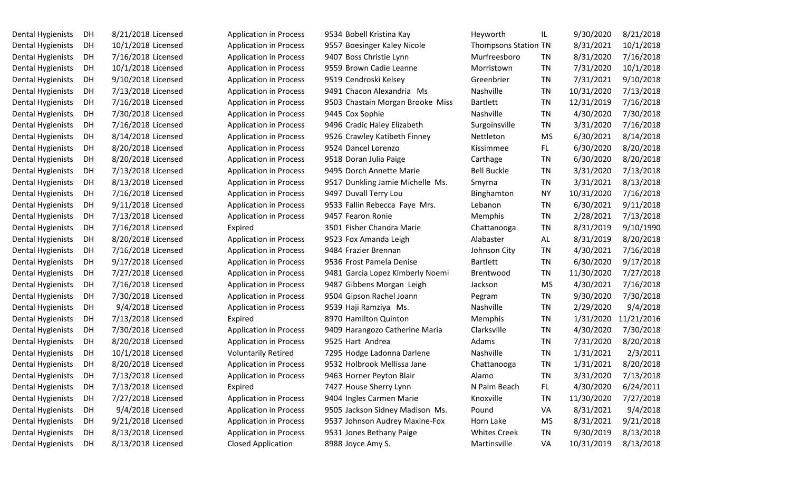| <b>Dental Hygienists</b> | DН | 8/21/2018 License |
|--------------------------|----|-------------------|
| Dental Hygienists        | DH | 10/1/2018 License |
| Dental Hygienists        | DH | 7/16/2018 License |
| Dental Hygienists        | DH | 10/1/2018 License |
| Dental Hygienists        | DH | 9/10/2018 License |
| Dental Hygienists        | DH | 7/13/2018 License |
| Dental Hygienists        | DH | 7/16/2018 License |
| Dental Hygienists        | DH | 7/30/2018 License |
| Dental Hygienists        | DH | 7/16/2018 License |
| Dental Hygienists        | DH | 8/14/2018 License |
| Dental Hygienists        | DH | 8/20/2018 License |
| Dental Hygienists        | DH | 8/20/2018 License |
| Dental Hygienists        | DH | 7/13/2018 License |
| Dental Hygienists        | DН | 8/13/2018 License |
| Dental Hygienists        | DH | 7/16/2018 License |
| Dental Hygienists        | DH | 9/11/2018 License |
| Dental Hygienists        | DH | 7/13/2018 License |
| Dental Hygienists        | DH | 7/16/2018 License |
| Dental Hygienists        | DH | 8/20/2018 License |
| Dental Hygienists        | DН | 7/16/2018 License |
| Dental Hygienists        | DН | 9/17/2018 License |
| Dental Hygienists        | DН | 7/27/2018 License |
| Dental Hygienists        | DH | 7/16/2018 License |
| Dental Hygienists        | DH | 7/30/2018 License |
| Dental Hygienists        | DH | 9/4/2018 License  |
| Dental Hygienists        | DН | 7/13/2018 License |
| Dental Hygienists        | DH | 7/30/2018 License |
| Dental Hygienists        | DH | 8/20/2018 License |
| Dental Hygienists        | DH | 10/1/2018 License |
| Dental Hygienists        | DH | 8/20/2018 License |
| Dental Hygienists        | DH | 7/13/2018 License |
| Dental Hygienists        | DH | 7/13/2018 License |
| Dental Hygienists        | DН | 7/27/2018 License |
| Dental Hygienists        | DH | 9/4/2018 License  |
| Dental Hygienists        | DH | 9/21/2018 License |
| Dental Hygienists        | DH | 8/13/2018 License |
| <b>Dental Hygienists</b> | DН | 8/13/2018 License |

| Dental Hygienists | DH. | 8/21/2018 Licensed | <b>Application in Process</b> | 9534 Bobell Kristina Kay         | Heyworth                    | IL        | 9/30/2020  | 8/21/2018  |
|-------------------|-----|--------------------|-------------------------------|----------------------------------|-----------------------------|-----------|------------|------------|
| Dental Hygienists | DH  | 10/1/2018 Licensed | <b>Application in Process</b> | 9557 Boesinger Kaley Nicole      | <b>Thompsons Station TN</b> |           | 8/31/2021  | 10/1/2018  |
| Dental Hygienists | DH  | 7/16/2018 Licensed | <b>Application in Process</b> | 9407 Boss Christie Lynn          | Murfreesboro                | TN        | 8/31/2020  | 7/16/2018  |
| Dental Hygienists | DH  | 10/1/2018 Licensed | <b>Application in Process</b> | 9559 Brown Cadie Leanne          | Morristown                  | TN        | 7/31/2020  | 10/1/2018  |
| Dental Hygienists | DH  | 9/10/2018 Licensed | <b>Application in Process</b> | 9519 Cendroski Kelsey            | Greenbrier                  | TN        | 7/31/2021  | 9/10/2018  |
| Dental Hygienists | DH  | 7/13/2018 Licensed | <b>Application in Process</b> | 9491 Chacon Alexandria Ms        | Nashville                   | TN        | 10/31/2020 | 7/13/2018  |
| Dental Hygienists | DH  | 7/16/2018 Licensed | <b>Application in Process</b> | 9503 Chastain Morgan Brooke Miss | <b>Bartlett</b>             | TN        | 12/31/2019 | 7/16/2018  |
| Dental Hygienists | DH  | 7/30/2018 Licensed | <b>Application in Process</b> | 9445 Cox Sophie                  | Nashville                   | TN        | 4/30/2020  | 7/30/2018  |
| Dental Hygienists | DH. | 7/16/2018 Licensed | <b>Application in Process</b> | 9496 Cradic Haley Elizabeth      | Surgoinsville               | TN        | 3/31/2020  | 7/16/2018  |
| Dental Hygienists | DH  | 8/14/2018 Licensed | <b>Application in Process</b> | 9526 Crawley Katibeth Finney     | Nettleton                   | MS        | 6/30/2021  | 8/14/2018  |
| Dental Hygienists | DH  | 8/20/2018 Licensed | <b>Application in Process</b> | 9524 Dancel Lorenzo              | Kissimmee                   | FL.       | 6/30/2020  | 8/20/2018  |
| Dental Hygienists | DH  | 8/20/2018 Licensed | <b>Application in Process</b> | 9518 Doran Julia Paige           | Carthage                    | TN        | 6/30/2020  | 8/20/2018  |
| Dental Hygienists | DH  | 7/13/2018 Licensed | <b>Application in Process</b> | 9495 Dorch Annette Marie         | <b>Bell Buckle</b>          | TN        | 3/31/2020  | 7/13/2018  |
| Dental Hygienists | DH  | 8/13/2018 Licensed | <b>Application in Process</b> | 9517 Dunkling Jamie Michelle Ms. | Smyrna                      | TN        | 3/31/2021  | 8/13/2018  |
| Dental Hygienists | DH  | 7/16/2018 Licensed | <b>Application in Process</b> | 9497 Duvall Terry Lou            | Binghamton                  | ΝY        | 10/31/2020 | 7/16/2018  |
| Dental Hygienists | DH  | 9/11/2018 Licensed | <b>Application in Process</b> | 9533 Fallin Rebecca Faye Mrs.    | Lebanon                     | TN        | 6/30/2021  | 9/11/2018  |
| Dental Hygienists | DH  | 7/13/2018 Licensed | <b>Application in Process</b> | 9457 Fearon Ronie                | Memphis                     | TN        | 2/28/2021  | 7/13/2018  |
| Dental Hygienists | DH. | 7/16/2018 Licensed | Expired                       | 3501 Fisher Chandra Marie        | Chattanooga                 | TN        | 8/31/2019  | 9/10/1990  |
| Dental Hygienists | DH  | 8/20/2018 Licensed | Application in Process        | 9523 Fox Amanda Leigh            | Alabaster                   | AL        | 8/31/2019  | 8/20/2018  |
| Dental Hygienists | DH  | 7/16/2018 Licensed | <b>Application in Process</b> | 9484 Frazier Brennan             | Johnson City                | TN        | 4/30/2021  | 7/16/2018  |
| Dental Hygienists | DH  | 9/17/2018 Licensed | <b>Application in Process</b> | 9536 Frost Pamela Denise         | <b>Bartlett</b>             | TN        | 6/30/2020  | 9/17/2018  |
| Dental Hygienists | DH  | 7/27/2018 Licensed | <b>Application in Process</b> | 9481 Garcia Lopez Kimberly Noemi | <b>Brentwood</b>            | <b>TN</b> | 11/30/2020 | 7/27/2018  |
| Dental Hygienists | DH  | 7/16/2018 Licensed | <b>Application in Process</b> | 9487 Gibbens Morgan Leigh        | Jackson                     | MS        | 4/30/2021  | 7/16/2018  |
| Dental Hygienists | DH. | 7/30/2018 Licensed | <b>Application in Process</b> | 9504 Gipson Rachel Joann         | Pegram                      | TN        | 9/30/2020  | 7/30/2018  |
| Dental Hygienists | DH  | 9/4/2018 Licensed  | <b>Application in Process</b> | 9539 Haji Ramziya Ms.            | Nashville                   | TN        | 2/29/2020  | 9/4/2018   |
| Dental Hygienists | DH  | 7/13/2018 Licensed | Expired                       | 8970 Hamilton Quinton            | Memphis                     | TN        | 1/31/2020  | 11/21/2016 |
| Dental Hygienists | DH  | 7/30/2018 Licensed | <b>Application in Process</b> | 9409 Harangozo Catherine Maria   | Clarksville                 | <b>TN</b> | 4/30/2020  | 7/30/2018  |
| Dental Hygienists | DH. | 8/20/2018 Licensed | <b>Application in Process</b> | 9525 Hart Andrea                 | Adams                       | TN        | 7/31/2020  | 8/20/2018  |
| Dental Hygienists | DH  | 10/1/2018 Licensed | <b>Voluntarily Retired</b>    | 7295 Hodge Ladonna Darlene       | Nashville                   | TN        | 1/31/2021  | 2/3/2011   |
| Dental Hygienists | DH. | 8/20/2018 Licensed | <b>Application in Process</b> | 9532 Holbrook Mellissa Jane      | Chattanooga                 | TN        | 1/31/2021  | 8/20/2018  |
| Dental Hygienists | DH  | 7/13/2018 Licensed | <b>Application in Process</b> | 9463 Horner Peyton Blair         | Alamo                       | TN        | 3/31/2020  | 7/13/2018  |
| Dental Hygienists | DH  | 7/13/2018 Licensed | Expired                       | 7427 House Sherry Lynn           | N Palm Beach                | FL.       | 4/30/2020  | 6/24/2011  |
| Dental Hygienists | DH  | 7/27/2018 Licensed | <b>Application in Process</b> | 9404 Ingles Carmen Marie         | Knoxville                   | <b>TN</b> | 11/30/2020 | 7/27/2018  |
| Dental Hygienists | DH  | 9/4/2018 Licensed  | <b>Application in Process</b> | 9505 Jackson Sidney Madison Ms.  | Pound                       | VA        | 8/31/2021  | 9/4/2018   |
| Dental Hygienists | DH  | 9/21/2018 Licensed | <b>Application in Process</b> | 9537 Johnson Audrey Maxine-Fox   | Horn Lake                   | <b>MS</b> | 8/31/2021  | 9/21/2018  |
| Dental Hygienists | DH  | 8/13/2018 Licensed | <b>Application in Process</b> | 9531 Jones Bethany Paige         | <b>Whites Creek</b>         | <b>TN</b> | 9/30/2019  | 8/13/2018  |
| Dental Hygienists | DH  | 8/13/2018 Licensed | <b>Closed Application</b>     | 8988 Joyce Amy S.                | Martinsville                | VA        | 10/31/2019 | 8/13/2018  |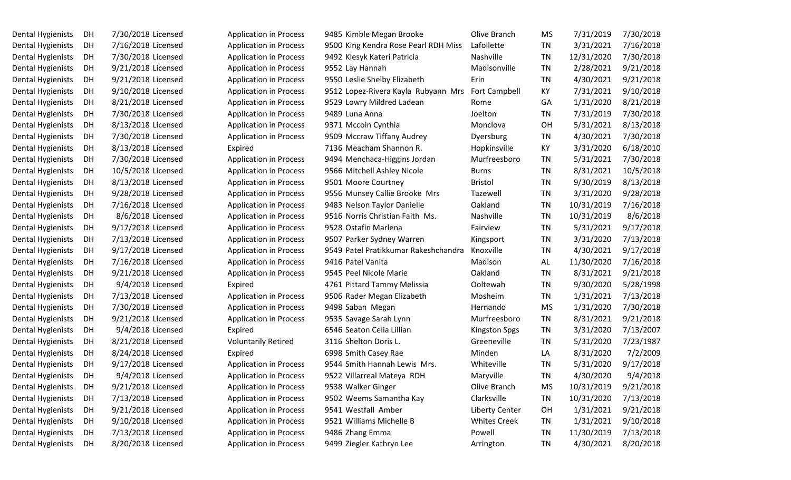| Dental Hygienists | DH | 7/30/2018 Licensed |
|-------------------|----|--------------------|
| Dental Hygienists | DH | 7/16/2018 Licensed |
| Dental Hygienists | DH | 7/30/2018 Licensed |
| Dental Hygienists | DH | 9/21/2018 Licensed |
| Dental Hygienists | DH | 9/21/2018 Licensed |
| Dental Hygienists | DH | 9/10/2018 Licensed |
| Dental Hygienists | DH | 8/21/2018 Licensed |
| Dental Hygienists | DH | 7/30/2018 Licensed |
| Dental Hygienists | DH | 8/13/2018 Licensed |
| Dental Hygienists | DH | 7/30/2018 Licensed |
| Dental Hygienists | DH | 8/13/2018 Licensed |
| Dental Hygienists | DH | 7/30/2018 Licensed |
| Dental Hygienists | DH | 10/5/2018 Licensed |
| Dental Hygienists | DH | 8/13/2018 Licensed |
| Dental Hygienists | DH | 9/28/2018 Licensed |
| Dental Hygienists | DH | 7/16/2018 Licensed |
| Dental Hygienists | DH | 8/6/2018 Licensed  |
| Dental Hygienists | DH | 9/17/2018 Licensed |
| Dental Hygienists | DH | 7/13/2018 Licensed |
| Dental Hygienists | DH | 9/17/2018 Licensed |
| Dental Hygienists | DH | 7/16/2018 Licensed |
| Dental Hygienists | DH | 9/21/2018 Licensed |
| Dental Hygienists | DH | 9/4/2018 Licensed  |
| Dental Hygienists | DH | 7/13/2018 Licensed |
| Dental Hygienists | DH | 7/30/2018 Licensed |
| Dental Hygienists | DH | 9/21/2018 Licensed |
| Dental Hygienists | DH | 9/4/2018 Licensed  |
| Dental Hygienists | DH | 8/21/2018 Licensed |
| Dental Hygienists | DH | 8/24/2018 Licensed |
| Dental Hygienists | DH | 9/17/2018 Licensed |
| Dental Hygienists | DH | 9/4/2018 Licensed  |
| Dental Hygienists | DH | 9/21/2018 Licensed |
| Dental Hygienists | DH | 7/13/2018 Licensed |
| Dental Hygienists | DH | 9/21/2018 Licensed |
| Dental Hygienists | DH | 9/10/2018 Licensed |
| Dental Hygienists | DH | 7/13/2018 Licensed |
| Dental Hygienists | DH | 8/20/2018 Licensed |

| 7/30/2018<br>7/31/2019  |
|-------------------------|
| 7/16/2018<br>3/31/2021  |
| 12/31/2020<br>7/30/2018 |
| 2/28/2021<br>9/21/2018  |
| 9/21/2018<br>4/30/2021  |
| 9/10/2018<br>7/31/2021  |
| 8/21/2018<br>1/31/2020  |
| 7/31/2019<br>7/30/2018  |
| 8/13/2018<br>5/31/2021  |
| 7/30/2018<br>4/30/2021  |
| 3/31/2020<br>6/18/2010  |
| 5/31/2021<br>7/30/2018  |
| 10/5/2018<br>8/31/2021  |
| 9/30/2019<br>8/13/2018  |
| 3/31/2020<br>9/28/2018  |
| 10/31/2019<br>7/16/2018 |
| 10/31/2019<br>8/6/2018  |
| 9/17/2018<br>5/31/2021  |
| 7/13/2018<br>3/31/2020  |
| 4/30/2021<br>9/17/2018  |
| 7/16/2018<br>11/30/2020 |
| 8/31/2021<br>9/21/2018  |
| 9/30/2020<br>5/28/1998  |
| 1/31/2021<br>7/13/2018  |
| 1/31/2020<br>7/30/2018  |
| 8/31/2021<br>9/21/2018  |
| 7/13/2007<br>3/31/2020  |
| 5/31/2020<br>7/23/1987  |
| 7/2/2009<br>8/31/2020   |
| 5/31/2020<br>9/17/2018  |
| 9/4/2018<br>4/30/2020   |
| 10/31/2019<br>9/21/2018 |
| 10/31/2020<br>7/13/2018 |
| 1/31/2021<br>9/21/2018  |
| 1/31/2021<br>9/10/2018  |
| 11/30/2019<br>7/13/2018 |
| 4/30/2021<br>8/20/2018  |
|                         |

|    | Olive Branch          | <b>MS</b> | 7/31/2019  | 7/30/2018 |
|----|-----------------------|-----------|------------|-----------|
| S  | Lafollette            | <b>TN</b> | 3/31/2021  | 7/16/2018 |
|    | Nashville             | <b>TN</b> | 12/31/2020 | 7/30/2018 |
|    | Madisonville          | <b>TN</b> | 2/28/2021  | 9/21/2018 |
|    | Erin                  | <b>TN</b> | 4/30/2021  | 9/21/2018 |
| ٠s | <b>Fort Campbell</b>  | КY        | 7/31/2021  | 9/10/2018 |
|    | Rome                  | GA        | 1/31/2020  | 8/21/2018 |
|    | Joelton               | <b>TN</b> | 7/31/2019  | 7/30/2018 |
|    | Monclova              | OH        | 5/31/2021  | 8/13/2018 |
|    | Dyersburg             | <b>TN</b> | 4/30/2021  | 7/30/2018 |
|    | Hopkinsville          | КY        | 3/31/2020  | 6/18/2010 |
|    | Murfreesboro          | <b>TN</b> | 5/31/2021  | 7/30/2018 |
|    | <b>Burns</b>          | TN        | 8/31/2021  | 10/5/2018 |
|    | <b>Bristol</b>        | TN        | 9/30/2019  | 8/13/2018 |
|    | Tazewell              | <b>TN</b> | 3/31/2020  | 9/28/2018 |
|    | Oakland               | <b>TN</b> | 10/31/2019 | 7/16/2018 |
|    | Nashville             | <b>TN</b> | 10/31/2019 | 8/6/2018  |
|    | Fairview              | <b>TN</b> | 5/31/2021  | 9/17/2018 |
|    | Kingsport             | <b>TN</b> | 3/31/2020  | 7/13/2018 |
| э  | Knoxville             | <b>TN</b> | 4/30/2021  | 9/17/2018 |
|    | Madison               | AL        | 11/30/2020 | 7/16/2018 |
|    | Oakland               | <b>TN</b> | 8/31/2021  | 9/21/2018 |
|    | Ooltewah              | <b>TN</b> | 9/30/2020  | 5/28/1998 |
|    | Mosheim               | <b>TN</b> | 1/31/2021  | 7/13/2018 |
|    | Hernando              | <b>MS</b> | 1/31/2020  | 7/30/2018 |
|    | Murfreesboro          | <b>TN</b> | 8/31/2021  | 9/21/2018 |
|    | <b>Kingston Spgs</b>  | <b>TN</b> | 3/31/2020  | 7/13/2007 |
|    | Greeneville           | TN        | 5/31/2020  | 7/23/1987 |
|    | Minden                | LA        | 8/31/2020  | 7/2/2009  |
|    | Whiteville            | <b>TN</b> | 5/31/2020  | 9/17/2018 |
|    | Maryville             | <b>TN</b> | 4/30/2020  | 9/4/2018  |
|    | Olive Branch          | <b>MS</b> | 10/31/2019 | 9/21/2018 |
|    | Clarksville           | TN        | 10/31/2020 | 7/13/2018 |
|    | <b>Liberty Center</b> | OH        | 1/31/2021  | 9/21/2018 |
|    | <b>Whites Creek</b>   | <b>TN</b> | 1/31/2021  | 9/10/2018 |
|    | Powell                | TN        | 11/30/2019 | 7/13/2018 |
|    | Arrington             | <b>TN</b> | 4/30/2021  | 8/20/2018 |
|    |                       |           |            |           |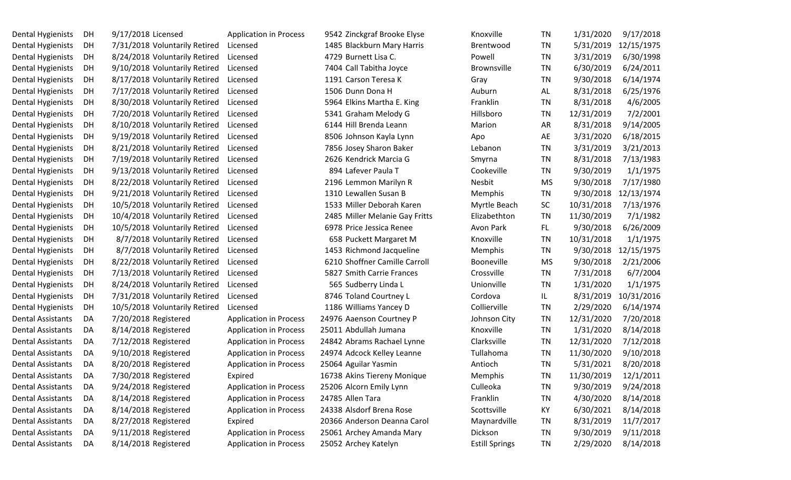| Dental Hygienists        | DH | 9/17/2018 Licensed            | <b>Application in Process</b> | 9542 Zinckgraf Brooke Elyse    | Knoxville             | TN        | 1/31/2020  | 9/17/2018  |
|--------------------------|----|-------------------------------|-------------------------------|--------------------------------|-----------------------|-----------|------------|------------|
| <b>Dental Hygienists</b> | DH | 7/31/2018 Voluntarily Retired | Licensed                      | 1485 Blackburn Mary Harris     | Brentwood             | TN        | 5/31/2019  | 12/15/1975 |
| Dental Hygienists        | DH | 8/24/2018 Voluntarily Retired | Licensed                      | 4729 Burnett Lisa C.           | Powell                | TN        | 3/31/2019  | 6/30/1998  |
| <b>Dental Hygienists</b> | DH | 9/10/2018 Voluntarily Retired | Licensed                      | 7404 Call Tabitha Joyce        | <b>Brownsville</b>    | TN        | 6/30/2019  | 6/24/2011  |
| <b>Dental Hygienists</b> | DH | 8/17/2018 Voluntarily Retired | Licensed                      | 1191 Carson Teresa K           | Gray                  | TN        | 9/30/2018  | 6/14/1974  |
| <b>Dental Hygienists</b> | DH | 7/17/2018 Voluntarily Retired | Licensed                      | 1506 Dunn Dona H               | Auburn                | AL        | 8/31/2018  | 6/25/1976  |
| <b>Dental Hygienists</b> | DH | 8/30/2018 Voluntarily Retired | Licensed                      | 5964 Elkins Martha E. King     | Franklin              | TN        | 8/31/2018  | 4/6/2005   |
| <b>Dental Hygienists</b> | DH | 7/20/2018 Voluntarily Retired | Licensed                      | 5341 Graham Melody G           | Hillsboro             | <b>TN</b> | 12/31/2019 | 7/2/2001   |
| <b>Dental Hygienists</b> | DH | 8/10/2018 Voluntarily Retired | Licensed                      | 6144 Hill Brenda Leann         | Marion                | <b>AR</b> | 8/31/2018  | 9/14/2005  |
| Dental Hygienists        | DH | 9/19/2018 Voluntarily Retired | Licensed                      | 8506 Johnson Kayla Lynn        | Apo                   | AE        | 3/31/2020  | 6/18/2015  |
| <b>Dental Hygienists</b> | DH | 8/21/2018 Voluntarily Retired | Licensed                      | 7856 Josey Sharon Baker        | Lebanon               | TN        | 3/31/2019  | 3/21/2013  |
| <b>Dental Hygienists</b> | DH | 7/19/2018 Voluntarily Retired | Licensed                      | 2626 Kendrick Marcia G         | Smyrna                | TN        | 8/31/2018  | 7/13/1983  |
| <b>Dental Hygienists</b> | DH | 9/13/2018 Voluntarily Retired | Licensed                      | 894 Lafever Paula T            | Cookeville            | TN        | 9/30/2019  | 1/1/1975   |
| Dental Hygienists        | DH | 8/22/2018 Voluntarily Retired | Licensed                      | 2196 Lemmon Marilyn R          | Nesbit                | <b>MS</b> | 9/30/2018  | 7/17/1980  |
| Dental Hygienists        | DH | 9/21/2018 Voluntarily Retired | Licensed                      | 1310 Lewallen Susan B          | Memphis               | <b>TN</b> | 9/30/2018  | 12/13/1974 |
| <b>Dental Hygienists</b> | DH | 10/5/2018 Voluntarily Retired | Licensed                      | 1533 Miller Deborah Karen      | Myrtle Beach          | SC        | 10/31/2018 | 7/13/1976  |
| <b>Dental Hygienists</b> | DH | 10/4/2018 Voluntarily Retired | Licensed                      | 2485 Miller Melanie Gay Fritts | Elizabethton          | TN        | 11/30/2019 | 7/1/1982   |
| <b>Dental Hygienists</b> | DH | 10/5/2018 Voluntarily Retired | Licensed                      | 6978 Price Jessica Renee       | Avon Park             | FL.       | 9/30/2018  | 6/26/2009  |
| <b>Dental Hygienists</b> | DH | 8/7/2018 Voluntarily Retired  | Licensed                      | 658 Puckett Margaret M         | Knoxville             | TN        | 10/31/2018 | 1/1/1975   |
| Dental Hygienists        | DH | 8/7/2018 Voluntarily Retired  | Licensed                      | 1453 Richmond Jacqueline       | Memphis               | TN        | 9/30/2018  | 12/15/1975 |
| <b>Dental Hygienists</b> | DH | 8/22/2018 Voluntarily Retired | Licensed                      | 6210 Shoffner Camille Carroll  | <b>Booneville</b>     | MS        | 9/30/2018  | 2/21/2006  |
| <b>Dental Hygienists</b> | DH | 7/13/2018 Voluntarily Retired | Licensed                      | 5827 Smith Carrie Frances      | Crossville            | <b>TN</b> | 7/31/2018  | 6/7/2004   |
| <b>Dental Hygienists</b> | DH | 8/24/2018 Voluntarily Retired | Licensed                      | 565 Sudberry Linda L           | Unionville            | TN        | 1/31/2020  | 1/1/1975   |
| Dental Hygienists        | DH | 7/31/2018 Voluntarily Retired | Licensed                      | 8746 Toland Courtney L         | Cordova               | IL        | 8/31/2019  | 10/31/2016 |
| <b>Dental Hygienists</b> | DH | 10/5/2018 Voluntarily Retired | Licensed                      | 1186 Williams Yancey D         | Collierville          | TN        | 2/29/2020  | 6/14/1974  |
| Dental Assistants        | DA | 7/20/2018 Registered          | <b>Application in Process</b> | 24976 Aaenson Courtney P       | Johnson City          | TN        | 12/31/2020 | 7/20/2018  |
| <b>Dental Assistants</b> | DA | 8/14/2018 Registered          | <b>Application in Process</b> | 25011 Abdullah Jumana          | Knoxville             | TN        | 1/31/2020  | 8/14/2018  |
| Dental Assistants        | DA | 7/12/2018 Registered          | <b>Application in Process</b> | 24842 Abrams Rachael Lynne     | Clarksville           | TN        | 12/31/2020 | 7/12/2018  |
| Dental Assistants        | DA | 9/10/2018 Registered          | <b>Application in Process</b> | 24974 Adcock Kelley Leanne     | Tullahoma             | TN        | 11/30/2020 | 9/10/2018  |
| <b>Dental Assistants</b> | DA | 8/20/2018 Registered          | <b>Application in Process</b> | 25064 Aguilar Yasmin           | Antioch               | TN        | 5/31/2021  | 8/20/2018  |
| Dental Assistants        | DA | 7/30/2018 Registered          | Expired                       | 16738 Akins Tiereny Monique    | Memphis               | TN        | 11/30/2019 | 12/1/2011  |
| <b>Dental Assistants</b> | DA | 9/24/2018 Registered          | <b>Application in Process</b> | 25206 Alcorn Emily Lynn        | Culleoka              | TN        | 9/30/2019  | 9/24/2018  |
| <b>Dental Assistants</b> | DA | 8/14/2018 Registered          | <b>Application in Process</b> | 24785 Allen Tara               | Franklin              | TN        | 4/30/2020  | 8/14/2018  |
| <b>Dental Assistants</b> | DA | 8/14/2018 Registered          | <b>Application in Process</b> | 24338 Alsdorf Brena Rose       | Scottsville           | KY        | 6/30/2021  | 8/14/2018  |
| <b>Dental Assistants</b> | DA | 8/27/2018 Registered          | Expired                       | 20366 Anderson Deanna Carol    | Maynardville          | <b>TN</b> | 8/31/2019  | 11/7/2017  |
| Dental Assistants        | DA | 9/11/2018 Registered          | <b>Application in Process</b> | 25061 Archey Amanda Mary       | Dickson               | TN        | 9/30/2019  | 9/11/2018  |
| <b>Dental Assistants</b> | DA | 8/14/2018 Registered          | <b>Application in Process</b> | 25052 Archey Katelyn           | <b>Estill Springs</b> | TN        | 2/29/2020  | 8/14/2018  |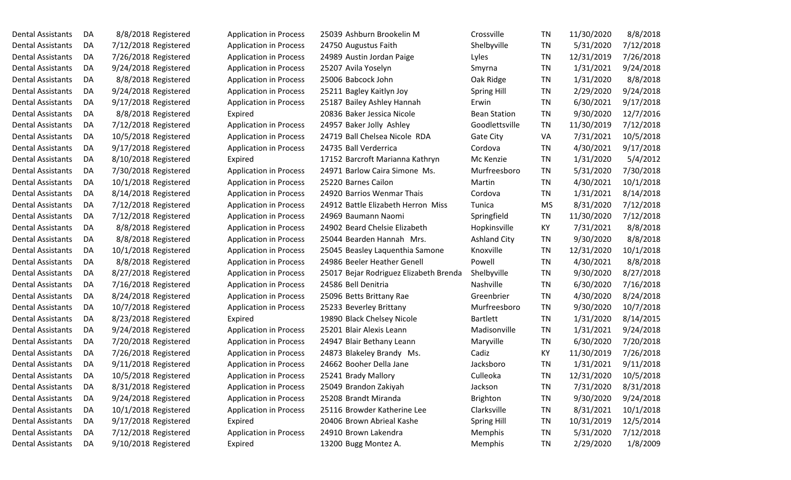| Dental Assistants | DA |                      | 8/8/2018 Registered  |
|-------------------|----|----------------------|----------------------|
| Dental Assistants | DA | 7/12/2018 Registered |                      |
| Dental Assistants | DA |                      | 7/26/2018 Registered |
| Dental Assistants | DA | 9/24/2018 Registered |                      |
| Dental Assistants | DA |                      | 8/8/2018 Registered  |
| Dental Assistants | DA | 9/24/2018 Registered |                      |
| Dental Assistants | DA | 9/17/2018 Registered |                      |
| Dental Assistants | DA |                      | 8/8/2018 Registered  |
| Dental Assistants | DA |                      | 7/12/2018 Registered |
| Dental Assistants | DA |                      | 10/5/2018 Registered |
| Dental Assistants | DA | 9/17/2018 Registered |                      |
| Dental Assistants | DA | 8/10/2018 Registered |                      |
| Dental Assistants | DA | 7/30/2018 Registered |                      |
| Dental Assistants | DA |                      | 10/1/2018 Registered |
| Dental Assistants | DA | 8/14/2018 Registered |                      |
| Dental Assistants | DA |                      | 7/12/2018 Registered |
| Dental Assistants | DA |                      | 7/12/2018 Registered |
| Dental Assistants | DA |                      | 8/8/2018 Registered  |
| Dental Assistants | DA |                      | 8/8/2018 Registered  |
| Dental Assistants | DA |                      | 10/1/2018 Registered |
| Dental Assistants | DA |                      | 8/8/2018 Registered  |
| Dental Assistants | DA | 8/27/2018 Registered |                      |
| Dental Assistants | DA |                      | 7/16/2018 Registered |
| Dental Assistants | DA | 8/24/2018 Registered |                      |
| Dental Assistants | DA |                      | 10/7/2018 Registered |
| Dental Assistants | DA | 8/23/2018 Registered |                      |
| Dental Assistants | DA | 9/24/2018 Registered |                      |
| Dental Assistants | DA |                      | 7/20/2018 Registered |
| Dental Assistants | DA |                      | 7/26/2018 Registered |
| Dental Assistants | DA |                      | 9/11/2018 Registered |
| Dental Assistants | DA |                      | 10/5/2018 Registered |
| Dental Assistants | DA |                      | 8/31/2018 Registered |
| Dental Assistants | DA |                      | 9/24/2018 Registered |
| Dental Assistants | DA |                      | 10/1/2018 Registered |
| Dental Assistants | DA |                      | 9/17/2018 Registered |
| Dental Assistants | DA |                      | 7/12/2018 Registered |
| Dental Assistants | DA |                      | 9/10/2018 Registered |

| <b>Application in Process</b> |
|-------------------------------|
| <b>Application in Process</b> |
| <b>Application in Process</b> |
| <b>Application in Process</b> |
| <b>Application in Process</b> |
| <b>Application in Process</b> |
| <b>Application in Process</b> |
| Expired                       |
| <b>Application in Process</b> |
| <b>Application in Process</b> |
| <b>Application in Process</b> |
| Expired                       |
| <b>Application in Process</b> |
| <b>Application in Process</b> |
| <b>Application in Process</b> |
| <b>Application in Process</b> |
| <b>Application in Process</b> |
| <b>Application in Process</b> |
| <b>Application in Process</b> |
| <b>Application in Process</b> |
| <b>Application in Process</b> |
| <b>Application in Process</b> |
| <b>Application in Process</b> |
| <b>Application in Process</b> |
| <b>Application in Process</b> |
| Expired                       |
| <b>Application in Process</b> |
| <b>Application in Process</b> |
| <b>Application in Process</b> |
| <b>Application in Process</b> |
| <b>Application in Process</b> |
| <b>Application in Process</b> |
| <b>Application in Process</b> |
| <b>Application in Process</b> |
| Expired                       |
| <b>Application in Process</b> |
| Expired                       |

| 5039 Ashburn Brookelin M          |
|-----------------------------------|
| 4750 Augustus Faith               |
| 4989 Austin Jordan Paige          |
| 5207 Avila Yoselyn                |
| 5006 Babcock John                 |
| 5211 Bagley Kaitlyn Joy           |
| 5187 Bailey Ashley Hannah         |
| 0836 Baker Jessica Nicole         |
| 4957 Baker Jolly Ashley           |
| 4719 Ball Chelsea Nicole RDA      |
| 4735 Ball Verderrica              |
| 7152 Barcroft Marianna Kathryn    |
| 4971 Barlow Caira Simone Ms.      |
| 5220 Barnes Cailon                |
| 4920 Barrios Wenmar Thais         |
| 4912 Battle Elizabeth Herron Miss |
| 4969 Baumann Naomi                |
| 4902 Beard Chelsie Elizabeth      |
| 5044 Bearden Hannah Mrs.          |
| 5045 Beasley Laquenthia Samone    |
| 4986 Beeler Heather Genell        |
| 5017 Bejar Rodriguez Elizabeth Br |
| 4586 Bell Denitria                |
| 5096 Betts Brittany Rae           |
| 5233 Beverley Brittany            |
| 9890 Black Chelsey Nicole         |
| 5201 Blair Alexis Leann           |
| 4947 Blair Bethany Leann          |
| 4873 Blakeley Brandy Ms.          |
| 4662 Booher Della Jane            |
| 5241 Brady Mallory                |
| 5049 Brandon Zakiyah              |
| 5208 Brandt Miranda               |
| 5116 Browder Katherine Lee        |
| 0406 Brown Abrieal Kashe          |
| 4910 Brown Lakendra               |
| 3200 Bugg Montez A.               |

| Dental Assistants        | DA  | 8/8/2018 Registered  | <b>Application in Process</b> | 25039 Ashburn Brookelin M              | Crossville          | TN        | 11/30/2020 | 8/8/2018  |
|--------------------------|-----|----------------------|-------------------------------|----------------------------------------|---------------------|-----------|------------|-----------|
| Dental Assistants        | DA  | 7/12/2018 Registered | <b>Application in Process</b> | 24750 Augustus Faith                   | Shelbyville         | TN        | 5/31/2020  | 7/12/2018 |
| Dental Assistants        | DA  | 7/26/2018 Registered | <b>Application in Process</b> | 24989 Austin Jordan Paige              | Lyles               | TN        | 12/31/2019 | 7/26/2018 |
| Dental Assistants        | DA  | 9/24/2018 Registered | <b>Application in Process</b> | 25207 Avila Yoselyn                    | Smyrna              | TN        | 1/31/2021  | 9/24/2018 |
| Dental Assistants        | DA  | 8/8/2018 Registered  | <b>Application in Process</b> | 25006 Babcock John                     | Oak Ridge           | TN        | 1/31/2020  | 8/8/2018  |
| Dental Assistants        | DA  | 9/24/2018 Registered | <b>Application in Process</b> | 25211 Bagley Kaitlyn Joy               | Spring Hill         | TN        | 2/29/2020  | 9/24/2018 |
| Dental Assistants        | DA  | 9/17/2018 Registered | <b>Application in Process</b> | 25187 Bailey Ashley Hannah             | Erwin               | TN        | 6/30/2021  | 9/17/2018 |
| Dental Assistants        | DA  | 8/8/2018 Registered  | Expired                       | 20836 Baker Jessica Nicole             | <b>Bean Station</b> | TN        | 9/30/2020  | 12/7/2016 |
| Dental Assistants        | DA  | 7/12/2018 Registered | <b>Application in Process</b> | 24957 Baker Jolly Ashley               | Goodlettsville      | TN        | 11/30/2019 | 7/12/2018 |
| <b>Dental Assistants</b> | DA  | 10/5/2018 Registered | <b>Application in Process</b> | 24719 Ball Chelsea Nicole RDA          | Gate City           | VA        | 7/31/2021  | 10/5/2018 |
| Dental Assistants        | DA  | 9/17/2018 Registered | <b>Application in Process</b> | 24735 Ball Verderrica                  | Cordova             | TN        | 4/30/2021  | 9/17/2018 |
| Dental Assistants        | DA  | 8/10/2018 Registered | Expired                       | 17152 Barcroft Marianna Kathryn        | Mc Kenzie           | <b>TN</b> | 1/31/2020  | 5/4/2012  |
| Dental Assistants        | DA  | 7/30/2018 Registered | <b>Application in Process</b> | 24971 Barlow Caira Simone Ms.          | Murfreesboro        | TN        | 5/31/2020  | 7/30/2018 |
| <b>Dental Assistants</b> | DA  | 10/1/2018 Registered | <b>Application in Process</b> | 25220 Barnes Cailon                    | Martin              | TN        | 4/30/2021  | 10/1/2018 |
| <b>Dental Assistants</b> | DA  | 8/14/2018 Registered | <b>Application in Process</b> | 24920 Barrios Wenmar Thais             | Cordova             | TN        | 1/31/2021  | 8/14/2018 |
| Dental Assistants        | DA  | 7/12/2018 Registered | <b>Application in Process</b> | 24912 Battle Elizabeth Herron Miss     | Tunica              | <b>MS</b> | 8/31/2020  | 7/12/2018 |
| Dental Assistants        | DA  | 7/12/2018 Registered | <b>Application in Process</b> | 24969 Baumann Naomi                    | Springfield         | <b>TN</b> | 11/30/2020 | 7/12/2018 |
| Dental Assistants        | DA  | 8/8/2018 Registered  | <b>Application in Process</b> | 24902 Beard Chelsie Elizabeth          | Hopkinsville        | KY        | 7/31/2021  | 8/8/2018  |
| Dental Assistants        | DA. | 8/8/2018 Registered  | <b>Application in Process</b> | 25044 Bearden Hannah Mrs.              | <b>Ashland City</b> | <b>TN</b> | 9/30/2020  | 8/8/2018  |
| Dental Assistants        | DA  | 10/1/2018 Registered | Application in Process        | 25045 Beasley Laquenthia Samone        | Knoxville           | TN        | 12/31/2020 | 10/1/2018 |
| Dental Assistants        | DA  | 8/8/2018 Registered  | <b>Application in Process</b> | 24986 Beeler Heather Genell            | Powell              | TN        | 4/30/2021  | 8/8/2018  |
| Dental Assistants        | DA  | 8/27/2018 Registered | <b>Application in Process</b> | 25017 Bejar Rodriguez Elizabeth Brenda | Shelbyville         | TN        | 9/30/2020  | 8/27/2018 |
| Dental Assistants        | DA  | 7/16/2018 Registered | <b>Application in Process</b> | 24586 Bell Denitria                    | Nashville           | <b>TN</b> | 6/30/2020  | 7/16/2018 |
| Dental Assistants        | DA  | 8/24/2018 Registered | <b>Application in Process</b> | 25096 Betts Brittany Rae               | Greenbrier          | TN        | 4/30/2020  | 8/24/2018 |
| Dental Assistants        | DA  | 10/7/2018 Registered | <b>Application in Process</b> | 25233 Beverley Brittany                | Murfreesboro        | <b>TN</b> | 9/30/2020  | 10/7/2018 |
| Dental Assistants        | DA  | 8/23/2018 Registered | Expired                       | 19890 Black Chelsey Nicole             | <b>Bartlett</b>     | TN        | 1/31/2020  | 8/14/2015 |
| Dental Assistants        | DA  | 9/24/2018 Registered | <b>Application in Process</b> | 25201 Blair Alexis Leann               | Madisonville        | TN        | 1/31/2021  | 9/24/2018 |
| Dental Assistants        | DA  | 7/20/2018 Registered | <b>Application in Process</b> | 24947 Blair Bethany Leann              | Maryville           | TN        | 6/30/2020  | 7/20/2018 |
| Dental Assistants        | DA  | 7/26/2018 Registered | <b>Application in Process</b> | 24873 Blakeley Brandy Ms.              | Cadiz               | KY        | 11/30/2019 | 7/26/2018 |
| <b>Dental Assistants</b> | DA  | 9/11/2018 Registered | <b>Application in Process</b> | 24662 Booher Della Jane                | Jacksboro           | TN        | 1/31/2021  | 9/11/2018 |
| Dental Assistants        | DA  | 10/5/2018 Registered | <b>Application in Process</b> | 25241 Brady Mallory                    | Culleoka            | <b>TN</b> | 12/31/2020 | 10/5/2018 |
| Dental Assistants        | DA  | 8/31/2018 Registered | <b>Application in Process</b> | 25049 Brandon Zakiyah                  | Jackson             | <b>TN</b> | 7/31/2020  | 8/31/2018 |
| Dental Assistants        | DA  | 9/24/2018 Registered | <b>Application in Process</b> | 25208 Brandt Miranda                   | Brighton            | <b>TN</b> | 9/30/2020  | 9/24/2018 |
| Dental Assistants        | DA  | 10/1/2018 Registered | <b>Application in Process</b> | 25116 Browder Katherine Lee            | Clarksville         | <b>TN</b> | 8/31/2021  | 10/1/2018 |
| Dental Assistants        | DA  | 9/17/2018 Registered | Expired                       | 20406 Brown Abrieal Kashe              | <b>Spring Hill</b>  | <b>TN</b> | 10/31/2019 | 12/5/2014 |
| Dental Assistants        | DA  | 7/12/2018 Registered | <b>Application in Process</b> | 24910 Brown Lakendra                   | Memphis             | <b>TN</b> | 5/31/2020  | 7/12/2018 |
| Dental Assistants        | DA  | 9/10/2018 Registered | Expired                       | 13200 Bugg Montez A.                   | Memphis             | <b>TN</b> | 2/29/2020  | 1/8/2009  |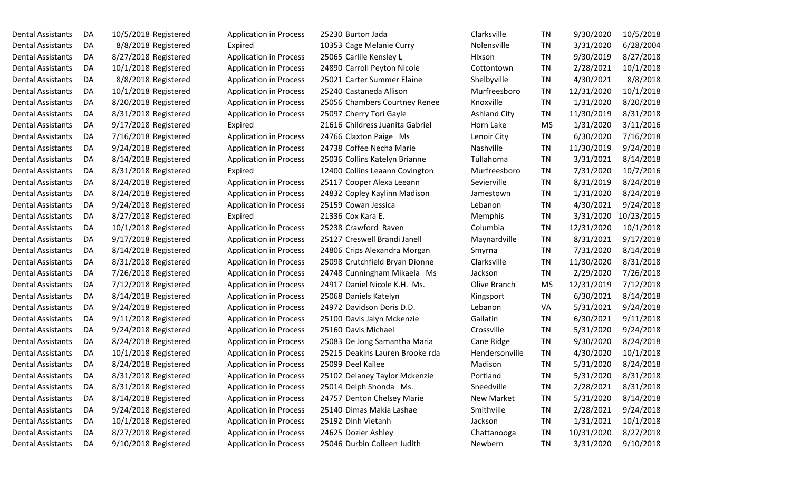| Dental Assistants | DA | 10/5/2018 Register |  |
|-------------------|----|--------------------|--|
| Dental Assistants | DA | 8/8/2018 Register  |  |
| Dental Assistants | DA | 8/27/2018 Register |  |
| Dental Assistants | DA | 10/1/2018 Register |  |
| Dental Assistants | DA | 8/8/2018 Register  |  |
| Dental Assistants | DA | 10/1/2018 Register |  |
| Dental Assistants | DA | 8/20/2018 Register |  |
| Dental Assistants | DA | 8/31/2018 Register |  |
| Dental Assistants | DA | 9/17/2018 Register |  |
| Dental Assistants | DA | 7/16/2018 Register |  |
| Dental Assistants | DA | 9/24/2018 Register |  |
| Dental Assistants | DA | 8/14/2018 Register |  |
| Dental Assistants | DA | 8/31/2018 Register |  |
| Dental Assistants | DA | 8/24/2018 Register |  |
| Dental Assistants | DA | 8/24/2018 Register |  |
| Dental Assistants | DA | 9/24/2018 Register |  |
| Dental Assistants | DA | 8/27/2018 Register |  |
| Dental Assistants | DA | 10/1/2018 Register |  |
| Dental Assistants | DA | 9/17/2018 Register |  |
| Dental Assistants | DA | 8/14/2018 Register |  |
| Dental Assistants | DA | 8/31/2018 Register |  |
| Dental Assistants | DA | 7/26/2018 Register |  |
| Dental Assistants | DA | 7/12/2018 Register |  |
| Dental Assistants | DA | 8/14/2018 Register |  |
| Dental Assistants | DA | 9/24/2018 Register |  |
| Dental Assistants | DA | 9/11/2018 Register |  |
| Dental Assistants | DA | 9/24/2018 Register |  |
| Dental Assistants | DA | 8/24/2018 Register |  |
| Dental Assistants | DA | 10/1/2018 Register |  |
| Dental Assistants | DA | 8/24/2018 Register |  |
| Dental Assistants | DA | 8/31/2018 Register |  |
| Dental Assistants | DA | 8/31/2018 Register |  |
| Dental Assistants | DA | 8/14/2018 Register |  |
| Dental Assistants | DA | 9/24/2018 Register |  |
| Dental Assistants | DA | 10/1/2018 Register |  |
| Dental Assistants | DA | 8/27/2018 Register |  |
| Dental Assistants | DA | 9/10/2018 Register |  |

| Dental Assistants        | DA  | 10/5/2018 Registered | <b>Application in Process</b> | 25230 Burton Jada               | Clarksville         | TN        | 9/30/2020  | 10/5/2018  |
|--------------------------|-----|----------------------|-------------------------------|---------------------------------|---------------------|-----------|------------|------------|
| Dental Assistants        | DA  | 8/8/2018 Registered  | Expired                       | 10353 Cage Melanie Curry        | Nolensville         | TN        | 3/31/2020  | 6/28/2004  |
| Dental Assistants        | DA  | 8/27/2018 Registered | <b>Application in Process</b> | 25065 Carlile Kensley L         | Hixson              | TN        | 9/30/2019  | 8/27/2018  |
| Dental Assistants        | DA  | 10/1/2018 Registered | <b>Application in Process</b> | 24890 Carroll Peyton Nicole     | Cottontown          | TN        | 2/28/2021  | 10/1/2018  |
| Dental Assistants        | DA  | 8/8/2018 Registered  | <b>Application in Process</b> | 25021 Carter Summer Elaine      | Shelbyville         | TN        | 4/30/2021  | 8/8/2018   |
| Dental Assistants        | DA  | 10/1/2018 Registered | <b>Application in Process</b> | 25240 Castaneda Allison         | Murfreesboro        | <b>TN</b> | 12/31/2020 | 10/1/2018  |
| Dental Assistants        | DA  | 8/20/2018 Registered | <b>Application in Process</b> | 25056 Chambers Courtney Renee   | Knoxville           | <b>TN</b> | 1/31/2020  | 8/20/2018  |
| Dental Assistants        | DA  | 8/31/2018 Registered | <b>Application in Process</b> | 25097 Cherry Tori Gayle         | <b>Ashland City</b> | TN        | 11/30/2019 | 8/31/2018  |
| Dental Assistants        | DA  | 9/17/2018 Registered | Expired                       | 21616 Childress Juanita Gabriel | Horn Lake           | MS        | 1/31/2020  | 3/11/2016  |
| Dental Assistants        | DA. | 7/16/2018 Registered | <b>Application in Process</b> | 24766 Claxton Paige Ms          | Lenoir City         | TN        | 6/30/2020  | 7/16/2018  |
| Dental Assistants        | DA  | 9/24/2018 Registered | <b>Application in Process</b> | 24738 Coffee Necha Marie        | Nashville           | TN        | 11/30/2019 | 9/24/2018  |
| Dental Assistants        | DA  | 8/14/2018 Registered | <b>Application in Process</b> | 25036 Collins Katelyn Brianne   | Tullahoma           | <b>TN</b> | 3/31/2021  | 8/14/2018  |
| Dental Assistants        | DA  | 8/31/2018 Registered | Expired                       | 12400 Collins Leaann Covington  | Murfreesboro        | TN        | 7/31/2020  | 10/7/2016  |
| Dental Assistants        | DA  | 8/24/2018 Registered | <b>Application in Process</b> | 25117 Cooper Alexa Leeann       | Sevierville         | TN        | 8/31/2019  | 8/24/2018  |
| Dental Assistants        | DA  | 8/24/2018 Registered | <b>Application in Process</b> | 24832 Copley Kaylinn Madison    | Jamestown           | TN        | 1/31/2020  | 8/24/2018  |
| Dental Assistants        | DA  | 9/24/2018 Registered | <b>Application in Process</b> | 25159 Cowan Jessica             | Lebanon             | TN        | 4/30/2021  | 9/24/2018  |
| <b>Dental Assistants</b> | DA  | 8/27/2018 Registered | Expired                       | 21336 Cox Kara E.               | Memphis             | TN        | 3/31/2020  | 10/23/2015 |
| Dental Assistants        | DA  | 10/1/2018 Registered | <b>Application in Process</b> | 25238 Crawford Raven            | Columbia            | TN        | 12/31/2020 | 10/1/2018  |
| Dental Assistants        | DA  | 9/17/2018 Registered | <b>Application in Process</b> | 25127 Creswell Brandi Janell    | Maynardville        | TN        | 8/31/2021  | 9/17/2018  |
| Dental Assistants        | DA  | 8/14/2018 Registered | <b>Application in Process</b> | 24806 Crips Alexandra Morgan    | Smyrna              | TN        | 7/31/2020  | 8/14/2018  |
| Dental Assistants        | DA  | 8/31/2018 Registered | <b>Application in Process</b> | 25098 Crutchfield Bryan Dionne  | Clarksville         | TN        | 11/30/2020 | 8/31/2018  |
| Dental Assistants        | DA  | 7/26/2018 Registered | <b>Application in Process</b> | 24748 Cunningham Mikaela Ms     | Jackson             | TN        | 2/29/2020  | 7/26/2018  |
| Dental Assistants        | DA  | 7/12/2018 Registered | <b>Application in Process</b> | 24917 Daniel Nicole K.H. Ms.    | Olive Branch        | MS        | 12/31/2019 | 7/12/2018  |
| Dental Assistants        | DA  | 8/14/2018 Registered | <b>Application in Process</b> | 25068 Daniels Katelyn           | Kingsport           | TN        | 6/30/2021  | 8/14/2018  |
| Dental Assistants        | DA  | 9/24/2018 Registered | <b>Application in Process</b> | 24972 Davidson Doris D.D.       | Lebanon             | VA        | 5/31/2021  | 9/24/2018  |
| Dental Assistants        | DA  | 9/11/2018 Registered | <b>Application in Process</b> | 25100 Davis Jalyn Mckenzie      | Gallatin            | <b>TN</b> | 6/30/2021  | 9/11/2018  |
| Dental Assistants        | DA  | 9/24/2018 Registered | <b>Application in Process</b> | 25160 Davis Michael             | Crossville          | TN        | 5/31/2020  | 9/24/2018  |
| Dental Assistants        | DA  | 8/24/2018 Registered | <b>Application in Process</b> | 25083 De Jong Samantha Maria    | Cane Ridge          | TN        | 9/30/2020  | 8/24/2018  |
| Dental Assistants        | DA  | 10/1/2018 Registered | <b>Application in Process</b> | 25215 Deakins Lauren Brooke rda | Hendersonville      | TN        | 4/30/2020  | 10/1/2018  |
| <b>Dental Assistants</b> | DA  | 8/24/2018 Registered | <b>Application in Process</b> | 25099 Deel Kailee               | Madison             | TN        | 5/31/2020  | 8/24/2018  |
| Dental Assistants        | DA  | 8/31/2018 Registered | <b>Application in Process</b> | 25102 Delaney Taylor Mckenzie   | Portland            | <b>TN</b> | 5/31/2020  | 8/31/2018  |
| Dental Assistants        | DA  | 8/31/2018 Registered | <b>Application in Process</b> | 25014 Delph Shonda Ms.          | Sneedville          | <b>TN</b> | 2/28/2021  | 8/31/2018  |
| Dental Assistants        | DA  | 8/14/2018 Registered | <b>Application in Process</b> | 24757 Denton Chelsey Marie      | New Market          | TN        | 5/31/2020  | 8/14/2018  |
| Dental Assistants        | DA  | 9/24/2018 Registered | <b>Application in Process</b> | 25140 Dimas Makia Lashae        | Smithville          | TN        | 2/28/2021  | 9/24/2018  |
| Dental Assistants        | DA  | 10/1/2018 Registered | <b>Application in Process</b> | 25192 Dinh Vietanh              | Jackson             | TN        | 1/31/2021  | 10/1/2018  |
| Dental Assistants        | DA  | 8/27/2018 Registered | <b>Application in Process</b> | 24625 Dozier Ashley             | Chattanooga         | TN        | 10/31/2020 | 8/27/2018  |
| Dental Assistants        | DA  | 9/10/2018 Registered | <b>Application in Process</b> | 25046 Durbin Colleen Judith     | Newbern             | <b>TN</b> | 3/31/2020  | 9/10/2018  |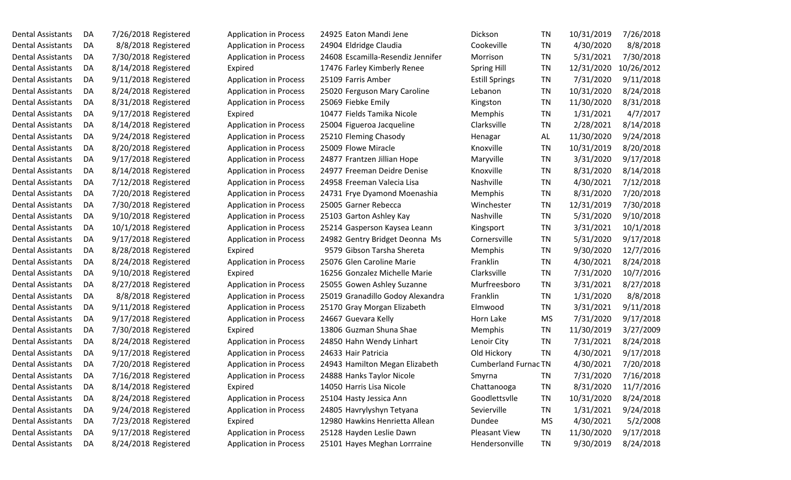| <b>Dental Assistants</b> | DA | 7/26/2018 Registered | <b>Application in Process</b> | 24925 Eaton Mandi Jene          |
|--------------------------|----|----------------------|-------------------------------|---------------------------------|
| <b>Dental Assistants</b> | DA | 8/8/2018 Registered  | <b>Application in Process</b> | 24904 Eldridge Claudia          |
| <b>Dental Assistants</b> | DA | 7/30/2018 Registered | <b>Application in Process</b> | 24608 Escamilla-Resendiz Jennit |
| <b>Dental Assistants</b> | DA | 8/14/2018 Registered | Expired                       | 17476 Farley Kimberly Renee     |
| <b>Dental Assistants</b> | DA | 9/11/2018 Registered | <b>Application in Process</b> | 25109 Farris Amber              |
| <b>Dental Assistants</b> | DA | 8/24/2018 Registered | <b>Application in Process</b> | 25020 Ferguson Mary Caroline    |
| <b>Dental Assistants</b> | DA | 8/31/2018 Registered | <b>Application in Process</b> | 25069 Fiebke Emily              |
| <b>Dental Assistants</b> | DA | 9/17/2018 Registered | Expired                       | 10477 Fields Tamika Nicole      |
| <b>Dental Assistants</b> | DA | 8/14/2018 Registered | <b>Application in Process</b> | 25004 Figueroa Jacqueline       |
| <b>Dental Assistants</b> | DA | 9/24/2018 Registered | <b>Application in Process</b> | 25210 Fleming Chasody           |
| <b>Dental Assistants</b> | DA | 8/20/2018 Registered | <b>Application in Process</b> | 25009 Flowe Miracle             |
| <b>Dental Assistants</b> | DA | 9/17/2018 Registered | <b>Application in Process</b> | 24877 Frantzen Jillian Hope     |
| <b>Dental Assistants</b> | DA | 8/14/2018 Registered | <b>Application in Process</b> | 24977 Freeman Deidre Denise     |
| <b>Dental Assistants</b> | DA | 7/12/2018 Registered | <b>Application in Process</b> | 24958 Freeman Valecia Lisa      |
| <b>Dental Assistants</b> | DA | 7/20/2018 Registered | <b>Application in Process</b> | 24731 Frye Dyamond Moenashi     |
| <b>Dental Assistants</b> | DA | 7/30/2018 Registered | <b>Application in Process</b> | 25005 Garner Rebecca            |
| <b>Dental Assistants</b> | DA | 9/10/2018 Registered | <b>Application in Process</b> | 25103 Garton Ashley Kay         |
| <b>Dental Assistants</b> | DA | 10/1/2018 Registered | <b>Application in Process</b> | 25214 Gasperson Kaysea Leann    |
| <b>Dental Assistants</b> | DA | 9/17/2018 Registered | <b>Application in Process</b> | 24982 Gentry Bridget Deonna N   |
| <b>Dental Assistants</b> | DA | 8/28/2018 Registered | Expired                       | 9579 Gibson Tarsha Shereta      |
| <b>Dental Assistants</b> | DA | 8/24/2018 Registered | <b>Application in Process</b> | 25076 Glen Caroline Marie       |
| <b>Dental Assistants</b> | DA | 9/10/2018 Registered | Expired                       | 16256 Gonzalez Michelle Marie   |
| <b>Dental Assistants</b> | DA | 8/27/2018 Registered | <b>Application in Process</b> | 25055 Gowen Ashley Suzanne      |
| <b>Dental Assistants</b> | DA | 8/8/2018 Registered  | <b>Application in Process</b> | 25019 Granadillo Godoy Alexan   |
| <b>Dental Assistants</b> | DA | 9/11/2018 Registered | <b>Application in Process</b> | 25170 Gray Morgan Elizabeth     |
| <b>Dental Assistants</b> | DA | 9/17/2018 Registered | <b>Application in Process</b> | 24667 Guevara Kelly             |
| <b>Dental Assistants</b> | DA | 7/30/2018 Registered | Expired                       | 13806 Guzman Shuna Shae         |
| <b>Dental Assistants</b> | DA | 8/24/2018 Registered | <b>Application in Process</b> | 24850 Hahn Wendy Linhart        |
| <b>Dental Assistants</b> | DA | 9/17/2018 Registered | <b>Application in Process</b> | 24633 Hair Patricia             |
| <b>Dental Assistants</b> | DA | 7/20/2018 Registered | <b>Application in Process</b> | 24943 Hamilton Megan Elizabet   |
| <b>Dental Assistants</b> | DA | 7/16/2018 Registered | <b>Application in Process</b> | 24888 Hanks Taylor Nicole       |
| <b>Dental Assistants</b> | DA | 8/14/2018 Registered | Expired                       | 14050 Harris Lisa Nicole        |
| <b>Dental Assistants</b> | DA | 8/24/2018 Registered | <b>Application in Process</b> | 25104 Hasty Jessica Ann         |
| <b>Dental Assistants</b> | DA | 9/24/2018 Registered | <b>Application in Process</b> | 24805 Havrylyshyn Tetyana       |
| <b>Dental Assistants</b> | DA | 7/23/2018 Registered | Expired                       | 12980 Hawkins Henrietta Allean  |
| <b>Dental Assistants</b> | DA | 9/17/2018 Registered | <b>Application in Process</b> | 25128 Hayden Leslie Dawn        |
| <b>Dental Assistants</b> | DA | 8/24/2018 Registered | <b>Application in Process</b> | 25101 Hayes Meghan Lorrraine    |

| <b>Application in Process</b> |  |
|-------------------------------|--|
| <b>Application in Process</b> |  |
| <b>Application in Process</b> |  |
| Expired                       |  |
| <b>Application in Process</b> |  |
| <b>Application in Process</b> |  |
| <b>Application in Process</b> |  |
| Expired                       |  |
| <b>Application in Process</b> |  |
| <b>Application in Process</b> |  |
| <b>Application in Process</b> |  |
| <b>Application in Process</b> |  |
| <b>Application in Process</b> |  |
| <b>Application in Process</b> |  |
| <b>Application in Process</b> |  |
| <b>Application in Process</b> |  |
| <b>Application in Process</b> |  |
| <b>Application in Process</b> |  |
| <b>Application in Process</b> |  |
| Expired                       |  |
| <b>Application in Process</b> |  |
| Expired                       |  |
| <b>Application in Process</b> |  |
| <b>Application in Process</b> |  |
| <b>Application in Process</b> |  |
| <b>Application in Process</b> |  |
| Expired                       |  |
| <b>Application in Process</b> |  |
| <b>Application in Process</b> |  |
| <b>Application in Process</b> |  |
| <b>Application in Process</b> |  |
| Expired                       |  |
| <b>Application in Process</b> |  |
| <b>Application in Process</b> |  |
| Expired                       |  |
| <b>Application in Process</b> |  |
|                               |  |

| 25 Eaton Mandi Jene            |
|--------------------------------|
| 04 Eldridge Claudia            |
| 08 Escamilla-Resendiz Jennifer |
| 76 Farley Kimberly Renee       |
| 09 Farris Amber                |
| 20 Ferguson Mary Caroline      |
| 59 Fiebke Emily                |
| 77 Fields Tamika Nicole        |
| 04 Figueroa Jacqueline         |
| LO Fleming Chasody             |
| 09 Flowe Miracle               |
| 77 Frantzen Jillian Hope       |
| 77 Freeman Deidre Denise       |
| 58 Freeman Valecia Lisa        |
| 31 Frye Dyamond Moenashia      |
| 05 Garner Rebecca              |
| 03 Garton Ashley Kay           |
| 14 Gasperson Kaysea Leann      |
| 32 Gentry Bridget Deonna Ms    |
| 79 Gibson Tarsha Shereta       |
| 76 Glen Caroline Marie         |
| 56 Gonzalez Michelle Marie     |
| 55 Gowen Ashley Suzanne        |
| 19 Granadillo Godoy Alexandra  |
| 70 Gray Morgan Elizabeth       |
| 57 Guevara Kelly               |
| 06 Guzman Shuna Shae           |
| 50 Hahn Wendy Linhart          |
| 33 Hair Patricia               |
| 13 Hamilton Megan Elizabeth    |
| <b>88 Hanks Taylor Nicole</b>  |
| 50 Harris Lisa Nicole          |
| 04 Hasty Jessica Ann           |
| 05 Havrylyshyn Tetyana         |
| 30 Hawkins Henrietta Allean    |
| 28 Hayden Leslie Dawn          |
| 11 Haven Moghan Lorrrain       |

| Dental Assistants        | DA | 7/26/2018 Registered | <b>Application in Process</b> | 24925 Eaton Mandi Jene            | <b>Dickson</b>              | TN        | 10/31/2019 | 7/26/2018  |
|--------------------------|----|----------------------|-------------------------------|-----------------------------------|-----------------------------|-----------|------------|------------|
| Dental Assistants        | DA | 8/8/2018 Registered  | <b>Application in Process</b> | 24904 Eldridge Claudia            | Cookeville                  | TN        | 4/30/2020  | 8/8/2018   |
| Dental Assistants        | DA | 7/30/2018 Registered | <b>Application in Process</b> | 24608 Escamilla-Resendiz Jennifer | Morrison                    | TN        | 5/31/2021  | 7/30/2018  |
| Dental Assistants        | DA | 8/14/2018 Registered | Expired                       | 17476 Farley Kimberly Renee       | <b>Spring Hill</b>          | TN        | 12/31/2020 | 10/26/2012 |
| <b>Dental Assistants</b> | DA | 9/11/2018 Registered | <b>Application in Process</b> | 25109 Farris Amber                | <b>Estill Springs</b>       | TN        | 7/31/2020  | 9/11/2018  |
| Dental Assistants        | DA | 8/24/2018 Registered | <b>Application in Process</b> | 25020 Ferguson Mary Caroline      | Lebanon                     | TN        | 10/31/2020 | 8/24/2018  |
| Dental Assistants        | DA | 8/31/2018 Registered | <b>Application in Process</b> | 25069 Fiebke Emily                | Kingston                    | TN        | 11/30/2020 | 8/31/2018  |
| Dental Assistants        | DA | 9/17/2018 Registered | Expired                       | 10477 Fields Tamika Nicole        | Memphis                     | TN        | 1/31/2021  | 4/7/2017   |
| Dental Assistants        | DA | 8/14/2018 Registered | <b>Application in Process</b> | 25004 Figueroa Jacqueline         | Clarksville                 | TN        | 2/28/2021  | 8/14/2018  |
| Dental Assistants        | DA | 9/24/2018 Registered | <b>Application in Process</b> | 25210 Fleming Chasody             | Henagar                     | AL        | 11/30/2020 | 9/24/2018  |
| Dental Assistants        | DA | 8/20/2018 Registered | <b>Application in Process</b> | 25009 Flowe Miracle               | Knoxville                   | TN        | 10/31/2019 | 8/20/2018  |
| Dental Assistants        | DA | 9/17/2018 Registered | <b>Application in Process</b> | 24877 Frantzen Jillian Hope       | Maryville                   | TN        | 3/31/2020  | 9/17/2018  |
| Dental Assistants        | DA | 8/14/2018 Registered | <b>Application in Process</b> | 24977 Freeman Deidre Denise       | Knoxville                   | TN        | 8/31/2020  | 8/14/2018  |
| Dental Assistants        | DA | 7/12/2018 Registered | <b>Application in Process</b> | 24958 Freeman Valecia Lisa        | Nashville                   | TN        | 4/30/2021  | 7/12/2018  |
| Dental Assistants        | DA | 7/20/2018 Registered | <b>Application in Process</b> | 24731 Frye Dyamond Moenashia      | Memphis                     | TN        | 8/31/2020  | 7/20/2018  |
| Dental Assistants        | DA | 7/30/2018 Registered | <b>Application in Process</b> | 25005 Garner Rebecca              | Winchester                  | TN        | 12/31/2019 | 7/30/2018  |
| Dental Assistants        | DA | 9/10/2018 Registered | <b>Application in Process</b> | 25103 Garton Ashley Kay           | Nashville                   | TN        | 5/31/2020  | 9/10/2018  |
| Dental Assistants        | DA | 10/1/2018 Registered | <b>Application in Process</b> | 25214 Gasperson Kaysea Leann      | Kingsport                   | TN        | 3/31/2021  | 10/1/2018  |
| Dental Assistants        | DA | 9/17/2018 Registered | <b>Application in Process</b> | 24982 Gentry Bridget Deonna Ms    | Cornersville                | TN        | 5/31/2020  | 9/17/2018  |
| <b>Dental Assistants</b> | DA | 8/28/2018 Registered | Expired                       | 9579 Gibson Tarsha Shereta        | Memphis                     | TN        | 9/30/2020  | 12/7/2016  |
| Dental Assistants        | DA | 8/24/2018 Registered | <b>Application in Process</b> | 25076 Glen Caroline Marie         | Franklin                    | TN        | 4/30/2021  | 8/24/2018  |
| Dental Assistants        | DA | 9/10/2018 Registered | Expired                       | 16256 Gonzalez Michelle Marie     | Clarksville                 | TN        | 7/31/2020  | 10/7/2016  |
| Dental Assistants        | DA | 8/27/2018 Registered | <b>Application in Process</b> | 25055 Gowen Ashley Suzanne        | Murfreesboro                | TN        | 3/31/2021  | 8/27/2018  |
| Dental Assistants        | DA | 8/8/2018 Registered  | <b>Application in Process</b> | 25019 Granadillo Godoy Alexandra  | Franklin                    | TN        | 1/31/2020  | 8/8/2018   |
| Dental Assistants        | DA | 9/11/2018 Registered | <b>Application in Process</b> | 25170 Gray Morgan Elizabeth       | Elmwood                     | TN        | 3/31/2021  | 9/11/2018  |
| Dental Assistants        | DA | 9/17/2018 Registered | <b>Application in Process</b> | 24667 Guevara Kelly               | Horn Lake                   | <b>MS</b> | 7/31/2020  | 9/17/2018  |
| Dental Assistants        | DA | 7/30/2018 Registered | Expired                       | 13806 Guzman Shuna Shae           | Memphis                     | TN        | 11/30/2019 | 3/27/2009  |
| Dental Assistants        | DA | 8/24/2018 Registered | <b>Application in Process</b> | 24850 Hahn Wendy Linhart          | Lenoir City                 | TN        | 7/31/2021  | 8/24/2018  |
| Dental Assistants        | DA | 9/17/2018 Registered | <b>Application in Process</b> | 24633 Hair Patricia               | Old Hickory                 | TN        | 4/30/2021  | 9/17/2018  |
| Dental Assistants        | DA | 7/20/2018 Registered | <b>Application in Process</b> | 24943 Hamilton Megan Elizabeth    | <b>Cumberland Furnac TN</b> |           | 4/30/2021  | 7/20/2018  |
| Dental Assistants        | DA | 7/16/2018 Registered | <b>Application in Process</b> | 24888 Hanks Taylor Nicole         | Smyrna                      | TN        | 7/31/2020  | 7/16/2018  |
| Dental Assistants        | DA | 8/14/2018 Registered | Expired                       | 14050 Harris Lisa Nicole          | Chattanooga                 | <b>TN</b> | 8/31/2020  | 11/7/2016  |
| <b>Dental Assistants</b> | DA | 8/24/2018 Registered | <b>Application in Process</b> | 25104 Hasty Jessica Ann           | Goodlettsvlle               | TN        | 10/31/2020 | 8/24/2018  |
| Dental Assistants        | DA | 9/24/2018 Registered | <b>Application in Process</b> | 24805 Havrylyshyn Tetyana         | Sevierville                 | <b>TN</b> | 1/31/2021  | 9/24/2018  |
| Dental Assistants        | DA | 7/23/2018 Registered | Expired                       | 12980 Hawkins Henrietta Allean    | Dundee                      | <b>MS</b> | 4/30/2021  | 5/2/2008   |
| Dental Assistants        | DA | 9/17/2018 Registered | <b>Application in Process</b> | 25128 Hayden Leslie Dawn          | <b>Pleasant View</b>        | TN        | 11/30/2020 | 9/17/2018  |
| Dental Assistants        | DA | 8/24/2018 Registered | <b>Application in Process</b> | 25101 Hayes Meghan Lorrraine      | Hendersonville              | TN        | 9/30/2019  | 8/24/2018  |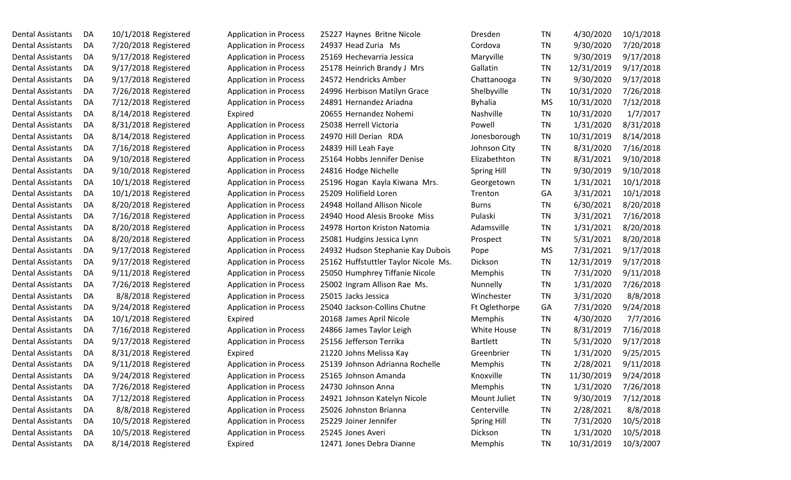| <b>Dental Assistants</b> | DA | 10/1/2018 Registered | <b>Application in Process</b> | 25227 Haynes Britne Nicole           | Dresden            | TN        | 4/30/2020  | 10/1/2018 |
|--------------------------|----|----------------------|-------------------------------|--------------------------------------|--------------------|-----------|------------|-----------|
| <b>Dental Assistants</b> | DA | 7/20/2018 Registered | <b>Application in Process</b> | 24937 Head Zuria Ms                  | Cordova            | TN        | 9/30/2020  | 7/20/2018 |
| Dental Assistants        | DA | 9/17/2018 Registered | <b>Application in Process</b> | 25169 Hechevarria Jessica            | Maryville          | TN        | 9/30/2019  | 9/17/2018 |
| <b>Dental Assistants</b> | DA | 9/17/2018 Registered | <b>Application in Process</b> | 25178 Heinrich Brandy J Mrs          | Gallatin           | TN        | 12/31/2019 | 9/17/2018 |
| <b>Dental Assistants</b> | DA | 9/17/2018 Registered | <b>Application in Process</b> | 24572 Hendricks Amber                | Chattanooga        | TN        | 9/30/2020  | 9/17/2018 |
| <b>Dental Assistants</b> | DA | 7/26/2018 Registered | <b>Application in Process</b> | 24996 Herbison Matilyn Grace         | Shelbyville        | TN        | 10/31/2020 | 7/26/2018 |
| <b>Dental Assistants</b> | DA | 7/12/2018 Registered | <b>Application in Process</b> | 24891 Hernandez Ariadna              | <b>Byhalia</b>     | MS        | 10/31/2020 | 7/12/2018 |
| <b>Dental Assistants</b> | DA | 8/14/2018 Registered | Expired                       | 20655 Hernandez Nohemi               | Nashville          | TN        | 10/31/2020 | 1/7/2017  |
| <b>Dental Assistants</b> | DA | 8/31/2018 Registered | <b>Application in Process</b> | 25038 Herrell Victoria               | Powell             | TN        | 1/31/2020  | 8/31/2018 |
| <b>Dental Assistants</b> | DA | 8/14/2018 Registered | <b>Application in Process</b> | 24970 Hill Derian RDA                | Jonesborough       | TN        | 10/31/2019 | 8/14/2018 |
| <b>Dental Assistants</b> | DA | 7/16/2018 Registered | <b>Application in Process</b> | 24839 Hill Leah Faye                 | Johnson City       | TN        | 8/31/2020  | 7/16/2018 |
| <b>Dental Assistants</b> | DA | 9/10/2018 Registered | <b>Application in Process</b> | 25164 Hobbs Jennifer Denise          | Elizabethton       | TN        | 8/31/2021  | 9/10/2018 |
| <b>Dental Assistants</b> | DA | 9/10/2018 Registered | <b>Application in Process</b> | 24816 Hodge Nichelle                 | <b>Spring Hill</b> | TN        | 9/30/2019  | 9/10/2018 |
| <b>Dental Assistants</b> | DA | 10/1/2018 Registered | <b>Application in Process</b> | 25196 Hogan Kayla Kiwana Mrs.        | Georgetown         | TN        | 1/31/2021  | 10/1/2018 |
| <b>Dental Assistants</b> | DA | 10/1/2018 Registered | <b>Application in Process</b> | 25209 Holifield Loren                | Trenton            | GA        | 3/31/2021  | 10/1/2018 |
| Dental Assistants        | DA | 8/20/2018 Registered | <b>Application in Process</b> | 24948 Holland Allison Nicole         | <b>Burns</b>       | TN        | 6/30/2021  | 8/20/2018 |
| <b>Dental Assistants</b> | DA | 7/16/2018 Registered | <b>Application in Process</b> | 24940 Hood Alesis Brooke Miss        | Pulaski            | TN        | 3/31/2021  | 7/16/2018 |
| Dental Assistants        | DA | 8/20/2018 Registered | <b>Application in Process</b> | 24978 Horton Kriston Natomia         | Adamsville         | TN        | 1/31/2021  | 8/20/2018 |
| <b>Dental Assistants</b> | DA | 8/20/2018 Registered | <b>Application in Process</b> | 25081 Hudgins Jessica Lynn           | Prospect           | TN        | 5/31/2021  | 8/20/2018 |
| <b>Dental Assistants</b> | DA | 9/17/2018 Registered | <b>Application in Process</b> | 24932 Hudson Stephanie Kay Dubois    | Pope               | MS        | 7/31/2021  | 9/17/2018 |
| <b>Dental Assistants</b> | DA | 9/17/2018 Registered | <b>Application in Process</b> | 25162 Huffstuttler Taylor Nicole Ms. | Dickson            | TN        | 12/31/2019 | 9/17/2018 |
| Dental Assistants        | DA | 9/11/2018 Registered | <b>Application in Process</b> | 25050 Humphrey Tiffanie Nicole       | <b>Memphis</b>     | TN        | 7/31/2020  | 9/11/2018 |
| Dental Assistants        | DA | 7/26/2018 Registered | <b>Application in Process</b> | 25002 Ingram Allison Rae Ms.         | Nunnelly           | TN        | 1/31/2020  | 7/26/2018 |
| Dental Assistants        | DA | 8/8/2018 Registered  | <b>Application in Process</b> | 25015 Jacks Jessica                  | Winchester         | TN        | 3/31/2020  | 8/8/2018  |
| <b>Dental Assistants</b> | DA | 9/24/2018 Registered | <b>Application in Process</b> | 25040 Jackson-Collins Chutne         | Ft Oglethorpe      | GA        | 7/31/2020  | 9/24/2018 |
| <b>Dental Assistants</b> | DA | 10/1/2018 Registered | Expired                       | 20168 James April Nicole             | Memphis            | TN        | 4/30/2020  | 7/7/2016  |
| <b>Dental Assistants</b> | DA | 7/16/2018 Registered | <b>Application in Process</b> | 24866 James Taylor Leigh             | White House        | <b>TN</b> | 8/31/2019  | 7/16/2018 |
| <b>Dental Assistants</b> | DA | 9/17/2018 Registered | <b>Application in Process</b> | 25156 Jefferson Terrika              | <b>Bartlett</b>    | TN        | 5/31/2020  | 9/17/2018 |
| <b>Dental Assistants</b> | DA | 8/31/2018 Registered | Expired                       | 21220 Johns Melissa Kay              | Greenbrier         | TN        | 1/31/2020  | 9/25/2015 |
| <b>Dental Assistants</b> | DA | 9/11/2018 Registered | <b>Application in Process</b> | 25139 Johnson Adrianna Rochelle      | Memphis            | TN        | 2/28/2021  | 9/11/2018 |
| <b>Dental Assistants</b> | DA | 9/24/2018 Registered | <b>Application in Process</b> | 25165 Johnson Amanda                 | Knoxville          | TN        | 11/30/2019 | 9/24/2018 |
| <b>Dental Assistants</b> | DA | 7/26/2018 Registered | <b>Application in Process</b> | 24730 Johnson Anna                   | Memphis            | <b>TN</b> | 1/31/2020  | 7/26/2018 |
| <b>Dental Assistants</b> | DA | 7/12/2018 Registered | <b>Application in Process</b> | 24921 Johnson Katelyn Nicole         | Mount Juliet       | <b>TN</b> | 9/30/2019  | 7/12/2018 |
| <b>Dental Assistants</b> | DA | 8/8/2018 Registered  | <b>Application in Process</b> | 25026 Johnston Brianna               | Centerville        | <b>TN</b> | 2/28/2021  | 8/8/2018  |
| <b>Dental Assistants</b> | DA | 10/5/2018 Registered | <b>Application in Process</b> | 25229 Joiner Jennifer                | Spring Hill        | <b>TN</b> | 7/31/2020  | 10/5/2018 |
| <b>Dental Assistants</b> | DA | 10/5/2018 Registered | <b>Application in Process</b> | 25245 Jones Averi                    | Dickson            | <b>TN</b> | 1/31/2020  | 10/5/2018 |
| <b>Dental Assistants</b> | DA | 8/14/2018 Registered | Expired                       | 12471 Jones Debra Dianne             | Memphis            | TN        | 10/31/2019 | 10/3/2007 |
|                          |    |                      |                               |                                      |                    |           |            |           |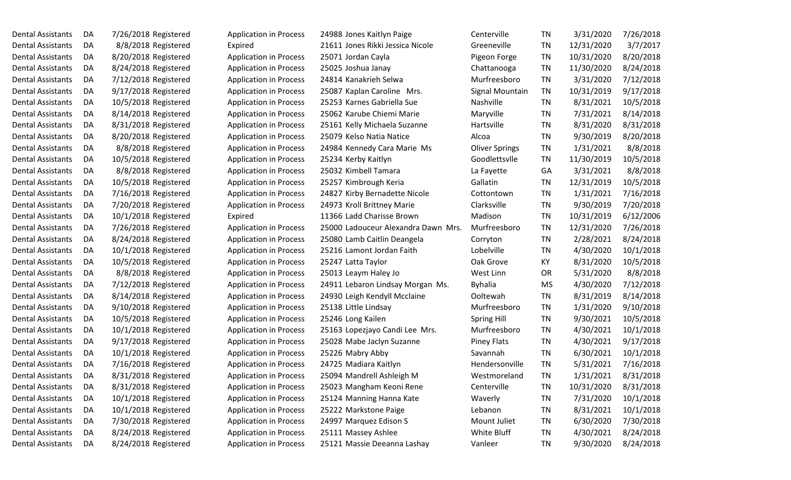| Dental Assistants | DA | 7/26/2018 Registered |
|-------------------|----|----------------------|
| Dental Assistants | DA | 8/8/2018 Registered  |
| Dental Assistants | DA | 8/20/2018 Registered |
| Dental Assistants | DA | 8/24/2018 Registered |
| Dental Assistants | DA | 7/12/2018 Registered |
| Dental Assistants | DA | 9/17/2018 Registered |
| Dental Assistants | DA | 10/5/2018 Registered |
| Dental Assistants | DA | 8/14/2018 Registered |
| Dental Assistants | DA | 8/31/2018 Registered |
| Dental Assistants | DA | 8/20/2018 Registered |
| Dental Assistants | DA | 8/8/2018 Registered  |
| Dental Assistants | DA | 10/5/2018 Registered |
| Dental Assistants | DA | 8/8/2018 Registered  |
| Dental Assistants | DA | 10/5/2018 Registered |
| Dental Assistants | DA | 7/16/2018 Registered |
| Dental Assistants | DA | 7/20/2018 Registered |
| Dental Assistants | DA | 10/1/2018 Registered |
| Dental Assistants | DA | 7/26/2018 Registered |
| Dental Assistants | DA | 8/24/2018 Registered |
| Dental Assistants | DA | 10/1/2018 Registered |
| Dental Assistants | DA | 10/5/2018 Registered |
| Dental Assistants | DA | 8/8/2018 Registered  |
| Dental Assistants | DA | 7/12/2018 Registered |
| Dental Assistants | DA | 8/14/2018 Registered |
| Dental Assistants | DA | 9/10/2018 Registered |
| Dental Assistants | DA | 10/5/2018 Registered |
| Dental Assistants | DA | 10/1/2018 Registered |
| Dental Assistants | DA | 9/17/2018 Registered |
| Dental Assistants | DA | 10/1/2018 Registered |
| Dental Assistants | DA | 7/16/2018 Registered |
| Dental Assistants | DA | 8/31/2018 Registered |
| Dental Assistants | DA | 8/31/2018 Registered |
| Dental Assistants | DA | 10/1/2018 Registered |
| Dental Assistants | DA | 10/1/2018 Registered |
| Dental Assistants | DA | 7/30/2018 Registered |
| Dental Assistants | DA | 8/24/2018 Registered |
| Dental Assistants | DA | 8/24/2018 Registered |

| Application in Process        |
|-------------------------------|
| Expired                       |
| <b>Application in Process</b> |
| <b>Application in Process</b> |
| <b>Application in Process</b> |
| <b>Application in Process</b> |
| <b>Application in Process</b> |
| <b>Application in Process</b> |
| <b>Application in Process</b> |
| <b>Application in Process</b> |
| <b>Application in Process</b> |
| <b>Application in Process</b> |
| <b>Application in Process</b> |
| <b>Application in Process</b> |
| <b>Application in Process</b> |
| <b>Application in Process</b> |
| Expired                       |
| <b>Application in Process</b> |
| <b>Application in Process</b> |
| <b>Application in Process</b> |
| <b>Application in Process</b> |
| <b>Application in Process</b> |
| <b>Application in Process</b> |
| <b>Application in Process</b> |
| <b>Application in Process</b> |
| <b>Application in Process</b> |
| <b>Application in Process</b> |
| <b>Application in Process</b> |
| <b>Application in Process</b> |
| <b>Application in Process</b> |
| <b>Application in Process</b> |
| Application in Process        |
| <b>Application in Process</b> |
| <b>Application in Process</b> |
| <b>Application in Process</b> |
| <b>Application in Process</b> |
| <b>Application in Process</b> |

| 988 Jones Kaitlyn Paige          |
|----------------------------------|
| 611 Jones Rikki Jessica Nicole   |
| 071 Jordan Cayla                 |
| 025 Joshua Janay                 |
| 814 Kanakrieh Selwa              |
| 087 Kaplan Caroline Mrs.         |
| 253 Karnes Gabriella Sue         |
| 062 Karube Chiemi Marie          |
| 161 Kelly Michaela Suzanne       |
| 079 Kelso Natia Natice           |
| 984 Kennedy Cara Marie Ms        |
| 234 Kerby Kaitlyn                |
| 032 Kimbell Tamara               |
| 257 Kimbrough Keria              |
| 827 Kirby Bernadette Nicole      |
| 973 Kroll Brittney Marie         |
| 366 Ladd Charisse Brown          |
| 000 Ladouceur Alexandra Dawn Mr. |
| 080 Lamb Caitlin Deangela        |
| 216 Lamont Jordan Faith          |
| 247 Latta Taylor                 |
| 013 Leaym Haley Jo               |
| 911 Lebaron Lindsay Morgan Ms.   |
| 930 Leigh Kendyll Mcclaine       |
| 138 Little Lindsay               |
| 246 Long Kailen                  |
| 163 Lopezjayo Candi Lee Mrs.     |
| 028 Mabe Jaclyn Suzanne          |
| 226 Mabry Abby                   |
| 725 Madiara Kaitlyn              |
| 094 Mandrell Ashleigh M          |
| 023 Mangham Keoni Rene           |
| 124 Manning Hanna Kate           |
| 222 Markstone Paige              |
| 997 Marquez Edison S             |
| 111 Massey Ashlee                |
| 121 Massie Deeanna Lashay        |

| Dental Assistants        | DA  | 7/26/2018 Registered | <b>Application in Process</b> | 24988 Jones Kaitlyn Paige           | Centerville           | TN        | 3/31/2020  | 7/26/2018 |
|--------------------------|-----|----------------------|-------------------------------|-------------------------------------|-----------------------|-----------|------------|-----------|
| Dental Assistants        | DA  | 8/8/2018 Registered  | Expired                       | 21611 Jones Rikki Jessica Nicole    | Greeneville           | <b>TN</b> | 12/31/2020 | 3/7/2017  |
| Dental Assistants        | DA  | 8/20/2018 Registered | <b>Application in Process</b> | 25071 Jordan Cayla                  | Pigeon Forge          | TN        | 10/31/2020 | 8/20/2018 |
| Dental Assistants        | DA  | 8/24/2018 Registered | <b>Application in Process</b> | 25025 Joshua Janay                  | Chattanooga           | TN        | 11/30/2020 | 8/24/2018 |
| Dental Assistants        | DA  | 7/12/2018 Registered | <b>Application in Process</b> | 24814 Kanakrieh Selwa               | Murfreesboro          | TN        | 3/31/2020  | 7/12/2018 |
| Dental Assistants        | DA  | 9/17/2018 Registered | <b>Application in Process</b> | 25087 Kaplan Caroline Mrs.          | Signal Mountain       | TN        | 10/31/2019 | 9/17/2018 |
| Dental Assistants        | DA  | 10/5/2018 Registered | <b>Application in Process</b> | 25253 Karnes Gabriella Sue          | Nashville             | TN        | 8/31/2021  | 10/5/2018 |
| Dental Assistants        | DA  | 8/14/2018 Registered | <b>Application in Process</b> | 25062 Karube Chiemi Marie           | Maryville             | TN        | 7/31/2021  | 8/14/2018 |
| Dental Assistants        | DA  | 8/31/2018 Registered | <b>Application in Process</b> | 25161 Kelly Michaela Suzanne        | Hartsville            | TN        | 8/31/2020  | 8/31/2018 |
| Dental Assistants        | DA  | 8/20/2018 Registered | <b>Application in Process</b> | 25079 Kelso Natia Natice            | Alcoa                 | TN        | 9/30/2019  | 8/20/2018 |
| Dental Assistants        | DA  | 8/8/2018 Registered  | <b>Application in Process</b> | 24984 Kennedy Cara Marie Ms         | <b>Oliver Springs</b> | TN        | 1/31/2021  | 8/8/2018  |
| Dental Assistants        | DA  | 10/5/2018 Registered | <b>Application in Process</b> | 25234 Kerby Kaitlyn                 | Goodlettsvile         | TN        | 11/30/2019 | 10/5/2018 |
| Dental Assistants        | DA  | 8/8/2018 Registered  | Application in Process        | 25032 Kimbell Tamara                | La Fayette            | GA        | 3/31/2021  | 8/8/2018  |
| Dental Assistants        | DA  | 10/5/2018 Registered | <b>Application in Process</b> | 25257 Kimbrough Keria               | Gallatin              | TN        | 12/31/2019 | 10/5/2018 |
| <b>Dental Assistants</b> | DA  | 7/16/2018 Registered | <b>Application in Process</b> | 24827 Kirby Bernadette Nicole       | Cottontown            | TN        | 1/31/2021  | 7/16/2018 |
| Dental Assistants        | DA  | 7/20/2018 Registered | <b>Application in Process</b> | 24973 Kroll Brittney Marie          | Clarksville           | TN        | 9/30/2019  | 7/20/2018 |
| Dental Assistants        | DA  | 10/1/2018 Registered | Expired                       | 11366 Ladd Charisse Brown           | Madison               | TN        | 10/31/2019 | 6/12/2006 |
| Dental Assistants        | DA  | 7/26/2018 Registered | <b>Application in Process</b> | 25000 Ladouceur Alexandra Dawn Mrs. | Murfreesboro          | TN        | 12/31/2020 | 7/26/2018 |
| Dental Assistants        | DA  | 8/24/2018 Registered | <b>Application in Process</b> | 25080 Lamb Caitlin Deangela         | Corryton              | TN        | 2/28/2021  | 8/24/2018 |
| Dental Assistants        | DA  | 10/1/2018 Registered | <b>Application in Process</b> | 25216 Lamont Jordan Faith           | Lobelville            | TN        | 4/30/2020  | 10/1/2018 |
| Dental Assistants        | DA  | 10/5/2018 Registered | <b>Application in Process</b> | 25247 Latta Taylor                  | Oak Grove             | KY        | 8/31/2020  | 10/5/2018 |
| Dental Assistants        | DA  | 8/8/2018 Registered  | <b>Application in Process</b> | 25013 Leaym Haley Jo                | West Linn             | <b>OR</b> | 5/31/2020  | 8/8/2018  |
| Dental Assistants        | DA  | 7/12/2018 Registered | <b>Application in Process</b> | 24911 Lebaron Lindsay Morgan Ms.    | <b>Byhalia</b>        | <b>MS</b> | 4/30/2020  | 7/12/2018 |
| Dental Assistants        | DA  | 8/14/2018 Registered | <b>Application in Process</b> | 24930 Leigh Kendyll Mcclaine        | Ooltewah              | TN        | 8/31/2019  | 8/14/2018 |
| Dental Assistants        | DA  | 9/10/2018 Registered | <b>Application in Process</b> | 25138 Little Lindsay                | Murfreesboro          | TN        | 1/31/2020  | 9/10/2018 |
| Dental Assistants        | DA  | 10/5/2018 Registered | <b>Application in Process</b> | 25246 Long Kailen                   | <b>Spring Hill</b>    | TN        | 9/30/2021  | 10/5/2018 |
| Dental Assistants        | DA  | 10/1/2018 Registered | <b>Application in Process</b> | 25163 Lopezjayo Candi Lee Mrs.      | Murfreesboro          | <b>TN</b> | 4/30/2021  | 10/1/2018 |
| Dental Assistants        | DA. | 9/17/2018 Registered | <b>Application in Process</b> | 25028 Mabe Jaclyn Suzanne           | <b>Piney Flats</b>    | TN        | 4/30/2021  | 9/17/2018 |
| Dental Assistants        | DA  | 10/1/2018 Registered | <b>Application in Process</b> | 25226 Mabry Abby                    | Savannah              | TN        | 6/30/2021  | 10/1/2018 |
| Dental Assistants        | DA  | 7/16/2018 Registered | <b>Application in Process</b> | 24725 Madiara Kaitlyn               | Hendersonville        | TN        | 5/31/2021  | 7/16/2018 |
| <b>Dental Assistants</b> | DA  | 8/31/2018 Registered | <b>Application in Process</b> | 25094 Mandrell Ashleigh M           | Westmoreland          | TN        | 1/31/2021  | 8/31/2018 |
| Dental Assistants        | DA  | 8/31/2018 Registered | <b>Application in Process</b> | 25023 Mangham Keoni Rene            | Centerville           | <b>TN</b> | 10/31/2020 | 8/31/2018 |
| Dental Assistants        | DA  | 10/1/2018 Registered | <b>Application in Process</b> | 25124 Manning Hanna Kate            | Waverly               | <b>TN</b> | 7/31/2020  | 10/1/2018 |
| Dental Assistants        | DA  | 10/1/2018 Registered | <b>Application in Process</b> | 25222 Markstone Paige               | Lebanon               | <b>TN</b> | 8/31/2021  | 10/1/2018 |
| Dental Assistants        | DA  | 7/30/2018 Registered | <b>Application in Process</b> | 24997 Marquez Edison S              | Mount Juliet          | <b>TN</b> | 6/30/2020  | 7/30/2018 |
| Dental Assistants        | DA  | 8/24/2018 Registered | <b>Application in Process</b> | 25111 Massey Ashlee                 | White Bluff           | <b>TN</b> | 4/30/2021  | 8/24/2018 |
| Dental Assistants        | DA  | 8/24/2018 Registered | <b>Application in Process</b> | 25121 Massie Deeanna Lashay         | Vanleer               | TN        | 9/30/2020  | 8/24/2018 |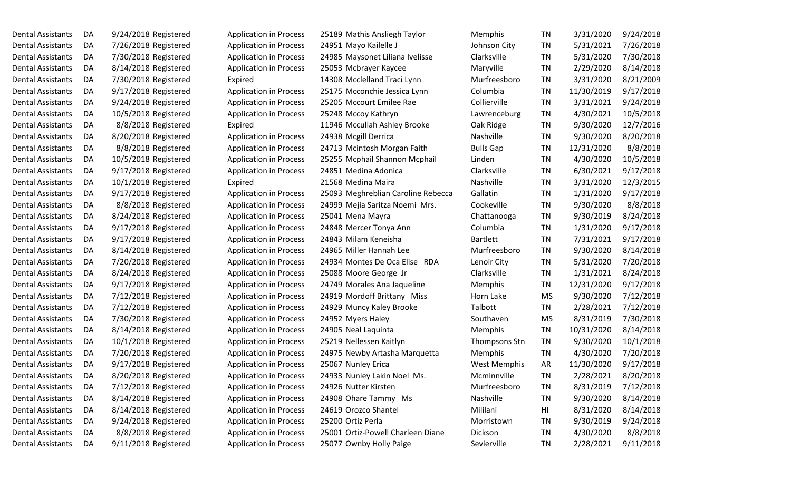Dental Assistants DA 9/24/2018 Registered Application in Process 25189 Mathis Ansliegh Taylor Dental Assistants DA 7/26/2018 Registered Application in Process 24951 Mayo Kailelle J Dental Assistants DA 7/30/2018 Registered Application in Process 24985 Maysonet Liliana Ivelisse Dental Assistants DA 8/14/2018 Registered Application in Process 25053 Mcbrayer Kaycee Dental Assistants DA 7/30/2018 Registered Expired 14308 Mcclelland Traci Lynn Dental Assistants DA 9/17/2018 Registered Application in Process 25175 Mcconchie Jessica Lynn Dental Assistants DA 9/24/2018 Registered Application in Process 25205 Mccourt Emilee Rae Dental Assistants DA 10/5/2018 Registered Application in Process 25248 Mccoy Kathryn Dental Assistants DA 8/8/2018 Registered Expired 11946 Mccullah Ashley Brooke Dental Assistants DA 8/20/2018 Registered Application in Process 24938 Mcgill Derrica Dental Assistants DA 8/8/2018 Registered Application in Process 24713 Mcintosh Morgan Faith Dental Assistants DA 10/5/2018 Registered Application in Process 25255 Mcphail Shannon Mcphail Dental Assistants DA 9/17/2018 Registered Application in Process 24851 Medina Adonica Dental Assistants DA 10/1/2018 Registered Expired 21568 Medina Maira Dental Assistants DA 9/17/2018 Registered Application in Process 25093 Meghreblian Caroline Rebecca Dental Assistants DA 8/8/2018 Registered Application in Process 24999 Mejia Saritza Noemi Mrs. Dental Assistants DA 8/24/2018 Registered Application in Process 25041 Mena Mayra Dental Assistants DA 9/17/2018 Registered Application in Process 24848 Mercer Tonya Ann Dental Assistants DA 9/17/2018 Registered Application in Process 24843 Milam Keneisha Dental Assistants DA 8/14/2018 Registered Application in Process 24965 Miller Hannah Lee Dental Assistants DA 7/20/2018 Registered Application in Process 24934 Montes De Oca Elise RDA Dental Assistants DA 8/24/2018 Registered Application in Process 25088 Moore George Jr Dental Assistants DA 9/17/2018 Registered Application in Process 24749 Morales Ana Jaqueline Dental Assistants DA 7/12/2018 Registered Application in Process 24919 Mordoff Brittany Miss Dental Assistants DA 7/12/2018 Registered Application in Process 24929 Muncy Kaley Brooke Dental Assistants DA 7/30/2018 Registered Application in Process 24952 Myers Haley Dental Assistants DA 8/14/2018 Registered Application in Process 24905 Neal Laquinta Dental Assistants DA 10/1/2018 Registered Application in Process 25219 Nellessen Kaitlyn Dental Assistants DA 7/20/2018 Registered Application in Process 24975 Newby Artasha Marquetta Dental Assistants DA 9/17/2018 Registered Application in Process 25067 Nunley Erica Dental Assistants DA 8/20/2018 Registered Application in Process 24933 Nunley Lakin Noel Ms. Dental Assistants DA 7/12/2018 Registered Application in Process 24926 Nutter Kirsten Dental Assistants DA 8/14/2018 Registered Application in Process 24908 Ohare Tammy Ms Dental Assistants DA 8/14/2018 Registered Application in Process 24619 Orozco Shantel Dental Assistants DA 9/24/2018 Registered Application in Process 25200 Ortiz Perla Dental Assistants DA 8/8/2018 Registered Application in Process 25001 Ortiz-Powell Charleen Diane Dental Assistants DA 9/11/2018 Registered Application in Process 25077 Ownby Holly Paige

| Memphis             | <b>TN</b> | 3/31/2020  | 9/24/2018 |
|---------------------|-----------|------------|-----------|
| Johnson City        | <b>TN</b> | 5/31/2021  | 7/26/2018 |
| Clarksville         | <b>TN</b> | 5/31/2020  | 7/30/2018 |
| Maryville           | <b>TN</b> | 2/29/2020  | 8/14/2018 |
| Murfreesboro        | <b>TN</b> | 3/31/2020  | 8/21/2009 |
| Columbia            | <b>TN</b> | 11/30/2019 | 9/17/2018 |
| Collierville        | <b>TN</b> | 3/31/2021  | 9/24/2018 |
| Lawrenceburg        | <b>TN</b> | 4/30/2021  | 10/5/2018 |
| Oak Ridge           | <b>TN</b> | 9/30/2020  | 12/7/2016 |
| Nashville           | <b>TN</b> | 9/30/2020  | 8/20/2018 |
| <b>Bulls Gap</b>    | <b>TN</b> | 12/31/2020 | 8/8/2018  |
| Linden              | <b>TN</b> | 4/30/2020  | 10/5/2018 |
| Clarksville         | <b>TN</b> | 6/30/2021  | 9/17/2018 |
| Nashville           | <b>TN</b> | 3/31/2020  | 12/3/2015 |
| Gallatin            | <b>TN</b> | 1/31/2020  | 9/17/2018 |
| Cookeville          | <b>TN</b> | 9/30/2020  | 8/8/2018  |
| Chattanooga         | <b>TN</b> | 9/30/2019  | 8/24/2018 |
| Columbia            | <b>TN</b> | 1/31/2020  | 9/17/2018 |
| <b>Bartlett</b>     | <b>TN</b> | 7/31/2021  | 9/17/2018 |
| Murfreesboro        | <b>TN</b> | 9/30/2020  | 8/14/2018 |
| Lenoir City         | <b>TN</b> | 5/31/2020  | 7/20/2018 |
| Clarksville         | <b>TN</b> | 1/31/2021  | 8/24/2018 |
| Memphis             | <b>TN</b> | 12/31/2020 | 9/17/2018 |
| Horn Lake           | MS        | 9/30/2020  | 7/12/2018 |
| Talbott             | <b>TN</b> | 2/28/2021  | 7/12/2018 |
| Southaven           | <b>MS</b> | 8/31/2019  | 7/30/2018 |
| Memphis             | <b>TN</b> | 10/31/2020 | 8/14/2018 |
| Thompsons Stn       | <b>TN</b> | 9/30/2020  | 10/1/2018 |
| Memphis             | <b>TN</b> | 4/30/2020  | 7/20/2018 |
| <b>West Memphis</b> | AR        | 11/30/2020 | 9/17/2018 |
| Mcminnville         | <b>TN</b> | 2/28/2021  | 8/20/2018 |
| Murfreesboro        | <b>TN</b> | 8/31/2019  | 7/12/2018 |
| Nashville           | <b>TN</b> | 9/30/2020  | 8/14/2018 |
| Mililani            | HI        | 8/31/2020  | 8/14/2018 |
| Morristown          | <b>TN</b> | 9/30/2019  | 9/24/2018 |
| Dickson             | <b>TN</b> | 4/30/2020  | 8/8/2018  |
| Sevierville         | <b>TN</b> | 2/28/2021  | 9/11/2018 |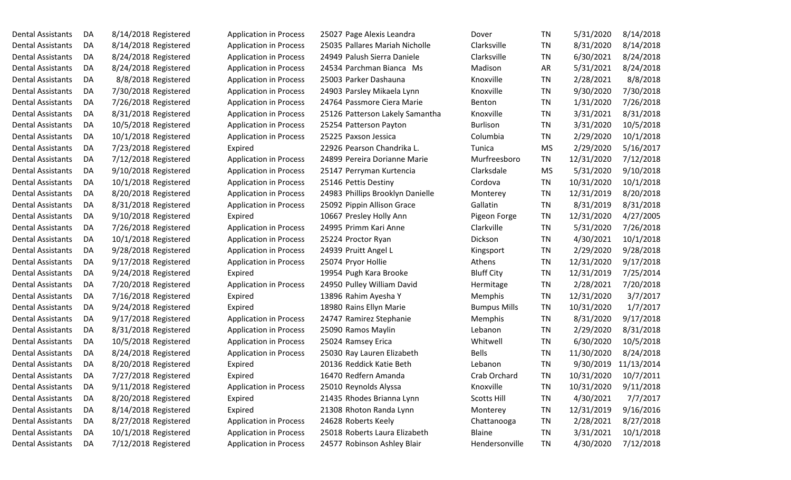| Dental Assistants | DA | 8/14/2018 Registere |
|-------------------|----|---------------------|
| Dental Assistants | DA | 8/14/2018 Registere |
| Dental Assistants | DA | 8/24/2018 Registere |
| Dental Assistants | DA | 8/24/2018 Registere |
| Dental Assistants | DA | 8/8/2018 Registere  |
| Dental Assistants | DA | 7/30/2018 Registere |
| Dental Assistants | DA | 7/26/2018 Registere |
| Dental Assistants | DA | 8/31/2018 Registere |
| Dental Assistants | DA | 10/5/2018 Registere |
| Dental Assistants | DA | 10/1/2018 Registere |
| Dental Assistants | DA | 7/23/2018 Registere |
| Dental Assistants | DA | 7/12/2018 Registere |
| Dental Assistants | DA | 9/10/2018 Registere |
| Dental Assistants | DA | 10/1/2018 Registere |
| Dental Assistants | DA | 8/20/2018 Registere |
| Dental Assistants | DA | 8/31/2018 Registere |
| Dental Assistants | DA | 9/10/2018 Registere |
| Dental Assistants | DA | 7/26/2018 Registere |
| Dental Assistants | DA | 10/1/2018 Registere |
| Dental Assistants | DA | 9/28/2018 Registere |
| Dental Assistants | DA | 9/17/2018 Registere |
| Dental Assistants | DA | 9/24/2018 Registere |
| Dental Assistants | DA | 7/20/2018 Registere |
| Dental Assistants | DA | 7/16/2018 Registere |
| Dental Assistants | DA | 9/24/2018 Registere |
| Dental Assistants | DA | 9/17/2018 Registere |
| Dental Assistants | DA | 8/31/2018 Registere |
| Dental Assistants | DA | 10/5/2018 Registere |
| Dental Assistants | DA | 8/24/2018 Registere |
| Dental Assistants | DA | 8/20/2018 Registere |
| Dental Assistants | DA | 7/27/2018 Registere |
| Dental Assistants | DA | 9/11/2018 Registere |
| Dental Assistants | DA | 8/20/2018 Registere |
| Dental Assistants | DA | 8/14/2018 Registere |
| Dental Assistants | DA | 8/27/2018 Registere |
| Dental Assistants | DA | 10/1/2018 Registere |
| Dental Assistants | DA | 7/12/2018 Registere |

| egistered  | <b>Application in Process</b> | 250 |
|------------|-------------------------------|-----|
| egistered  | <b>Application in Process</b> | 250 |
| egistered  | <b>Application in Process</b> | 249 |
| egistered  | <b>Application in Process</b> | 245 |
| egistered  | <b>Application in Process</b> | 250 |
| egistered  | <b>Application in Process</b> | 249 |
| egistered  | <b>Application in Process</b> | 247 |
| egistered  | <b>Application in Process</b> | 251 |
| egistered  | <b>Application in Process</b> | 252 |
| egistered  | <b>Application in Process</b> | 252 |
| egistered  | Expired                       | 229 |
| egistered  | <b>Application in Process</b> | 248 |
| egistered  | Application in Process        | 251 |
| egistered  | <b>Application in Process</b> | 251 |
| egistered  | <b>Application in Process</b> | 249 |
| egistered  | <b>Application in Process</b> | 250 |
| egistered  | Expired                       | 106 |
| egistered  | <b>Application in Process</b> | 249 |
| egistered  | <b>Application in Process</b> | 252 |
| egistered  | Application in Process        | 249 |
| egistered  | <b>Application in Process</b> | 250 |
| egistered  | Expired                       | 199 |
| egistered  | <b>Application in Process</b> | 249 |
| egistered  | Expired                       | 138 |
| egistered  | Expired                       | 189 |
| egistered  | <b>Application in Process</b> | 247 |
| egistered  | <b>Application in Process</b> | 250 |
| egistered  | <b>Application in Process</b> | 250 |
| egistered  | <b>Application in Process</b> | 250 |
| egistered  | Expired                       | 201 |
| egistered  | Expired                       | 164 |
| egistered! | <b>Application in Process</b> | 250 |
| egistered  | Expired                       | 214 |
| egistered  | Expired                       | 213 |
| egistered  | <b>Application in Process</b> | 246 |
| egistered  | <b>Application in Process</b> | 250 |
| egistered  | <b>Application in Process</b> | 245 |

|     | 027 Page Alexis Leandra       |
|-----|-------------------------------|
|     | 035 Pallares Mariah Nicholle  |
|     | 949 Palush Sierra Daniele     |
|     | 534 Parchman Bianca Ms        |
|     | 003 Parker Dashauna           |
|     | 03 Parsley Mikaela Lynn       |
|     | 764 Passmore Ciera Marie      |
|     | 126 Patterson Lakely Samanth  |
|     | 254 Patterson Payton          |
|     | 225 Paxson Jessica            |
|     | 926 Pearson Chandrika L.      |
|     | 399 Pereira Dorianne Marie    |
|     | 147 Perryman Kurtencia        |
|     | 146 Pettis Destiny            |
|     | 83 Phillips Brooklyn Danielle |
|     | 092 Pippin Allison Grace      |
|     | 667 Presley Holly Ann         |
|     | 995 Primm Kari Anne           |
|     | 224 Proctor Ryan              |
|     | 39 Pruitt Angel L             |
|     | 074 Pryor Hollie              |
|     | 954 Pugh Kara Brooke          |
|     | 950 Pulley William David      |
|     | 396 Rahim Ayesha Y            |
|     | 80 Rains Ellyn Marie          |
|     | 747 Ramirez Stephanie         |
|     | 090 Ramos Maylin              |
|     | 024 Ramsey Erica              |
|     | 030 Ray Lauren Elizabeth      |
|     | 136 Reddick Katie Beth        |
|     | 170 Redfern Amanda            |
| 010 | Reynolds Alyssa               |
|     | 135 Rhodes Brianna Lynn       |
| 308 | Rhoton Randa Lynn             |
|     | 528 Roberts Keely             |
| )18 | Roberts Laura Elizabeth       |
|     | 577 Robinson Ashley Blair     |

| Dental Assistants        | DA | 8/14/2018 Registered | <b>Application in Process</b> | 25027 Page Alexis Leandra        | Dover               | TN        | 5/31/2020  | 8/14/2018  |
|--------------------------|----|----------------------|-------------------------------|----------------------------------|---------------------|-----------|------------|------------|
| Dental Assistants        | DA | 8/14/2018 Registered | <b>Application in Process</b> | 25035 Pallares Mariah Nicholle   | Clarksville         | TN        | 8/31/2020  | 8/14/2018  |
| Dental Assistants        | DA | 8/24/2018 Registered | <b>Application in Process</b> | 24949 Palush Sierra Daniele      | Clarksville         | TN        | 6/30/2021  | 8/24/2018  |
| Dental Assistants        | DA | 8/24/2018 Registered | <b>Application in Process</b> | 24534 Parchman Bianca Ms         | Madison             | AR        | 5/31/2021  | 8/24/2018  |
| Dental Assistants        | DA | 8/8/2018 Registered  | <b>Application in Process</b> | 25003 Parker Dashauna            | Knoxville           | TN        | 2/28/2021  | 8/8/2018   |
| Dental Assistants        | DA | 7/30/2018 Registered | <b>Application in Process</b> | 24903 Parsley Mikaela Lynn       | Knoxville           | TN        | 9/30/2020  | 7/30/2018  |
| Dental Assistants        | DA | 7/26/2018 Registered | <b>Application in Process</b> | 24764 Passmore Ciera Marie       | Benton              | TN        | 1/31/2020  | 7/26/2018  |
| Dental Assistants        | DA | 8/31/2018 Registered | <b>Application in Process</b> | 25126 Patterson Lakely Samantha  | Knoxville           | TN        | 3/31/2021  | 8/31/2018  |
| Dental Assistants        | DA | 10/5/2018 Registered | <b>Application in Process</b> | 25254 Patterson Payton           | <b>Burlison</b>     | TN        | 3/31/2020  | 10/5/2018  |
| Dental Assistants        | DA | 10/1/2018 Registered | <b>Application in Process</b> | 25225 Paxson Jessica             | Columbia            | TN        | 2/29/2020  | 10/1/2018  |
| Dental Assistants        | DA | 7/23/2018 Registered | Expired                       | 22926 Pearson Chandrika L.       | Tunica              | <b>MS</b> | 2/29/2020  | 5/16/2017  |
| Dental Assistants        | DA | 7/12/2018 Registered | <b>Application in Process</b> | 24899 Pereira Dorianne Marie     | Murfreesboro        | TN        | 12/31/2020 | 7/12/2018  |
| Dental Assistants        | DA | 9/10/2018 Registered | <b>Application in Process</b> | 25147 Perryman Kurtencia         | Clarksdale          | <b>MS</b> | 5/31/2020  | 9/10/2018  |
| Dental Assistants        | DA | 10/1/2018 Registered | <b>Application in Process</b> | 25146 Pettis Destiny             | Cordova             | TN        | 10/31/2020 | 10/1/2018  |
| Dental Assistants        | DA | 8/20/2018 Registered | <b>Application in Process</b> | 24983 Phillips Brooklyn Danielle | Monterey            | TN        | 12/31/2019 | 8/20/2018  |
| Dental Assistants        | DA | 8/31/2018 Registered | <b>Application in Process</b> | 25092 Pippin Allison Grace       | Gallatin            | TN        | 8/31/2019  | 8/31/2018  |
| <b>Dental Assistants</b> | DA | 9/10/2018 Registered | Expired                       | 10667 Presley Holly Ann          | Pigeon Forge        | TN        | 12/31/2020 | 4/27/2005  |
| Dental Assistants        | DA | 7/26/2018 Registered | <b>Application in Process</b> | 24995 Primm Kari Anne            | Clarkville          | TN        | 5/31/2020  | 7/26/2018  |
| Dental Assistants        | DA | 10/1/2018 Registered | <b>Application in Process</b> | 25224 Proctor Ryan               | Dickson             | TN        | 4/30/2021  | 10/1/2018  |
| <b>Dental Assistants</b> | DA | 9/28/2018 Registered | <b>Application in Process</b> | 24939 Pruitt Angel L             | Kingsport           | TN        | 2/29/2020  | 9/28/2018  |
| Dental Assistants        | DA | 9/17/2018 Registered | <b>Application in Process</b> | 25074 Pryor Hollie               | Athens              | <b>TN</b> | 12/31/2020 | 9/17/2018  |
| Dental Assistants        | DA | 9/24/2018 Registered | Expired                       | 19954 Pugh Kara Brooke           | <b>Bluff City</b>   | TN        | 12/31/2019 | 7/25/2014  |
| Dental Assistants        | DA | 7/20/2018 Registered | <b>Application in Process</b> | 24950 Pulley William David       | Hermitage           | TN        | 2/28/2021  | 7/20/2018  |
| Dental Assistants        | DA | 7/16/2018 Registered | Expired                       | 13896 Rahim Ayesha Y             | <b>Memphis</b>      | TN        | 12/31/2020 | 3/7/2017   |
| Dental Assistants        | DA | 9/24/2018 Registered | Expired                       | 18980 Rains Ellyn Marie          | <b>Bumpus Mills</b> | TN        | 10/31/2020 | 1/7/2017   |
| Dental Assistants        | DA | 9/17/2018 Registered | <b>Application in Process</b> | 24747 Ramirez Stephanie          | Memphis             | TN        | 8/31/2020  | 9/17/2018  |
| Dental Assistants        | DA | 8/31/2018 Registered | <b>Application in Process</b> | 25090 Ramos Maylin               | Lebanon             | TN        | 2/29/2020  | 8/31/2018  |
| Dental Assistants        | DA | 10/5/2018 Registered | <b>Application in Process</b> | 25024 Ramsey Erica               | Whitwell            | TN        | 6/30/2020  | 10/5/2018  |
| Dental Assistants        | DA | 8/24/2018 Registered | <b>Application in Process</b> | 25030 Ray Lauren Elizabeth       | <b>Bells</b>        | TN        | 11/30/2020 | 8/24/2018  |
| Dental Assistants        | DA | 8/20/2018 Registered | Expired                       | 20136 Reddick Katie Beth         | Lebanon             | TN        | 9/30/2019  | 11/13/2014 |
| Dental Assistants        | DA | 7/27/2018 Registered | Expired                       | 16470 Redfern Amanda             | Crab Orchard        | <b>TN</b> | 10/31/2020 | 10/7/2011  |
| Dental Assistants        | DA | 9/11/2018 Registered | <b>Application in Process</b> | 25010 Reynolds Alyssa            | Knoxville           | <b>TN</b> | 10/31/2020 | 9/11/2018  |
| Dental Assistants        | DA | 8/20/2018 Registered | Expired                       | 21435 Rhodes Brianna Lynn        | <b>Scotts Hill</b>  | <b>TN</b> | 4/30/2021  | 7/7/2017   |
| Dental Assistants        | DA | 8/14/2018 Registered | Expired                       | 21308 Rhoton Randa Lynn          | Monterey            | <b>TN</b> | 12/31/2019 | 9/16/2016  |
| Dental Assistants        | DA | 8/27/2018 Registered | <b>Application in Process</b> | 24628 Roberts Keely              | Chattanooga         | <b>TN</b> | 2/28/2021  | 8/27/2018  |
| Dental Assistants        | DA | 10/1/2018 Registered | <b>Application in Process</b> | 25018 Roberts Laura Elizabeth    | <b>Blaine</b>       | <b>TN</b> | 3/31/2021  | 10/1/2018  |
| Dental Assistants        | DA | 7/12/2018 Registered | <b>Application in Process</b> | 24577 Robinson Ashley Blair      | Hendersonville      | <b>TN</b> | 4/30/2020  | 7/12/2018  |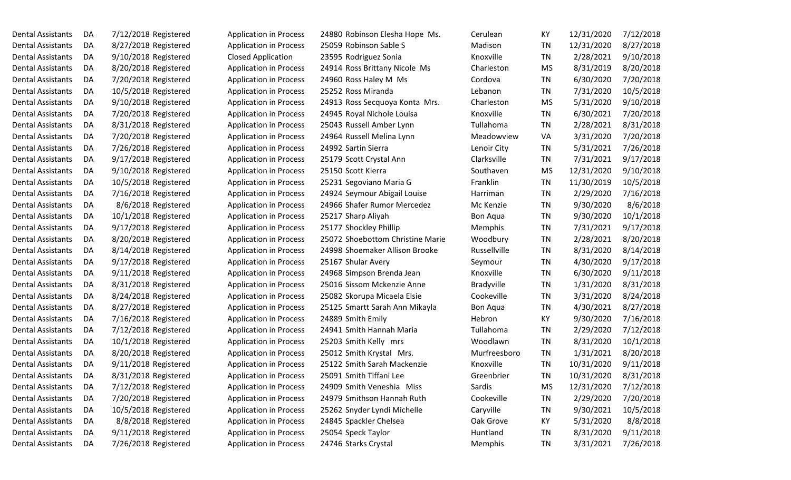| Dental Assistants | DA | 7/12/2018 Registered |
|-------------------|----|----------------------|
| Dental Assistants | DA | 8/27/2018 Registered |
| Dental Assistants | DA | 9/10/2018 Registered |
| Dental Assistants | DA | 8/20/2018 Registered |
| Dental Assistants | DA | 7/20/2018 Registered |
| Dental Assistants | DA | 10/5/2018 Registered |
| Dental Assistants | DA | 9/10/2018 Registered |
| Dental Assistants | DA | 7/20/2018 Registered |
| Dental Assistants | DA | 8/31/2018 Registered |
| Dental Assistants | DA | 7/20/2018 Registered |
| Dental Assistants | DA | 7/26/2018 Registered |
| Dental Assistants | DA | 9/17/2018 Registered |
| Dental Assistants | DA | 9/10/2018 Registered |
| Dental Assistants | DA | 10/5/2018 Registered |
| Dental Assistants | DA | 7/16/2018 Registered |
| Dental Assistants | DA | 8/6/2018 Registered  |
| Dental Assistants | DA | 10/1/2018 Registered |
| Dental Assistants | DA | 9/17/2018 Registered |
| Dental Assistants | DA | 8/20/2018 Registered |
| Dental Assistants | DA | 8/14/2018 Registered |
| Dental Assistants | DA | 9/17/2018 Registered |
| Dental Assistants | DA | 9/11/2018 Registered |
| Dental Assistants | DA | 8/31/2018 Registered |
| Dental Assistants | DA | 8/24/2018 Registered |
| Dental Assistants | DA | 8/27/2018 Registered |
| Dental Assistants | DA | 7/16/2018 Registered |
| Dental Assistants | DA | 7/12/2018 Registered |
| Dental Assistants | DA | 10/1/2018 Registered |
| Dental Assistants | DA | 8/20/2018 Registered |
| Dental Assistants | DA | 9/11/2018 Registered |
| Dental Assistants | DA | 8/31/2018 Registered |
| Dental Assistants | DA | 7/12/2018 Registered |
| Dental Assistants | DA | 7/20/2018 Registered |
| Dental Assistants | DA | 10/5/2018 Registered |
| Dental Assistants | DA | 8/8/2018 Registered  |
| Dental Assistants | DA | 9/11/2018 Registered |
| Dental Assistants | DA | 7/26/2018 Registered |

| <b>Application in Process</b> | 24880 Robinson Elesha Hope Ms.   | Cerulean        | KY        | 12/31/2020 | 7/12/2018 |
|-------------------------------|----------------------------------|-----------------|-----------|------------|-----------|
| <b>Application in Process</b> | 25059 Robinson Sable S           | Madison         | <b>TN</b> | 12/31/2020 | 8/27/2018 |
| <b>Closed Application</b>     | 23595 Rodriguez Sonia            | Knoxville       | <b>TN</b> | 2/28/2021  | 9/10/2018 |
| <b>Application in Process</b> | 24914 Ross Brittany Nicole Ms    | Charleston      | <b>MS</b> | 8/31/2019  | 8/20/2018 |
| <b>Application in Process</b> | 24960 Ross Haley M Ms            | Cordova         | <b>TN</b> | 6/30/2020  | 7/20/2018 |
| <b>Application in Process</b> | 25252 Ross Miranda               | Lebanon         | <b>TN</b> | 7/31/2020  | 10/5/2018 |
| <b>Application in Process</b> | 24913 Ross Secquoya Konta Mrs.   | Charleston      | <b>MS</b> | 5/31/2020  | 9/10/2018 |
| <b>Application in Process</b> | 24945 Royal Nichole Louisa       | Knoxville       | <b>TN</b> | 6/30/2021  | 7/20/2018 |
| <b>Application in Process</b> | 25043 Russell Amber Lynn         | Tullahoma       | <b>TN</b> | 2/28/2021  | 8/31/2018 |
| <b>Application in Process</b> | 24964 Russell Melina Lynn        | Meadowview      | VA        | 3/31/2020  | 7/20/2018 |
| <b>Application in Process</b> | 24992 Sartin Sierra              | Lenoir City     | <b>TN</b> | 5/31/2021  | 7/26/2018 |
| <b>Application in Process</b> | 25179 Scott Crystal Ann          | Clarksville     | <b>TN</b> | 7/31/2021  | 9/17/2018 |
| <b>Application in Process</b> | 25150 Scott Kierra               | Southaven       | <b>MS</b> | 12/31/2020 | 9/10/2018 |
| <b>Application in Process</b> | 25231 Segoviano Maria G          | Franklin        | <b>TN</b> | 11/30/2019 | 10/5/2018 |
| <b>Application in Process</b> | 24924 Seymour Abigail Louise     | Harriman        | <b>TN</b> | 2/29/2020  | 7/16/2018 |
| <b>Application in Process</b> | 24966 Shafer Rumor Mercedez      | Mc Kenzie       | <b>TN</b> | 9/30/2020  | 8/6/2018  |
| <b>Application in Process</b> | 25217 Sharp Aliyah               | <b>Bon Aqua</b> | <b>TN</b> | 9/30/2020  | 10/1/2018 |
| <b>Application in Process</b> | 25177 Shockley Phillip           | Memphis         | <b>TN</b> | 7/31/2021  | 9/17/2018 |
| <b>Application in Process</b> | 25072 Shoebottom Christine Marie | Woodbury        | <b>TN</b> | 2/28/2021  | 8/20/2018 |
| <b>Application in Process</b> | 24998 Shoemaker Allison Brooke   | Russellville    | <b>TN</b> | 8/31/2020  | 8/14/2018 |
| <b>Application in Process</b> | 25167 Shular Avery               | Seymour         | TN        | 4/30/2020  | 9/17/2018 |
| <b>Application in Process</b> | 24968 Simpson Brenda Jean        | Knoxville       | <b>TN</b> | 6/30/2020  | 9/11/2018 |
| <b>Application in Process</b> | 25016 Sissom Mckenzie Anne       | Bradyville      | <b>TN</b> | 1/31/2020  | 8/31/2018 |
| <b>Application in Process</b> | 25082 Skorupa Micaela Elsie      | Cookeville      | <b>TN</b> | 3/31/2020  | 8/24/2018 |
| <b>Application in Process</b> | 25125 Smartt Sarah Ann Mikayla   | <b>Bon Aqua</b> | <b>TN</b> | 4/30/2021  | 8/27/2018 |
| <b>Application in Process</b> | 24889 Smith Emily                | Hebron          | KY        | 9/30/2020  | 7/16/2018 |
| <b>Application in Process</b> | 24941 Smith Hannah Maria         | Tullahoma       | <b>TN</b> | 2/29/2020  | 7/12/2018 |
| <b>Application in Process</b> | 25203 Smith Kelly mrs            | Woodlawn        | <b>TN</b> | 8/31/2020  | 10/1/2018 |
| <b>Application in Process</b> | 25012 Smith Krystal Mrs.         | Murfreesboro    | <b>TN</b> | 1/31/2021  | 8/20/2018 |
| <b>Application in Process</b> | 25122 Smith Sarah Mackenzie      | Knoxville       | <b>TN</b> | 10/31/2020 | 9/11/2018 |
| <b>Application in Process</b> | 25091 Smith Tiffani Lee          | Greenbrier      | <b>TN</b> | 10/31/2020 | 8/31/2018 |
| <b>Application in Process</b> | 24909 Smith Veneshia Miss        | Sardis          | <b>MS</b> | 12/31/2020 | 7/12/2018 |
| <b>Application in Process</b> | 24979 Smithson Hannah Ruth       | Cookeville      | <b>TN</b> | 2/29/2020  | 7/20/2018 |
| <b>Application in Process</b> | 25262 Snyder Lyndi Michelle      | Caryville       | <b>TN</b> | 9/30/2021  | 10/5/2018 |
| <b>Application in Process</b> | 24845 Spackler Chelsea           | Oak Grove       | KY        | 5/31/2020  | 8/8/2018  |
| <b>Application in Process</b> | 25054 Speck Taylor               | Huntland        | TN        | 8/31/2020  | 9/11/2018 |
| <b>Application in Process</b> | 24746 Starks Crystal             | Memphis         | TN        | 3/31/2021  | 7/26/2018 |
|                               |                                  |                 |           |            |           |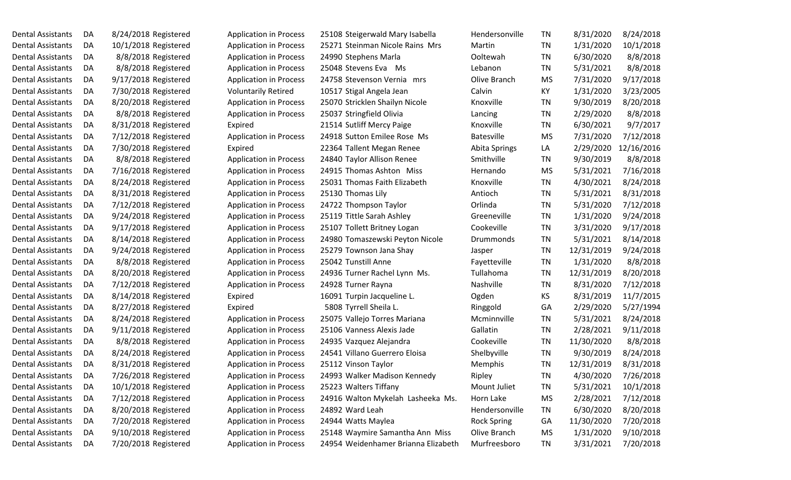| Dental Assistants        | DA | 8/24/2018 Registerec |
|--------------------------|----|----------------------|
| Dental Assistants        | DA | 10/1/2018 Registered |
| Dental Assistants        | DA | 8/8/2018 Registered  |
| Dental Assistants        | DA | 8/8/2018 Registered  |
| Dental Assistants        | DA | 9/17/2018 Registered |
| Dental Assistants        | DA | 7/30/2018 Registered |
| Dental Assistants        | DA | 8/20/2018 Registered |
| Dental Assistants        | DA | 8/8/2018 Registered  |
| Dental Assistants        | DA | 8/31/2018 Registered |
| Dental Assistants        | DA | 7/12/2018 Registered |
| Dental Assistants        | DA | 7/30/2018 Registered |
| Dental Assistants        | DA | 8/8/2018 Registered  |
| Dental Assistants        | DA | 7/16/2018 Registered |
| Dental Assistants        | DA | 8/24/2018 Registered |
| Dental Assistants        | DA | 8/31/2018 Registered |
| Dental Assistants        | DA | 7/12/2018 Registered |
| Dental Assistants        | DA | 9/24/2018 Registered |
| Dental Assistants        | DA | 9/17/2018 Registered |
| Dental Assistants        | DA | 8/14/2018 Registered |
| Dental Assistants        | DA | 9/24/2018 Registered |
| Dental Assistants        | DA | 8/8/2018 Registered  |
| Dental Assistants        | DA | 8/20/2018 Registered |
| Dental Assistants        | DA | 7/12/2018 Registered |
| Dental Assistants        | DA | 8/14/2018 Registered |
| Dental Assistants        | DA | 8/27/2018 Registered |
| Dental Assistants        | DA | 8/24/2018 Registered |
| Dental Assistants        | DA | 9/11/2018 Registered |
| <b>Dental Assistants</b> | DA | 8/8/2018 Registered  |
| Dental Assistants        | DA | 8/24/2018 Registered |
| <b>Dental Assistants</b> | DA | 8/31/2018 Registered |
| Dental Assistants        | DA | 7/26/2018 Registered |
| Dental Assistants        | DA | 10/1/2018 Registered |
| Dental Assistants        | DA | 7/12/2018 Registered |
| Dental Assistants        | DA | 8/20/2018 Registered |
| Dental Assistants        | DA | 7/20/2018 Registered |
| Dental Assistants        | DA | 9/10/2018 Registered |
| Dental Assistants        | DA | 7/20/2018 Registered |

| <b>Application in Process</b> | 2              |
|-------------------------------|----------------|
| <b>Application in Process</b> | $\overline{c}$ |
| <b>Application in Process</b> | 2              |
| <b>Application in Process</b> | $\overline{c}$ |
| <b>Application in Process</b> | 2              |
| <b>Voluntarily Retired</b>    | 1              |
| <b>Application in Process</b> | $\overline{c}$ |
| <b>Application in Process</b> | $\overline{c}$ |
| Expired                       | $\overline{a}$ |
| <b>Application in Process</b> | $\overline{a}$ |
| Expired                       | $\overline{c}$ |
| <b>Application in Process</b> | $\overline{a}$ |
| <b>Application in Process</b> | $\overline{a}$ |
| <b>Application in Process</b> | $\overline{c}$ |
| <b>Application in Process</b> | $\overline{a}$ |
| <b>Application in Process</b> | $\overline{a}$ |
| <b>Application in Process</b> | $\overline{c}$ |
| <b>Application in Process</b> | $\overline{c}$ |
| <b>Application in Process</b> | $\overline{a}$ |
| <b>Application in Process</b> | 2              |
| <b>Application in Process</b> | $\overline{a}$ |
| <b>Application in Process</b> | 2              |
| <b>Application in Process</b> | $\overline{a}$ |
| Expired                       | 1              |
| Expired                       |                |
| <b>Application in Process</b> | $\overline{c}$ |
| <b>Application in Process</b> | $\overline{a}$ |
| <b>Application in Process</b> | 2              |
| <b>Application in Process</b> | $\overline{a}$ |
| <b>Application in Process</b> | 2              |
| <b>Application in Process</b> | $\overline{a}$ |
| <b>Application in Process</b> |                |
| <b>Application in Process</b> | $\overline{c}$ |
| <b>Application in Process</b> | 2              |
| <b>Application in Process</b> | $\overline{c}$ |
| <b>Application in Process</b> | 2              |
| <b>Application in Process</b> | $\overline{c}$ |

| 8/24/2018 Registered |                     | <b>Application in Process</b> | 25108 Steigerwald Mary Isabella     | Hendersonville     |
|----------------------|---------------------|-------------------------------|-------------------------------------|--------------------|
| 10/1/2018 Registered |                     | <b>Application in Process</b> | 25271 Steinman Nicole Rains Mrs     | Martin             |
|                      | 8/8/2018 Registered | <b>Application in Process</b> | 24990 Stephens Marla                | Ooltewah           |
|                      | 8/8/2018 Registered | <b>Application in Process</b> | 25048 Stevens Eva Ms                | Lebanon            |
| 9/17/2018 Registered |                     | <b>Application in Process</b> | 24758 Stevenson Vernia mrs          | Olive Branch       |
| 7/30/2018 Registered |                     | <b>Voluntarily Retired</b>    | 10517 Stigal Angela Jean            | Calvin             |
| 8/20/2018 Registered |                     | <b>Application in Process</b> | 25070 Stricklen Shailyn Nicole      | Knoxville          |
|                      | 8/8/2018 Registered | <b>Application in Process</b> | 25037 Stringfield Olivia            | Lancing            |
| 8/31/2018 Registered |                     | Expired                       | 21514 Sutliff Mercy Paige           | Knoxville          |
| 7/12/2018 Registered |                     | <b>Application in Process</b> | 24918 Sutton Emilee Rose Ms         | <b>Batesville</b>  |
| 7/30/2018 Registered |                     | Expired                       | 22364 Tallent Megan Renee           | Abita Springs      |
|                      | 8/8/2018 Registered | <b>Application in Process</b> | 24840 Taylor Allison Renee          | Smithville         |
| 7/16/2018 Registered |                     | <b>Application in Process</b> | 24915 Thomas Ashton Miss            | Hernando           |
| 8/24/2018 Registered |                     | <b>Application in Process</b> | 25031 Thomas Faith Elizabeth        | Knoxville          |
| 8/31/2018 Registered |                     | <b>Application in Process</b> | 25130 Thomas Lily                   | Antioch            |
| 7/12/2018 Registered |                     | <b>Application in Process</b> | 24722 Thompson Taylor               | Orlinda            |
| 9/24/2018 Registered |                     | <b>Application in Process</b> | 25119 Tittle Sarah Ashley           | Greeneville        |
| 9/17/2018 Registered |                     | <b>Application in Process</b> | 25107 Tollett Britney Logan         | Cookeville         |
| 8/14/2018 Registered |                     | <b>Application in Process</b> | 24980 Tomaszewski Peyton Nicole     | Drummonds          |
| 9/24/2018 Registered |                     | <b>Application in Process</b> | 25279 Townson Jana Shay             | Jasper             |
|                      | 8/8/2018 Registered | <b>Application in Process</b> | 25042 Tunstill Anne                 | Fayetteville       |
| 8/20/2018 Registered |                     | <b>Application in Process</b> | 24936 Turner Rachel Lynn Ms.        | Tullahoma          |
| 7/12/2018 Registered |                     | <b>Application in Process</b> | 24928 Turner Rayna                  | Nashville          |
| 8/14/2018 Registered |                     | Expired                       | 16091 Turpin Jacqueline L.          | Ogden              |
| 8/27/2018 Registered |                     | Expired                       | 5808 Tyrrell Sheila L.              | Ringgold           |
| 8/24/2018 Registered |                     | <b>Application in Process</b> | 25075 Vallejo Torres Mariana        | Mcminnville        |
| 9/11/2018 Registered |                     | <b>Application in Process</b> | 25106 Vanness Alexis Jade           | Gallatin           |
|                      | 8/8/2018 Registered | <b>Application in Process</b> | 24935 Vazquez Alejandra             | Cookeville         |
| 8/24/2018 Registered |                     | <b>Application in Process</b> | 24541 Villano Guerrero Eloisa       | Shelbyville        |
| 8/31/2018 Registered |                     | <b>Application in Process</b> | 25112 Vinson Taylor                 | Memphis            |
| 7/26/2018 Registered |                     | <b>Application in Process</b> | 24993 Walker Madison Kennedy        | Ripley             |
| 10/1/2018 Registered |                     | <b>Application in Process</b> | 25223 Walters Tiffany               | Mount Juliet       |
| 7/12/2018 Registered |                     | <b>Application in Process</b> | 24916 Walton Mykelah Lasheeka Ms.   | Horn Lake          |
| 8/20/2018 Registered |                     | <b>Application in Process</b> | 24892 Ward Leah                     | Hendersonville     |
| 7/20/2018 Registered |                     | <b>Application in Process</b> | 24944 Watts Maylea                  | <b>Rock Spring</b> |
| 9/10/2018 Registered |                     | <b>Application in Process</b> | 25148 Waymire Samantha Ann Miss     | Olive Branch       |
| 7/20/2018 Registered |                     | <b>Application in Process</b> | 24954 Weidenhamer Brianna Elizabeth | Murfreesboro       |

| Dental Assistants        | DA  | 8/24/2018 Registered | <b>Application in Process</b> | 25108 Steigerwald Mary Isabella     | Hendersonville     | TN        | 8/31/2020  | 8/24/2018  |
|--------------------------|-----|----------------------|-------------------------------|-------------------------------------|--------------------|-----------|------------|------------|
| Dental Assistants        | DA  | 10/1/2018 Registered | <b>Application in Process</b> | 25271 Steinman Nicole Rains Mrs     | Martin             | TN        | 1/31/2020  | 10/1/2018  |
| Dental Assistants        | DA  | 8/8/2018 Registered  | <b>Application in Process</b> | 24990 Stephens Marla                | Ooltewah           | TN        | 6/30/2020  | 8/8/2018   |
| Dental Assistants        | DA  | 8/8/2018 Registered  | <b>Application in Process</b> | 25048 Stevens Eva Ms                | Lebanon            | TN        | 5/31/2021  | 8/8/2018   |
| Dental Assistants        | DA  | 9/17/2018 Registered | <b>Application in Process</b> | 24758 Stevenson Vernia mrs          | Olive Branch       | <b>MS</b> | 7/31/2020  | 9/17/2018  |
| Dental Assistants        | DA  | 7/30/2018 Registered | <b>Voluntarily Retired</b>    | 10517 Stigal Angela Jean            | Calvin             | KY        | 1/31/2020  | 3/23/2005  |
| Dental Assistants        | DA  | 8/20/2018 Registered | <b>Application in Process</b> | 25070 Stricklen Shailyn Nicole      | Knoxville          | TN        | 9/30/2019  | 8/20/2018  |
| Dental Assistants        | DA  | 8/8/2018 Registered  | <b>Application in Process</b> | 25037 Stringfield Olivia            | Lancing            | TN        | 2/29/2020  | 8/8/2018   |
| Dental Assistants        | DA  | 8/31/2018 Registered | Expired                       | 21514 Sutliff Mercy Paige           | Knoxville          | TN        | 6/30/2021  | 9/7/2017   |
| Dental Assistants        | DA  | 7/12/2018 Registered | <b>Application in Process</b> | 24918 Sutton Emilee Rose Ms         | <b>Batesville</b>  | <b>MS</b> | 7/31/2020  | 7/12/2018  |
| Dental Assistants        | DA  | 7/30/2018 Registered | Expired                       | 22364 Tallent Megan Renee           | Abita Springs      | LA        | 2/29/2020  | 12/16/2016 |
| Dental Assistants        | DA  | 8/8/2018 Registered  | <b>Application in Process</b> | 24840 Taylor Allison Renee          | Smithville         | <b>TN</b> | 9/30/2019  | 8/8/2018   |
| Dental Assistants        | DA  | 7/16/2018 Registered | <b>Application in Process</b> | 24915 Thomas Ashton Miss            | Hernando           | MS        | 5/31/2021  | 7/16/2018  |
| Dental Assistants        | DA  | 8/24/2018 Registered | <b>Application in Process</b> | 25031 Thomas Faith Elizabeth        | Knoxville          | TN        | 4/30/2021  | 8/24/2018  |
| Dental Assistants        | DA  | 8/31/2018 Registered | <b>Application in Process</b> | 25130 Thomas Lily                   | Antioch            | TN        | 5/31/2021  | 8/31/2018  |
| Dental Assistants        | DA  | 7/12/2018 Registered | <b>Application in Process</b> | 24722 Thompson Taylor               | Orlinda            | TN        | 5/31/2020  | 7/12/2018  |
| Dental Assistants        | DA  | 9/24/2018 Registered | <b>Application in Process</b> | 25119 Tittle Sarah Ashley           | Greeneville        | <b>TN</b> | 1/31/2020  | 9/24/2018  |
| Dental Assistants        | DA  | 9/17/2018 Registered | <b>Application in Process</b> | 25107 Tollett Britney Logan         | Cookeville         | TN        | 3/31/2020  | 9/17/2018  |
| <b>Dental Assistants</b> | DA  | 8/14/2018 Registered | <b>Application in Process</b> | 24980 Tomaszewski Peyton Nicole     | Drummonds          | TN        | 5/31/2021  | 8/14/2018  |
| Dental Assistants        | DA  | 9/24/2018 Registered | <b>Application in Process</b> | 25279 Townson Jana Shay             | Jasper             | TN        | 12/31/2019 | 9/24/2018  |
| Dental Assistants        | DA  | 8/8/2018 Registered  | <b>Application in Process</b> | 25042 Tunstill Anne                 | Fayetteville       | TN        | 1/31/2020  | 8/8/2018   |
| Dental Assistants        | DA  | 8/20/2018 Registered | <b>Application in Process</b> | 24936 Turner Rachel Lynn Ms.        | Tullahoma          | TN        | 12/31/2019 | 8/20/2018  |
| Dental Assistants        | DA  | 7/12/2018 Registered | <b>Application in Process</b> | 24928 Turner Rayna                  | Nashville          | TN        | 8/31/2020  | 7/12/2018  |
| Dental Assistants        | DA  | 8/14/2018 Registered | Expired                       | 16091 Turpin Jacqueline L.          | Ogden              | KS        | 8/31/2019  | 11/7/2015  |
| Dental Assistants        | DA  | 8/27/2018 Registered | Expired                       | 5808 Tyrrell Sheila L.              | Ringgold           | GA        | 2/29/2020  | 5/27/1994  |
| Dental Assistants        | DA  | 8/24/2018 Registered | <b>Application in Process</b> | 25075 Vallejo Torres Mariana        | Mcminnville        | TN        | 5/31/2021  | 8/24/2018  |
| Dental Assistants        | DA. | 9/11/2018 Registered | <b>Application in Process</b> | 25106 Vanness Alexis Jade           | Gallatin           | TN        | 2/28/2021  | 9/11/2018  |
| Dental Assistants        | DA  | 8/8/2018 Registered  | <b>Application in Process</b> | 24935 Vazquez Alejandra             | Cookeville         | TN        | 11/30/2020 | 8/8/2018   |
| Dental Assistants        | DA  | 8/24/2018 Registered | <b>Application in Process</b> | 24541 Villano Guerrero Eloisa       | Shelbyville        | <b>TN</b> | 9/30/2019  | 8/24/2018  |
| Dental Assistants        | DA  | 8/31/2018 Registered | <b>Application in Process</b> | 25112 Vinson Taylor                 | Memphis            | TN        | 12/31/2019 | 8/31/2018  |
| Dental Assistants        | DA  | 7/26/2018 Registered | <b>Application in Process</b> | 24993 Walker Madison Kennedy        | Ripley             | <b>TN</b> | 4/30/2020  | 7/26/2018  |
| Dental Assistants        | DA  | 10/1/2018 Registered | <b>Application in Process</b> | 25223 Walters Tiffany               | Mount Juliet       | <b>TN</b> | 5/31/2021  | 10/1/2018  |
| Dental Assistants        | DA  | 7/12/2018 Registered | <b>Application in Process</b> | 24916 Walton Mykelah Lasheeka Ms.   | Horn Lake          | MS        | 2/28/2021  | 7/12/2018  |
| Dental Assistants        | DA  | 8/20/2018 Registered | <b>Application in Process</b> | 24892 Ward Leah                     | Hendersonville     | TN        | 6/30/2020  | 8/20/2018  |
| Dental Assistants        | DA  | 7/20/2018 Registered | <b>Application in Process</b> | 24944 Watts Maylea                  | <b>Rock Spring</b> | GA        | 11/30/2020 | 7/20/2018  |
| Dental Assistants        | DA  | 9/10/2018 Registered | <b>Application in Process</b> | 25148 Waymire Samantha Ann Miss     | Olive Branch       | MS        | 1/31/2020  | 9/10/2018  |
| Dental Assistants        | DA  | 7/20/2018 Registered | <b>Application in Process</b> | 24954 Weidenhamer Brianna Elizabeth | Murfreesboro       | TN        | 3/31/2021  | 7/20/2018  |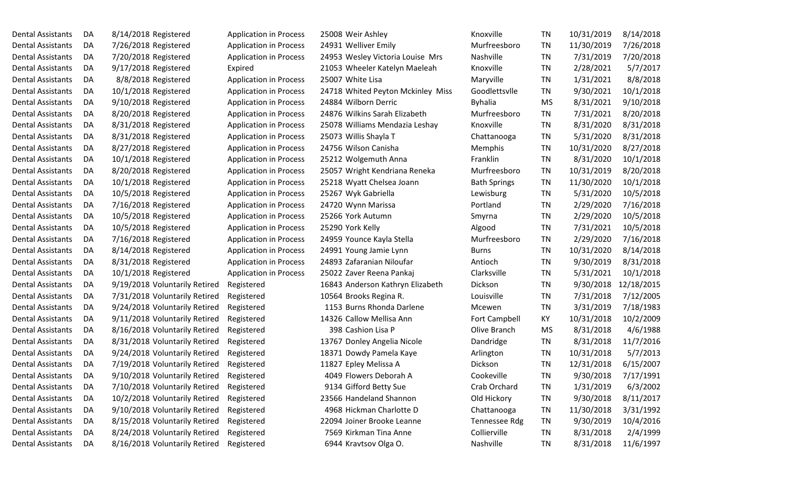Dental Assistants DA 8/14/2018 Registered Application in Process 25008 Weir Ashley Dental Assistants DA 7/26/2018 Registered Application in Process 24931 Welliver Emily Dental Assistants DA 7/20/2018 Registered Application in Process 24953 Wesley Victoria Louise Mrs Dental Assistants DA 9/17/2018 Registered Expired Expired 21053 Wheeler Katelyn Maeleah Dental Assistants DA 8/8/2018 Registered Application in Process 25007 White Lisa Dental Assistants DA 10/1/2018 Registered Application in Process 24718 Whited Peyton Mckinley Miss Dental Assistants DA 9/10/2018 Registered Application in Process 24884 Wilborn Derric Dental Assistants DA 8/20/2018 Registered Application in Process 24876 Wilkins Sarah Elizabeth Dental Assistants DA 8/31/2018 Registered Application in Process 25078 Williams Mendazia Leshay Dental Assistants DA 8/31/2018 Registered Application in Process 25073 Willis Shayla T Dental Assistants DA 8/27/2018 Registered Application in Process 24756 Wilson Canisha Dental Assistants DA 10/1/2018 Registered Application in Process 25212 Wolgemuth Anna Dental Assistants DA 8/20/2018 Registered Application in Process 25057 Wright Kendriana Reneka Dental Assistants DA 10/1/2018 Registered Application in Process 25218 Wyatt Chelsea Joann Dental Assistants DA 10/5/2018 Registered Application in Process 25267 Wyk Gabriella Dental Assistants DA 7/16/2018 Registered Application in Process 24720 Wynn Marissa Dental Assistants DA 10/5/2018 Registered Application in Process 25266 York Autumn Dental Assistants DA 10/5/2018 Registered Application in Process 25290 York Kelly Dental Assistants DA 7/16/2018 Registered Application in Process 24959 Younce Kayla Stella Dental Assistants DA 8/14/2018 Registered Application in Process 24991 Young Jamie Lynn Dental Assistants DA 8/31/2018 Registered Application in Process 24893 Zafaranian Niloufar Dental Assistants DA 10/1/2018 Registered Application in Process 25022 Zaver Reena Pankaj Dental Assistants DA 9/19/2018 Voluntarily Retired Registered 16843 Anderson Kathryn Elizabeth Dental Assistants DA 7/31/2018 Voluntarily Retired Registered 10564 Brooks Regina R. Dental Assistants DA 9/24/2018 Voluntarily Retired Registered 1153 Burns Rhonda Darlene Dental Assistants DA 9/11/2018 Voluntarily Retired Registered 14326 Callow Mellisa Ann Dental Assistants DA 8/16/2018 Voluntarily Retired Registered 398 Cashion Lisa P Dental Assistants DA 8/31/2018 Voluntarily Retired Registered 13767 Donley Angelia Nicole Dental Assistants DA 9/24/2018 Voluntarily Retired Registered 18371 Dowdy Pamela Kaye Dental Assistants DA 7/19/2018 Voluntarily Retired Registered 11827 Epley Melissa A Dental Assistants DA 9/10/2018 Voluntarily Retired Registered 4049 Flowers Deborah A Dental Assistants DA 7/10/2018 Voluntarily Retired Registered 9134 Gifford Betty Sue Dental Assistants DA 10/2/2018 Voluntarily Retired Registered 23566 Handeland Shannon Dental Assistants DA 9/10/2018 Voluntarily Retired Registered 4968 Hickman Charlotte D Dental Assistants DA 8/15/2018 Voluntarily Retired Registered 22094 Joiner Brooke Leanne Dental Assistants DA 8/24/2018 Voluntarily Retired Registered 7569 Kirkman Tina Anne Dental Assistants DA 8/16/2018 Voluntarily Retired Registered 6944 Kravtsov Olga O.

| Knoxville            | <b>TN</b> | 10/31/2019 | 8/14/2018  |
|----------------------|-----------|------------|------------|
| Murfreesboro         | TN        | 11/30/2019 | 7/26/2018  |
| Nashville            | <b>TN</b> | 7/31/2019  | 7/20/2018  |
| Knoxville            | <b>TN</b> | 2/28/2021  | 5/7/2017   |
| Maryville            | <b>TN</b> | 1/31/2021  | 8/8/2018   |
| Goodlettsvlle        | TN        | 9/30/2021  | 10/1/2018  |
| <b>Byhalia</b>       | <b>MS</b> | 8/31/2021  | 9/10/2018  |
| Murfreesboro         | <b>TN</b> | 7/31/2021  | 8/20/2018  |
| Knoxville            | <b>TN</b> | 8/31/2020  | 8/31/2018  |
| Chattanooga          | <b>TN</b> | 5/31/2020  | 8/31/2018  |
| Memphis              | TN        | 10/31/2020 | 8/27/2018  |
| Franklin             | TN        | 8/31/2020  | 10/1/2018  |
| Murfreesboro         | TN        | 10/31/2019 | 8/20/2018  |
| <b>Bath Springs</b>  | TN        | 11/30/2020 | 10/1/2018  |
| Lewisburg            | TN        | 5/31/2020  | 10/5/2018  |
| Portland             | <b>TN</b> | 2/29/2020  | 7/16/2018  |
| Smyrna               | <b>TN</b> | 2/29/2020  | 10/5/2018  |
| Algood               | <b>TN</b> | 7/31/2021  | 10/5/2018  |
| Murfreesboro         | TN        | 2/29/2020  | 7/16/2018  |
| <b>Burns</b>         | TN        | 10/31/2020 | 8/14/2018  |
| Antioch              | <b>TN</b> | 9/30/2019  | 8/31/2018  |
| Clarksville          | <b>TN</b> | 5/31/2021  | 10/1/2018  |
| Dickson              | <b>TN</b> | 9/30/2018  | 12/18/2015 |
| Louisville           | TN        | 7/31/2018  | 7/12/2005  |
| Mcewen               | <b>TN</b> | 3/31/2019  | 7/18/1983  |
| <b>Fort Campbell</b> | KY        | 10/31/2018 | 10/2/2009  |
| Olive Branch         | MS        | 8/31/2018  | 4/6/1988   |
| Dandridge            | <b>TN</b> | 8/31/2018  | 11/7/2016  |
| Arlington            | <b>TN</b> | 10/31/2018 | 5/7/2013   |
| Dickson              | <b>TN</b> | 12/31/2018 | 6/15/2007  |
| Cookeville           | <b>TN</b> | 9/30/2018  | 7/17/1991  |
| Crab Orchard         | <b>TN</b> | 1/31/2019  | 6/3/2002   |
| Old Hickory          | TN        | 9/30/2018  | 8/11/2017  |
| Chattanooga          | <b>TN</b> | 11/30/2018 | 3/31/1992  |
| <b>Tennessee Rdg</b> | <b>TN</b> | 9/30/2019  | 10/4/2016  |
| Collierville         | <b>TN</b> | 8/31/2018  | 2/4/1999   |
| Nashville            | <b>TN</b> | 8/31/2018  | 11/6/1997  |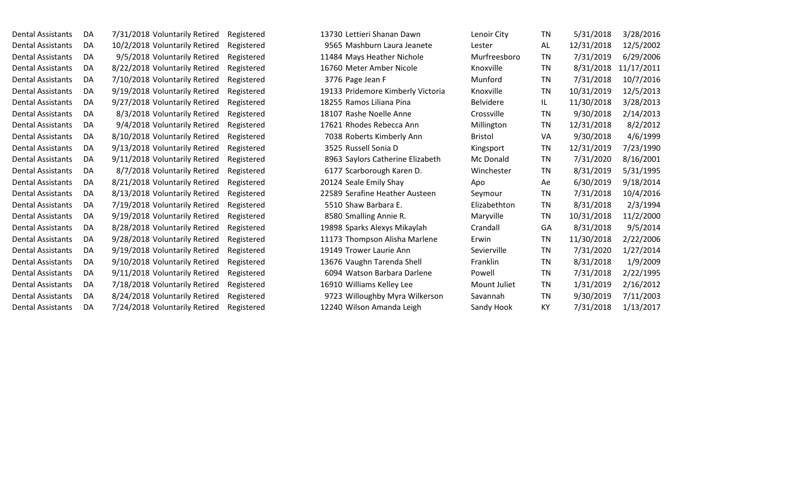| Dental Assistants | DA | 7/31/2018 Voluntarily Retired<br>Registered |
|-------------------|----|---------------------------------------------|
| Dental Assistants | DA | 10/2/2018 Voluntarily Retired<br>Registered |
| Dental Assistants | DA | 9/5/2018 Voluntarily Retired<br>Registered  |
| Dental Assistants | DA | 8/22/2018 Voluntarily Retired<br>Registered |
| Dental Assistants | DA | 7/10/2018 Voluntarily Retired<br>Registered |
| Dental Assistants | DA | 9/19/2018 Voluntarily Retired<br>Registered |
| Dental Assistants | DA | 9/27/2018 Voluntarily Retired<br>Registered |
| Dental Assistants | DA | 8/3/2018 Voluntarily Retired<br>Registered  |
| Dental Assistants | DA | 9/4/2018 Voluntarily Retired<br>Registered  |
| Dental Assistants | DA | 8/10/2018 Voluntarily Retired<br>Registered |
| Dental Assistants | DA | 9/13/2018 Voluntarily Retired<br>Registered |
| Dental Assistants | DA | 9/11/2018 Voluntarily Retired<br>Registered |
| Dental Assistants | DA | 8/7/2018 Voluntarily Retired<br>Registered  |
| Dental Assistants | DA | 8/21/2018 Voluntarily Retired<br>Registered |
| Dental Assistants | DA | 8/13/2018 Voluntarily Retired<br>Registered |
| Dental Assistants | DA | 7/19/2018 Voluntarily Retired<br>Registered |
| Dental Assistants | DA | 9/19/2018 Voluntarily Retired<br>Registered |
| Dental Assistants | DA | 8/28/2018 Voluntarily Retired<br>Registered |
| Dental Assistants | DA | 9/28/2018 Voluntarily Retired<br>Registered |
| Dental Assistants | DA | 9/19/2018 Voluntarily Retired<br>Registered |
| Dental Assistants | DA | 9/10/2018 Voluntarily Retired<br>Registered |
| Dental Assistants | DA | 9/11/2018 Voluntarily Retired<br>Registered |
| Dental Assistants | DA | 7/18/2018 Voluntarily Retired<br>Registered |
| Dental Assistants | DA | 8/24/2018 Voluntarily Retired<br>Registered |
| Dental Assistants | DA | 7/24/2018 Voluntarily Retired<br>Registered |

| Dental Assistants        | DA | 7/31/2018 Voluntarily Retired | Registered | 13730 Lettieri Shanan Dawn        | Lenoir City      | <b>TN</b> | 5/31/2018  | 3/28/2016  |
|--------------------------|----|-------------------------------|------------|-----------------------------------|------------------|-----------|------------|------------|
| Dental Assistants        | DA | 10/2/2018 Voluntarily Retired | Registered | 9565 Mashburn Laura Jeanete       | Lester           | AL        | 12/31/2018 | 12/5/2002  |
| Dental Assistants        | DA | 9/5/2018 Voluntarily Retired  | Registered | 11484 Mays Heather Nichole        | Murfreesboro     | TN        | 7/31/2019  | 6/29/2006  |
| Dental Assistants        | DA | 8/22/2018 Voluntarily Retired | Registered | 16760 Meter Amber Nicole          | Knoxville        | <b>TN</b> | 8/31/2018  | 11/17/2011 |
| Dental Assistants        | DA | 7/10/2018 Voluntarily Retired | Registered | 3776 Page Jean F                  | Munford          | <b>TN</b> | 7/31/2018  | 10/7/2016  |
| Dental Assistants        | DA | 9/19/2018 Voluntarily Retired | Registered | 19133 Pridemore Kimberly Victoria | Knoxville        | TN        | 10/31/2019 | 12/5/2013  |
| Dental Assistants        | DA | 9/27/2018 Voluntarily Retired | Registered | 18255 Ramos Liliana Pina          | <b>Belvidere</b> | IL.       | 11/30/2018 | 3/28/2013  |
| Dental Assistants        | DA | 8/3/2018 Voluntarily Retired  | Registered | 18107 Rashe Noelle Anne           | Crossville       | <b>TN</b> | 9/30/2018  | 2/14/2013  |
| Dental Assistants        | DA | 9/4/2018 Voluntarily Retired  | Registered | 17621 Rhodes Rebecca Ann          | Millington       | <b>TN</b> | 12/31/2018 | 8/2/2012   |
| Dental Assistants        | DA | 8/10/2018 Voluntarily Retired | Registered | 7038 Roberts Kimberly Ann         | <b>Bristol</b>   | VA        | 9/30/2018  | 4/6/1999   |
| Dental Assistants        | DA | 9/13/2018 Voluntarily Retired | Registered | 3525 Russell Sonia D              | Kingsport        | <b>TN</b> | 12/31/2019 | 7/23/1990  |
| <b>Dental Assistants</b> | DA | 9/11/2018 Voluntarily Retired | Registered | 8963 Saylors Catherine Elizabeth  | Mc Donald        | <b>TN</b> | 7/31/2020  | 8/16/2001  |
| Dental Assistants        | DA | 8/7/2018 Voluntarily Retired  | Registered | 6177 Scarborough Karen D.         | Winchester       | TN        | 8/31/2019  | 5/31/1995  |
| Dental Assistants        | DA | 8/21/2018 Voluntarily Retired | Registered | 20124 Seale Emily Shay            | Apo              | Ae        | 6/30/2019  | 9/18/2014  |
| Dental Assistants        | DA | 8/13/2018 Voluntarily Retired | Registered | 22589 Serafine Heather Austeen    | Seymour          | <b>TN</b> | 7/31/2018  | 10/4/2016  |
| Dental Assistants        | DA | 7/19/2018 Voluntarily Retired | Registered | 5510 Shaw Barbara E.              | Elizabethton     | TN        | 8/31/2018  | 2/3/1994   |
| Dental Assistants        | DA | 9/19/2018 Voluntarily Retired | Registered | 8580 Smalling Annie R.            | Maryville        | TN        | 10/31/2018 | 11/2/2000  |
| Dental Assistants        | DA | 8/28/2018 Voluntarily Retired | Registered | 19898 Sparks Alexys Mikaylah      | Crandall         | GA        | 8/31/2018  | 9/5/2014   |
| <b>Dental Assistants</b> | DA | 9/28/2018 Voluntarily Retired | Registered | 11173 Thompson Alisha Marlene     | Erwin            | <b>TN</b> | 11/30/2018 | 2/22/2006  |
| Dental Assistants        | DA | 9/19/2018 Voluntarily Retired | Registered | 19149 Trower Laurie Ann           | Sevierville      | TN        | 7/31/2020  | 1/27/2014  |
| Dental Assistants        | DA | 9/10/2018 Voluntarily Retired | Registered | 13676 Vaughn Tarenda Shell        | Franklin         | TN        | 8/31/2018  | 1/9/2009   |
| Dental Assistants        | DA | 9/11/2018 Voluntarily Retired | Registered | 6094 Watson Barbara Darlene       | Powell           | TN        | 7/31/2018  | 2/22/1995  |
| Dental Assistants        | DA | 7/18/2018 Voluntarily Retired | Registered | 16910 Williams Kelley Lee         | Mount Juliet     | TN        | 1/31/2019  | 2/16/2012  |
| Dental Assistants        | DA | 8/24/2018 Voluntarily Retired | Registered | 9723 Willoughby Myra Wilkerson    | Savannah         | TN        | 9/30/2019  | 7/11/2003  |
| Dental Assistants        | DA | 7/24/2018 Voluntarily Retired | Registered | 12240 Wilson Amanda Leigh         | Sandy Hook       | KY        | 7/31/2018  | 1/13/2017  |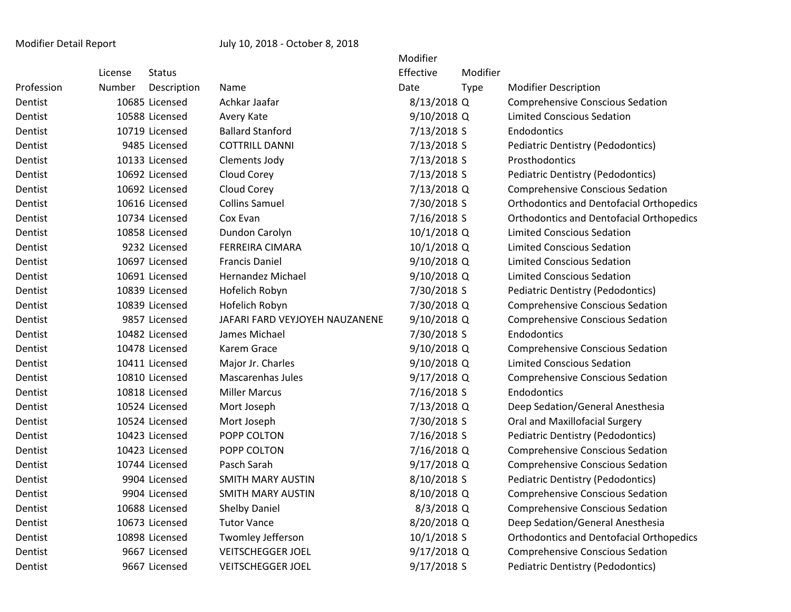|         |               |                                                                                                                                                                                                                                                                                                                                                                                                                                                                                                                                                                                                         | Modifier  |             |                                                                                                                                                                                                                                                                                                                                                                                                                                                                                                              |
|---------|---------------|---------------------------------------------------------------------------------------------------------------------------------------------------------------------------------------------------------------------------------------------------------------------------------------------------------------------------------------------------------------------------------------------------------------------------------------------------------------------------------------------------------------------------------------------------------------------------------------------------------|-----------|-------------|--------------------------------------------------------------------------------------------------------------------------------------------------------------------------------------------------------------------------------------------------------------------------------------------------------------------------------------------------------------------------------------------------------------------------------------------------------------------------------------------------------------|
| License | <b>Status</b> |                                                                                                                                                                                                                                                                                                                                                                                                                                                                                                                                                                                                         | Effective | Modifier    |                                                                                                                                                                                                                                                                                                                                                                                                                                                                                                              |
| Number  | Description   | Name                                                                                                                                                                                                                                                                                                                                                                                                                                                                                                                                                                                                    | Date      | <b>Type</b> | <b>Modifier Description</b>                                                                                                                                                                                                                                                                                                                                                                                                                                                                                  |
|         |               | Achkar Jaafar                                                                                                                                                                                                                                                                                                                                                                                                                                                                                                                                                                                           |           |             | <b>Comprehensive Conscious Sedation</b>                                                                                                                                                                                                                                                                                                                                                                                                                                                                      |
|         |               | Avery Kate                                                                                                                                                                                                                                                                                                                                                                                                                                                                                                                                                                                              |           |             | <b>Limited Conscious Sedation</b>                                                                                                                                                                                                                                                                                                                                                                                                                                                                            |
|         |               | <b>Ballard Stanford</b>                                                                                                                                                                                                                                                                                                                                                                                                                                                                                                                                                                                 |           |             | Endodontics                                                                                                                                                                                                                                                                                                                                                                                                                                                                                                  |
|         |               | <b>COTTRILL DANNI</b>                                                                                                                                                                                                                                                                                                                                                                                                                                                                                                                                                                                   |           |             | <b>Pediatric Dentistry (Pedodontics)</b>                                                                                                                                                                                                                                                                                                                                                                                                                                                                     |
|         |               | Clements Jody                                                                                                                                                                                                                                                                                                                                                                                                                                                                                                                                                                                           |           |             | Prosthodontics                                                                                                                                                                                                                                                                                                                                                                                                                                                                                               |
|         |               | Cloud Corey                                                                                                                                                                                                                                                                                                                                                                                                                                                                                                                                                                                             |           |             | <b>Pediatric Dentistry (Pedodontics)</b>                                                                                                                                                                                                                                                                                                                                                                                                                                                                     |
|         |               | Cloud Corey                                                                                                                                                                                                                                                                                                                                                                                                                                                                                                                                                                                             |           |             | <b>Comprehensive Conscious Sedation</b>                                                                                                                                                                                                                                                                                                                                                                                                                                                                      |
|         |               | <b>Collins Samuel</b>                                                                                                                                                                                                                                                                                                                                                                                                                                                                                                                                                                                   |           |             | <b>Orthodontics and Dentofacial Orthopedics</b>                                                                                                                                                                                                                                                                                                                                                                                                                                                              |
|         |               | Cox Evan                                                                                                                                                                                                                                                                                                                                                                                                                                                                                                                                                                                                |           |             | <b>Orthodontics and Dentofacial Orthopedics</b>                                                                                                                                                                                                                                                                                                                                                                                                                                                              |
|         |               | Dundon Carolyn                                                                                                                                                                                                                                                                                                                                                                                                                                                                                                                                                                                          |           |             | <b>Limited Conscious Sedation</b>                                                                                                                                                                                                                                                                                                                                                                                                                                                                            |
|         |               | <b>FERREIRA CIMARA</b>                                                                                                                                                                                                                                                                                                                                                                                                                                                                                                                                                                                  |           |             | <b>Limited Conscious Sedation</b>                                                                                                                                                                                                                                                                                                                                                                                                                                                                            |
|         |               | <b>Francis Daniel</b>                                                                                                                                                                                                                                                                                                                                                                                                                                                                                                                                                                                   |           |             | Limited Conscious Sedation                                                                                                                                                                                                                                                                                                                                                                                                                                                                                   |
|         |               | <b>Hernandez Michael</b>                                                                                                                                                                                                                                                                                                                                                                                                                                                                                                                                                                                |           |             | <b>Limited Conscious Sedation</b>                                                                                                                                                                                                                                                                                                                                                                                                                                                                            |
|         |               | Hofelich Robyn                                                                                                                                                                                                                                                                                                                                                                                                                                                                                                                                                                                          |           |             | <b>Pediatric Dentistry (Pedodontics)</b>                                                                                                                                                                                                                                                                                                                                                                                                                                                                     |
|         |               | Hofelich Robyn                                                                                                                                                                                                                                                                                                                                                                                                                                                                                                                                                                                          |           |             | <b>Comprehensive Conscious Sedation</b>                                                                                                                                                                                                                                                                                                                                                                                                                                                                      |
|         |               | JAFARI FARD VEYJOYEH NAUZANENE                                                                                                                                                                                                                                                                                                                                                                                                                                                                                                                                                                          |           |             | <b>Comprehensive Conscious Sedation</b>                                                                                                                                                                                                                                                                                                                                                                                                                                                                      |
|         |               | James Michael                                                                                                                                                                                                                                                                                                                                                                                                                                                                                                                                                                                           |           |             | Endodontics                                                                                                                                                                                                                                                                                                                                                                                                                                                                                                  |
|         |               | Karem Grace                                                                                                                                                                                                                                                                                                                                                                                                                                                                                                                                                                                             |           |             | <b>Comprehensive Conscious Sedation</b>                                                                                                                                                                                                                                                                                                                                                                                                                                                                      |
|         |               | Major Jr. Charles                                                                                                                                                                                                                                                                                                                                                                                                                                                                                                                                                                                       |           |             | Limited Conscious Sedation                                                                                                                                                                                                                                                                                                                                                                                                                                                                                   |
|         |               | <b>Mascarenhas Jules</b>                                                                                                                                                                                                                                                                                                                                                                                                                                                                                                                                                                                |           |             | <b>Comprehensive Conscious Sedation</b>                                                                                                                                                                                                                                                                                                                                                                                                                                                                      |
|         |               | <b>Miller Marcus</b>                                                                                                                                                                                                                                                                                                                                                                                                                                                                                                                                                                                    |           |             | Endodontics                                                                                                                                                                                                                                                                                                                                                                                                                                                                                                  |
|         |               | Mort Joseph                                                                                                                                                                                                                                                                                                                                                                                                                                                                                                                                                                                             |           |             | Deep Sedation/General Anesthesia                                                                                                                                                                                                                                                                                                                                                                                                                                                                             |
|         |               | Mort Joseph                                                                                                                                                                                                                                                                                                                                                                                                                                                                                                                                                                                             |           |             | Oral and Maxillofacial Surgery                                                                                                                                                                                                                                                                                                                                                                                                                                                                               |
|         |               | POPP COLTON                                                                                                                                                                                                                                                                                                                                                                                                                                                                                                                                                                                             |           |             | <b>Pediatric Dentistry (Pedodontics)</b>                                                                                                                                                                                                                                                                                                                                                                                                                                                                     |
|         |               | POPP COLTON                                                                                                                                                                                                                                                                                                                                                                                                                                                                                                                                                                                             |           |             | <b>Comprehensive Conscious Sedation</b>                                                                                                                                                                                                                                                                                                                                                                                                                                                                      |
|         |               | Pasch Sarah                                                                                                                                                                                                                                                                                                                                                                                                                                                                                                                                                                                             |           |             | <b>Comprehensive Conscious Sedation</b>                                                                                                                                                                                                                                                                                                                                                                                                                                                                      |
|         |               | <b>SMITH MARY AUSTIN</b>                                                                                                                                                                                                                                                                                                                                                                                                                                                                                                                                                                                |           |             | Pediatric Dentistry (Pedodontics)                                                                                                                                                                                                                                                                                                                                                                                                                                                                            |
|         |               | <b>SMITH MARY AUSTIN</b>                                                                                                                                                                                                                                                                                                                                                                                                                                                                                                                                                                                |           |             | <b>Comprehensive Conscious Sedation</b>                                                                                                                                                                                                                                                                                                                                                                                                                                                                      |
|         |               | <b>Shelby Daniel</b>                                                                                                                                                                                                                                                                                                                                                                                                                                                                                                                                                                                    |           |             | <b>Comprehensive Conscious Sedation</b>                                                                                                                                                                                                                                                                                                                                                                                                                                                                      |
|         |               | <b>Tutor Vance</b>                                                                                                                                                                                                                                                                                                                                                                                                                                                                                                                                                                                      |           |             | Deep Sedation/General Anesthesia                                                                                                                                                                                                                                                                                                                                                                                                                                                                             |
|         |               | Twomley Jefferson                                                                                                                                                                                                                                                                                                                                                                                                                                                                                                                                                                                       |           |             | <b>Orthodontics and Dentofacial Orthopedics</b>                                                                                                                                                                                                                                                                                                                                                                                                                                                              |
|         |               | <b>VEITSCHEGGER JOEL</b>                                                                                                                                                                                                                                                                                                                                                                                                                                                                                                                                                                                |           |             | <b>Comprehensive Conscious Sedation</b>                                                                                                                                                                                                                                                                                                                                                                                                                                                                      |
|         |               | <b>VEITSCHEGGER JOEL</b>                                                                                                                                                                                                                                                                                                                                                                                                                                                                                                                                                                                |           |             | <b>Pediatric Dentistry (Pedodontics)</b>                                                                                                                                                                                                                                                                                                                                                                                                                                                                     |
|         |               | 10685 Licensed<br>10588 Licensed<br>10719 Licensed<br>9485 Licensed<br>10133 Licensed<br>10692 Licensed<br>10692 Licensed<br>10616 Licensed<br>10734 Licensed<br>10858 Licensed<br>9232 Licensed<br>10697 Licensed<br>10691 Licensed<br>10839 Licensed<br>10839 Licensed<br>9857 Licensed<br>10482 Licensed<br>10478 Licensed<br>10411 Licensed<br>10810 Licensed<br>10818 Licensed<br>10524 Licensed<br>10524 Licensed<br>10423 Licensed<br>10423 Licensed<br>10744 Licensed<br>9904 Licensed<br>9904 Licensed<br>10688 Licensed<br>10673 Licensed<br>10898 Licensed<br>9667 Licensed<br>9667 Licensed |           |             | 8/13/2018 Q<br>9/10/2018 Q<br>7/13/2018 S<br>7/13/2018 S<br>7/13/2018 S<br>7/13/2018 S<br>7/13/2018 Q<br>7/30/2018 S<br>7/16/2018 S<br>10/1/2018 Q<br>10/1/2018 Q<br>9/10/2018 Q<br>9/10/2018 Q<br>7/30/2018 S<br>7/30/2018 Q<br>9/10/2018 Q<br>7/30/2018 S<br>9/10/2018 Q<br>9/10/2018 Q<br>9/17/2018 Q<br>7/16/2018 S<br>7/13/2018 Q<br>7/30/2018 S<br>7/16/2018 S<br>7/16/2018 Q<br>9/17/2018 Q<br>8/10/2018 S<br>8/10/2018 Q<br>8/3/2018 Q<br>8/20/2018 Q<br>$10/1/2018$ S<br>9/17/2018 Q<br>9/17/2018 S |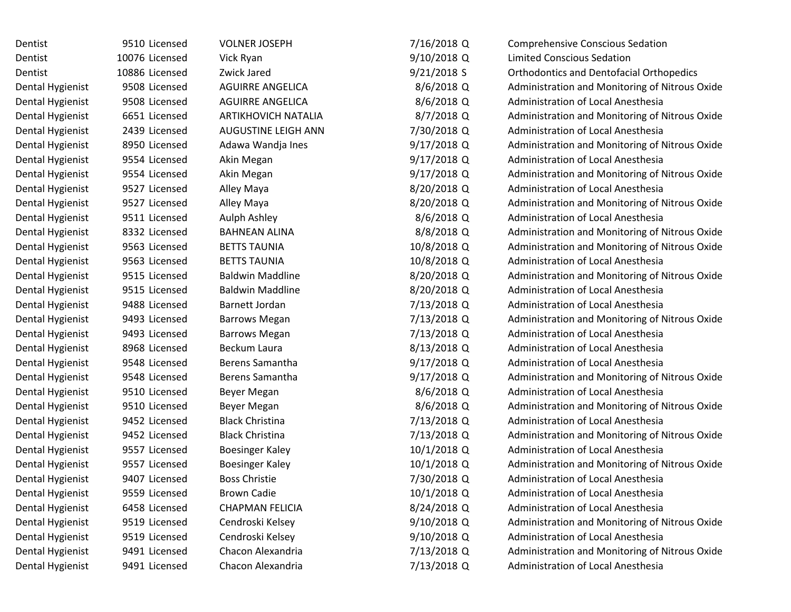| Dentist          | 9510 Licensed  | <b>VOLNER JOSEPH</b>       | 7/16/2018 Q   | <b>Comprehensive Conscious Sedation</b>         |
|------------------|----------------|----------------------------|---------------|-------------------------------------------------|
| Dentist          | 10076 Licensed | Vick Ryan                  | 9/10/2018 Q   | <b>Limited Conscious Sedation</b>               |
| Dentist          | 10886 Licensed | Zwick Jared                | $9/21/2018$ S | <b>Orthodontics and Dentofacial Orthopedics</b> |
| Dental Hygienist | 9508 Licensed  | <b>AGUIRRE ANGELICA</b>    | 8/6/2018 Q    | Administration and Monitoring of Nitrous Oxide  |
| Dental Hygienist | 9508 Licensed  | <b>AGUIRRE ANGELICA</b>    | $8/6/2018$ Q  | Administration of Local Anesthesia              |
| Dental Hygienist | 6651 Licensed  | <b>ARTIKHOVICH NATALIA</b> | 8/7/2018 Q    | Administration and Monitoring of Nitrous Oxide  |
| Dental Hygienist | 2439 Licensed  | AUGUSTINE LEIGH ANN        | 7/30/2018 Q   | Administration of Local Anesthesia              |
| Dental Hygienist | 8950 Licensed  | Adawa Wandja Ines          | $9/17/2018$ Q | Administration and Monitoring of Nitrous Oxide  |
| Dental Hygienist | 9554 Licensed  | Akin Megan                 | 9/17/2018 Q   | Administration of Local Anesthesia              |
| Dental Hygienist | 9554 Licensed  | Akin Megan                 | $9/17/2018$ Q | Administration and Monitoring of Nitrous Oxide  |
| Dental Hygienist | 9527 Licensed  | Alley Maya                 | 8/20/2018 Q   | Administration of Local Anesthesia              |
| Dental Hygienist | 9527 Licensed  | Alley Maya                 | 8/20/2018 Q   | Administration and Monitoring of Nitrous Oxide  |
| Dental Hygienist | 9511 Licensed  | Aulph Ashley               | 8/6/2018 Q    | Administration of Local Anesthesia              |
| Dental Hygienist | 8332 Licensed  | <b>BAHNEAN ALINA</b>       | 8/8/2018 Q    | Administration and Monitoring of Nitrous Oxide  |
| Dental Hygienist | 9563 Licensed  | <b>BETTS TAUNIA</b>        | 10/8/2018 Q   | Administration and Monitoring of Nitrous Oxide  |
| Dental Hygienist | 9563 Licensed  | <b>BETTS TAUNIA</b>        | 10/8/2018 Q   | Administration of Local Anesthesia              |
| Dental Hygienist | 9515 Licensed  | <b>Baldwin Maddline</b>    | 8/20/2018 Q   | Administration and Monitoring of Nitrous Oxide  |
| Dental Hygienist | 9515 Licensed  | <b>Baldwin Maddline</b>    | 8/20/2018 Q   | Administration of Local Anesthesia              |
| Dental Hygienist | 9488 Licensed  | Barnett Jordan             | 7/13/2018 Q   | Administration of Local Anesthesia              |
| Dental Hygienist | 9493 Licensed  | <b>Barrows Megan</b>       | 7/13/2018 Q   | Administration and Monitoring of Nitrous Oxide  |
| Dental Hygienist | 9493 Licensed  | <b>Barrows Megan</b>       | 7/13/2018 Q   | Administration of Local Anesthesia              |
| Dental Hygienist | 8968 Licensed  | Beckum Laura               | 8/13/2018 Q   | Administration of Local Anesthesia              |
| Dental Hygienist | 9548 Licensed  | <b>Berens Samantha</b>     | $9/17/2018$ Q | Administration of Local Anesthesia              |
| Dental Hygienist | 9548 Licensed  | <b>Berens Samantha</b>     | $9/17/2018$ Q | Administration and Monitoring of Nitrous Oxide  |
| Dental Hygienist | 9510 Licensed  | Beyer Megan                | 8/6/2018 Q    | Administration of Local Anesthesia              |
| Dental Hygienist | 9510 Licensed  | Beyer Megan                | 8/6/2018 Q    | Administration and Monitoring of Nitrous Oxide  |
| Dental Hygienist | 9452 Licensed  | <b>Black Christina</b>     | 7/13/2018 Q   | Administration of Local Anesthesia              |
| Dental Hygienist | 9452 Licensed  | <b>Black Christina</b>     | 7/13/2018 Q   | Administration and Monitoring of Nitrous Oxide  |
| Dental Hygienist | 9557 Licensed  | <b>Boesinger Kaley</b>     | 10/1/2018 Q   | Administration of Local Anesthesia              |
| Dental Hygienist | 9557 Licensed  | Boesinger Kaley            | 10/1/2018 Q   | Administration and Monitoring of Nitrous Oxide  |
| Dental Hygienist | 9407 Licensed  | <b>Boss Christie</b>       | 7/30/2018 Q   | Administration of Local Anesthesia              |
| Dental Hygienist | 9559 Licensed  | <b>Brown Cadie</b>         | 10/1/2018 Q   | Administration of Local Anesthesia              |
| Dental Hygienist | 6458 Licensed  | <b>CHAPMAN FELICIA</b>     | 8/24/2018 Q   | Administration of Local Anesthesia              |
| Dental Hygienist | 9519 Licensed  | Cendroski Kelsey           | 9/10/2018 Q   | Administration and Monitoring of Nitrous Oxide  |
| Dental Hygienist | 9519 Licensed  | Cendroski Kelsey           | 9/10/2018 Q   | Administration of Local Anesthesia              |
| Dental Hygienist | 9491 Licensed  | Chacon Alexandria          | 7/13/2018 Q   | Administration and Monitoring of Nitrous Oxide  |
| Dental Hygienist | 9491 Licensed  | Chacon Alexandria          | 7/13/2018 Q   | Administration of Local Anesthesia              |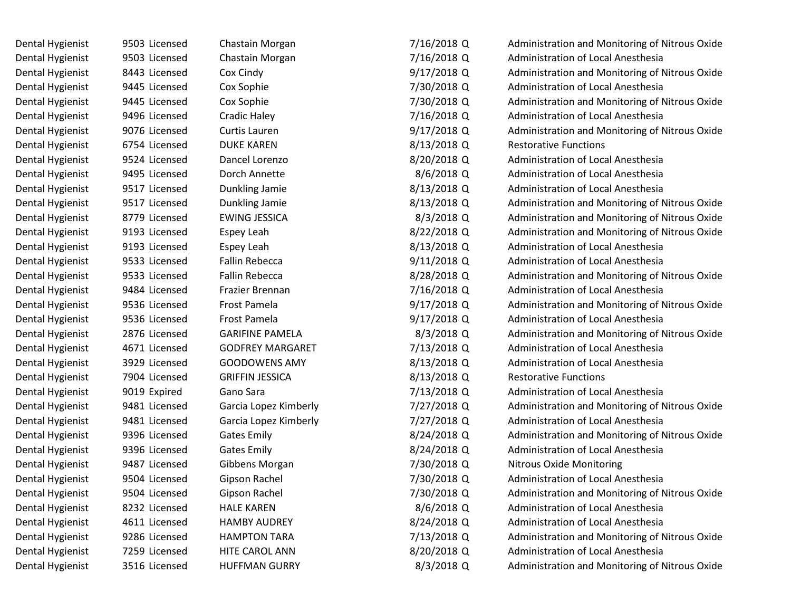| Dental Hygienist | 9503 Licensed | Chastain Morgan         | 7/16/2018 Q   | Administration and Monitoring of Nitrous Oxide |
|------------------|---------------|-------------------------|---------------|------------------------------------------------|
| Dental Hygienist | 9503 Licensed | Chastain Morgan         | 7/16/2018 Q   | <b>Administration of Local Anesthesia</b>      |
| Dental Hygienist | 8443 Licensed | Cox Cindy               | $9/17/2018$ Q | Administration and Monitoring of Nitrous Oxide |
| Dental Hygienist | 9445 Licensed | Cox Sophie              | 7/30/2018 Q   | <b>Administration of Local Anesthesia</b>      |
| Dental Hygienist | 9445 Licensed | Cox Sophie              | 7/30/2018 Q   | Administration and Monitoring of Nitrous Oxide |
| Dental Hygienist | 9496 Licensed | Cradic Haley            | 7/16/2018 Q   | Administration of Local Anesthesia             |
| Dental Hygienist | 9076 Licensed | Curtis Lauren           | 9/17/2018 Q   | Administration and Monitoring of Nitrous Oxide |
| Dental Hygienist | 6754 Licensed | <b>DUKE KAREN</b>       | 8/13/2018 Q   | <b>Restorative Functions</b>                   |
| Dental Hygienist | 9524 Licensed | Dancel Lorenzo          | 8/20/2018 Q   | <b>Administration of Local Anesthesia</b>      |
| Dental Hygienist | 9495 Licensed | Dorch Annette           | 8/6/2018 Q    | Administration of Local Anesthesia             |
| Dental Hygienist | 9517 Licensed | Dunkling Jamie          | 8/13/2018 Q   | Administration of Local Anesthesia             |
| Dental Hygienist | 9517 Licensed | Dunkling Jamie          | 8/13/2018 Q   | Administration and Monitoring of Nitrous Oxide |
| Dental Hygienist | 8779 Licensed | <b>EWING JESSICA</b>    | 8/3/2018 Q    | Administration and Monitoring of Nitrous Oxide |
| Dental Hygienist | 9193 Licensed | Espey Leah              | 8/22/2018 Q   | Administration and Monitoring of Nitrous Oxide |
| Dental Hygienist | 9193 Licensed | Espey Leah              | 8/13/2018 Q   | Administration of Local Anesthesia             |
| Dental Hygienist | 9533 Licensed | <b>Fallin Rebecca</b>   | 9/11/2018 Q   | Administration of Local Anesthesia             |
| Dental Hygienist | 9533 Licensed | <b>Fallin Rebecca</b>   | 8/28/2018 Q   | Administration and Monitoring of Nitrous Oxide |
| Dental Hygienist | 9484 Licensed | Frazier Brennan         | 7/16/2018 Q   | Administration of Local Anesthesia             |
| Dental Hygienist | 9536 Licensed | Frost Pamela            | 9/17/2018 Q   | Administration and Monitoring of Nitrous Oxide |
| Dental Hygienist | 9536 Licensed | Frost Pamela            | $9/17/2018$ Q | Administration of Local Anesthesia             |
| Dental Hygienist | 2876 Licensed | <b>GARIFINE PAMELA</b>  | 8/3/2018 Q    | Administration and Monitoring of Nitrous Oxide |
| Dental Hygienist | 4671 Licensed | <b>GODFREY MARGARET</b> | 7/13/2018 Q   | Administration of Local Anesthesia             |
| Dental Hygienist | 3929 Licensed | <b>GOODOWENS AMY</b>    | 8/13/2018 Q   | Administration of Local Anesthesia             |
| Dental Hygienist | 7904 Licensed | <b>GRIFFIN JESSICA</b>  | 8/13/2018 Q   | <b>Restorative Functions</b>                   |
| Dental Hygienist | 9019 Expired  | Gano Sara               | 7/13/2018 Q   | Administration of Local Anesthesia             |
| Dental Hygienist | 9481 Licensed | Garcia Lopez Kimberly   | 7/27/2018 Q   | Administration and Monitoring of Nitrous Oxide |
| Dental Hygienist | 9481 Licensed | Garcia Lopez Kimberly   | 7/27/2018 Q   | Administration of Local Anesthesia             |
| Dental Hygienist | 9396 Licensed | <b>Gates Emily</b>      | 8/24/2018 Q   | Administration and Monitoring of Nitrous Oxide |
| Dental Hygienist | 9396 Licensed | <b>Gates Emily</b>      | 8/24/2018 Q   | Administration of Local Anesthesia             |
| Dental Hygienist | 9487 Licensed | Gibbens Morgan          | 7/30/2018 Q   | Nitrous Oxide Monitoring                       |
| Dental Hygienist | 9504 Licensed | Gipson Rachel           | 7/30/2018 Q   | Administration of Local Anesthesia             |
| Dental Hygienist | 9504 Licensed | Gipson Rachel           | 7/30/2018 Q   | Administration and Monitoring of Nitrous Oxide |
| Dental Hygienist | 8232 Licensed | <b>HALE KAREN</b>       | 8/6/2018 Q    | Administration of Local Anesthesia             |
| Dental Hygienist | 4611 Licensed | <b>HAMBY AUDREY</b>     | 8/24/2018 Q   | Administration of Local Anesthesia             |
| Dental Hygienist | 9286 Licensed | <b>HAMPTON TARA</b>     | 7/13/2018 Q   | Administration and Monitoring of Nitrous Oxide |
| Dental Hygienist | 7259 Licensed | HITE CAROL ANN          | 8/20/2018 Q   | Administration of Local Anesthesia             |
| Dental Hygienist | 3516 Licensed | <b>HUFFMAN GURRY</b>    | 8/3/2018 Q    | Administration and Monitoring of Nitrous Oxide |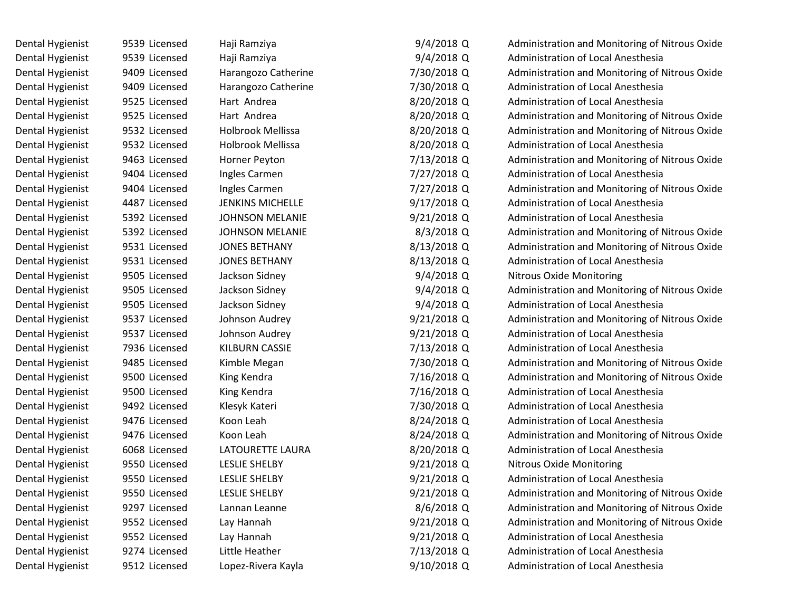| Dental Hygienist | 9539 Licensed | Haji Ramziya             | $9/4/2018$ Q  | Administration and Monitoring of Nitrous Oxide |
|------------------|---------------|--------------------------|---------------|------------------------------------------------|
| Dental Hygienist | 9539 Licensed | Haji Ramziya             | $9/4/2018$ Q  | Administration of Local Anesthesia             |
| Dental Hygienist | 9409 Licensed | Harangozo Catherine      | 7/30/2018 Q   | Administration and Monitoring of Nitrous Oxide |
| Dental Hygienist | 9409 Licensed | Harangozo Catherine      | 7/30/2018 Q   | Administration of Local Anesthesia             |
| Dental Hygienist | 9525 Licensed | Hart Andrea              | 8/20/2018 Q   | Administration of Local Anesthesia             |
| Dental Hygienist | 9525 Licensed | Hart Andrea              | 8/20/2018 Q   | Administration and Monitoring of Nitrous Oxide |
| Dental Hygienist | 9532 Licensed | <b>Holbrook Mellissa</b> | 8/20/2018 Q   | Administration and Monitoring of Nitrous Oxide |
| Dental Hygienist | 9532 Licensed | Holbrook Mellissa        | 8/20/2018 Q   | Administration of Local Anesthesia             |
| Dental Hygienist | 9463 Licensed | Horner Peyton            | 7/13/2018 Q   | Administration and Monitoring of Nitrous Oxide |
| Dental Hygienist | 9404 Licensed | Ingles Carmen            | 7/27/2018 Q   | Administration of Local Anesthesia             |
| Dental Hygienist | 9404 Licensed | Ingles Carmen            | 7/27/2018 Q   | Administration and Monitoring of Nitrous Oxide |
| Dental Hygienist | 4487 Licensed | <b>JENKINS MICHELLE</b>  | 9/17/2018 Q   | Administration of Local Anesthesia             |
| Dental Hygienist | 5392 Licensed | <b>JOHNSON MELANIE</b>   | $9/21/2018$ Q | Administration of Local Anesthesia             |
| Dental Hygienist | 5392 Licensed | <b>JOHNSON MELANIE</b>   | 8/3/2018 Q    | Administration and Monitoring of Nitrous Oxide |
| Dental Hygienist | 9531 Licensed | <b>JONES BETHANY</b>     | 8/13/2018 Q   | Administration and Monitoring of Nitrous Oxide |
| Dental Hygienist | 9531 Licensed | <b>JONES BETHANY</b>     | 8/13/2018 Q   | Administration of Local Anesthesia             |
| Dental Hygienist | 9505 Licensed | Jackson Sidney           | $9/4/2018$ Q  | <b>Nitrous Oxide Monitoring</b>                |
| Dental Hygienist | 9505 Licensed | Jackson Sidney           | $9/4/2018$ Q  | Administration and Monitoring of Nitrous Oxide |
| Dental Hygienist | 9505 Licensed | Jackson Sidney           | 9/4/2018 Q    | Administration of Local Anesthesia             |
| Dental Hygienist | 9537 Licensed | Johnson Audrey           | $9/21/2018$ Q | Administration and Monitoring of Nitrous Oxide |
| Dental Hygienist | 9537 Licensed | Johnson Audrey           | $9/21/2018$ Q | <b>Administration of Local Anesthesia</b>      |
| Dental Hygienist | 7936 Licensed | KILBURN CASSIE           | 7/13/2018 Q   | Administration of Local Anesthesia             |
| Dental Hygienist | 9485 Licensed | Kimble Megan             | 7/30/2018 Q   | Administration and Monitoring of Nitrous Oxide |
| Dental Hygienist | 9500 Licensed | King Kendra              | 7/16/2018 Q   | Administration and Monitoring of Nitrous Oxide |
| Dental Hygienist | 9500 Licensed | King Kendra              | 7/16/2018 Q   | Administration of Local Anesthesia             |
| Dental Hygienist | 9492 Licensed | Klesyk Kateri            | 7/30/2018 Q   | <b>Administration of Local Anesthesia</b>      |
| Dental Hygienist | 9476 Licensed | Koon Leah                | 8/24/2018 Q   | Administration of Local Anesthesia             |
| Dental Hygienist | 9476 Licensed | Koon Leah                | 8/24/2018 Q   | Administration and Monitoring of Nitrous Oxide |
| Dental Hygienist | 6068 Licensed | LATOURETTE LAURA         | 8/20/2018 Q   | Administration of Local Anesthesia             |
| Dental Hygienist | 9550 Licensed | <b>LESLIE SHELBY</b>     | $9/21/2018$ Q | <b>Nitrous Oxide Monitoring</b>                |
| Dental Hygienist | 9550 Licensed | <b>LESLIE SHELBY</b>     | $9/21/2018$ Q | Administration of Local Anesthesia             |
| Dental Hygienist | 9550 Licensed | <b>LESLIE SHELBY</b>     | 9/21/2018 Q   | Administration and Monitoring of Nitrous Oxide |
| Dental Hygienist | 9297 Licensed | Lannan Leanne            | 8/6/2018 Q    | Administration and Monitoring of Nitrous Oxide |
| Dental Hygienist | 9552 Licensed | Lay Hannah               | 9/21/2018 Q   | Administration and Monitoring of Nitrous Oxide |
| Dental Hygienist | 9552 Licensed | Lay Hannah               | $9/21/2018$ Q | Administration of Local Anesthesia             |
| Dental Hygienist | 9274 Licensed | Little Heather           | 7/13/2018 Q   | Administration of Local Anesthesia             |
| Dental Hygienist | 9512 Licensed | Lopez-Rivera Kayla       | 9/10/2018 Q   | Administration of Local Anesthesia             |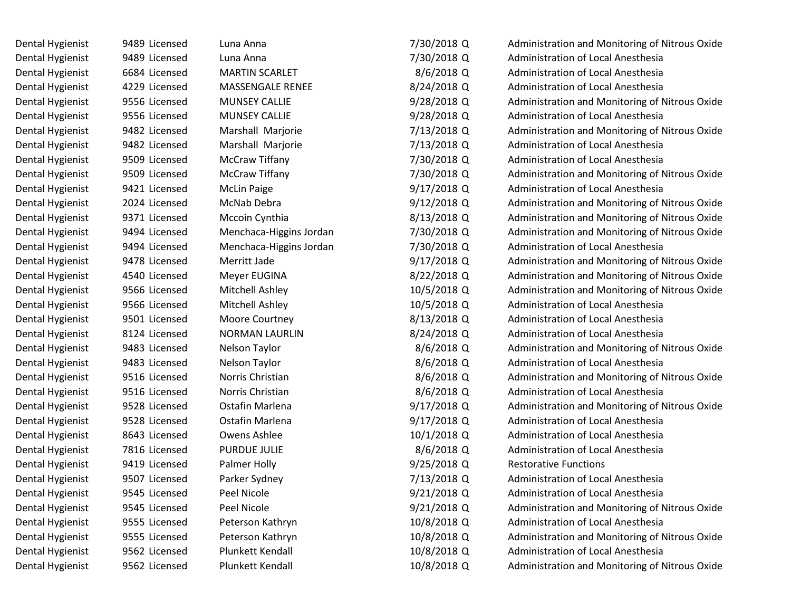| Dental Hygienist | 9489 Licensed | Luna Anna               | 7/30/2018 Q   | Administration and Monitoring of Nitrous Oxide |
|------------------|---------------|-------------------------|---------------|------------------------------------------------|
| Dental Hygienist | 9489 Licensed | Luna Anna               | 7/30/2018 Q   | Administration of Local Anesthesia             |
| Dental Hygienist | 6684 Licensed | <b>MARTIN SCARLET</b>   | 8/6/2018 Q    | Administration of Local Anesthesia             |
| Dental Hygienist | 4229 Licensed | MASSENGALE RENEE        | 8/24/2018 Q   | Administration of Local Anesthesia             |
| Dental Hygienist | 9556 Licensed | <b>MUNSEY CALLIE</b>    | $9/28/2018$ Q | Administration and Monitoring of Nitrous Oxide |
| Dental Hygienist | 9556 Licensed | <b>MUNSEY CALLIE</b>    | $9/28/2018$ Q | Administration of Local Anesthesia             |
| Dental Hygienist | 9482 Licensed | Marshall Marjorie       | 7/13/2018 Q   | Administration and Monitoring of Nitrous Oxide |
| Dental Hygienist | 9482 Licensed | Marshall Marjorie       | 7/13/2018 Q   | Administration of Local Anesthesia             |
| Dental Hygienist | 9509 Licensed | McCraw Tiffany          | 7/30/2018 Q   | Administration of Local Anesthesia             |
| Dental Hygienist | 9509 Licensed | McCraw Tiffany          | 7/30/2018 Q   | Administration and Monitoring of Nitrous Oxide |
| Dental Hygienist | 9421 Licensed | <b>McLin Paige</b>      | $9/17/2018$ Q | Administration of Local Anesthesia             |
| Dental Hygienist | 2024 Licensed | McNab Debra             | 9/12/2018 Q   | Administration and Monitoring of Nitrous Oxide |
| Dental Hygienist | 9371 Licensed | Mccoin Cynthia          | 8/13/2018 Q   | Administration and Monitoring of Nitrous Oxide |
| Dental Hygienist | 9494 Licensed | Menchaca-Higgins Jordan | 7/30/2018 Q   | Administration and Monitoring of Nitrous Oxide |
| Dental Hygienist | 9494 Licensed | Menchaca-Higgins Jordan | 7/30/2018 Q   | Administration of Local Anesthesia             |
| Dental Hygienist | 9478 Licensed | Merritt Jade            | $9/17/2018$ Q | Administration and Monitoring of Nitrous Oxide |
| Dental Hygienist | 4540 Licensed | Meyer EUGINA            | 8/22/2018 Q   | Administration and Monitoring of Nitrous Oxide |
| Dental Hygienist | 9566 Licensed | <b>Mitchell Ashley</b>  | 10/5/2018 Q   | Administration and Monitoring of Nitrous Oxide |
| Dental Hygienist | 9566 Licensed | Mitchell Ashley         | 10/5/2018 Q   | Administration of Local Anesthesia             |
| Dental Hygienist | 9501 Licensed | Moore Courtney          | 8/13/2018 Q   | Administration of Local Anesthesia             |
| Dental Hygienist | 8124 Licensed | <b>NORMAN LAURLIN</b>   | 8/24/2018 Q   | Administration of Local Anesthesia             |
| Dental Hygienist | 9483 Licensed | Nelson Taylor           | 8/6/2018 Q    | Administration and Monitoring of Nitrous Oxide |
| Dental Hygienist | 9483 Licensed | Nelson Taylor           | 8/6/2018 Q    | Administration of Local Anesthesia             |
| Dental Hygienist | 9516 Licensed | Norris Christian        | 8/6/2018 Q    | Administration and Monitoring of Nitrous Oxide |
| Dental Hygienist | 9516 Licensed | Norris Christian        | $8/6/2018$ Q  | Administration of Local Anesthesia             |
| Dental Hygienist | 9528 Licensed | Ostafin Marlena         | 9/17/2018 Q   | Administration and Monitoring of Nitrous Oxide |
| Dental Hygienist | 9528 Licensed | Ostafin Marlena         | $9/17/2018$ Q | Administration of Local Anesthesia             |
| Dental Hygienist | 8643 Licensed | Owens Ashlee            | 10/1/2018 Q   | Administration of Local Anesthesia             |
| Dental Hygienist | 7816 Licensed | <b>PURDUE JULIE</b>     | 8/6/2018 Q    | Administration of Local Anesthesia             |
| Dental Hygienist | 9419 Licensed | Palmer Holly            | $9/25/2018$ Q | <b>Restorative Functions</b>                   |
| Dental Hygienist | 9507 Licensed | Parker Sydney           | 7/13/2018 Q   | Administration of Local Anesthesia             |
| Dental Hygienist | 9545 Licensed | Peel Nicole             | $9/21/2018$ Q | Administration of Local Anesthesia             |
| Dental Hygienist | 9545 Licensed | Peel Nicole             | 9/21/2018 Q   | Administration and Monitoring of Nitrous Oxide |
| Dental Hygienist | 9555 Licensed | Peterson Kathryn        | 10/8/2018 Q   | Administration of Local Anesthesia             |
| Dental Hygienist | 9555 Licensed | Peterson Kathryn        | 10/8/2018 Q   | Administration and Monitoring of Nitrous Oxide |
| Dental Hygienist | 9562 Licensed | Plunkett Kendall        | 10/8/2018 Q   | Administration of Local Anesthesia             |
| Dental Hygienist | 9562 Licensed | Plunkett Kendall        | 10/8/2018 Q   | Administration and Monitoring of Nitrous Oxide |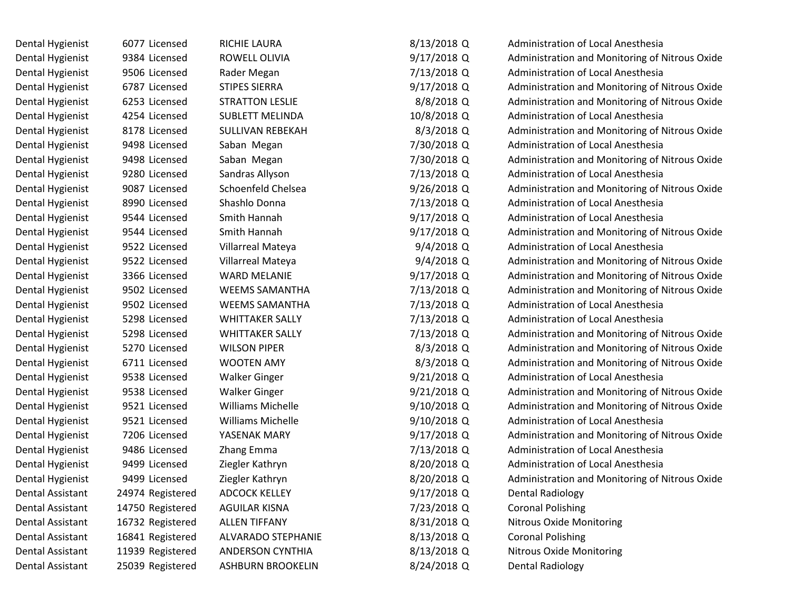| Dental Hygienist | 6077 Licensed    | RICHIE LAURA             | 8/13/2018 Q   | <b>Administration of Local Anesthesia</b>      |
|------------------|------------------|--------------------------|---------------|------------------------------------------------|
| Dental Hygienist | 9384 Licensed    | ROWELL OLIVIA            | 9/17/2018 Q   | Administration and Monitoring of Nitrous Oxide |
| Dental Hygienist | 9506 Licensed    | Rader Megan              | 7/13/2018 Q   | Administration of Local Anesthesia             |
| Dental Hygienist | 6787 Licensed    | <b>STIPES SIERRA</b>     | 9/17/2018 Q   | Administration and Monitoring of Nitrous Oxide |
| Dental Hygienist | 6253 Licensed    | <b>STRATTON LESLIE</b>   | 8/8/2018 Q    | Administration and Monitoring of Nitrous Oxide |
| Dental Hygienist | 4254 Licensed    | <b>SUBLETT MELINDA</b>   | 10/8/2018 Q   | Administration of Local Anesthesia             |
| Dental Hygienist | 8178 Licensed    | <b>SULLIVAN REBEKAH</b>  | 8/3/2018 Q    | Administration and Monitoring of Nitrous Oxide |
| Dental Hygienist | 9498 Licensed    | Saban Megan              | 7/30/2018 Q   | Administration of Local Anesthesia             |
| Dental Hygienist | 9498 Licensed    | Saban Megan              | 7/30/2018 Q   | Administration and Monitoring of Nitrous Oxide |
| Dental Hygienist | 9280 Licensed    | Sandras Allyson          | 7/13/2018 Q   | Administration of Local Anesthesia             |
| Dental Hygienist | 9087 Licensed    | Schoenfeld Chelsea       | $9/26/2018$ Q | Administration and Monitoring of Nitrous Oxide |
| Dental Hygienist | 8990 Licensed    | Shashlo Donna            | 7/13/2018 Q   | Administration of Local Anesthesia             |
| Dental Hygienist | 9544 Licensed    | Smith Hannah             | $9/17/2018$ Q | Administration of Local Anesthesia             |
| Dental Hygienist | 9544 Licensed    | Smith Hannah             | 9/17/2018 Q   | Administration and Monitoring of Nitrous Oxide |
| Dental Hygienist | 9522 Licensed    | Villarreal Mateya        | $9/4/2018$ Q  | Administration of Local Anesthesia             |
| Dental Hygienist | 9522 Licensed    | Villarreal Mateya        | $9/4/2018$ Q  | Administration and Monitoring of Nitrous Oxide |
| Dental Hygienist | 3366 Licensed    | <b>WARD MELANIE</b>      | 9/17/2018 Q   | Administration and Monitoring of Nitrous Oxide |
| Dental Hygienist | 9502 Licensed    | <b>WEEMS SAMANTHA</b>    | 7/13/2018 Q   | Administration and Monitoring of Nitrous Oxide |
| Dental Hygienist | 9502 Licensed    | <b>WEEMS SAMANTHA</b>    | 7/13/2018 Q   | Administration of Local Anesthesia             |
| Dental Hygienist | 5298 Licensed    | <b>WHITTAKER SALLY</b>   | 7/13/2018 Q   | Administration of Local Anesthesia             |
| Dental Hygienist | 5298 Licensed    | <b>WHITTAKER SALLY</b>   | 7/13/2018 Q   | Administration and Monitoring of Nitrous Oxide |
| Dental Hygienist | 5270 Licensed    | <b>WILSON PIPER</b>      | 8/3/2018 Q    | Administration and Monitoring of Nitrous Oxide |
| Dental Hygienist | 6711 Licensed    | <b>WOOTEN AMY</b>        | 8/3/2018 Q    | Administration and Monitoring of Nitrous Oxide |
| Dental Hygienist | 9538 Licensed    | <b>Walker Ginger</b>     | $9/21/2018$ Q | Administration of Local Anesthesia             |
| Dental Hygienist | 9538 Licensed    | <b>Walker Ginger</b>     | $9/21/2018$ Q | Administration and Monitoring of Nitrous Oxide |
| Dental Hygienist | 9521 Licensed    | <b>Williams Michelle</b> | 9/10/2018 Q   | Administration and Monitoring of Nitrous Oxide |
| Dental Hygienist | 9521 Licensed    | <b>Williams Michelle</b> | 9/10/2018 Q   | Administration of Local Anesthesia             |
| Dental Hygienist | 7206 Licensed    | YASENAK MARY             | 9/17/2018 Q   | Administration and Monitoring of Nitrous Oxide |
| Dental Hygienist | 9486 Licensed    | Zhang Emma               | 7/13/2018 Q   | Administration of Local Anesthesia             |
| Dental Hygienist | 9499 Licensed    | Ziegler Kathryn          | 8/20/2018 Q   | Administration of Local Anesthesia             |
| Dental Hygienist | 9499 Licensed    | Ziegler Kathryn          | 8/20/2018 Q   | Administration and Monitoring of Nitrous Oxide |
| Dental Assistant | 24974 Registered | <b>ADCOCK KELLEY</b>     | 9/17/2018 Q   | <b>Dental Radiology</b>                        |
| Dental Assistant | 14750 Registered | <b>AGUILAR KISNA</b>     | 7/23/2018 Q   | <b>Coronal Polishing</b>                       |
| Dental Assistant | 16732 Registered | <b>ALLEN TIFFANY</b>     | 8/31/2018 Q   | <b>Nitrous Oxide Monitoring</b>                |
| Dental Assistant | 16841 Registered | ALVARADO STEPHANIE       | 8/13/2018 Q   | <b>Coronal Polishing</b>                       |
| Dental Assistant | 11939 Registered | <b>ANDERSON CYNTHIA</b>  | 8/13/2018 Q   | <b>Nitrous Oxide Monitoring</b>                |
| Dental Assistant | 25039 Registered | ASHBURN BROOKELIN        | 8/24/2018 Q   | <b>Dental Radiology</b>                        |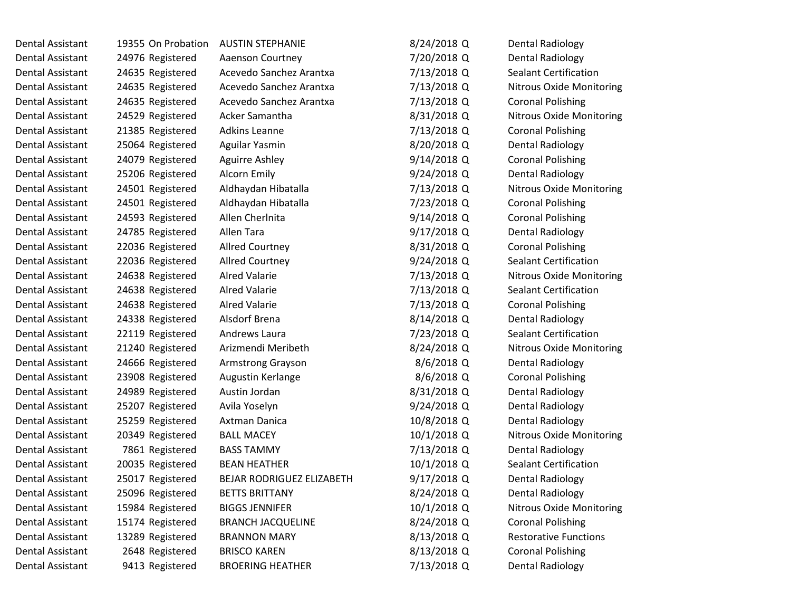| Dental Assistant        | 19355 On Probation | <b>AUSTIN STEPHANIE</b>          | 8/24/2018 Q  | <b>Dental Radiology</b>         |
|-------------------------|--------------------|----------------------------------|--------------|---------------------------------|
| Dental Assistant        | 24976 Registered   | Aaenson Courtney                 | 7/20/2018 Q  | <b>Dental Radiology</b>         |
| Dental Assistant        | 24635 Registered   | Acevedo Sanchez Arantxa          | 7/13/2018 Q  | <b>Sealant Certification</b>    |
| Dental Assistant        | 24635 Registered   | Acevedo Sanchez Arantxa          | 7/13/2018 Q  | <b>Nitrous Oxide Monitoring</b> |
| Dental Assistant        | 24635 Registered   | Acevedo Sanchez Arantxa          | 7/13/2018 Q  | <b>Coronal Polishing</b>        |
| Dental Assistant        | 24529 Registered   | Acker Samantha                   | 8/31/2018 Q  | <b>Nitrous Oxide Monitoring</b> |
| Dental Assistant        | 21385 Registered   | <b>Adkins Leanne</b>             | 7/13/2018 Q  | <b>Coronal Polishing</b>        |
| Dental Assistant        | 25064 Registered   | Aguilar Yasmin                   | 8/20/2018 Q  | <b>Dental Radiology</b>         |
| Dental Assistant        | 24079 Registered   | <b>Aguirre Ashley</b>            | 9/14/2018 Q  | <b>Coronal Polishing</b>        |
| Dental Assistant        | 25206 Registered   | Alcorn Emily                     | 9/24/2018 Q  | <b>Dental Radiology</b>         |
| Dental Assistant        | 24501 Registered   | Aldhaydan Hibatalla              | 7/13/2018 Q  | <b>Nitrous Oxide Monitoring</b> |
| Dental Assistant        | 24501 Registered   | Aldhaydan Hibatalla              | 7/23/2018 Q  | <b>Coronal Polishing</b>        |
| Dental Assistant        | 24593 Registered   | Allen Cherlnita                  | 9/14/2018 Q  | <b>Coronal Polishing</b>        |
| Dental Assistant        | 24785 Registered   | Allen Tara                       | 9/17/2018 Q  | Dental Radiology                |
| <b>Dental Assistant</b> | 22036 Registered   | <b>Allred Courtney</b>           | 8/31/2018 Q  | <b>Coronal Polishing</b>        |
| Dental Assistant        | 22036 Registered   | <b>Allred Courtney</b>           | 9/24/2018 Q  | <b>Sealant Certification</b>    |
| Dental Assistant        | 24638 Registered   | <b>Alred Valarie</b>             | 7/13/2018 Q  | Nitrous Oxide Monitoring        |
| Dental Assistant        | 24638 Registered   | <b>Alred Valarie</b>             | 7/13/2018 Q  | <b>Sealant Certification</b>    |
| <b>Dental Assistant</b> | 24638 Registered   | <b>Alred Valarie</b>             | 7/13/2018 Q  | <b>Coronal Polishing</b>        |
| Dental Assistant        | 24338 Registered   | Alsdorf Brena                    | 8/14/2018 Q  | <b>Dental Radiology</b>         |
| Dental Assistant        | 22119 Registered   | Andrews Laura                    | 7/23/2018 Q  | <b>Sealant Certification</b>    |
| Dental Assistant        | 21240 Registered   | Arizmendi Meribeth               | 8/24/2018 Q  | Nitrous Oxide Monitoring        |
| Dental Assistant        | 24666 Registered   | <b>Armstrong Grayson</b>         | $8/6/2018$ Q | <b>Dental Radiology</b>         |
| Dental Assistant        | 23908 Registered   | Augustin Kerlange                | 8/6/2018 Q   | <b>Coronal Polishing</b>        |
| Dental Assistant        | 24989 Registered   | Austin Jordan                    | 8/31/2018 Q  | <b>Dental Radiology</b>         |
| Dental Assistant        | 25207 Registered   | Avila Yoselyn                    | 9/24/2018 Q  | <b>Dental Radiology</b>         |
| <b>Dental Assistant</b> | 25259 Registered   | Axtman Danica                    | 10/8/2018 Q  | <b>Dental Radiology</b>         |
| Dental Assistant        | 20349 Registered   | <b>BALL MACEY</b>                | 10/1/2018 Q  | <b>Nitrous Oxide Monitoring</b> |
| Dental Assistant        | 7861 Registered    | <b>BASS TAMMY</b>                | 7/13/2018 Q  | <b>Dental Radiology</b>         |
| Dental Assistant        | 20035 Registered   | <b>BEAN HEATHER</b>              | 10/1/2018 Q  | <b>Sealant Certification</b>    |
| Dental Assistant        | 25017 Registered   | <b>BEJAR RODRIGUEZ ELIZABETH</b> | 9/17/2018 Q  | <b>Dental Radiology</b>         |
| Dental Assistant        | 25096 Registered   | <b>BETTS BRITTANY</b>            | 8/24/2018 Q  | <b>Dental Radiology</b>         |
| Dental Assistant        | 15984 Registered   | <b>BIGGS JENNIFER</b>            | 10/1/2018 Q  | <b>Nitrous Oxide Monitoring</b> |
| Dental Assistant        | 15174 Registered   | <b>BRANCH JACQUELINE</b>         | 8/24/2018 Q  | <b>Coronal Polishing</b>        |
| Dental Assistant        | 13289 Registered   | <b>BRANNON MARY</b>              | 8/13/2018 Q  | <b>Restorative Functions</b>    |
| Dental Assistant        | 2648 Registered    | <b>BRISCO KAREN</b>              | 8/13/2018 Q  | <b>Coronal Polishing</b>        |
| Dental Assistant        | 9413 Registered    | <b>BROERING HEATHER</b>          | 7/13/2018 Q  | <b>Dental Radiology</b>         |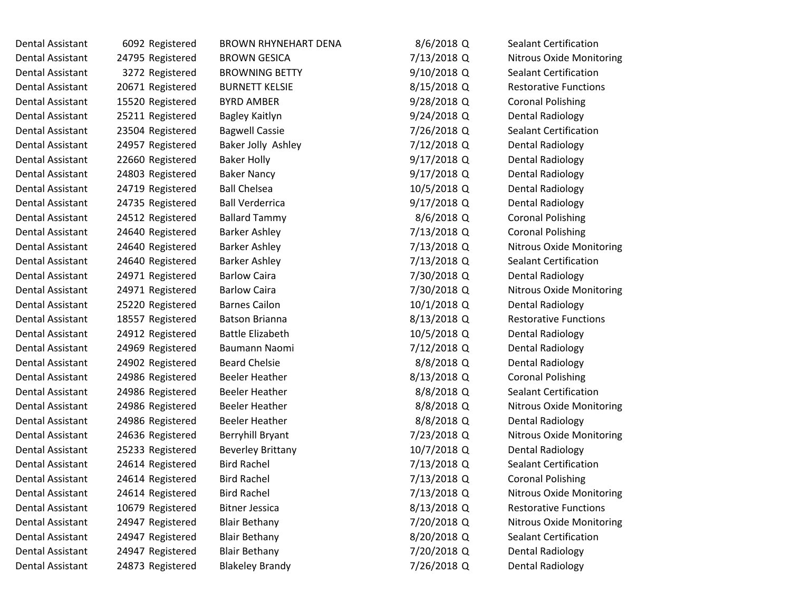| Dental Assistant | 6092 Registered  | <b>BROWN RHYNEHART DENA</b> | 8/6/2018 Q    | Sealant Certification           |  |
|------------------|------------------|-----------------------------|---------------|---------------------------------|--|
| Dental Assistant | 24795 Registered | <b>BROWN GESICA</b>         | 7/13/2018 Q   | <b>Nitrous Oxide Monitoring</b> |  |
| Dental Assistant | 3272 Registered  | <b>BROWNING BETTY</b>       | $9/10/2018$ Q | <b>Sealant Certification</b>    |  |
| Dental Assistant | 20671 Registered | <b>BURNETT KELSIE</b>       | 8/15/2018 Q   | <b>Restorative Functions</b>    |  |
| Dental Assistant | 15520 Registered | <b>BYRD AMBER</b>           | 9/28/2018 Q   | <b>Coronal Polishing</b>        |  |
| Dental Assistant | 25211 Registered | Bagley Kaitlyn              | 9/24/2018 Q   | <b>Dental Radiology</b>         |  |
| Dental Assistant | 23504 Registered | <b>Bagwell Cassie</b>       | 7/26/2018 Q   | <b>Sealant Certification</b>    |  |
| Dental Assistant | 24957 Registered | Baker Jolly Ashley          | 7/12/2018 Q   | <b>Dental Radiology</b>         |  |
| Dental Assistant | 22660 Registered | <b>Baker Holly</b>          | $9/17/2018$ Q | <b>Dental Radiology</b>         |  |
| Dental Assistant | 24803 Registered | <b>Baker Nancy</b>          | $9/17/2018$ Q | <b>Dental Radiology</b>         |  |
| Dental Assistant | 24719 Registered | <b>Ball Chelsea</b>         | 10/5/2018 Q   | <b>Dental Radiology</b>         |  |
| Dental Assistant | 24735 Registered | <b>Ball Verderrica</b>      | $9/17/2018$ Q | <b>Dental Radiology</b>         |  |
| Dental Assistant | 24512 Registered | <b>Ballard Tammy</b>        | 8/6/2018 Q    | <b>Coronal Polishing</b>        |  |
| Dental Assistant | 24640 Registered | <b>Barker Ashley</b>        | 7/13/2018 Q   | <b>Coronal Polishing</b>        |  |
| Dental Assistant | 24640 Registered | <b>Barker Ashley</b>        | 7/13/2018 Q   | <b>Nitrous Oxide Monitoring</b> |  |
| Dental Assistant | 24640 Registered | <b>Barker Ashley</b>        | 7/13/2018 Q   | <b>Sealant Certification</b>    |  |
| Dental Assistant | 24971 Registered | <b>Barlow Caira</b>         | 7/30/2018 Q   | <b>Dental Radiology</b>         |  |
| Dental Assistant | 24971 Registered | <b>Barlow Caira</b>         | 7/30/2018 Q   | <b>Nitrous Oxide Monitoring</b> |  |
| Dental Assistant | 25220 Registered | <b>Barnes Cailon</b>        | 10/1/2018 Q   | <b>Dental Radiology</b>         |  |
| Dental Assistant | 18557 Registered | <b>Batson Brianna</b>       | 8/13/2018 Q   | <b>Restorative Functions</b>    |  |
| Dental Assistant | 24912 Registered | <b>Battle Elizabeth</b>     | 10/5/2018 Q   | <b>Dental Radiology</b>         |  |
| Dental Assistant | 24969 Registered | Baumann Naomi               | 7/12/2018 Q   | <b>Dental Radiology</b>         |  |
| Dental Assistant | 24902 Registered | <b>Beard Chelsie</b>        | 8/8/2018 Q    | <b>Dental Radiology</b>         |  |
| Dental Assistant | 24986 Registered | <b>Beeler Heather</b>       | 8/13/2018 Q   | <b>Coronal Polishing</b>        |  |
| Dental Assistant | 24986 Registered | <b>Beeler Heather</b>       | 8/8/2018 Q    | <b>Sealant Certification</b>    |  |
| Dental Assistant | 24986 Registered | <b>Beeler Heather</b>       | 8/8/2018 Q    | <b>Nitrous Oxide Monitoring</b> |  |
| Dental Assistant | 24986 Registered | <b>Beeler Heather</b>       | 8/8/2018 Q    | <b>Dental Radiology</b>         |  |
| Dental Assistant | 24636 Registered | Berryhill Bryant            | 7/23/2018 Q   | <b>Nitrous Oxide Monitoring</b> |  |
| Dental Assistant | 25233 Registered | <b>Beverley Brittany</b>    | 10/7/2018 Q   | <b>Dental Radiology</b>         |  |
| Dental Assistant | 24614 Registered | <b>Bird Rachel</b>          | 7/13/2018 Q   | <b>Sealant Certification</b>    |  |
| Dental Assistant | 24614 Registered | <b>Bird Rachel</b>          | 7/13/2018 Q   | <b>Coronal Polishing</b>        |  |
| Dental Assistant | 24614 Registered | <b>Bird Rachel</b>          | 7/13/2018 Q   | Nitrous Oxide Monitoring        |  |
| Dental Assistant | 10679 Registered | <b>Bitner Jessica</b>       | 8/13/2018 Q   | <b>Restorative Functions</b>    |  |
| Dental Assistant | 24947 Registered | <b>Blair Bethany</b>        | 7/20/2018 Q   | <b>Nitrous Oxide Monitoring</b> |  |
| Dental Assistant | 24947 Registered | <b>Blair Bethany</b>        | 8/20/2018 Q   | <b>Sealant Certification</b>    |  |
| Dental Assistant | 24947 Registered | <b>Blair Bethany</b>        | 7/20/2018 Q   | <b>Dental Radiology</b>         |  |
| Dental Assistant | 24873 Registered | <b>Blakeley Brandy</b>      | 7/26/2018 Q   | <b>Dental Radiology</b>         |  |
|                  |                  |                             |               |                                 |  |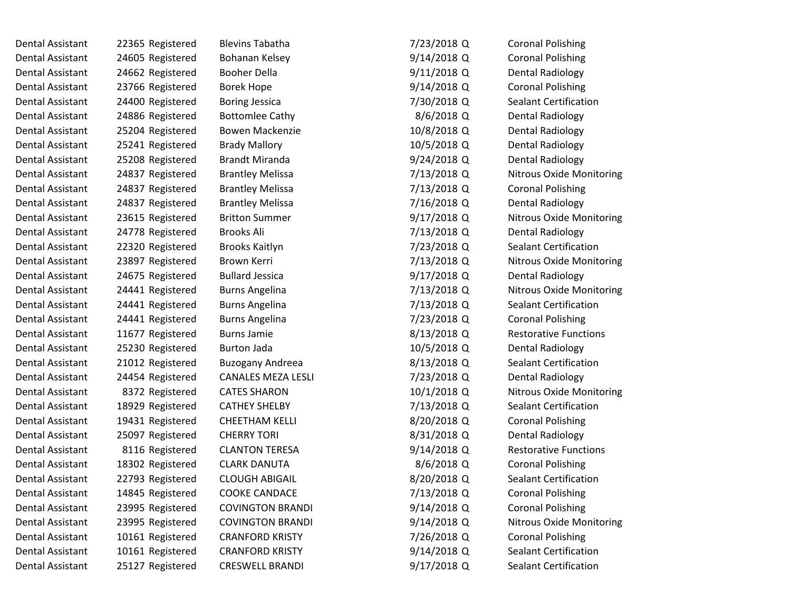| Dental Assistant        | 22365 Registered | <b>Blevins Tabatha</b>    | 7/23/2018 Q   | <b>Coronal Polishing</b>        |
|-------------------------|------------------|---------------------------|---------------|---------------------------------|
| Dental Assistant        | 24605 Registered | Bohanan Kelsey            | 9/14/2018 Q   | <b>Coronal Polishing</b>        |
| Dental Assistant        | 24662 Registered | <b>Booher Della</b>       | $9/11/2018$ Q | <b>Dental Radiology</b>         |
| Dental Assistant        | 23766 Registered | <b>Borek Hope</b>         | 9/14/2018 Q   | <b>Coronal Polishing</b>        |
| Dental Assistant        | 24400 Registered | <b>Boring Jessica</b>     | 7/30/2018 Q   | <b>Sealant Certification</b>    |
| Dental Assistant        | 24886 Registered | <b>Bottomlee Cathy</b>    | $8/6/2018$ Q  | <b>Dental Radiology</b>         |
| Dental Assistant        | 25204 Registered | <b>Bowen Mackenzie</b>    | 10/8/2018 Q   | <b>Dental Radiology</b>         |
| Dental Assistant        | 25241 Registered | <b>Brady Mallory</b>      | 10/5/2018 Q   | <b>Dental Radiology</b>         |
| Dental Assistant        | 25208 Registered | <b>Brandt Miranda</b>     | 9/24/2018 Q   | <b>Dental Radiology</b>         |
| Dental Assistant        | 24837 Registered | <b>Brantley Melissa</b>   | 7/13/2018 Q   | <b>Nitrous Oxide Monitoring</b> |
| Dental Assistant        | 24837 Registered | <b>Brantley Melissa</b>   | 7/13/2018 Q   | <b>Coronal Polishing</b>        |
| Dental Assistant        | 24837 Registered | <b>Brantley Melissa</b>   | 7/16/2018 Q   | <b>Dental Radiology</b>         |
| Dental Assistant        | 23615 Registered | <b>Britton Summer</b>     | $9/17/2018$ Q | <b>Nitrous Oxide Monitoring</b> |
| <b>Dental Assistant</b> | 24778 Registered | <b>Brooks Ali</b>         | 7/13/2018 Q   | <b>Dental Radiology</b>         |
| Dental Assistant        | 22320 Registered | <b>Brooks Kaitlyn</b>     | 7/23/2018 Q   | <b>Sealant Certification</b>    |
| Dental Assistant        | 23897 Registered | Brown Kerri               | 7/13/2018 Q   | Nitrous Oxide Monitoring        |
| Dental Assistant        | 24675 Registered | <b>Bullard Jessica</b>    | $9/17/2018$ Q | <b>Dental Radiology</b>         |
| Dental Assistant        | 24441 Registered | <b>Burns Angelina</b>     | 7/13/2018 Q   | <b>Nitrous Oxide Monitoring</b> |
| Dental Assistant        | 24441 Registered | <b>Burns Angelina</b>     | 7/13/2018 Q   | <b>Sealant Certification</b>    |
| Dental Assistant        | 24441 Registered | <b>Burns Angelina</b>     | 7/23/2018 Q   | <b>Coronal Polishing</b>        |
| Dental Assistant        | 11677 Registered | <b>Burns Jamie</b>        | 8/13/2018 Q   | <b>Restorative Functions</b>    |
| Dental Assistant        | 25230 Registered | <b>Burton Jada</b>        | 10/5/2018 Q   | <b>Dental Radiology</b>         |
| Dental Assistant        | 21012 Registered | Buzogany Andreea          | 8/13/2018 Q   | <b>Sealant Certification</b>    |
| Dental Assistant        | 24454 Registered | <b>CANALES MEZA LESLI</b> | 7/23/2018 Q   | <b>Dental Radiology</b>         |
| Dental Assistant        | 8372 Registered  | <b>CATES SHARON</b>       | 10/1/2018 Q   | <b>Nitrous Oxide Monitoring</b> |
| Dental Assistant        | 18929 Registered | <b>CATHEY SHELBY</b>      | 7/13/2018 Q   | <b>Sealant Certification</b>    |
| Dental Assistant        | 19431 Registered | <b>CHEETHAM KELLI</b>     | 8/20/2018 Q   | <b>Coronal Polishing</b>        |
| Dental Assistant        | 25097 Registered | <b>CHERRY TORI</b>        | 8/31/2018 Q   | Dental Radiology                |
| <b>Dental Assistant</b> | 8116 Registered  | <b>CLANTON TERESA</b>     | 9/14/2018 Q   | <b>Restorative Functions</b>    |
| Dental Assistant        | 18302 Registered | <b>CLARK DANUTA</b>       | 8/6/2018 Q    | <b>Coronal Polishing</b>        |
| <b>Dental Assistant</b> | 22793 Registered | <b>CLOUGH ABIGAIL</b>     | 8/20/2018 Q   | <b>Sealant Certification</b>    |
| Dental Assistant        | 14845 Registered | <b>COOKE CANDACE</b>      | 7/13/2018 Q   | <b>Coronal Polishing</b>        |
| <b>Dental Assistant</b> | 23995 Registered | <b>COVINGTON BRANDI</b>   | 9/14/2018 Q   | <b>Coronal Polishing</b>        |
| Dental Assistant        | 23995 Registered | <b>COVINGTON BRANDI</b>   | 9/14/2018 Q   | Nitrous Oxide Monitoring        |
| <b>Dental Assistant</b> | 10161 Registered | <b>CRANFORD KRISTY</b>    | 7/26/2018 Q   | <b>Coronal Polishing</b>        |
| Dental Assistant        | 10161 Registered | <b>CRANFORD KRISTY</b>    | 9/14/2018 Q   | <b>Sealant Certification</b>    |
| Dental Assistant        | 25127 Registered | <b>CRESWELL BRANDI</b>    | 9/17/2018 Q   | <b>Sealant Certification</b>    |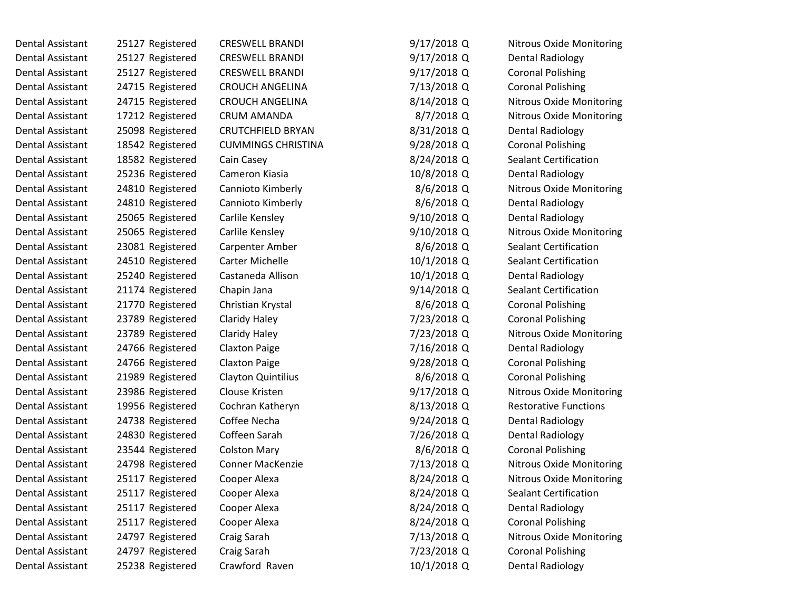| Dental Assistant | 25127 Registered | <b>CRESWELL BRANDI</b>    | 9/17/2018 Q   | <b>Nitrous Oxide Monitoring</b> |
|------------------|------------------|---------------------------|---------------|---------------------------------|
| Dental Assistant | 25127 Registered | <b>CRESWELL BRANDI</b>    | 9/17/2018 Q   | Dental Radiology                |
| Dental Assistant | 25127 Registered | <b>CRESWELL BRANDI</b>    | $9/17/2018$ Q | <b>Coronal Polishing</b>        |
| Dental Assistant | 24715 Registered | <b>CROUCH ANGELINA</b>    | 7/13/2018 Q   | <b>Coronal Polishing</b>        |
| Dental Assistant | 24715 Registered | <b>CROUCH ANGELINA</b>    | 8/14/2018 Q   | <b>Nitrous Oxide Monitoring</b> |
| Dental Assistant | 17212 Registered | CRUM AMANDA               | 8/7/2018 Q    | <b>Nitrous Oxide Monitoring</b> |
| Dental Assistant | 25098 Registered | <b>CRUTCHFIELD BRYAN</b>  | 8/31/2018 Q   | Dental Radiology                |
| Dental Assistant | 18542 Registered | <b>CUMMINGS CHRISTINA</b> | 9/28/2018 Q   | <b>Coronal Polishing</b>        |
| Dental Assistant | 18582 Registered | Cain Casey                | 8/24/2018 Q   | <b>Sealant Certification</b>    |
| Dental Assistant | 25236 Registered | Cameron Kiasia            | 10/8/2018 Q   | <b>Dental Radiology</b>         |
| Dental Assistant | 24810 Registered | Cannioto Kimberly         | $8/6/2018$ Q  | <b>Nitrous Oxide Monitoring</b> |
| Dental Assistant | 24810 Registered | Cannioto Kimberly         | 8/6/2018 Q    | Dental Radiology                |
| Dental Assistant | 25065 Registered | Carlile Kensley           | 9/10/2018 Q   | Dental Radiology                |
| Dental Assistant | 25065 Registered | Carlile Kensley           | 9/10/2018 Q   | <b>Nitrous Oxide Monitoring</b> |
| Dental Assistant | 23081 Registered | Carpenter Amber           | $8/6/2018$ Q  | <b>Sealant Certification</b>    |
| Dental Assistant | 24510 Registered | <b>Carter Michelle</b>    | 10/1/2018 Q   | <b>Sealant Certification</b>    |
| Dental Assistant | 25240 Registered | Castaneda Allison         | 10/1/2018 Q   | <b>Dental Radiology</b>         |
| Dental Assistant | 21174 Registered | Chapin Jana               | $9/14/2018$ Q | <b>Sealant Certification</b>    |
| Dental Assistant | 21770 Registered | Christian Krystal         | 8/6/2018 Q    | <b>Coronal Polishing</b>        |
| Dental Assistant | 23789 Registered | Claridy Haley             | 7/23/2018 Q   | <b>Coronal Polishing</b>        |
| Dental Assistant | 23789 Registered | Claridy Haley             | 7/23/2018 Q   | <b>Nitrous Oxide Monitoring</b> |
| Dental Assistant | 24766 Registered | <b>Claxton Paige</b>      | 7/16/2018 Q   | Dental Radiology                |
| Dental Assistant | 24766 Registered | <b>Claxton Paige</b>      | 9/28/2018 Q   | <b>Coronal Polishing</b>        |
| Dental Assistant | 21989 Registered | Clayton Quintilius        | 8/6/2018 Q    | <b>Coronal Polishing</b>        |
| Dental Assistant | 23986 Registered | Clouse Kristen            | $9/17/2018$ Q | <b>Nitrous Oxide Monitoring</b> |
| Dental Assistant | 19956 Registered | Cochran Katheryn          | 8/13/2018 Q   | <b>Restorative Functions</b>    |
| Dental Assistant | 24738 Registered | Coffee Necha              | $9/24/2018$ Q | Dental Radiology                |
| Dental Assistant | 24830 Registered | Coffeen Sarah             | 7/26/2018 Q   | Dental Radiology                |
| Dental Assistant | 23544 Registered | <b>Colston Mary</b>       | 8/6/2018 Q    | <b>Coronal Polishing</b>        |
| Dental Assistant | 24798 Registered | <b>Conner MacKenzie</b>   | 7/13/2018 Q   | <b>Nitrous Oxide Monitoring</b> |
| Dental Assistant | 25117 Registered | Cooper Alexa              | 8/24/2018 Q   | <b>Nitrous Oxide Monitoring</b> |
| Dental Assistant | 25117 Registered | Cooper Alexa              | 8/24/2018 Q   | <b>Sealant Certification</b>    |
| Dental Assistant | 25117 Registered | Cooper Alexa              | 8/24/2018 Q   | <b>Dental Radiology</b>         |
| Dental Assistant | 25117 Registered | Cooper Alexa              | 8/24/2018 Q   | <b>Coronal Polishing</b>        |
| Dental Assistant | 24797 Registered | Craig Sarah               | 7/13/2018 Q   | <b>Nitrous Oxide Monitoring</b> |
| Dental Assistant | 24797 Registered | Craig Sarah               | 7/23/2018 Q   | <b>Coronal Polishing</b>        |
| Dental Assistant | 25238 Registered | Crawford Raven            | 10/1/2018 Q   | <b>Dental Radiology</b>         |
|                  |                  |                           |               |                                 |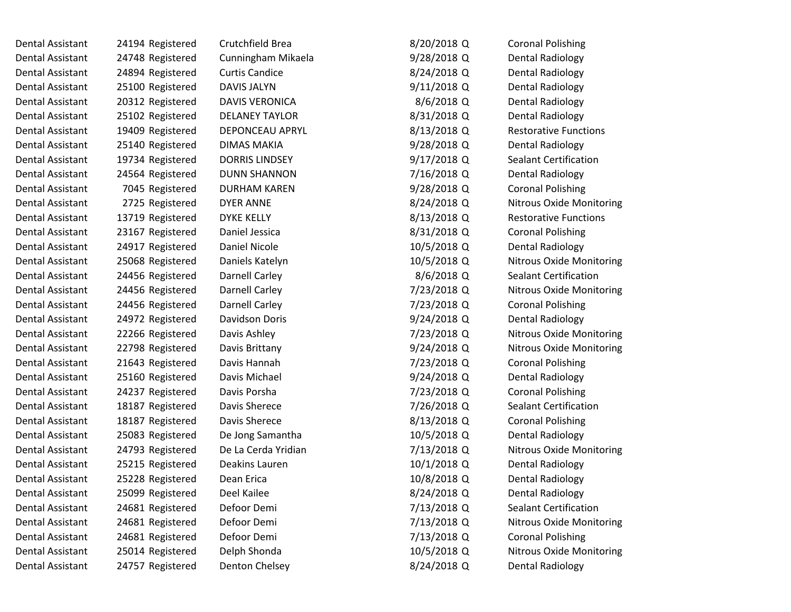| Dental Assistant | 24194 Registered | Crutchfield Brea      | 8/20/2018 Q   | <b>Coronal Polishing</b>        |
|------------------|------------------|-----------------------|---------------|---------------------------------|
| Dental Assistant | 24748 Registered | Cunningham Mikaela    | 9/28/2018 Q   | Dental Radiology                |
| Dental Assistant | 24894 Registered | <b>Curtis Candice</b> | 8/24/2018 Q   | Dental Radiology                |
| Dental Assistant | 25100 Registered | DAVIS JALYN           | $9/11/2018$ Q | <b>Dental Radiology</b>         |
| Dental Assistant | 20312 Registered | <b>DAVIS VERONICA</b> | 8/6/2018 Q    | <b>Dental Radiology</b>         |
| Dental Assistant | 25102 Registered | <b>DELANEY TAYLOR</b> | 8/31/2018 Q   | <b>Dental Radiology</b>         |
| Dental Assistant | 19409 Registered | DEPONCEAU APRYL       | 8/13/2018 Q   | <b>Restorative Functions</b>    |
| Dental Assistant | 25140 Registered | DIMAS MAKIA           | $9/28/2018$ Q | <b>Dental Radiology</b>         |
| Dental Assistant | 19734 Registered | DORRIS LINDSEY        | 9/17/2018 Q   | <b>Sealant Certification</b>    |
| Dental Assistant | 24564 Registered | <b>DUNN SHANNON</b>   | 7/16/2018 Q   | <b>Dental Radiology</b>         |
| Dental Assistant | 7045 Registered  | <b>DURHAM KAREN</b>   | $9/28/2018$ Q | <b>Coronal Polishing</b>        |
| Dental Assistant | 2725 Registered  | <b>DYER ANNE</b>      | 8/24/2018 Q   | <b>Nitrous Oxide Monitoring</b> |
| Dental Assistant | 13719 Registered | <b>DYKE KELLY</b>     | 8/13/2018 Q   | <b>Restorative Functions</b>    |
| Dental Assistant | 23167 Registered | Daniel Jessica        | 8/31/2018 Q   | <b>Coronal Polishing</b>        |
| Dental Assistant | 24917 Registered | Daniel Nicole         | 10/5/2018 Q   | <b>Dental Radiology</b>         |
| Dental Assistant | 25068 Registered | Daniels Katelyn       | 10/5/2018 Q   | <b>Nitrous Oxide Monitoring</b> |
| Dental Assistant | 24456 Registered | Darnell Carley        | 8/6/2018 Q    | <b>Sealant Certification</b>    |
| Dental Assistant | 24456 Registered | <b>Darnell Carley</b> | 7/23/2018 Q   | <b>Nitrous Oxide Monitoring</b> |
| Dental Assistant | 24456 Registered | <b>Darnell Carley</b> | 7/23/2018 Q   | <b>Coronal Polishing</b>        |
| Dental Assistant | 24972 Registered | Davidson Doris        | $9/24/2018$ Q | <b>Dental Radiology</b>         |
| Dental Assistant | 22266 Registered | Davis Ashley          | 7/23/2018 Q   | Nitrous Oxide Monitoring        |
| Dental Assistant | 22798 Registered | Davis Brittany        | $9/24/2018$ Q | <b>Nitrous Oxide Monitoring</b> |
| Dental Assistant | 21643 Registered | Davis Hannah          | 7/23/2018 Q   | <b>Coronal Polishing</b>        |
| Dental Assistant | 25160 Registered | Davis Michael         | $9/24/2018$ Q | <b>Dental Radiology</b>         |
| Dental Assistant | 24237 Registered | Davis Porsha          | 7/23/2018 Q   | <b>Coronal Polishing</b>        |
| Dental Assistant | 18187 Registered | Davis Sherece         | 7/26/2018 Q   | <b>Sealant Certification</b>    |
| Dental Assistant | 18187 Registered | Davis Sherece         | 8/13/2018 Q   | <b>Coronal Polishing</b>        |
| Dental Assistant | 25083 Registered | De Jong Samantha      | 10/5/2018 Q   | <b>Dental Radiology</b>         |
| Dental Assistant | 24793 Registered | De La Cerda Yridian   | 7/13/2018 Q   | <b>Nitrous Oxide Monitoring</b> |
| Dental Assistant | 25215 Registered | Deakins Lauren        | 10/1/2018 Q   | <b>Dental Radiology</b>         |
| Dental Assistant | 25228 Registered | Dean Erica            | 10/8/2018 Q   | <b>Dental Radiology</b>         |
| Dental Assistant | 25099 Registered | Deel Kailee           | 8/24/2018 Q   | <b>Dental Radiology</b>         |
| Dental Assistant | 24681 Registered | Defoor Demi           | 7/13/2018 Q   | <b>Sealant Certification</b>    |
| Dental Assistant | 24681 Registered | Defoor Demi           | 7/13/2018 Q   | <b>Nitrous Oxide Monitoring</b> |
| Dental Assistant | 24681 Registered | Defoor Demi           | 7/13/2018 Q   | <b>Coronal Polishing</b>        |
| Dental Assistant | 25014 Registered | Delph Shonda          | 10/5/2018 Q   | <b>Nitrous Oxide Monitoring</b> |
| Dental Assistant | 24757 Registered | Denton Chelsey        | 8/24/2018 Q   | Dental Radiology                |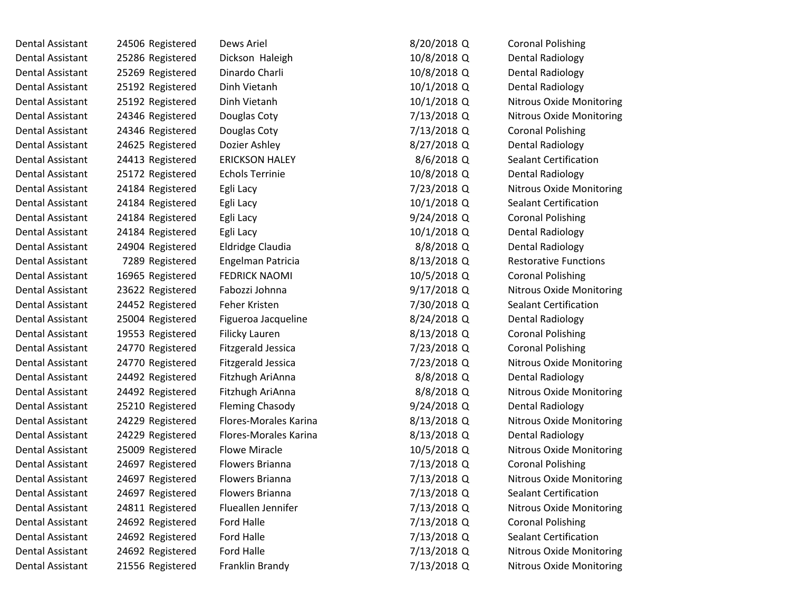| Dental Assistant | 24506 Registered | Dews Ariel                | 8/20/2018 Q | <b>Coronal Polishing</b>        |
|------------------|------------------|---------------------------|-------------|---------------------------------|
| Dental Assistant | 25286 Registered | Dickson Haleigh           | 10/8/2018 Q | Dental Radiology                |
| Dental Assistant | 25269 Registered | Dinardo Charli            | 10/8/2018 Q | <b>Dental Radiology</b>         |
| Dental Assistant | 25192 Registered | Dinh Vietanh              | 10/1/2018 Q | <b>Dental Radiology</b>         |
| Dental Assistant | 25192 Registered | Dinh Vietanh              | 10/1/2018 Q | <b>Nitrous Oxide Monitoring</b> |
| Dental Assistant | 24346 Registered | Douglas Coty              | 7/13/2018 Q | <b>Nitrous Oxide Monitoring</b> |
| Dental Assistant | 24346 Registered | Douglas Coty              | 7/13/2018 Q | <b>Coronal Polishing</b>        |
| Dental Assistant | 24625 Registered | Dozier Ashley             | 8/27/2018 Q | <b>Dental Radiology</b>         |
| Dental Assistant | 24413 Registered | <b>ERICKSON HALEY</b>     | 8/6/2018 Q  | <b>Sealant Certification</b>    |
| Dental Assistant | 25172 Registered | <b>Echols Terrinie</b>    | 10/8/2018 Q | <b>Dental Radiology</b>         |
| Dental Assistant | 24184 Registered | Egli Lacy                 | 7/23/2018 Q | <b>Nitrous Oxide Monitoring</b> |
| Dental Assistant | 24184 Registered | Egli Lacy                 | 10/1/2018 Q | <b>Sealant Certification</b>    |
| Dental Assistant | 24184 Registered | Egli Lacy                 | 9/24/2018 Q | <b>Coronal Polishing</b>        |
| Dental Assistant | 24184 Registered | Egli Lacy                 | 10/1/2018 Q | <b>Dental Radiology</b>         |
| Dental Assistant | 24904 Registered | Eldridge Claudia          | 8/8/2018 Q  | Dental Radiology                |
| Dental Assistant | 7289 Registered  | Engelman Patricia         | 8/13/2018 Q | <b>Restorative Functions</b>    |
| Dental Assistant | 16965 Registered | <b>FEDRICK NAOMI</b>      | 10/5/2018 Q | <b>Coronal Polishing</b>        |
| Dental Assistant | 23622 Registered | Fabozzi Johnna            | 9/17/2018 Q | <b>Nitrous Oxide Monitoring</b> |
| Dental Assistant | 24452 Registered | Feher Kristen             | 7/30/2018 Q | <b>Sealant Certification</b>    |
| Dental Assistant | 25004 Registered | Figueroa Jacqueline       | 8/24/2018 Q | <b>Dental Radiology</b>         |
| Dental Assistant | 19553 Registered | Filicky Lauren            | 8/13/2018 Q | <b>Coronal Polishing</b>        |
| Dental Assistant | 24770 Registered | <b>Fitzgerald Jessica</b> | 7/23/2018 Q | <b>Coronal Polishing</b>        |
| Dental Assistant | 24770 Registered | <b>Fitzgerald Jessica</b> | 7/23/2018 Q | <b>Nitrous Oxide Monitoring</b> |
| Dental Assistant | 24492 Registered | Fitzhugh AriAnna          | 8/8/2018 Q  | <b>Dental Radiology</b>         |
| Dental Assistant | 24492 Registered | Fitzhugh AriAnna          | 8/8/2018 Q  | <b>Nitrous Oxide Monitoring</b> |
| Dental Assistant | 25210 Registered | <b>Fleming Chasody</b>    | 9/24/2018 Q | <b>Dental Radiology</b>         |
| Dental Assistant | 24229 Registered | Flores-Morales Karina     | 8/13/2018 Q | <b>Nitrous Oxide Monitoring</b> |
| Dental Assistant | 24229 Registered | Flores-Morales Karina     | 8/13/2018 Q | Dental Radiology                |
| Dental Assistant | 25009 Registered | <b>Flowe Miracle</b>      | 10/5/2018 Q | <b>Nitrous Oxide Monitoring</b> |
| Dental Assistant | 24697 Registered | Flowers Brianna           | 7/13/2018 Q | <b>Coronal Polishing</b>        |
| Dental Assistant | 24697 Registered | Flowers Brianna           | 7/13/2018 Q | <b>Nitrous Oxide Monitoring</b> |
| Dental Assistant | 24697 Registered | Flowers Brianna           | 7/13/2018 Q | <b>Sealant Certification</b>    |
| Dental Assistant | 24811 Registered | Flueallen Jennifer        | 7/13/2018 Q | <b>Nitrous Oxide Monitoring</b> |
| Dental Assistant | 24692 Registered | Ford Halle                | 7/13/2018 Q | <b>Coronal Polishing</b>        |
| Dental Assistant | 24692 Registered | Ford Halle                | 7/13/2018 Q | <b>Sealant Certification</b>    |
| Dental Assistant | 24692 Registered | <b>Ford Halle</b>         | 7/13/2018 Q | <b>Nitrous Oxide Monitoring</b> |
| Dental Assistant | 21556 Registered | Franklin Brandy           | 7/13/2018 Q | Nitrous Oxide Monitoring        |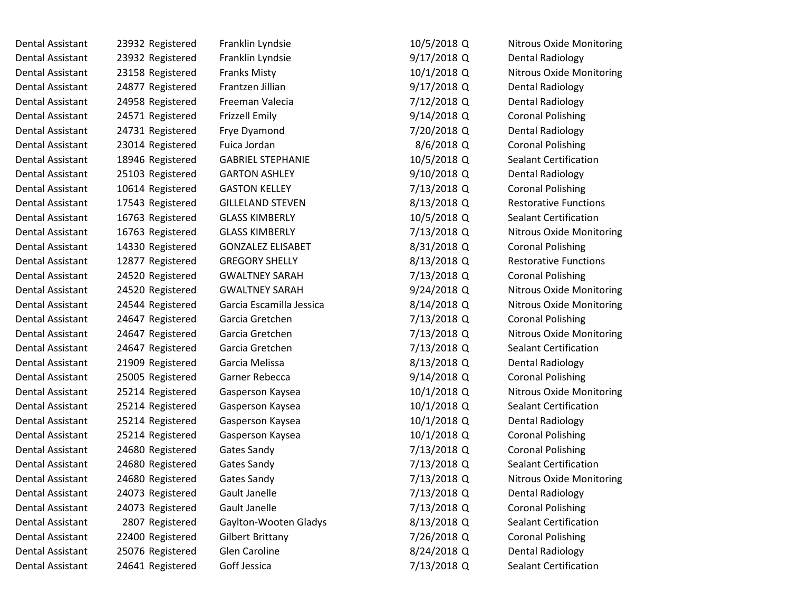| Dental Assistant | 23932 Registered | Franklin Lyndsie         | 10/5/2018 Q | Nitrous Oxide Monitoring        |
|------------------|------------------|--------------------------|-------------|---------------------------------|
| Dental Assistant | 23932 Registered | Franklin Lyndsie         | 9/17/2018 Q | Dental Radiology                |
| Dental Assistant | 23158 Registered | <b>Franks Misty</b>      | 10/1/2018 Q | <b>Nitrous Oxide Monitoring</b> |
| Dental Assistant | 24877 Registered | Frantzen Jillian         | 9/17/2018 Q | <b>Dental Radiology</b>         |
| Dental Assistant | 24958 Registered | Freeman Valecia          | 7/12/2018 Q | <b>Dental Radiology</b>         |
| Dental Assistant | 24571 Registered | <b>Frizzell Emily</b>    | 9/14/2018 Q | <b>Coronal Polishing</b>        |
| Dental Assistant | 24731 Registered | Frye Dyamond             | 7/20/2018 Q | <b>Dental Radiology</b>         |
| Dental Assistant | 23014 Registered | Fuica Jordan             | 8/6/2018 Q  | <b>Coronal Polishing</b>        |
| Dental Assistant | 18946 Registered | <b>GABRIEL STEPHANIE</b> | 10/5/2018 Q | <b>Sealant Certification</b>    |
| Dental Assistant | 25103 Registered | <b>GARTON ASHLEY</b>     | 9/10/2018 Q | <b>Dental Radiology</b>         |
| Dental Assistant | 10614 Registered | <b>GASTON KELLEY</b>     | 7/13/2018 Q | <b>Coronal Polishing</b>        |
| Dental Assistant | 17543 Registered | <b>GILLELAND STEVEN</b>  | 8/13/2018 Q | <b>Restorative Functions</b>    |
| Dental Assistant | 16763 Registered | <b>GLASS KIMBERLY</b>    | 10/5/2018 Q | <b>Sealant Certification</b>    |
| Dental Assistant | 16763 Registered | <b>GLASS KIMBERLY</b>    | 7/13/2018 Q | <b>Nitrous Oxide Monitoring</b> |
| Dental Assistant | 14330 Registered | <b>GONZALEZ ELISABET</b> | 8/31/2018 Q | <b>Coronal Polishing</b>        |
| Dental Assistant | 12877 Registered | <b>GREGORY SHELLY</b>    | 8/13/2018 Q | <b>Restorative Functions</b>    |
| Dental Assistant | 24520 Registered | <b>GWALTNEY SARAH</b>    | 7/13/2018 Q | <b>Coronal Polishing</b>        |
| Dental Assistant | 24520 Registered | <b>GWALTNEY SARAH</b>    | 9/24/2018 Q | <b>Nitrous Oxide Monitoring</b> |
| Dental Assistant | 24544 Registered | Garcia Escamilla Jessica | 8/14/2018 Q | <b>Nitrous Oxide Monitoring</b> |
| Dental Assistant | 24647 Registered | Garcia Gretchen          | 7/13/2018 Q | <b>Coronal Polishing</b>        |
| Dental Assistant | 24647 Registered | Garcia Gretchen          | 7/13/2018 Q | <b>Nitrous Oxide Monitoring</b> |
| Dental Assistant | 24647 Registered | Garcia Gretchen          | 7/13/2018 Q | <b>Sealant Certification</b>    |
| Dental Assistant | 21909 Registered | Garcia Melissa           | 8/13/2018 Q | Dental Radiology                |
| Dental Assistant | 25005 Registered | Garner Rebecca           | 9/14/2018 Q | <b>Coronal Polishing</b>        |
| Dental Assistant | 25214 Registered | Gasperson Kaysea         | 10/1/2018 Q | <b>Nitrous Oxide Monitoring</b> |
| Dental Assistant | 25214 Registered | Gasperson Kaysea         | 10/1/2018 Q | <b>Sealant Certification</b>    |
| Dental Assistant | 25214 Registered | Gasperson Kaysea         | 10/1/2018 Q | <b>Dental Radiology</b>         |
| Dental Assistant | 25214 Registered | Gasperson Kaysea         | 10/1/2018 Q | <b>Coronal Polishing</b>        |
| Dental Assistant | 24680 Registered | Gates Sandy              | 7/13/2018 Q | <b>Coronal Polishing</b>        |
| Dental Assistant | 24680 Registered | Gates Sandy              | 7/13/2018 Q | <b>Sealant Certification</b>    |
| Dental Assistant | 24680 Registered | <b>Gates Sandy</b>       | 7/13/2018 Q | Nitrous Oxide Monitoring        |
| Dental Assistant | 24073 Registered | <b>Gault Janelle</b>     | 7/13/2018 Q | <b>Dental Radiology</b>         |
| Dental Assistant | 24073 Registered | Gault Janelle            | 7/13/2018 Q | <b>Coronal Polishing</b>        |
| Dental Assistant | 2807 Registered  | Gaylton-Wooten Gladys    | 8/13/2018 Q | <b>Sealant Certification</b>    |
| Dental Assistant | 22400 Registered | <b>Gilbert Brittany</b>  | 7/26/2018 Q | <b>Coronal Polishing</b>        |
| Dental Assistant | 25076 Registered | <b>Glen Caroline</b>     | 8/24/2018 Q | <b>Dental Radiology</b>         |
| Dental Assistant | 24641 Registered | Goff Jessica             | 7/13/2018 Q | <b>Sealant Certification</b>    |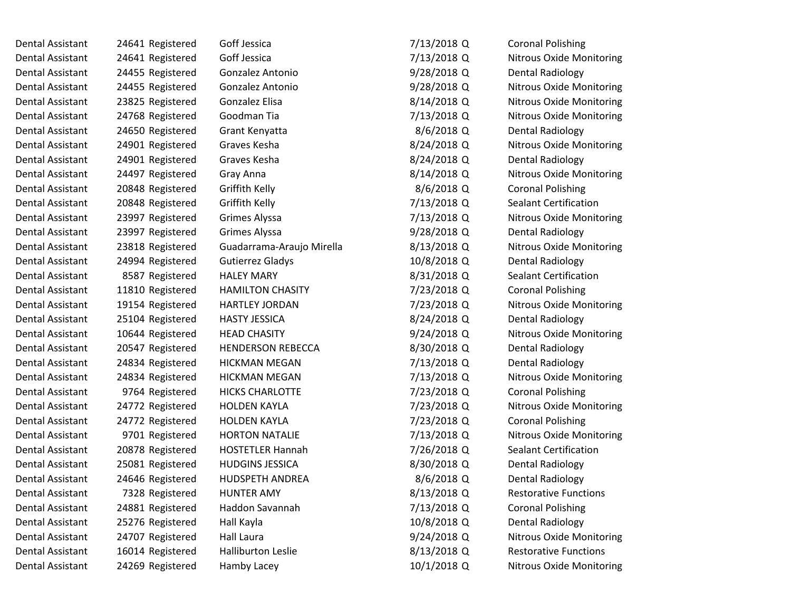| Dental Assistant        | 24641 Registered | Goff Jessica              | 7/13/2018 Q  | <b>Coronal Polishing</b>        |
|-------------------------|------------------|---------------------------|--------------|---------------------------------|
| Dental Assistant        | 24641 Registered | Goff Jessica              | 7/13/2018 Q  | <b>Nitrous Oxide Monitoring</b> |
| Dental Assistant        | 24455 Registered | Gonzalez Antonio          | 9/28/2018 Q  | <b>Dental Radiology</b>         |
| <b>Dental Assistant</b> | 24455 Registered | Gonzalez Antonio          | 9/28/2018 Q  | <b>Nitrous Oxide Monitoring</b> |
| <b>Dental Assistant</b> | 23825 Registered | Gonzalez Elisa            | 8/14/2018 Q  | <b>Nitrous Oxide Monitoring</b> |
| <b>Dental Assistant</b> | 24768 Registered | Goodman Tia               | 7/13/2018 Q  | Nitrous Oxide Monitoring        |
| <b>Dental Assistant</b> | 24650 Registered | Grant Kenyatta            | 8/6/2018 Q   | <b>Dental Radiology</b>         |
| <b>Dental Assistant</b> | 24901 Registered | Graves Kesha              | 8/24/2018 Q  | <b>Nitrous Oxide Monitoring</b> |
| <b>Dental Assistant</b> | 24901 Registered | Graves Kesha              | 8/24/2018 Q  | <b>Dental Radiology</b>         |
| <b>Dental Assistant</b> | 24497 Registered | Gray Anna                 | 8/14/2018 Q  | Nitrous Oxide Monitoring        |
| <b>Dental Assistant</b> | 20848 Registered | Griffith Kelly            | 8/6/2018 Q   | <b>Coronal Polishing</b>        |
| <b>Dental Assistant</b> | 20848 Registered | Griffith Kelly            | 7/13/2018 Q  | <b>Sealant Certification</b>    |
| <b>Dental Assistant</b> | 23997 Registered | Grimes Alyssa             | 7/13/2018 Q  | Nitrous Oxide Monitoring        |
| <b>Dental Assistant</b> | 23997 Registered | Grimes Alyssa             | 9/28/2018 Q  | <b>Dental Radiology</b>         |
| <b>Dental Assistant</b> | 23818 Registered | Guadarrama-Araujo Mirella | 8/13/2018 Q  | <b>Nitrous Oxide Monitoring</b> |
| <b>Dental Assistant</b> | 24994 Registered | <b>Gutierrez Gladys</b>   | 10/8/2018 Q  | <b>Dental Radiology</b>         |
| <b>Dental Assistant</b> | 8587 Registered  | <b>HALEY MARY</b>         | 8/31/2018 Q  | <b>Sealant Certification</b>    |
| <b>Dental Assistant</b> | 11810 Registered | <b>HAMILTON CHASITY</b>   | 7/23/2018 Q  | <b>Coronal Polishing</b>        |
| <b>Dental Assistant</b> | 19154 Registered | <b>HARTLEY JORDAN</b>     | 7/23/2018 Q  | <b>Nitrous Oxide Monitoring</b> |
| <b>Dental Assistant</b> | 25104 Registered | <b>HASTY JESSICA</b>      | 8/24/2018 Q  | <b>Dental Radiology</b>         |
| Dental Assistant        | 10644 Registered | <b>HEAD CHASITY</b>       | 9/24/2018 Q  | Nitrous Oxide Monitoring        |
| Dental Assistant        | 20547 Registered | <b>HENDERSON REBECCA</b>  | 8/30/2018 Q  | <b>Dental Radiology</b>         |
| <b>Dental Assistant</b> | 24834 Registered | <b>HICKMAN MEGAN</b>      | 7/13/2018 Q  | <b>Dental Radiology</b>         |
| Dental Assistant        | 24834 Registered | <b>HICKMAN MEGAN</b>      | 7/13/2018 Q  | <b>Nitrous Oxide Monitoring</b> |
| Dental Assistant        | 9764 Registered  | <b>HICKS CHARLOTTE</b>    | 7/23/2018 Q  | <b>Coronal Polishing</b>        |
| <b>Dental Assistant</b> | 24772 Registered | <b>HOLDEN KAYLA</b>       | 7/23/2018 Q  | <b>Nitrous Oxide Monitoring</b> |
| Dental Assistant        | 24772 Registered | <b>HOLDEN KAYLA</b>       | 7/23/2018 Q  | <b>Coronal Polishing</b>        |
| <b>Dental Assistant</b> | 9701 Registered  | <b>HORTON NATALIE</b>     | 7/13/2018 Q  | Nitrous Oxide Monitoring        |
| Dental Assistant        | 20878 Registered | <b>HOSTETLER Hannah</b>   | 7/26/2018 Q  | <b>Sealant Certification</b>    |
| Dental Assistant        | 25081 Registered | <b>HUDGINS JESSICA</b>    | 8/30/2018 Q  | Dental Radiology                |
| Dental Assistant        | 24646 Registered | <b>HUDSPETH ANDREA</b>    | $8/6/2018$ Q | Dental Radiology                |
| <b>Dental Assistant</b> | 7328 Registered  | <b>HUNTER AMY</b>         | 8/13/2018 Q  | <b>Restorative Functions</b>    |
| Dental Assistant        | 24881 Registered | Haddon Savannah           | 7/13/2018 Q  | <b>Coronal Polishing</b>        |
| Dental Assistant        | 25276 Registered | Hall Kayla                | 10/8/2018 Q  | <b>Dental Radiology</b>         |
| <b>Dental Assistant</b> | 24707 Registered | <b>Hall Laura</b>         | 9/24/2018 Q  | <b>Nitrous Oxide Monitoring</b> |
| <b>Dental Assistant</b> | 16014 Registered | <b>Halliburton Leslie</b> | 8/13/2018 Q  | <b>Restorative Functions</b>    |
| <b>Dental Assistant</b> | 24269 Registered | Hamby Lacey               | 10/1/2018 Q  | <b>Nitrous Oxide Monitoring</b> |
|                         |                  |                           |              |                                 |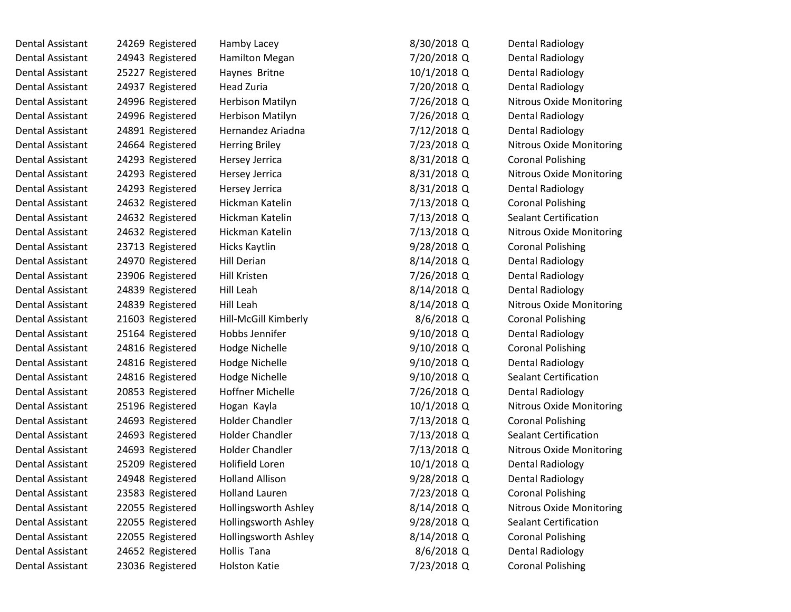Dental Assistant and 24269 Registered Hamby Lacey and Manuscriptus and Senator 8 Dental Assistant 24943 Registered Hamilton Megan Dental Assistant 25227 Registered Haynes Britne Dental Assistant 24937 Registered Head Zuria Dental Assistant 24996 Registered Herbison Matilyn Dental Assistant 24996 Registered Herbison Matilyn Dental Assistant 24891 Registered Hernandez Ariadna Dental Assistant 24664 Registered Herring Briley Dental Assistant 194293 Registered Hersey Jerrica 8/31/2018 8/31/2018 Dental Assistant and 24293 Registered Hersey Jerrica and Muslim 24293 Registered Hersey Jerrica Dental Assistant 194293 Registered Hersey Jerrica 1976 1977 81211 Dental Assistant 24632 Registered Hickman Katelin Dental Assistant 24632 Registered Hickman Katelin Dental Assistant 24632 Registered Hickman Katelin Dental Assistant 1987 and 23713 Registered Hicks Kaytlin 1978 and 28713 Registered Hicks Kaytlin Dental Assistant 194970 Registered 11 Hill Derian 8 Dental Assistant 23906 Registered Hill Kristen Dental Assistant 194839 Registered Hill Leah 8/14/2018 8/14/2018 Dental Assistant 24839 Registered Hill Leah 8 Dental Assistant 21603 Registered Hill-McGill Kimberly Dental Assistant 125164 Registered 18 Hobbs Jennifer 1971 12018 Dental Assistant 24816 Registered Hodge Nichelle 9 Dental Assistant 24816 Registered Hodge Nichelle 9/10/2018 Dental Assistant 24816 Registered Hodge Nichelle 9/10/2018 Dental Assistant 20853 Registered Hoffner Michelle Dental Assistant 25196 Registered Hogan Kayla Dental Assistant 24693 Registered Holder Chandler Dental Assistant 24693 Registered Holder Chandler Dental Assistant 24693 Registered Holder Chandler Dental Assistant 25209 Registered Holifield Loren Dental Assistant 24948 Registered Holland Allison 9/28/2018 Dental Assistant 23583 Registered Holland Lauren Dental Assistant 22055 Registered Hollingsworth Ashley 8 Dental Assistant 22055 Registered Hollingsworth Ashley 9/28/2018 Dental Assistant 22055 Registered Hollingsworth Ashley 8 Dental Assistant 24652 Registered Hollis Tana

Dental Assistant 23036 Registered Holston Katie 1997 123/2018

| 3/30/2018 Q  | <b>Dental Radiology</b>         |
|--------------|---------------------------------|
| 7/20/2018 Q  | <b>Dental Radiology</b>         |
| 10/1/2018 Q  | <b>Dental Radiology</b>         |
| 7/20/2018 Q  | <b>Dental Radiology</b>         |
| 7/26/2018 Q  | <b>Nitrous Oxide Monitoring</b> |
| 7/26/2018 Q  | <b>Dental Radiology</b>         |
| 7/12/2018 Q  | <b>Dental Radiology</b>         |
| 7/23/2018 Q  | <b>Nitrous Oxide Monitoring</b> |
| 3/31/2018 Q  | <b>Coronal Polishing</b>        |
| 3/31/2018 Q  | Nitrous Oxide Monitoring        |
| 3/31/2018 Q  | Dental Radiology                |
| 7/13/2018 Q  | <b>Coronal Polishing</b>        |
| 7/13/2018 Q  | <b>Sealant Certification</b>    |
| 7/13/2018 Q  | <b>Nitrous Oxide Monitoring</b> |
| 9/28/2018 Q  | <b>Coronal Polishing</b>        |
| 3/14/2018 Q  | <b>Dental Radiology</b>         |
| 7/26/2018 Q  | <b>Dental Radiology</b>         |
| 3/14/2018 Q  | <b>Dental Radiology</b>         |
| 3/14/2018 Q  | <b>Nitrous Oxide Monitoring</b> |
| 8/6/2018 Q   | <b>Coronal Polishing</b>        |
| 9/10/2018 Q  | <b>Dental Radiology</b>         |
| 9/10/2018 Q  | <b>Coronal Polishing</b>        |
| 9/10/2018 Q  | <b>Dental Radiology</b>         |
| 9/10/2018 Q  | <b>Sealant Certification</b>    |
| 7/26/2018 Q  | <b>Dental Radiology</b>         |
| 10/1/2018 Q  | <b>Nitrous Oxide Monitoring</b> |
| 7/13/2018 Q  | <b>Coronal Polishing</b>        |
| 7/13/2018 Q  | <b>Sealant Certification</b>    |
| 7/13/2018 Q  | Nitrous Oxide Monitoring        |
| 10/1/2018 Q  | <b>Dental Radiology</b>         |
| 9/28/2018 Q  | Dental Radiology                |
| 7/23/2018 Q  | <b>Coronal Polishing</b>        |
| 3/14/2018 Q  | <b>Nitrous Oxide Monitoring</b> |
| 9/28/2018 Q  | <b>Sealant Certification</b>    |
| 3/14/2018 Q  | <b>Coronal Polishing</b>        |
| $8/6/2018$ Q | <b>Dental Radiology</b>         |
| 7/23/2018 Q  | <b>Coronal Polishing</b>        |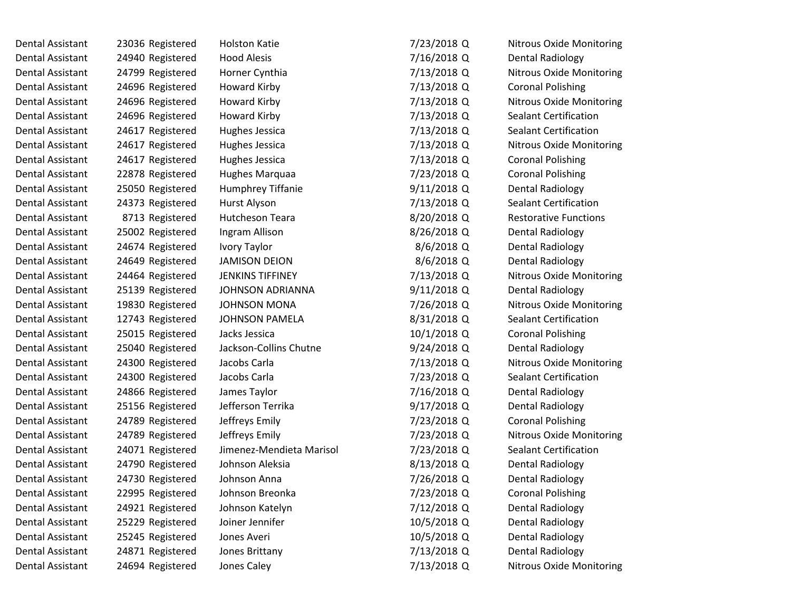| Dental Assistant        | 23036 Registered | <b>Holston Katie</b>     | 7/23/2018 Q  | <b>Nitrous Oxide Monitoring</b> |
|-------------------------|------------------|--------------------------|--------------|---------------------------------|
| <b>Dental Assistant</b> | 24940 Registered | <b>Hood Alesis</b>       | 7/16/2018 Q  | Dental Radiology                |
| <b>Dental Assistant</b> | 24799 Registered | Horner Cynthia           | 7/13/2018 Q  | <b>Nitrous Oxide Monitoring</b> |
| <b>Dental Assistant</b> | 24696 Registered | Howard Kirby             | 7/13/2018 Q  | <b>Coronal Polishing</b>        |
| <b>Dental Assistant</b> | 24696 Registered | <b>Howard Kirby</b>      | 7/13/2018 Q  | Nitrous Oxide Monitoring        |
| <b>Dental Assistant</b> | 24696 Registered | Howard Kirby             | 7/13/2018 Q  | <b>Sealant Certification</b>    |
| <b>Dental Assistant</b> | 24617 Registered | Hughes Jessica           | 7/13/2018 Q  | <b>Sealant Certification</b>    |
| <b>Dental Assistant</b> | 24617 Registered | Hughes Jessica           | 7/13/2018 Q  | Nitrous Oxide Monitoring        |
| Dental Assistant        | 24617 Registered | Hughes Jessica           | 7/13/2018 Q  | <b>Coronal Polishing</b>        |
| <b>Dental Assistant</b> | 22878 Registered | Hughes Marquaa           | 7/23/2018 Q  | <b>Coronal Polishing</b>        |
| <b>Dental Assistant</b> | 25050 Registered | Humphrey Tiffanie        | 9/11/2018 Q  | <b>Dental Radiology</b>         |
| <b>Dental Assistant</b> | 24373 Registered | Hurst Alyson             | 7/13/2018 Q  | <b>Sealant Certification</b>    |
| <b>Dental Assistant</b> | 8713 Registered  | Hutcheson Teara          | 8/20/2018 Q  | <b>Restorative Functions</b>    |
| <b>Dental Assistant</b> | 25002 Registered | Ingram Allison           | 8/26/2018 Q  | <b>Dental Radiology</b>         |
| <b>Dental Assistant</b> | 24674 Registered | Ivory Taylor             | 8/6/2018 Q   | <b>Dental Radiology</b>         |
| <b>Dental Assistant</b> | 24649 Registered | <b>JAMISON DEION</b>     | $8/6/2018$ Q | <b>Dental Radiology</b>         |
| <b>Dental Assistant</b> | 24464 Registered | <b>JENKINS TIFFINEY</b>  | 7/13/2018 Q  | Nitrous Oxide Monitoring        |
| <b>Dental Assistant</b> | 25139 Registered | <b>JOHNSON ADRIANNA</b>  | 9/11/2018 Q  | <b>Dental Radiology</b>         |
| <b>Dental Assistant</b> | 19830 Registered | <b>JOHNSON MONA</b>      | 7/26/2018 Q  | <b>Nitrous Oxide Monitoring</b> |
| <b>Dental Assistant</b> | 12743 Registered | <b>JOHNSON PAMELA</b>    | 8/31/2018 Q  | <b>Sealant Certification</b>    |
| <b>Dental Assistant</b> | 25015 Registered | Jacks Jessica            | 10/1/2018 Q  | <b>Coronal Polishing</b>        |
| Dental Assistant        | 25040 Registered | Jackson-Collins Chutne   | 9/24/2018 Q  | <b>Dental Radiology</b>         |
| <b>Dental Assistant</b> | 24300 Registered | Jacobs Carla             | 7/13/2018 Q  | Nitrous Oxide Monitoring        |
| <b>Dental Assistant</b> | 24300 Registered | Jacobs Carla             | 7/23/2018 Q  | <b>Sealant Certification</b>    |
| <b>Dental Assistant</b> | 24866 Registered | James Taylor             | 7/16/2018 Q  | <b>Dental Radiology</b>         |
| <b>Dental Assistant</b> | 25156 Registered | Jefferson Terrika        | 9/17/2018 Q  | <b>Dental Radiology</b>         |
| <b>Dental Assistant</b> | 24789 Registered | Jeffreys Emily           | 7/23/2018 Q  | <b>Coronal Polishing</b>        |
| <b>Dental Assistant</b> | 24789 Registered | Jeffreys Emily           | 7/23/2018 Q  | Nitrous Oxide Monitoring        |
| <b>Dental Assistant</b> | 24071 Registered | Jimenez-Mendieta Marisol | 7/23/2018 Q  | <b>Sealant Certification</b>    |
| Dental Assistant        | 24790 Registered | Johnson Aleksia          | 8/13/2018 Q  | <b>Dental Radiology</b>         |
| Dental Assistant        | 24730 Registered | Johnson Anna             | 7/26/2018 Q  | Dental Radiology                |
| Dental Assistant        | 22995 Registered | Johnson Breonka          | 7/23/2018 Q  | <b>Coronal Polishing</b>        |
| Dental Assistant        | 24921 Registered | Johnson Katelyn          | 7/12/2018 Q  | <b>Dental Radiology</b>         |
| Dental Assistant        | 25229 Registered | Joiner Jennifer          | 10/5/2018 Q  | <b>Dental Radiology</b>         |
| Dental Assistant        | 25245 Registered | Jones Averi              | 10/5/2018 Q  | <b>Dental Radiology</b>         |
| Dental Assistant        | 24871 Registered | Jones Brittany           | 7/13/2018 Q  | <b>Dental Radiology</b>         |
| Dental Assistant        | 24694 Registered | Jones Caley              | 7/13/2018 Q  | Nitrous Oxide Monitoring        |
|                         |                  |                          |              |                                 |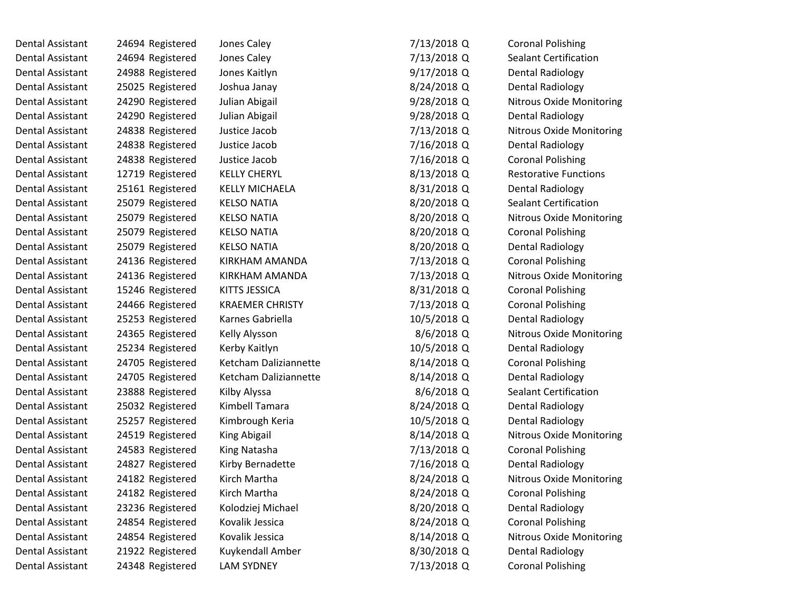| Dental Assistant        | 24694 Registered | Jones Caley            | 7/13/2018 Q  | <b>Coronal Polishing</b>        |
|-------------------------|------------------|------------------------|--------------|---------------------------------|
| Dental Assistant        | 24694 Registered | Jones Caley            | 7/13/2018 Q  | <b>Sealant Certification</b>    |
| Dental Assistant        | 24988 Registered | Jones Kaitlyn          | 9/17/2018 Q  | <b>Dental Radiology</b>         |
| Dental Assistant        | 25025 Registered | Joshua Janay           | 8/24/2018 Q  | <b>Dental Radiology</b>         |
| Dental Assistant        | 24290 Registered | Julian Abigail         | 9/28/2018 Q  | <b>Nitrous Oxide Monitoring</b> |
| Dental Assistant        | 24290 Registered | Julian Abigail         | 9/28/2018 Q  | <b>Dental Radiology</b>         |
| Dental Assistant        | 24838 Registered | Justice Jacob          | 7/13/2018 Q  | <b>Nitrous Oxide Monitoring</b> |
| Dental Assistant        | 24838 Registered | Justice Jacob          | 7/16/2018 Q  | <b>Dental Radiology</b>         |
| Dental Assistant        | 24838 Registered | Justice Jacob          | 7/16/2018 Q  | <b>Coronal Polishing</b>        |
| <b>Dental Assistant</b> | 12719 Registered | <b>KELLY CHERYL</b>    | 8/13/2018 Q  | <b>Restorative Functions</b>    |
| Dental Assistant        | 25161 Registered | <b>KELLY MICHAELA</b>  | 8/31/2018 Q  | <b>Dental Radiology</b>         |
| Dental Assistant        | 25079 Registered | <b>KELSO NATIA</b>     | 8/20/2018 Q  | <b>Sealant Certification</b>    |
| Dental Assistant        | 25079 Registered | <b>KELSO NATIA</b>     | 8/20/2018Q   | Nitrous Oxide Monitoring        |
| Dental Assistant        | 25079 Registered | <b>KELSO NATIA</b>     | 8/20/2018Q   | <b>Coronal Polishing</b>        |
| Dental Assistant        | 25079 Registered | <b>KELSO NATIA</b>     | 8/20/2018 Q  | <b>Dental Radiology</b>         |
| Dental Assistant        | 24136 Registered | KIRKHAM AMANDA         | 7/13/2018 Q  | <b>Coronal Polishing</b>        |
| Dental Assistant        | 24136 Registered | KIRKHAM AMANDA         | 7/13/2018 Q  | <b>Nitrous Oxide Monitoring</b> |
| Dental Assistant        | 15246 Registered | KITTS JESSICA          | 8/31/2018 Q  | <b>Coronal Polishing</b>        |
| <b>Dental Assistant</b> | 24466 Registered | <b>KRAEMER CHRISTY</b> | 7/13/2018 Q  | <b>Coronal Polishing</b>        |
| Dental Assistant        | 25253 Registered | Karnes Gabriella       | 10/5/2018 Q  | <b>Dental Radiology</b>         |
| Dental Assistant        | 24365 Registered | Kelly Alysson          | 8/6/2018 Q   | <b>Nitrous Oxide Monitoring</b> |
| Dental Assistant        | 25234 Registered | Kerby Kaitlyn          | 10/5/2018 Q  | <b>Dental Radiology</b>         |
| Dental Assistant        | 24705 Registered | Ketcham Daliziannette  | 8/14/2018 Q  | <b>Coronal Polishing</b>        |
| Dental Assistant        | 24705 Registered | Ketcham Daliziannette  | 8/14/2018 Q  | <b>Dental Radiology</b>         |
| Dental Assistant        | 23888 Registered | Kilby Alyssa           | $8/6/2018$ Q | <b>Sealant Certification</b>    |
| Dental Assistant        | 25032 Registered | Kimbell Tamara         | 8/24/2018 Q  | Dental Radiology                |
| Dental Assistant        | 25257 Registered | Kimbrough Keria        | 10/5/2018 Q  | <b>Dental Radiology</b>         |
| Dental Assistant        | 24519 Registered | King Abigail           | 8/14/2018 Q  | <b>Nitrous Oxide Monitoring</b> |
| Dental Assistant        | 24583 Registered | King Natasha           | 7/13/2018 Q  | <b>Coronal Polishing</b>        |
| <b>Dental Assistant</b> | 24827 Registered | Kirby Bernadette       | 7/16/2018 Q  | <b>Dental Radiology</b>         |
| Dental Assistant        | 24182 Registered | Kirch Martha           | 8/24/2018 Q  | <b>Nitrous Oxide Monitoring</b> |
| Dental Assistant        | 24182 Registered | Kirch Martha           | 8/24/2018 Q  | <b>Coronal Polishing</b>        |
| Dental Assistant        | 23236 Registered | Kolodziej Michael      | 8/20/2018 Q  | <b>Dental Radiology</b>         |
| Dental Assistant        | 24854 Registered | Kovalik Jessica        | 8/24/2018 Q  | <b>Coronal Polishing</b>        |
| Dental Assistant        | 24854 Registered | Kovalik Jessica        | 8/14/2018 Q  | Nitrous Oxide Monitoring        |
| Dental Assistant        | 21922 Registered | Kuykendall Amber       | 8/30/2018 Q  | <b>Dental Radiology</b>         |
| Dental Assistant        | 24348 Registered | <b>LAM SYDNEY</b>      | 7/13/2018 Q  | <b>Coronal Polishing</b>        |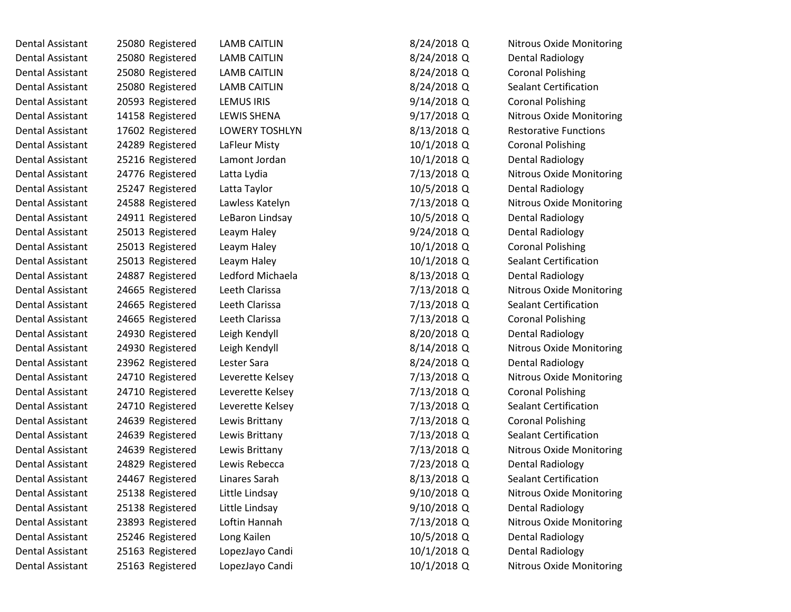| Dental Assistant | 25080 Registered | <b>LAMB CAITLIN</b> | 8/24/2018 Q   | <b>Nitrous Oxide Monitoring</b> |
|------------------|------------------|---------------------|---------------|---------------------------------|
| Dental Assistant | 25080 Registered | <b>LAMB CAITLIN</b> | 8/24/2018 Q   | Dental Radiology                |
| Dental Assistant | 25080 Registered | <b>LAMB CAITLIN</b> | 8/24/2018 Q   | <b>Coronal Polishing</b>        |
| Dental Assistant | 25080 Registered | <b>LAMB CAITLIN</b> | 8/24/2018 Q   | <b>Sealant Certification</b>    |
| Dental Assistant | 20593 Registered | LEMUS IRIS          | 9/14/2018 Q   | <b>Coronal Polishing</b>        |
| Dental Assistant | 14158 Registered | LEWIS SHENA         | $9/17/2018$ Q | Nitrous Oxide Monitoring        |
| Dental Assistant | 17602 Registered | LOWERY TOSHLYN      | 8/13/2018 Q   | <b>Restorative Functions</b>    |
| Dental Assistant | 24289 Registered | LaFleur Misty       | 10/1/2018 Q   | <b>Coronal Polishing</b>        |
| Dental Assistant | 25216 Registered | Lamont Jordan       | 10/1/2018 Q   | Dental Radiology                |
| Dental Assistant | 24776 Registered | Latta Lydia         | 7/13/2018 Q   | <b>Nitrous Oxide Monitoring</b> |
| Dental Assistant | 25247 Registered | Latta Taylor        | 10/5/2018 Q   | <b>Dental Radiology</b>         |
| Dental Assistant | 24588 Registered | Lawless Katelyn     | 7/13/2018 Q   | <b>Nitrous Oxide Monitoring</b> |
| Dental Assistant | 24911 Registered | LeBaron Lindsay     | 10/5/2018 Q   | <b>Dental Radiology</b>         |
| Dental Assistant | 25013 Registered | Leaym Haley         | $9/24/2018$ Q | <b>Dental Radiology</b>         |
| Dental Assistant | 25013 Registered | Leaym Haley         | 10/1/2018 Q   | <b>Coronal Polishing</b>        |
| Dental Assistant | 25013 Registered | Leaym Haley         | 10/1/2018 Q   | <b>Sealant Certification</b>    |
| Dental Assistant | 24887 Registered | Ledford Michaela    | 8/13/2018 Q   | Dental Radiology                |
| Dental Assistant | 24665 Registered | Leeth Clarissa      | 7/13/2018 Q   | <b>Nitrous Oxide Monitoring</b> |
| Dental Assistant | 24665 Registered | Leeth Clarissa      | 7/13/2018 Q   | <b>Sealant Certification</b>    |
| Dental Assistant | 24665 Registered | Leeth Clarissa      | 7/13/2018 Q   | <b>Coronal Polishing</b>        |
| Dental Assistant | 24930 Registered | Leigh Kendyll       | 8/20/2018 Q   | <b>Dental Radiology</b>         |
| Dental Assistant | 24930 Registered | Leigh Kendyll       | 8/14/2018 Q   | <b>Nitrous Oxide Monitoring</b> |
| Dental Assistant | 23962 Registered | Lester Sara         | 8/24/2018 Q   | <b>Dental Radiology</b>         |
| Dental Assistant | 24710 Registered | Leverette Kelsey    | 7/13/2018 Q   | <b>Nitrous Oxide Monitoring</b> |
| Dental Assistant | 24710 Registered | Leverette Kelsey    | 7/13/2018 Q   | <b>Coronal Polishing</b>        |
| Dental Assistant | 24710 Registered | Leverette Kelsey    | 7/13/2018 Q   | <b>Sealant Certification</b>    |
| Dental Assistant | 24639 Registered | Lewis Brittany      | 7/13/2018 Q   | <b>Coronal Polishing</b>        |
| Dental Assistant | 24639 Registered | Lewis Brittany      | 7/13/2018 Q   | <b>Sealant Certification</b>    |
| Dental Assistant | 24639 Registered | Lewis Brittany      | 7/13/2018 Q   | <b>Nitrous Oxide Monitoring</b> |
| Dental Assistant | 24829 Registered | Lewis Rebecca       | 7/23/2018 Q   | <b>Dental Radiology</b>         |
| Dental Assistant | 24467 Registered | Linares Sarah       | 8/13/2018 Q   | <b>Sealant Certification</b>    |
| Dental Assistant | 25138 Registered | Little Lindsay      | 9/10/2018 Q   | <b>Nitrous Oxide Monitoring</b> |
| Dental Assistant | 25138 Registered | Little Lindsay      | 9/10/2018 Q   | <b>Dental Radiology</b>         |
| Dental Assistant | 23893 Registered | Loftin Hannah       | 7/13/2018 Q   | Nitrous Oxide Monitoring        |
| Dental Assistant | 25246 Registered | Long Kailen         | 10/5/2018 Q   | <b>Dental Radiology</b>         |
| Dental Assistant | 25163 Registered | LopezJayo Candi     | 10/1/2018 Q   | <b>Dental Radiology</b>         |
| Dental Assistant | 25163 Registered | LopezJayo Candi     | 10/1/2018 Q   | Nitrous Oxide Monitoring        |
|                  |                  |                     |               |                                 |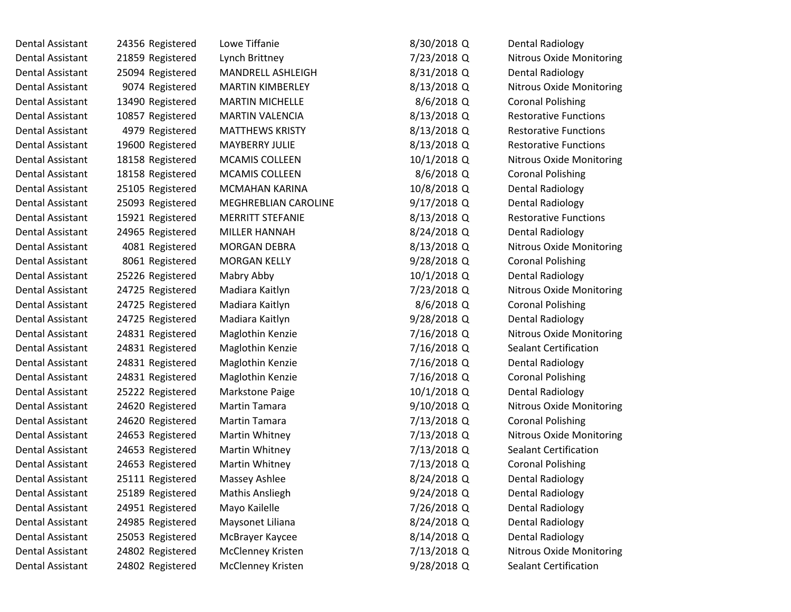| Dental Assistant | 24356 Registered | Lowe Tiffanie            | 8/30/2018 Q  | <b>Dental Radiology</b>         |
|------------------|------------------|--------------------------|--------------|---------------------------------|
| Dental Assistant | 21859 Registered | Lynch Brittney           | 7/23/2018 Q  | <b>Nitrous Oxide Monitoring</b> |
| Dental Assistant | 25094 Registered | MANDRELL ASHLEIGH        | 8/31/2018 Q  | <b>Dental Radiology</b>         |
| Dental Assistant | 9074 Registered  | <b>MARTIN KIMBERLEY</b>  | 8/13/2018 Q  | <b>Nitrous Oxide Monitoring</b> |
| Dental Assistant | 13490 Registered | <b>MARTIN MICHELLE</b>   | 8/6/2018 Q   | <b>Coronal Polishing</b>        |
| Dental Assistant | 10857 Registered | <b>MARTIN VALENCIA</b>   | 8/13/2018 Q  | <b>Restorative Functions</b>    |
| Dental Assistant | 4979 Registered  | <b>MATTHEWS KRISTY</b>   | 8/13/2018 Q  | <b>Restorative Functions</b>    |
| Dental Assistant | 19600 Registered | <b>MAYBERRY JULIE</b>    | 8/13/2018 Q  | <b>Restorative Functions</b>    |
| Dental Assistant | 18158 Registered | <b>MCAMIS COLLEEN</b>    | 10/1/2018 Q  | <b>Nitrous Oxide Monitoring</b> |
| Dental Assistant | 18158 Registered | <b>MCAMIS COLLEEN</b>    | $8/6/2018$ Q | <b>Coronal Polishing</b>        |
| Dental Assistant | 25105 Registered | <b>MCMAHAN KARINA</b>    | 10/8/2018 Q  | <b>Dental Radiology</b>         |
| Dental Assistant | 25093 Registered | MEGHREBLIAN CAROLINE     | 9/17/2018 Q  | <b>Dental Radiology</b>         |
| Dental Assistant | 15921 Registered | <b>MERRITT STEFANIE</b>  | 8/13/2018 Q  | <b>Restorative Functions</b>    |
| Dental Assistant | 24965 Registered | MILLER HANNAH            | 8/24/2018 Q  | <b>Dental Radiology</b>         |
| Dental Assistant | 4081 Registered  | <b>MORGAN DEBRA</b>      | 8/13/2018 Q  | Nitrous Oxide Monitoring        |
| Dental Assistant | 8061 Registered  | <b>MORGAN KELLY</b>      | 9/28/2018 Q  | <b>Coronal Polishing</b>        |
| Dental Assistant | 25226 Registered | Mabry Abby               | 10/1/2018 Q  | <b>Dental Radiology</b>         |
| Dental Assistant | 24725 Registered | Madiara Kaitlyn          | 7/23/2018 Q  | Nitrous Oxide Monitoring        |
| Dental Assistant | 24725 Registered | Madiara Kaitlyn          | 8/6/2018 Q   | <b>Coronal Polishing</b>        |
| Dental Assistant | 24725 Registered | Madiara Kaitlyn          | 9/28/2018 Q  | <b>Dental Radiology</b>         |
| Dental Assistant | 24831 Registered | Maglothin Kenzie         | 7/16/2018 Q  | <b>Nitrous Oxide Monitoring</b> |
| Dental Assistant | 24831 Registered | Maglothin Kenzie         | 7/16/2018 Q  | <b>Sealant Certification</b>    |
| Dental Assistant | 24831 Registered | Maglothin Kenzie         | 7/16/2018 Q  | <b>Dental Radiology</b>         |
| Dental Assistant | 24831 Registered | Maglothin Kenzie         | 7/16/2018 Q  | <b>Coronal Polishing</b>        |
| Dental Assistant | 25222 Registered | Markstone Paige          | 10/1/2018 Q  | <b>Dental Radiology</b>         |
| Dental Assistant | 24620 Registered | <b>Martin Tamara</b>     | 9/10/2018 Q  | <b>Nitrous Oxide Monitoring</b> |
| Dental Assistant | 24620 Registered | <b>Martin Tamara</b>     | 7/13/2018 Q  | <b>Coronal Polishing</b>        |
| Dental Assistant | 24653 Registered | Martin Whitney           | 7/13/2018 Q  | Nitrous Oxide Monitoring        |
| Dental Assistant | 24653 Registered | Martin Whitney           | 7/13/2018 Q  | <b>Sealant Certification</b>    |
| Dental Assistant | 24653 Registered | Martin Whitney           | 7/13/2018 Q  | <b>Coronal Polishing</b>        |
| Dental Assistant | 25111 Registered | Massey Ashlee            | 8/24/2018 Q  | Dental Radiology                |
| Dental Assistant | 25189 Registered | Mathis Ansliegh          | 9/24/2018 Q  | <b>Dental Radiology</b>         |
| Dental Assistant | 24951 Registered | Mayo Kailelle            | 7/26/2018 Q  | <b>Dental Radiology</b>         |
| Dental Assistant | 24985 Registered | Maysonet Liliana         | 8/24/2018 Q  | <b>Dental Radiology</b>         |
| Dental Assistant | 25053 Registered | McBrayer Kaycee          | 8/14/2018 Q  | <b>Dental Radiology</b>         |
| Dental Assistant | 24802 Registered | <b>McClenney Kristen</b> | 7/13/2018 Q  | <b>Nitrous Oxide Monitoring</b> |
| Dental Assistant | 24802 Registered | McClenney Kristen        | 9/28/2018 Q  | Sealant Certification           |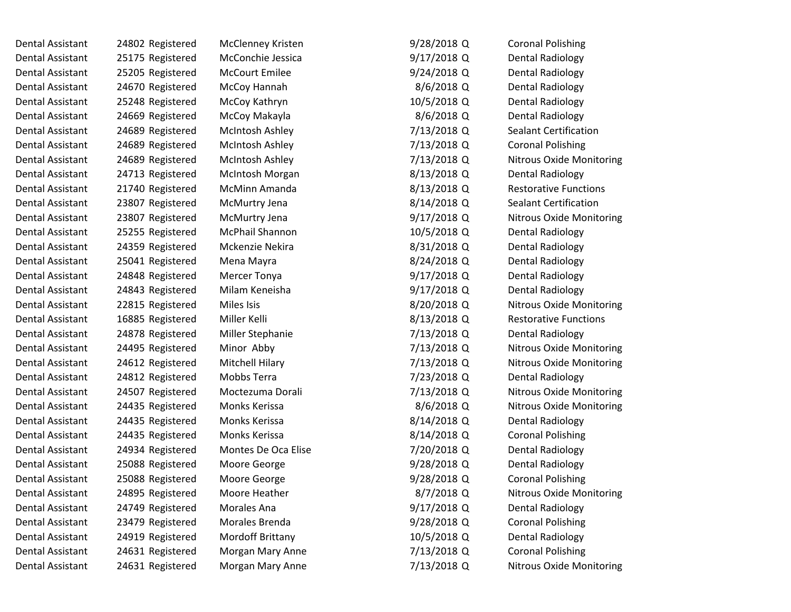Dental Assistant and 24802 Registered McClenney Kristen and 2802 Registered McClenney Kristen Dental Assistant 25175 Registered McConchie Jessica 9/17/2018 Dental Assistant 125205 Registered McCourt Emilee 1241 Assistant 125205 Registered McCourt Emilee Dental Assistant 24670 Registered McCoy Hannah Dental Assistant 25248 Registered McCoy Kathryn Dental Assistant 24669 Registered McCoy Makayla Dental Assistant 24689 Registered McIntosh Ashley Dental Assistant 24689 Registered McIntosh Ashley Dental Assistant 24689 Registered McIntosh Ashley Dental Assistant 24713 Registered McIntosh Morgan 8/13/2018 Dental Assistant  $21740$  Registered McMinn Amanda Dental Assistant 23807 Registered McMurtry Jena 8/14/2018 Dental Assistant 23807 Registered McMurtry Jena 9 Dental Assistant 25255 Registered McPhail Shannon Dental Assistant  $24359$  Registered Mckenzie Nekira 8 Dental Assistant  $25041$  Registered Mena Mayra 8/2018 Dental Assistant 124848 Registered Mercer Tonya Dental Assistant  $24843$  Registered Milam Keneisha Dental Assistant and 22815 Registered Miles Isis 8/2018 Miles 8/2018 Dental Assistant 16885 Registered Miller Kelli 8 Dental Assistant 24878 Registered Miller Stephanie Dental Assistant 24495 Registered Minor Abby Dental Assistant 24612 Registered Mitchell Hilary Dental Assistant 24812 Registered Mobbs Terra Dental Assistant 24507 Registered Moctezuma Dorali Dental Assistant 24435 Registered Monks Kerissa Dental Assistant 194435 Registered 1978 Monks Kerissa Dental Assistant 194435 Registered Monks Kerissa 8/14/2018 Dental Assistant  $24934$  Registered Montes De Oca Elise 77 Dental Assistant 125088 Registered Moore George 1978 Moore 9/28/2018 Dental Assistant  $25088$  Registered Moore George 9/28/2018 Dental Assistant 24895 Registered Moore Heather Dental Assistant 194749 Registered Morales Ana 17/2018 1991 Dental Assistant  $\qquad 23479$  Registered Morales Brenda 9/28/2018 Dental Assistant 24919 Registered Mordoff Brittany Dental Assistant 24631 Registered Morgan Mary Anne

Dental Assistant 24631 Registered Morgan Mary Anne

| 9/28/2018 Q  | <b>Coronal Polishing</b>        |
|--------------|---------------------------------|
| 9/17/2018 Q  | Dental Radiology                |
| 9/24/2018 Q  | Dental Radiology                |
| 8/6/2018 Q   | <b>Dental Radiology</b>         |
| 10/5/2018 Q  | <b>Dental Radiology</b>         |
| 8/6/2018 Q   | Dental Radiology                |
| 7/13/2018 Q  | <b>Sealant Certification</b>    |
| 7/13/2018 Q  | <b>Coronal Polishing</b>        |
| 7/13/2018 Q  | Nitrous Oxide Monitoring        |
| 3/13/2018 Q  | Dental Radiology                |
| 3/13/2018 Q  | <b>Restorative Functions</b>    |
| 3/14/2018 Q  | Sealant Certification           |
| 9/17/2018 Q  | <b>Nitrous Oxide Monitoring</b> |
| 10/5/2018 Q  | <b>Dental Radiology</b>         |
| 3/31/2018 Q  | <b>Dental Radiology</b>         |
| 3/24/2018 Q  | Dental Radiology                |
| 9/17/2018 Q  | <b>Dental Radiology</b>         |
| 9/17/2018 Q  | Dental Radiology                |
| 3/20/2018 Q  | <b>Nitrous Oxide Monitoring</b> |
| 3/13/2018 Q  | <b>Restorative Functions</b>    |
| 7/13/2018 Q  | <b>Dental Radiology</b>         |
| 7/13/2018 Q  | Nitrous Oxide Monitoring        |
| 7/13/2018 Q  | <b>Nitrous Oxide Monitoring</b> |
| 7/23/2018 Q  | Dental Radiology                |
| 7/13/2018 Q  | <b>Nitrous Oxide Monitoring</b> |
| 8/6/2018 Q   | <b>Nitrous Oxide Monitoring</b> |
| 3/14/2018 Q  | Dental Radiology                |
| 3/14/2018 Q  | <b>Coronal Polishing</b>        |
| 7/20/2018 Q  | Dental Radiology                |
| 9/28/2018 Q  | <b>Dental Radiology</b>         |
| 9/28/2018 Q  | <b>Coronal Polishing</b>        |
| $8/7/2018$ Q | Nitrous Oxide Monitoring        |
| 9/17/2018 Q  | Dental Radiology                |
| 9/28/2018 Q  | <b>Coronal Polishing</b>        |
| 10/5/2018 Q  | <b>Dental Radiology</b>         |
| 7/13/2018 Q  | <b>Coronal Polishing</b>        |
| 7/13/2018 Q  | <b>Nitrous Oxide Monitoring</b> |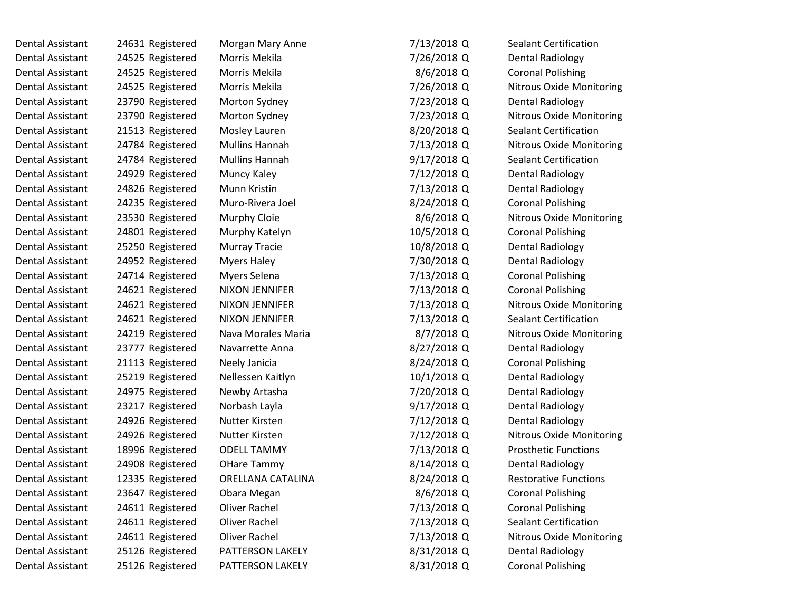| 24631 Registered | Morgan Mary Anne      | 7/13/2018 Q   | <b>Sealant Certification</b>    |
|------------------|-----------------------|---------------|---------------------------------|
| 24525 Registered | Morris Mekila         | 7/26/2018 Q   | <b>Dental Radiology</b>         |
| 24525 Registered | Morris Mekila         | 8/6/2018 Q    | <b>Coronal Polishing</b>        |
| 24525 Registered | Morris Mekila         | 7/26/2018 Q   | <b>Nitrous Oxide Monitoring</b> |
| 23790 Registered | Morton Sydney         | 7/23/2018 Q   | <b>Dental Radiology</b>         |
| 23790 Registered | Morton Sydney         | 7/23/2018 Q   | Nitrous Oxide Monitoring        |
| 21513 Registered | Mosley Lauren         | 8/20/2018 Q   | <b>Sealant Certification</b>    |
| 24784 Registered | <b>Mullins Hannah</b> | 7/13/2018 Q   | <b>Nitrous Oxide Monitoring</b> |
| 24784 Registered | Mullins Hannah        | $9/17/2018$ Q | <b>Sealant Certification</b>    |
| 24929 Registered | Muncy Kaley           | 7/12/2018 Q   | <b>Dental Radiology</b>         |
| 24826 Registered | Munn Kristin          | 7/13/2018 Q   | <b>Dental Radiology</b>         |
| 24235 Registered | Muro-Rivera Joel      | 8/24/2018 Q   | <b>Coronal Polishing</b>        |
| 23530 Registered | Murphy Cloie          | $8/6/2018$ Q  | <b>Nitrous Oxide Monitoring</b> |
| 24801 Registered | Murphy Katelyn        | 10/5/2018 Q   | <b>Coronal Polishing</b>        |
| 25250 Registered | <b>Murray Tracie</b>  | 10/8/2018 Q   | <b>Dental Radiology</b>         |
| 24952 Registered | <b>Myers Haley</b>    | 7/30/2018 Q   | <b>Dental Radiology</b>         |
| 24714 Registered | Myers Selena          | 7/13/2018 Q   | <b>Coronal Polishing</b>        |
| 24621 Registered | NIXON JENNIFER        | 7/13/2018 Q   | <b>Coronal Polishing</b>        |
| 24621 Registered | <b>NIXON JENNIFER</b> | 7/13/2018 Q   | <b>Nitrous Oxide Monitoring</b> |
| 24621 Registered | <b>NIXON JENNIFER</b> | 7/13/2018 Q   | <b>Sealant Certification</b>    |
| 24219 Registered | Nava Morales Maria    | 8/7/2018 Q    | <b>Nitrous Oxide Monitoring</b> |
| 23777 Registered | Navarrette Anna       | 8/27/2018 Q   | <b>Dental Radiology</b>         |
| 21113 Registered | Neely Janicia         | 8/24/2018 Q   | <b>Coronal Polishing</b>        |
| 25219 Registered | Nellessen Kaitlyn     | 10/1/2018 Q   | <b>Dental Radiology</b>         |
| 24975 Registered | Newby Artasha         | 7/20/2018 Q   | <b>Dental Radiology</b>         |
| 23217 Registered | Norbash Layla         | 9/17/2018 Q   | <b>Dental Radiology</b>         |
| 24926 Registered | Nutter Kirsten        | 7/12/2018 Q   | <b>Dental Radiology</b>         |
| 24926 Registered | Nutter Kirsten        | 7/12/2018 Q   | <b>Nitrous Oxide Monitoring</b> |
| 18996 Registered | <b>ODELL TAMMY</b>    | 7/13/2018 Q   | <b>Prosthetic Functions</b>     |
| 24908 Registered | <b>OHare Tammy</b>    | 8/14/2018 Q   | <b>Dental Radiology</b>         |
| 12335 Registered | ORELLANA CATALINA     | 8/24/2018 Q   | <b>Restorative Functions</b>    |
| 23647 Registered | Obara Megan           | $8/6/2018$ Q  | <b>Coronal Polishing</b>        |
| 24611 Registered | Oliver Rachel         | 7/13/2018 Q   | <b>Coronal Polishing</b>        |
| 24611 Registered | Oliver Rachel         | 7/13/2018 Q   | <b>Sealant Certification</b>    |
| 24611 Registered | Oliver Rachel         | 7/13/2018 Q   | <b>Nitrous Oxide Monitoring</b> |
| 25126 Registered | PATTERSON LAKELY      | 8/31/2018 Q   | <b>Dental Radiology</b>         |
| 25126 Registered | PATTERSON LAKELY      | 8/31/2018 Q   | <b>Coronal Polishing</b>        |
|                  |                       |               |                                 |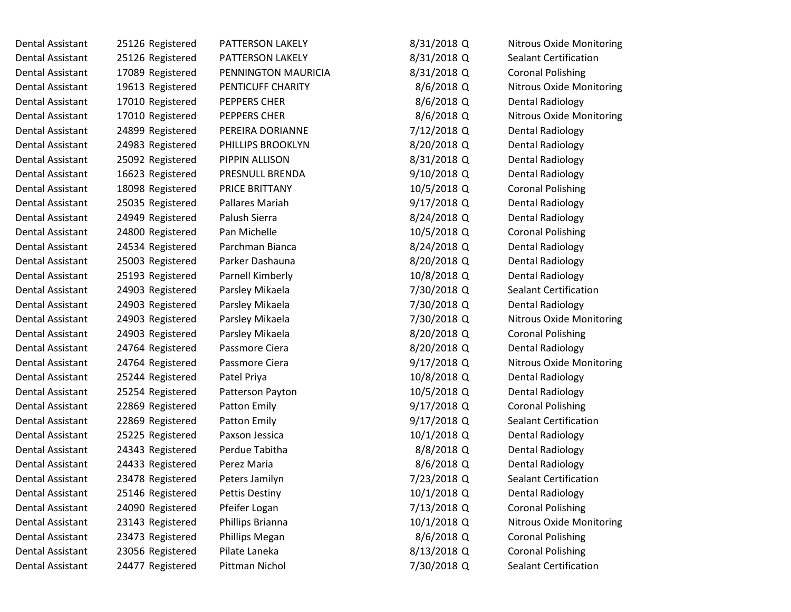| Dental Assistant        | 25126 Registered | PATTERSON LAKELY      | 8/31/2018 Q  | <b>Nitrous Oxide Monitoring</b> |
|-------------------------|------------------|-----------------------|--------------|---------------------------------|
| Dental Assistant        | 25126 Registered | PATTERSON LAKELY      | 8/31/2018 Q  | <b>Sealant Certification</b>    |
| Dental Assistant        | 17089 Registered | PENNINGTON MAURICIA   | 8/31/2018 Q  | <b>Coronal Polishing</b>        |
| Dental Assistant        | 19613 Registered | PENTICUFF CHARITY     | 8/6/2018 Q   | <b>Nitrous Oxide Monitoring</b> |
| Dental Assistant        | 17010 Registered | PEPPERS CHER          | 8/6/2018 Q   | <b>Dental Radiology</b>         |
| Dental Assistant        | 17010 Registered | PEPPERS CHER          | $8/6/2018$ Q | <b>Nitrous Oxide Monitoring</b> |
| Dental Assistant        | 24899 Registered | PEREIRA DORIANNE      | 7/12/2018 Q  | <b>Dental Radiology</b>         |
| <b>Dental Assistant</b> | 24983 Registered | PHILLIPS BROOKLYN     | 8/20/2018 Q  | <b>Dental Radiology</b>         |
| Dental Assistant        | 25092 Registered | PIPPIN ALLISON        | 8/31/2018 Q  | Dental Radiology                |
| Dental Assistant        | 16623 Registered | PRESNULL BRENDA       | 9/10/2018 Q  | Dental Radiology                |
| Dental Assistant        | 18098 Registered | PRICE BRITTANY        | 10/5/2018 Q  | <b>Coronal Polishing</b>        |
| Dental Assistant        | 25035 Registered | Pallares Mariah       | 9/17/2018 Q  | <b>Dental Radiology</b>         |
| Dental Assistant        | 24949 Registered | Palush Sierra         | 8/24/2018 Q  | <b>Dental Radiology</b>         |
| Dental Assistant        | 24800 Registered | Pan Michelle          | 10/5/2018 Q  | <b>Coronal Polishing</b>        |
| Dental Assistant        | 24534 Registered | Parchman Bianca       | 8/24/2018 Q  | <b>Dental Radiology</b>         |
| Dental Assistant        | 25003 Registered | Parker Dashauna       | 8/20/2018 Q  | <b>Dental Radiology</b>         |
| Dental Assistant        | 25193 Registered | Parnell Kimberly      | 10/8/2018 Q  | <b>Dental Radiology</b>         |
| Dental Assistant        | 24903 Registered | Parsley Mikaela       | 7/30/2018 Q  | <b>Sealant Certification</b>    |
| <b>Dental Assistant</b> | 24903 Registered | Parsley Mikaela       | 7/30/2018 Q  | <b>Dental Radiology</b>         |
| Dental Assistant        | 24903 Registered | Parsley Mikaela       | 7/30/2018 Q  | <b>Nitrous Oxide Monitoring</b> |
| Dental Assistant        | 24903 Registered | Parsley Mikaela       | 8/20/2018 Q  | <b>Coronal Polishing</b>        |
| Dental Assistant        | 24764 Registered | Passmore Ciera        | 8/20/2018 Q  | <b>Dental Radiology</b>         |
| Dental Assistant        | 24764 Registered | Passmore Ciera        | 9/17/2018 Q  | <b>Nitrous Oxide Monitoring</b> |
| Dental Assistant        | 25244 Registered | Patel Priya           | 10/8/2018 Q  | <b>Dental Radiology</b>         |
| Dental Assistant        | 25254 Registered | Patterson Payton      | 10/5/2018 Q  | <b>Dental Radiology</b>         |
| Dental Assistant        | 22869 Registered | Patton Emily          | 9/17/2018 Q  | <b>Coronal Polishing</b>        |
| Dental Assistant        | 22869 Registered | Patton Emily          | 9/17/2018 Q  | Sealant Certification           |
| Dental Assistant        | 25225 Registered | Paxson Jessica        | 10/1/2018 Q  | <b>Dental Radiology</b>         |
| Dental Assistant        | 24343 Registered | Perdue Tabitha        | 8/8/2018 Q   | Dental Radiology                |
| Dental Assistant        | 24433 Registered | Perez Maria           | 8/6/2018 Q   | <b>Dental Radiology</b>         |
| Dental Assistant        | 23478 Registered | Peters Jamilyn        | 7/23/2018 Q  | <b>Sealant Certification</b>    |
| Dental Assistant        | 25146 Registered | <b>Pettis Destiny</b> | 10/1/2018 Q  | <b>Dental Radiology</b>         |
| Dental Assistant        | 24090 Registered | Pfeifer Logan         | 7/13/2018 Q  | <b>Coronal Polishing</b>        |
| Dental Assistant        | 23143 Registered | Phillips Brianna      | 10/1/2018 Q  | Nitrous Oxide Monitoring        |
| Dental Assistant        | 23473 Registered | Phillips Megan        | 8/6/2018 Q   | <b>Coronal Polishing</b>        |
| Dental Assistant        | 23056 Registered | Pilate Laneka         | 8/13/2018 Q  | <b>Coronal Polishing</b>        |
| Dental Assistant        | 24477 Registered | Pittman Nichol        | 7/30/2018 Q  | <b>Sealant Certification</b>    |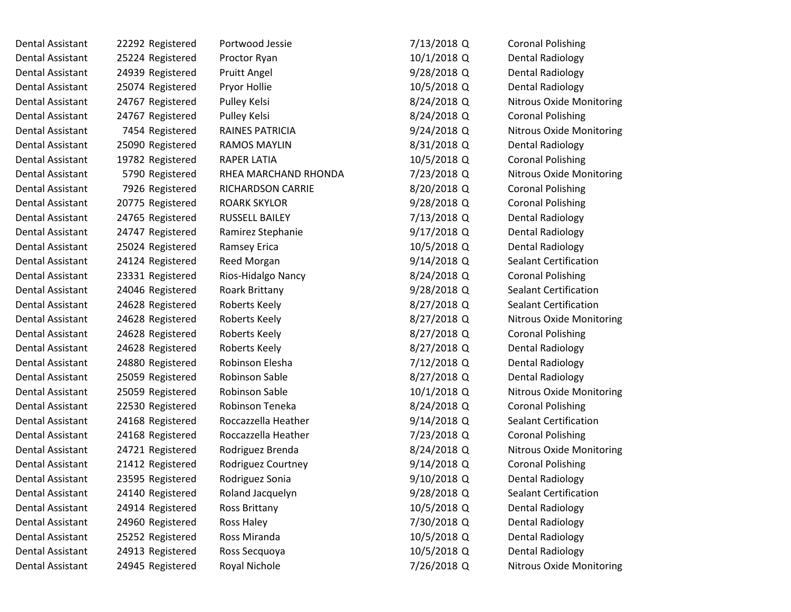| Dental Assistant | 22292 Registered | Portwood Jessie        | 7/13/2018 Q | <b>Coronal Polishing</b>        |
|------------------|------------------|------------------------|-------------|---------------------------------|
| Dental Assistant | 25224 Registered | Proctor Ryan           | 10/1/2018 Q | Dental Radiology                |
| Dental Assistant | 24939 Registered | Pruitt Angel           | 9/28/2018 Q | <b>Dental Radiology</b>         |
| Dental Assistant | 25074 Registered | Pryor Hollie           | 10/5/2018 Q | <b>Dental Radiology</b>         |
| Dental Assistant | 24767 Registered | Pulley Kelsi           | 8/24/2018 Q | <b>Nitrous Oxide Monitoring</b> |
| Dental Assistant | 24767 Registered | Pulley Kelsi           | 8/24/2018 Q | <b>Coronal Polishing</b>        |
| Dental Assistant | 7454 Registered  | <b>RAINES PATRICIA</b> | 9/24/2018 Q | <b>Nitrous Oxide Monitoring</b> |
| Dental Assistant | 25090 Registered | <b>RAMOS MAYLIN</b>    | 8/31/2018 Q | Dental Radiology                |
| Dental Assistant | 19782 Registered | <b>RAPER LATIA</b>     | 10/5/2018 Q | <b>Coronal Polishing</b>        |
| Dental Assistant | 5790 Registered  | RHEA MARCHAND RHONDA   | 7/23/2018 Q | <b>Nitrous Oxide Monitoring</b> |
| Dental Assistant | 7926 Registered  | RICHARDSON CARRIE      | 8/20/2018 Q | <b>Coronal Polishing</b>        |
| Dental Assistant | 20775 Registered | <b>ROARK SKYLOR</b>    | 9/28/2018 Q | <b>Coronal Polishing</b>        |
| Dental Assistant | 24765 Registered | RUSSELL BAILEY         | 7/13/2018 Q | <b>Dental Radiology</b>         |
| Dental Assistant | 24747 Registered | Ramirez Stephanie      | 9/17/2018 Q | <b>Dental Radiology</b>         |
| Dental Assistant | 25024 Registered | Ramsey Erica           | 10/5/2018 Q | <b>Dental Radiology</b>         |
| Dental Assistant | 24124 Registered | Reed Morgan            | 9/14/2018 Q | <b>Sealant Certification</b>    |
| Dental Assistant | 23331 Registered | Rios-Hidalgo Nancy     | 8/24/2018 Q | <b>Coronal Polishing</b>        |
| Dental Assistant | 24046 Registered | Roark Brittany         | 9/28/2018 Q | <b>Sealant Certification</b>    |
| Dental Assistant | 24628 Registered | Roberts Keely          | 8/27/2018 Q | <b>Sealant Certification</b>    |
| Dental Assistant | 24628 Registered | Roberts Keely          | 8/27/2018 Q | Nitrous Oxide Monitoring        |
| Dental Assistant | 24628 Registered | Roberts Keely          | 8/27/2018 Q | <b>Coronal Polishing</b>        |
| Dental Assistant | 24628 Registered | Roberts Keely          | 8/27/2018 Q | <b>Dental Radiology</b>         |
| Dental Assistant | 24880 Registered | Robinson Elesha        | 7/12/2018 Q | Dental Radiology                |
| Dental Assistant | 25059 Registered | Robinson Sable         | 8/27/2018 Q | <b>Dental Radiology</b>         |
| Dental Assistant | 25059 Registered | Robinson Sable         | 10/1/2018 Q | <b>Nitrous Oxide Monitoring</b> |
| Dental Assistant | 22530 Registered | Robinson Teneka        | 8/24/2018 Q | <b>Coronal Polishing</b>        |
| Dental Assistant | 24168 Registered | Roccazzella Heather    | 9/14/2018 Q | Sealant Certification           |
| Dental Assistant | 24168 Registered | Roccazzella Heather    | 7/23/2018 Q | <b>Coronal Polishing</b>        |
| Dental Assistant | 24721 Registered | Rodriguez Brenda       | 8/24/2018 Q | <b>Nitrous Oxide Monitoring</b> |
| Dental Assistant | 21412 Registered | Rodriguez Courtney     | 9/14/2018 Q | <b>Coronal Polishing</b>        |
| Dental Assistant | 23595 Registered | Rodriguez Sonia        | 9/10/2018 Q | <b>Dental Radiology</b>         |
| Dental Assistant | 24140 Registered | Roland Jacquelyn       | 9/28/2018 Q | Sealant Certification           |
| Dental Assistant | 24914 Registered | Ross Brittany          | 10/5/2018 Q | <b>Dental Radiology</b>         |
| Dental Assistant | 24960 Registered | Ross Haley             | 7/30/2018 Q | <b>Dental Radiology</b>         |
| Dental Assistant | 25252 Registered | Ross Miranda           | 10/5/2018 Q | <b>Dental Radiology</b>         |
| Dental Assistant | 24913 Registered | Ross Secquoya          | 10/5/2018 Q | <b>Dental Radiology</b>         |
| Dental Assistant | 24945 Registered | Royal Nichole          | 7/26/2018 Q | <b>Nitrous Oxide Monitoring</b> |
|                  |                  |                        |             |                                 |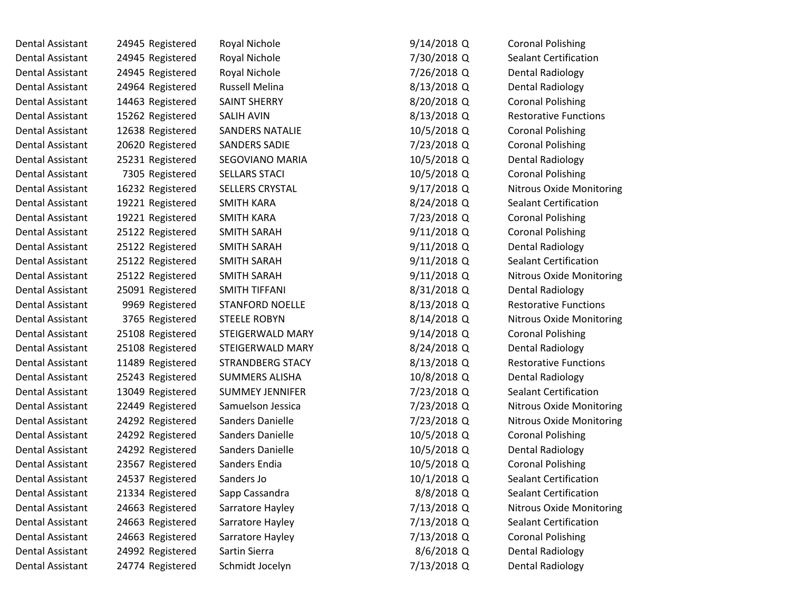| Dental Assistant | 24945 Registered | Royal Nichole          | $9/14/2018$ Q | <b>Coronal Polishing</b>        |
|------------------|------------------|------------------------|---------------|---------------------------------|
| Dental Assistant | 24945 Registered | Royal Nichole          | 7/30/2018 Q   | Sealant Certification           |
| Dental Assistant | 24945 Registered | Royal Nichole          | 7/26/2018 Q   | <b>Dental Radiology</b>         |
| Dental Assistant | 24964 Registered | Russell Melina         | 8/13/2018 Q   | Dental Radiology                |
| Dental Assistant | 14463 Registered | <b>SAINT SHERRY</b>    | 8/20/2018 Q   | <b>Coronal Polishing</b>        |
| Dental Assistant | 15262 Registered | SALIH AVIN             | 8/13/2018 Q   | <b>Restorative Functions</b>    |
| Dental Assistant | 12638 Registered | SANDERS NATALIE        | 10/5/2018 Q   | <b>Coronal Polishing</b>        |
| Dental Assistant | 20620 Registered | <b>SANDERS SADIE</b>   | 7/23/2018 Q   | <b>Coronal Polishing</b>        |
| Dental Assistant | 25231 Registered | SEGOVIANO MARIA        | 10/5/2018 Q   | <b>Dental Radiology</b>         |
| Dental Assistant | 7305 Registered  | <b>SELLARS STACI</b>   | 10/5/2018 Q   | <b>Coronal Polishing</b>        |
| Dental Assistant | 16232 Registered | SELLERS CRYSTAL        | $9/17/2018$ Q | <b>Nitrous Oxide Monitoring</b> |
| Dental Assistant | 19221 Registered | <b>SMITH KARA</b>      | 8/24/2018 Q   | <b>Sealant Certification</b>    |
| Dental Assistant | 19221 Registered | <b>SMITH KARA</b>      | 7/23/2018 Q   | <b>Coronal Polishing</b>        |
| Dental Assistant | 25122 Registered | SMITH SARAH            | $9/11/2018$ Q | <b>Coronal Polishing</b>        |
| Dental Assistant | 25122 Registered | SMITH SARAH            | $9/11/2018$ Q | Dental Radiology                |
| Dental Assistant | 25122 Registered | <b>SMITH SARAH</b>     | 9/11/2018 Q   | <b>Sealant Certification</b>    |
| Dental Assistant | 25122 Registered | SMITH SARAH            | 9/11/2018 Q   | <b>Nitrous Oxide Monitoring</b> |
| Dental Assistant | 25091 Registered | SMITH TIFFANI          | 8/31/2018 Q   | <b>Dental Radiology</b>         |
| Dental Assistant | 9969 Registered  | <b>STANFORD NOELLE</b> | 8/13/2018 Q   | <b>Restorative Functions</b>    |
| Dental Assistant | 3765 Registered  | <b>STEELE ROBYN</b>    | 8/14/2018 Q   | <b>Nitrous Oxide Monitoring</b> |
| Dental Assistant | 25108 Registered | STEIGERWALD MARY       | 9/14/2018 Q   | <b>Coronal Polishing</b>        |
| Dental Assistant | 25108 Registered | STEIGERWALD MARY       | 8/24/2018 Q   | Dental Radiology                |
| Dental Assistant | 11489 Registered | STRANDBERG STACY       | 8/13/2018 Q   | <b>Restorative Functions</b>    |
| Dental Assistant | 25243 Registered | <b>SUMMERS ALISHA</b>  | 10/8/2018 Q   | Dental Radiology                |
| Dental Assistant | 13049 Registered | <b>SUMMEY JENNIFER</b> | 7/23/2018 Q   | <b>Sealant Certification</b>    |
| Dental Assistant | 22449 Registered | Samuelson Jessica      | 7/23/2018 Q   | <b>Nitrous Oxide Monitoring</b> |
| Dental Assistant | 24292 Registered | Sanders Danielle       | 7/23/2018 Q   | Nitrous Oxide Monitoring        |
| Dental Assistant | 24292 Registered | Sanders Danielle       | 10/5/2018 Q   | <b>Coronal Polishing</b>        |
| Dental Assistant | 24292 Registered | Sanders Danielle       | 10/5/2018 Q   | <b>Dental Radiology</b>         |
| Dental Assistant | 23567 Registered | Sanders Endia          | 10/5/2018 Q   | <b>Coronal Polishing</b>        |
| Dental Assistant | 24537 Registered | Sanders Jo             | 10/1/2018 Q   | <b>Sealant Certification</b>    |
| Dental Assistant | 21334 Registered | Sapp Cassandra         | 8/8/2018 Q    | Sealant Certification           |
| Dental Assistant | 24663 Registered | Sarratore Hayley       | 7/13/2018 Q   | Nitrous Oxide Monitoring        |
| Dental Assistant | 24663 Registered | Sarratore Hayley       | 7/13/2018 Q   | Sealant Certification           |
| Dental Assistant | 24663 Registered | Sarratore Hayley       | 7/13/2018 Q   | <b>Coronal Polishing</b>        |
| Dental Assistant | 24992 Registered | Sartin Sierra          | 8/6/2018 Q    | <b>Dental Radiology</b>         |
| Dental Assistant | 24774 Registered | Schmidt Jocelyn        | 7/13/2018 Q   | <b>Dental Radiology</b>         |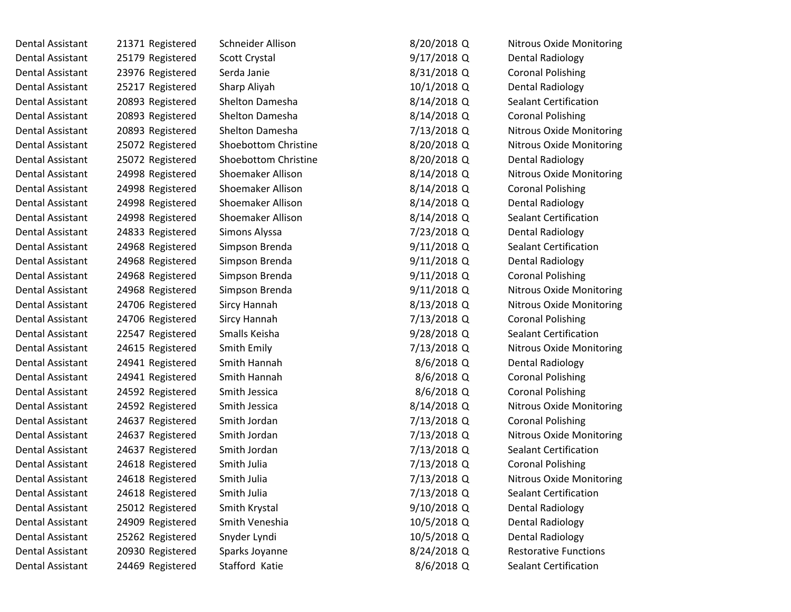Dental Assistant 21371 Registered Schneider Allison Dental Assistant 25179 Registered Scott Crystal Dental Assistant 23976 Registered Serda Janie Dental Assistant 25217 Registered Sharp Aliyah Dental Assistant 20893 Registered Shelton Damesha Dental Assistant 20893 Registered Shelton Damesha Dental Assistant 20893 Registered Shelton Damesha Dental Assistant 25072 Registered Shoebottom Christine Dental Assistant 25072 Registered Shoebottom Christine Dental Assistant 24998 Registered Shoemaker Allison Dental Assistant 24998 Registered Shoemaker Allison Dental Assistant 24998 Registered Shoemaker Allison Dental Assistant 24998 Registered Shoemaker Allison Dental Assistant 24833 Registered Simons Alyssa Dental Assistant 24968 Registered Simpson Brenda Dental Assistant 24968 Registered Simpson Brenda Dental Assistant 24968 Registered Simpson Brenda Dental Assistant 24968 Registered Simpson Brenda Dental Assistant 24706 Registered Sircy Hannah Dental Assistant 24706 Registered Sircy Hannah Dental Assistant 22547 Registered Smalls Keisha Dental Assistant 24615 Registered Smith Emily Dental Assistant 24941 Registered Smith Hannah Dental Assistant 24941 Registered Smith Hannah Dental Assistant 24592 Registered Smith Jessica Dental Assistant 24592 Registered Smith Jessica Dental Assistant 24637 Registered Smith Jordan Dental Assistant 24637 Registered Smith Jordan Dental Assistant 24637 Registered Smith Jordan Dental Assistant 24618 Registered Smith Julia Dental Assistant 24618 Registered Smith Julia Dental Assistant 24618 Registered Smith Julia Dental Assistant 25012 Registered Smith Krystal Dental Assistant 24909 Registered Smith Veneshia Dental Assistant 25262 Registered Snyder Lyndi Dental Assistant 20930 Registered Sparks Joyanne

Dental Assistant 24469 Registered Stafford Katie

| 8/20/2018 Q | <b>Nitrous Oxide Monitoring</b> |
|-------------|---------------------------------|
| 9/17/2018 Q | Dental Radiology                |
| 8/31/2018 Q | <b>Coronal Polishing</b>        |
| 10/1/2018 Q | <b>Dental Radiology</b>         |
| 8/14/2018 Q | <b>Sealant Certification</b>    |
| 8/14/2018 Q | <b>Coronal Polishing</b>        |
| 7/13/2018 Q | Nitrous Oxide Monitoring        |
| 8/20/2018 Q | <b>Nitrous Oxide Monitoring</b> |
| 8/20/2018 Q | Dental Radiology                |
| 8/14/2018 Q | <b>Nitrous Oxide Monitoring</b> |
| 8/14/2018 Q | <b>Coronal Polishing</b>        |
| 8/14/2018 Q | <b>Dental Radiology</b>         |
| 8/14/2018 Q | <b>Sealant Certification</b>    |
| 7/23/2018 Q | <b>Dental Radiology</b>         |
| 9/11/2018 Q | <b>Sealant Certification</b>    |
| 9/11/2018 Q | Dental Radiology                |
| 9/11/2018 Q | <b>Coronal Polishing</b>        |
| 9/11/2018 Q | <b>Nitrous Oxide Monitoring</b> |
| 8/13/2018 Q | <b>Nitrous Oxide Monitoring</b> |
| 7/13/2018 Q | <b>Coronal Polishing</b>        |
| 9/28/2018 Q | <b>Sealant Certification</b>    |
| 7/13/2018 Q | <b>Nitrous Oxide Monitoring</b> |
| 8/6/2018 Q  | Dental Radiology                |
| 8/6/2018 Q  | <b>Coronal Polishing</b>        |
| 8/6/2018 Q  | <b>Coronal Polishing</b>        |
| 8/14/2018 Q | <b>Nitrous Oxide Monitoring</b> |
| 7/13/2018 Q | <b>Coronal Polishing</b>        |
| 7/13/2018 Q | <b>Nitrous Oxide Monitoring</b> |
| 7/13/2018 Q | <b>Sealant Certification</b>    |
| 7/13/2018 Q | <b>Coronal Polishing</b>        |
| 7/13/2018 Q | <b>Nitrous Oxide Monitoring</b> |
| 7/13/2018 Q | <b>Sealant Certification</b>    |
| 9/10/2018 Q | Dental Radiology                |
| 10/5/2018 Q | <b>Dental Radiology</b>         |
| 10/5/2018 Q | <b>Dental Radiology</b>         |
| 8/24/2018 Q | <b>Restorative Functions</b>    |
| 8/6/2018 Q  | <b>Sealant Certification</b>    |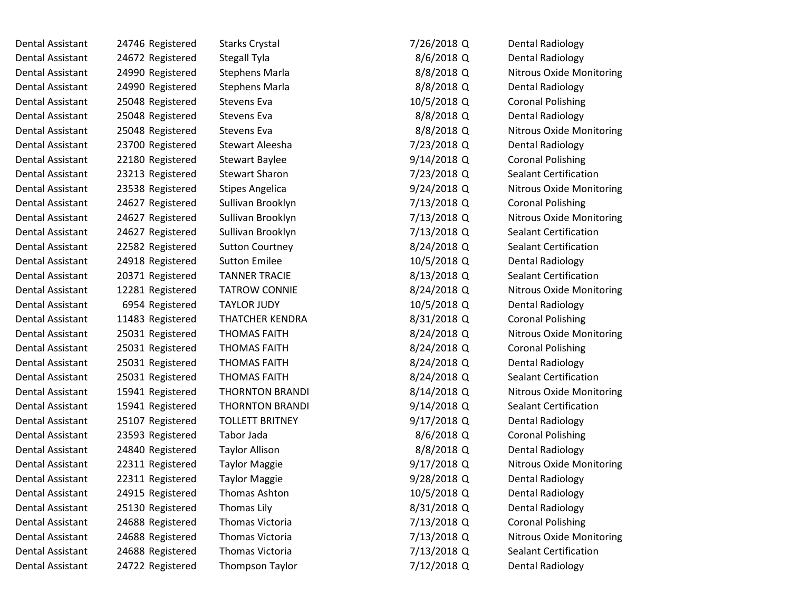| Dental Assistant | 24746 Registered | <b>Starks Crystal</b>  | 7/26/2018 Q   | <b>Dental Radiology</b>         |
|------------------|------------------|------------------------|---------------|---------------------------------|
| Dental Assistant | 24672 Registered | Stegall Tyla           | 8/6/2018 Q    | Dental Radiology                |
| Dental Assistant | 24990 Registered | <b>Stephens Marla</b>  | 8/8/2018 Q    | <b>Nitrous Oxide Monitoring</b> |
| Dental Assistant | 24990 Registered | <b>Stephens Marla</b>  | 8/8/2018 Q    | <b>Dental Radiology</b>         |
| Dental Assistant | 25048 Registered | Stevens Eva            | 10/5/2018 Q   | <b>Coronal Polishing</b>        |
| Dental Assistant | 25048 Registered | Stevens Eva            | 8/8/2018 Q    | <b>Dental Radiology</b>         |
| Dental Assistant | 25048 Registered | Stevens Eva            | 8/8/2018 Q    | <b>Nitrous Oxide Monitoring</b> |
| Dental Assistant | 23700 Registered | Stewart Aleesha        | 7/23/2018 Q   | Dental Radiology                |
| Dental Assistant | 22180 Registered | <b>Stewart Baylee</b>  | 9/14/2018 Q   | <b>Coronal Polishing</b>        |
| Dental Assistant | 23213 Registered | <b>Stewart Sharon</b>  | 7/23/2018 Q   | <b>Sealant Certification</b>    |
| Dental Assistant | 23538 Registered | <b>Stipes Angelica</b> | 9/24/2018 Q   | Nitrous Oxide Monitoring        |
| Dental Assistant | 24627 Registered | Sullivan Brooklyn      | 7/13/2018 Q   | <b>Coronal Polishing</b>        |
| Dental Assistant | 24627 Registered | Sullivan Brooklyn      | 7/13/2018 Q   | Nitrous Oxide Monitoring        |
| Dental Assistant | 24627 Registered | Sullivan Brooklyn      | 7/13/2018 Q   | <b>Sealant Certification</b>    |
| Dental Assistant | 22582 Registered | <b>Sutton Courtney</b> | 8/24/2018 Q   | <b>Sealant Certification</b>    |
| Dental Assistant | 24918 Registered | <b>Sutton Emilee</b>   | 10/5/2018 Q   | <b>Dental Radiology</b>         |
| Dental Assistant | 20371 Registered | <b>TANNER TRACIE</b>   | 8/13/2018 Q   | <b>Sealant Certification</b>    |
| Dental Assistant | 12281 Registered | <b>TATROW CONNIE</b>   | 8/24/2018 Q   | <b>Nitrous Oxide Monitoring</b> |
| Dental Assistant | 6954 Registered  | <b>TAYLOR JUDY</b>     | 10/5/2018 Q   | Dental Radiology                |
| Dental Assistant | 11483 Registered | <b>THATCHER KENDRA</b> | 8/31/2018 Q   | <b>Coronal Polishing</b>        |
| Dental Assistant | 25031 Registered | <b>THOMAS FAITH</b>    | 8/24/2018 Q   | Nitrous Oxide Monitoring        |
| Dental Assistant | 25031 Registered | <b>THOMAS FAITH</b>    | 8/24/2018 Q   | <b>Coronal Polishing</b>        |
| Dental Assistant | 25031 Registered | <b>THOMAS FAITH</b>    | 8/24/2018 Q   | <b>Dental Radiology</b>         |
| Dental Assistant | 25031 Registered | <b>THOMAS FAITH</b>    | 8/24/2018 Q   | <b>Sealant Certification</b>    |
| Dental Assistant | 15941 Registered | <b>THORNTON BRANDI</b> | 8/14/2018 Q   | Nitrous Oxide Monitoring        |
| Dental Assistant | 15941 Registered | <b>THORNTON BRANDI</b> | 9/14/2018 Q   | <b>Sealant Certification</b>    |
| Dental Assistant | 25107 Registered | <b>TOLLETT BRITNEY</b> | $9/17/2018$ Q | Dental Radiology                |
| Dental Assistant | 23593 Registered | Tabor Jada             | 8/6/2018 Q    | <b>Coronal Polishing</b>        |
| Dental Assistant | 24840 Registered | <b>Taylor Allison</b>  | 8/8/2018 Q    | Dental Radiology                |
| Dental Assistant | 22311 Registered | <b>Taylor Maggie</b>   | $9/17/2018$ Q | <b>Nitrous Oxide Monitoring</b> |
| Dental Assistant | 22311 Registered | <b>Taylor Maggie</b>   | 9/28/2018 Q   | <b>Dental Radiology</b>         |
| Dental Assistant | 24915 Registered | Thomas Ashton          | 10/5/2018 Q   | <b>Dental Radiology</b>         |
| Dental Assistant | 25130 Registered | Thomas Lily            | 8/31/2018 Q   | <b>Dental Radiology</b>         |
| Dental Assistant | 24688 Registered | Thomas Victoria        | 7/13/2018 Q   | <b>Coronal Polishing</b>        |
| Dental Assistant | 24688 Registered | Thomas Victoria        | 7/13/2018 Q   | Nitrous Oxide Monitoring        |
| Dental Assistant | 24688 Registered | Thomas Victoria        | 7/13/2018 Q   | <b>Sealant Certification</b>    |
| Dental Assistant | 24722 Registered | Thompson Taylor        | 7/12/2018 Q   | Dental Radiology                |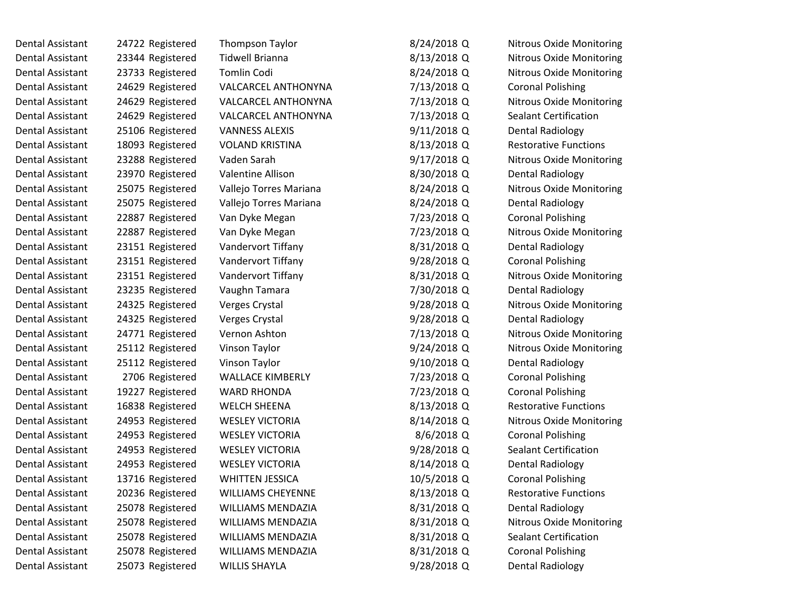| Dental Assistant        | 24722 Registered | <b>Thompson Taylor</b>   | 8/24/2018 Q   | <b>Nitrous Oxide Monitoring</b> |
|-------------------------|------------------|--------------------------|---------------|---------------------------------|
| Dental Assistant        | 23344 Registered | <b>Tidwell Brianna</b>   | 8/13/2018 Q   | <b>Nitrous Oxide Monitoring</b> |
| Dental Assistant        | 23733 Registered | Tomlin Codi              | 8/24/2018 Q   | <b>Nitrous Oxide Monitoring</b> |
| Dental Assistant        | 24629 Registered | VALCARCEL ANTHONYNA      | 7/13/2018 Q   | <b>Coronal Polishing</b>        |
| <b>Dental Assistant</b> | 24629 Registered | VALCARCEL ANTHONYNA      | 7/13/2018 Q   | <b>Nitrous Oxide Monitoring</b> |
| Dental Assistant        | 24629 Registered | VALCARCEL ANTHONYNA      | 7/13/2018 Q   | Sealant Certification           |
| Dental Assistant        | 25106 Registered | <b>VANNESS ALEXIS</b>    | $9/11/2018$ Q | <b>Dental Radiology</b>         |
| Dental Assistant        | 18093 Registered | <b>VOLAND KRISTINA</b>   | 8/13/2018 Q   | <b>Restorative Functions</b>    |
| Dental Assistant        | 23288 Registered | Vaden Sarah              | 9/17/2018 Q   | <b>Nitrous Oxide Monitoring</b> |
| Dental Assistant        | 23970 Registered | <b>Valentine Allison</b> | 8/30/2018 Q   | <b>Dental Radiology</b>         |
| Dental Assistant        | 25075 Registered | Vallejo Torres Mariana   | 8/24/2018 Q   | <b>Nitrous Oxide Monitoring</b> |
| Dental Assistant        | 25075 Registered | Vallejo Torres Mariana   | 8/24/2018 Q   | <b>Dental Radiology</b>         |
| Dental Assistant        | 22887 Registered | Van Dyke Megan           | 7/23/2018 Q   | <b>Coronal Polishing</b>        |
| Dental Assistant        | 22887 Registered | Van Dyke Megan           | 7/23/2018 Q   | <b>Nitrous Oxide Monitoring</b> |
| <b>Dental Assistant</b> | 23151 Registered | Vandervort Tiffany       | 8/31/2018 Q   | <b>Dental Radiology</b>         |
| Dental Assistant        | 23151 Registered | Vandervort Tiffany       | 9/28/2018 Q   | <b>Coronal Polishing</b>        |
| <b>Dental Assistant</b> | 23151 Registered | Vandervort Tiffany       | 8/31/2018 Q   | <b>Nitrous Oxide Monitoring</b> |
| Dental Assistant        | 23235 Registered | Vaughn Tamara            | 7/30/2018Q    | <b>Dental Radiology</b>         |
| Dental Assistant        | 24325 Registered | Verges Crystal           | 9/28/2018 Q   | <b>Nitrous Oxide Monitoring</b> |
| Dental Assistant        | 24325 Registered | Verges Crystal           | $9/28/2018$ Q | <b>Dental Radiology</b>         |
| Dental Assistant        | 24771 Registered | Vernon Ashton            | 7/13/2018 Q   | Nitrous Oxide Monitoring        |
| Dental Assistant        | 25112 Registered | Vinson Taylor            | $9/24/2018$ Q | <b>Nitrous Oxide Monitoring</b> |
| Dental Assistant        | 25112 Registered | Vinson Taylor            | 9/10/2018 Q   | <b>Dental Radiology</b>         |
| Dental Assistant        | 2706 Registered  | <b>WALLACE KIMBERLY</b>  | 7/23/2018 Q   | <b>Coronal Polishing</b>        |
| Dental Assistant        | 19227 Registered | <b>WARD RHONDA</b>       | 7/23/2018 Q   | <b>Coronal Polishing</b>        |
| Dental Assistant        | 16838 Registered | <b>WELCH SHEENA</b>      | 8/13/2018 Q   | <b>Restorative Functions</b>    |
| Dental Assistant        | 24953 Registered | <b>WESLEY VICTORIA</b>   | 8/14/2018 Q   | Nitrous Oxide Monitoring        |
| Dental Assistant        | 24953 Registered | <b>WESLEY VICTORIA</b>   | 8/6/2018 Q    | <b>Coronal Polishing</b>        |
| Dental Assistant        | 24953 Registered | <b>WESLEY VICTORIA</b>   | $9/28/2018$ Q | Sealant Certification           |
| <b>Dental Assistant</b> | 24953 Registered | <b>WESLEY VICTORIA</b>   | 8/14/2018 Q   | <b>Dental Radiology</b>         |
| Dental Assistant        | 13716 Registered | <b>WHITTEN JESSICA</b>   | 10/5/2018 Q   | <b>Coronal Polishing</b>        |
| Dental Assistant        | 20236 Registered | <b>WILLIAMS CHEYENNE</b> | 8/13/2018 Q   | <b>Restorative Functions</b>    |
| Dental Assistant        | 25078 Registered | <b>WILLIAMS MENDAZIA</b> | 8/31/2018 Q   | <b>Dental Radiology</b>         |
| Dental Assistant        | 25078 Registered | WILLIAMS MENDAZIA        | 8/31/2018 Q   | Nitrous Oxide Monitoring        |
| Dental Assistant        | 25078 Registered | WILLIAMS MENDAZIA        | 8/31/2018 Q   | <b>Sealant Certification</b>    |
| Dental Assistant        | 25078 Registered | WILLIAMS MENDAZIA        | 8/31/2018 Q   | <b>Coronal Polishing</b>        |
| Dental Assistant        | 25073 Registered | <b>WILLIS SHAYLA</b>     | 9/28/2018 Q   | Dental Radiology                |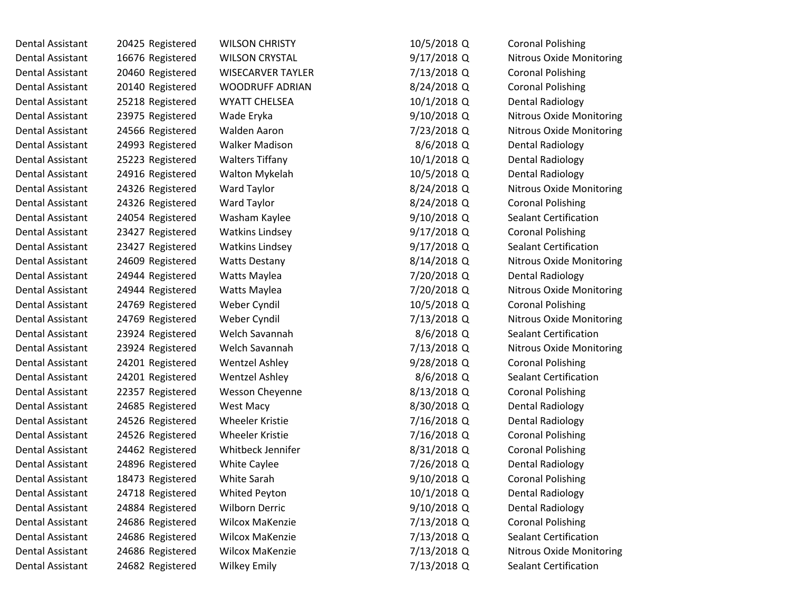Dental Assistant 24682 Registered Wilkey Emily

Dental Assistant 20425 Registered WILSON CHRISTY Dental Assistant 16676 Registered WILSON CRYSTAL Dental Assistant 20460 Registered WISECARVER TAYLER Dental Assistant 20140 Registered WOODRUFF ADRIAN Dental Assistant 25218 Registered WYATT CHELSEA Dental Assistant 23975 Registered Wade Eryka Dental Assistant 24566 Registered Walden Aaron Dental Assistant 24993 Registered Walker Madison Dental Assistant 25223 Registered Walters Tiffany Dental Assistant 24916 Registered Walton Mykelah Dental Assistant 24326 Registered Ward Taylor Dental Assistant 24326 Registered Ward Taylor Dental Assistant 24054 Registered Washam Kaylee Dental Assistant 23427 Registered Watkins Lindsey Dental Assistant 23427 Registered Watkins Lindsey Dental Assistant 24609 Registered Watts Destany Dental Assistant 24944 Registered Watts Maylea Dental Assistant 24944 Registered Watts Maylea Dental Assistant 24769 Registered Weber Cyndil Dental Assistant 24769 Registered Weber Cyndil Dental Assistant 23924 Registered Welch Savannah Dental Assistant 23924 Registered Welch Savannah Dental Assistant 24201 Registered Wentzel Ashley Dental Assistant 24201 Registered Wentzel Ashley Dental Assistant 22357 Registered Wesson Cheyenne Dental Assistant 24685 Registered West Macy Dental Assistant 24526 Registered Wheeler Kristie Dental Assistant 24526 Registered Wheeler Kristie Dental Assistant 24462 Registered Whitbeck Jennifer Dental Assistant 24896 Registered White Caylee Dental Assistant 18473 Registered White Sarah Dental Assistant 24718 Registered Whited Peyton Dental Assistant 24884 Registered Wilborn Derric Dental Assistant 24686 Registered Wilcox MaKenzie Dental Assistant 24686 Registered Wilcox MaKenzie Dental Assistant 24686 Registered Wilcox MaKenzie

| 10/5/2018 Q | <b>Coronal Polishing</b>        |
|-------------|---------------------------------|
| 9/17/2018 Q | <b>Nitrous Oxide Monitoring</b> |
| 7/13/2018 Q | <b>Coronal Polishing</b>        |
| 8/24/2018 Q | <b>Coronal Polishing</b>        |
| 10/1/2018 Q | Dental Radiology                |
| 9/10/2018 Q | <b>Nitrous Oxide Monitoring</b> |
| 7/23/2018 Q | <b>Nitrous Oxide Monitoring</b> |
| 8/6/2018 Q  | <b>Dental Radiology</b>         |
| 10/1/2018 Q | Dental Radiology                |
| 10/5/2018 Q | <b>Dental Radiology</b>         |
| 8/24/2018 Q | <b>Nitrous Oxide Monitoring</b> |
| 8/24/2018 Q | <b>Coronal Polishing</b>        |
| 9/10/2018 Q | <b>Sealant Certification</b>    |
| 9/17/2018 Q | <b>Coronal Polishing</b>        |
| 9/17/2018 Q | <b>Sealant Certification</b>    |
| 8/14/2018 Q | <b>Nitrous Oxide Monitoring</b> |
| 7/20/2018 Q | <b>Dental Radiology</b>         |
| 7/20/2018 Q | <b>Nitrous Oxide Monitoring</b> |
| 10/5/2018 Q | <b>Coronal Polishing</b>        |
| 7/13/2018 Q | <b>Nitrous Oxide Monitoring</b> |
| 8/6/2018 Q  | <b>Sealant Certification</b>    |
| 7/13/2018 Q | <b>Nitrous Oxide Monitoring</b> |
| 9/28/2018 Q | <b>Coronal Polishing</b>        |
| 8/6/2018 Q  | <b>Sealant Certification</b>    |
| 8/13/2018 Q | <b>Coronal Polishing</b>        |
| 8/30/2018 Q | <b>Dental Radiology</b>         |
| 7/16/2018 Q | <b>Dental Radiology</b>         |
| 7/16/2018 Q | <b>Coronal Polishing</b>        |
| 8/31/2018 Q | <b>Coronal Polishing</b>        |
| 7/26/2018 Q | Dental Radiology                |
| 9/10/2018 Q | <b>Coronal Polishing</b>        |
| 10/1/2018 Q | <b>Dental Radiology</b>         |
| 9/10/2018 Q | <b>Dental Radiology</b>         |
| 7/13/2018 Q | <b>Coronal Polishing</b>        |
| 7/13/2018 Q | <b>Sealant Certification</b>    |
| 7/13/2018 Q | <b>Nitrous Oxide Monitoring</b> |
| 7/13/2018 Q | Sealant Certification           |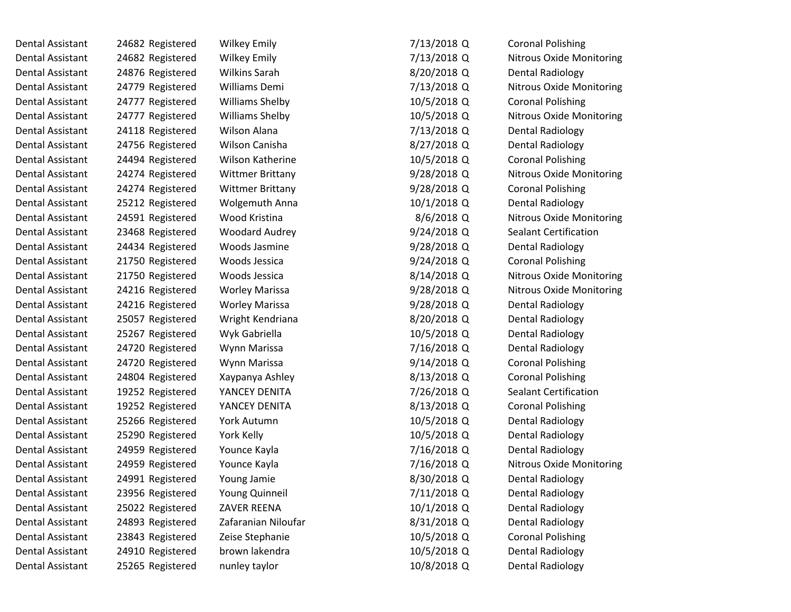| Dental Assistant        | 24682 Registered | <b>Wilkey Emily</b>     | 7/13/2018 Q  | <b>Coronal Polishing</b>        |
|-------------------------|------------------|-------------------------|--------------|---------------------------------|
| Dental Assistant        | 24682 Registered | <b>Wilkey Emily</b>     | 7/13/2018 Q  | <b>Nitrous Oxide Monitoring</b> |
| <b>Dental Assistant</b> | 24876 Registered | Wilkins Sarah           | 8/20/2018 Q  | <b>Dental Radiology</b>         |
| Dental Assistant        | 24779 Registered | Williams Demi           | 7/13/2018 Q  | <b>Nitrous Oxide Monitoring</b> |
| Dental Assistant        | 24777 Registered | <b>Williams Shelby</b>  | 10/5/2018 Q  | <b>Coronal Polishing</b>        |
| Dental Assistant        | 24777 Registered | <b>Williams Shelby</b>  | 10/5/2018 Q  | <b>Nitrous Oxide Monitoring</b> |
| Dental Assistant        | 24118 Registered | <b>Wilson Alana</b>     | 7/13/2018 Q  | <b>Dental Radiology</b>         |
| Dental Assistant        | 24756 Registered | Wilson Canisha          | 8/27/2018 Q  | <b>Dental Radiology</b>         |
| Dental Assistant        | 24494 Registered | <b>Wilson Katherine</b> | 10/5/2018 Q  | <b>Coronal Polishing</b>        |
| Dental Assistant        | 24274 Registered | <b>Wittmer Brittany</b> | 9/28/2018 Q  | <b>Nitrous Oxide Monitoring</b> |
| Dental Assistant        | 24274 Registered | <b>Wittmer Brittany</b> | 9/28/2018 Q  | <b>Coronal Polishing</b>        |
| Dental Assistant        | 25212 Registered | Wolgemuth Anna          | 10/1/2018 Q  | Dental Radiology                |
| Dental Assistant        | 24591 Registered | Wood Kristina           | $8/6/2018$ Q | <b>Nitrous Oxide Monitoring</b> |
| Dental Assistant        | 23468 Registered | Woodard Audrey          | 9/24/2018 Q  | <b>Sealant Certification</b>    |
| Dental Assistant        | 24434 Registered | Woods Jasmine           | 9/28/2018 Q  | <b>Dental Radiology</b>         |
| <b>Dental Assistant</b> | 21750 Registered | Woods Jessica           | 9/24/2018 Q  | <b>Coronal Polishing</b>        |
| Dental Assistant        | 21750 Registered | Woods Jessica           | 8/14/2018 Q  | <b>Nitrous Oxide Monitoring</b> |
| Dental Assistant        | 24216 Registered | <b>Worley Marissa</b>   | 9/28/2018 Q  | <b>Nitrous Oxide Monitoring</b> |
| <b>Dental Assistant</b> | 24216 Registered | <b>Worley Marissa</b>   | 9/28/2018 Q  | <b>Dental Radiology</b>         |
| Dental Assistant        | 25057 Registered | Wright Kendriana        | 8/20/2018 Q  | <b>Dental Radiology</b>         |
| Dental Assistant        | 25267 Registered | Wyk Gabriella           | 10/5/2018 Q  | <b>Dental Radiology</b>         |
| Dental Assistant        | 24720 Registered | Wynn Marissa            | 7/16/2018 Q  | Dental Radiology                |
| <b>Dental Assistant</b> | 24720 Registered | Wynn Marissa            | 9/14/2018 Q  | <b>Coronal Polishing</b>        |
| Dental Assistant        | 24804 Registered | Xaypanya Ashley         | 8/13/2018 Q  | <b>Coronal Polishing</b>        |
| Dental Assistant        | 19252 Registered | YANCEY DENITA           | 7/26/2018 Q  | <b>Sealant Certification</b>    |
| Dental Assistant        | 19252 Registered | YANCEY DENITA           | 8/13/2018 Q  | <b>Coronal Polishing</b>        |
| Dental Assistant        | 25266 Registered | York Autumn             | 10/5/2018 Q  | <b>Dental Radiology</b>         |
| <b>Dental Assistant</b> | 25290 Registered | York Kelly              | 10/5/2018 Q  | <b>Dental Radiology</b>         |
| Dental Assistant        | 24959 Registered | Younce Kayla            | 7/16/2018 Q  | <b>Dental Radiology</b>         |
| Dental Assistant        | 24959 Registered | Younce Kayla            | 7/16/2018 Q  | <b>Nitrous Oxide Monitoring</b> |
| <b>Dental Assistant</b> | 24991 Registered | Young Jamie             | 8/30/2018 Q  | <b>Dental Radiology</b>         |
| Dental Assistant        | 23956 Registered | <b>Young Quinneil</b>   | 7/11/2018 Q  | Dental Radiology                |
| <b>Dental Assistant</b> | 25022 Registered | ZAVER REENA             | 10/1/2018 Q  | <b>Dental Radiology</b>         |
| Dental Assistant        | 24893 Registered | Zafaranian Niloufar     | 8/31/2018 Q  | <b>Dental Radiology</b>         |
| Dental Assistant        | 23843 Registered | Zeise Stephanie         | 10/5/2018 Q  | <b>Coronal Polishing</b>        |
| Dental Assistant        | 24910 Registered | brown lakendra          | 10/5/2018 Q  | <b>Dental Radiology</b>         |
| <b>Dental Assistant</b> | 25265 Registered | nunley taylor           | 10/8/2018 Q  | <b>Dental Radiology</b>         |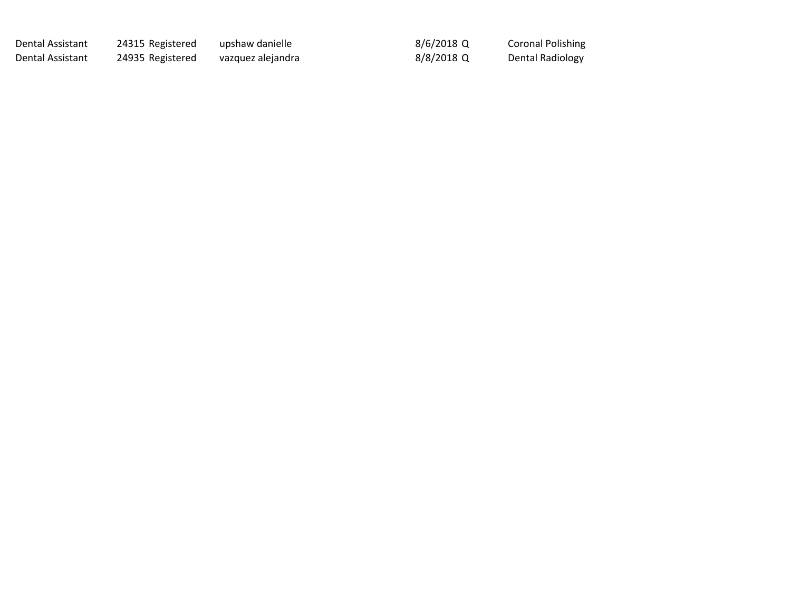Dental Assistant 24315 Registered upshaw danielle 1983 1996/2018 Q

Dental Assistant 24935 Registered vazquez alejandra 1982 1898/2018 Q

Coronal Polishing Dental Radiology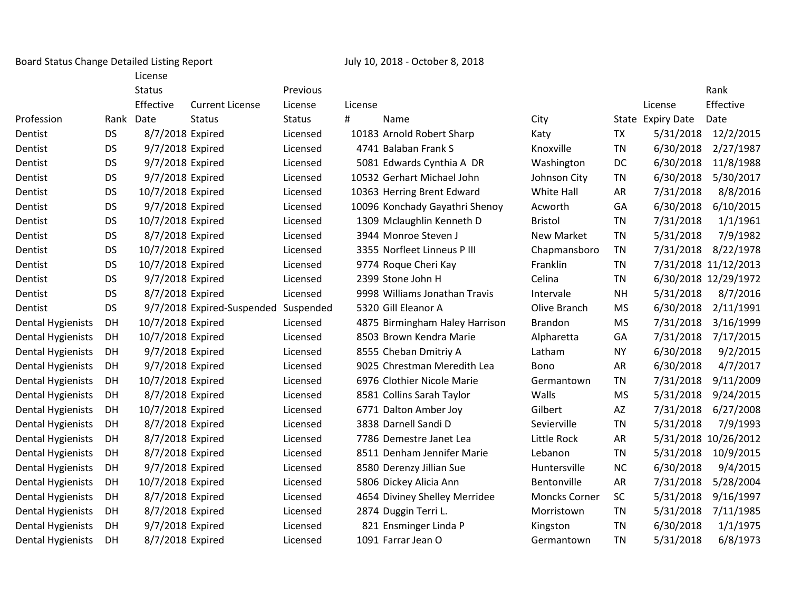Board Status Change Detailed Listing Report July 10, 2018 - October 8, 2018

|                          |           | License           |                            |               |         |                                |                      |           |                   |                      |
|--------------------------|-----------|-------------------|----------------------------|---------------|---------|--------------------------------|----------------------|-----------|-------------------|----------------------|
|                          |           | <b>Status</b>     |                            | Previous      |         |                                |                      |           |                   | Rank                 |
|                          |           | Effective         | <b>Current License</b>     | License       | License |                                |                      |           | License           | Effective            |
| Profession               |           | Rank Date         | <b>Status</b>              | <b>Status</b> | #       | Name                           | City                 |           | State Expiry Date | Date                 |
| Dentist                  | <b>DS</b> | 8/7/2018 Expired  |                            | Licensed      |         | 10183 Arnold Robert Sharp      | Katy                 | <b>TX</b> | 5/31/2018         | 12/2/2015            |
| Dentist                  | <b>DS</b> | 9/7/2018 Expired  |                            | Licensed      |         | 4741 Balaban Frank S           | Knoxville            | <b>TN</b> | 6/30/2018         | 2/27/1987            |
| Dentist                  | <b>DS</b> | 9/7/2018 Expired  |                            | Licensed      |         | 5081 Edwards Cynthia A DR      | Washington           | DC        | 6/30/2018         | 11/8/1988            |
| Dentist                  | <b>DS</b> | 9/7/2018 Expired  |                            | Licensed      |         | 10532 Gerhart Michael John     | Johnson City         | <b>TN</b> | 6/30/2018         | 5/30/2017            |
| Dentist                  | <b>DS</b> | 10/7/2018 Expired |                            | Licensed      |         | 10363 Herring Brent Edward     | White Hall           | AR        | 7/31/2018         | 8/8/2016             |
| Dentist                  | <b>DS</b> | 9/7/2018 Expired  |                            | Licensed      |         | 10096 Konchady Gayathri Shenoy | Acworth              | GA        | 6/30/2018         | 6/10/2015            |
| Dentist                  | <b>DS</b> | 10/7/2018 Expired |                            | Licensed      |         | 1309 Mclaughlin Kenneth D      | <b>Bristol</b>       | <b>TN</b> | 7/31/2018         | 1/1/1961             |
| Dentist                  | <b>DS</b> | 8/7/2018 Expired  |                            | Licensed      |         | 3944 Monroe Steven J           | <b>New Market</b>    | <b>TN</b> | 5/31/2018         | 7/9/1982             |
| Dentist                  | <b>DS</b> | 10/7/2018 Expired |                            | Licensed      |         | 3355 Norfleet Linneus P III    | Chapmansboro         | <b>TN</b> | 7/31/2018         | 8/22/1978            |
| Dentist                  | <b>DS</b> | 10/7/2018 Expired |                            | Licensed      |         | 9774 Roque Cheri Kay           | Franklin             | <b>TN</b> |                   | 7/31/2018 11/12/2013 |
| Dentist                  | <b>DS</b> | 9/7/2018 Expired  |                            | Licensed      |         | 2399 Stone John H              | Celina               | <b>TN</b> |                   | 6/30/2018 12/29/1972 |
| Dentist                  | <b>DS</b> | 8/7/2018 Expired  |                            | Licensed      |         | 9998 Williams Jonathan Travis  | Intervale            | <b>NH</b> | 5/31/2018         | 8/7/2016             |
| Dentist                  | <b>DS</b> |                   | 9/7/2018 Expired-Suspended | Suspended     |         | 5320 Gill Eleanor A            | Olive Branch         | <b>MS</b> | 6/30/2018         | 2/11/1991            |
| <b>Dental Hygienists</b> | DH        | 10/7/2018 Expired |                            | Licensed      |         | 4875 Birmingham Haley Harrison | <b>Brandon</b>       | <b>MS</b> | 7/31/2018         | 3/16/1999            |
| <b>Dental Hygienists</b> | DH        | 10/7/2018 Expired |                            | Licensed      |         | 8503 Brown Kendra Marie        | Alpharetta           | GA        | 7/31/2018         | 7/17/2015            |
| Dental Hygienists        | DH        | 9/7/2018 Expired  |                            | Licensed      |         | 8555 Cheban Dmitriy A          | Latham               | <b>NY</b> | 6/30/2018         | 9/2/2015             |
| Dental Hygienists        | DH        | 9/7/2018 Expired  |                            | Licensed      |         | 9025 Chrestman Meredith Lea    | Bono                 | AR        | 6/30/2018         | 4/7/2017             |
| Dental Hygienists        | DH        | 10/7/2018 Expired |                            | Licensed      |         | 6976 Clothier Nicole Marie     | Germantown           | <b>TN</b> | 7/31/2018         | 9/11/2009            |
| <b>Dental Hygienists</b> | DH        | 8/7/2018 Expired  |                            | Licensed      |         | 8581 Collins Sarah Taylor      | Walls                | <b>MS</b> | 5/31/2018         | 9/24/2015            |
| Dental Hygienists        | DH        | 10/7/2018 Expired |                            | Licensed      |         | 6771 Dalton Amber Joy          | Gilbert              | AZ        | 7/31/2018         | 6/27/2008            |
| Dental Hygienists        | DH        | 8/7/2018 Expired  |                            | Licensed      |         | 3838 Darnell Sandi D           | Sevierville          | <b>TN</b> | 5/31/2018         | 7/9/1993             |
| <b>Dental Hygienists</b> | DH        | 8/7/2018 Expired  |                            | Licensed      |         | 7786 Demestre Janet Lea        | Little Rock          | AR        |                   | 5/31/2018 10/26/2012 |
| <b>Dental Hygienists</b> | DH        | 8/7/2018 Expired  |                            | Licensed      |         | 8511 Denham Jennifer Marie     | Lebanon              | <b>TN</b> | 5/31/2018         | 10/9/2015            |
| Dental Hygienists        | DH        | 9/7/2018 Expired  |                            | Licensed      |         | 8580 Derenzy Jillian Sue       | Huntersville         | <b>NC</b> | 6/30/2018         | 9/4/2015             |
| Dental Hygienists        | DH        | 10/7/2018 Expired |                            | Licensed      |         | 5806 Dickey Alicia Ann         | Bentonville          | AR        | 7/31/2018         | 5/28/2004            |
| Dental Hygienists        | DH        | 8/7/2018 Expired  |                            | Licensed      |         | 4654 Diviney Shelley Merridee  | <b>Moncks Corner</b> | SC        | 5/31/2018         | 9/16/1997            |
| <b>Dental Hygienists</b> | DH        | 8/7/2018 Expired  |                            | Licensed      |         | 2874 Duggin Terri L.           | Morristown           | <b>TN</b> | 5/31/2018         | 7/11/1985            |
| <b>Dental Hygienists</b> | DH        | 9/7/2018 Expired  |                            | Licensed      |         | 821 Ensminger Linda P          | Kingston             | <b>TN</b> | 6/30/2018         | 1/1/1975             |
| Dental Hygienists        | DH        | 8/7/2018 Expired  |                            | Licensed      |         | 1091 Farrar Jean O             | Germantown           | <b>TN</b> | 5/31/2018         | 6/8/1973             |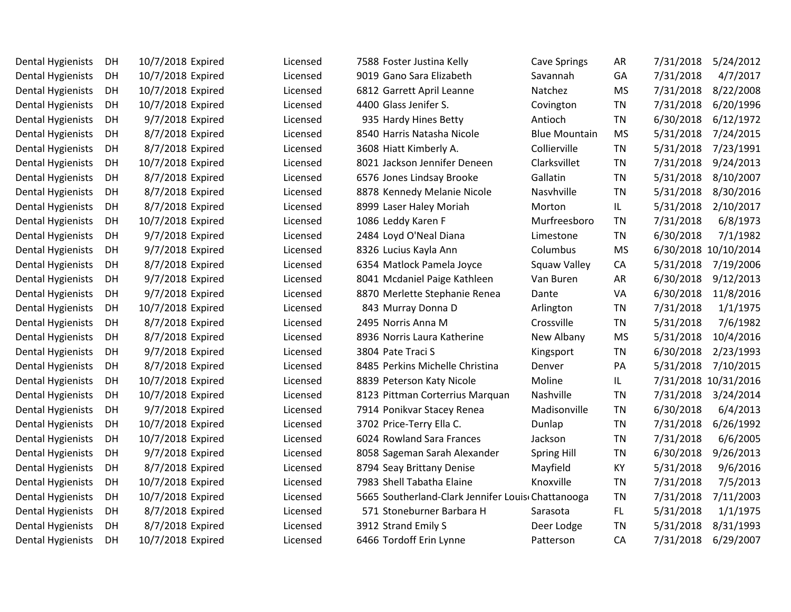| <b>Dental Hygienists</b> | DH | 10/7/2018 Expired | Licensed | 7588 Foster Justina Kelly                         | <b>Cave Springs</b>  | <b>AR</b> | 7/31/2018 | 5/24/2012            |
|--------------------------|----|-------------------|----------|---------------------------------------------------|----------------------|-----------|-----------|----------------------|
| <b>Dental Hygienists</b> | DH | 10/7/2018 Expired | Licensed | 9019 Gano Sara Elizabeth                          | Savannah             | GA        | 7/31/2018 | 4/7/2017             |
| <b>Dental Hygienists</b> | DH | 10/7/2018 Expired | Licensed | 6812 Garrett April Leanne                         | Natchez              | <b>MS</b> | 7/31/2018 | 8/22/2008            |
| <b>Dental Hygienists</b> | DH | 10/7/2018 Expired | Licensed | 4400 Glass Jenifer S.                             | Covington            | <b>TN</b> | 7/31/2018 | 6/20/1996            |
| <b>Dental Hygienists</b> | DH | 9/7/2018 Expired  | Licensed | 935 Hardy Hines Betty                             | Antioch              | <b>TN</b> | 6/30/2018 | 6/12/1972            |
| <b>Dental Hygienists</b> | DH | 8/7/2018 Expired  | Licensed | 8540 Harris Natasha Nicole                        | <b>Blue Mountain</b> | <b>MS</b> | 5/31/2018 | 7/24/2015            |
| <b>Dental Hygienists</b> | DH | 8/7/2018 Expired  | Licensed | 3608 Hiatt Kimberly A.                            | Collierville         | <b>TN</b> | 5/31/2018 | 7/23/1991            |
| <b>Dental Hygienists</b> | DH | 10/7/2018 Expired | Licensed | 8021 Jackson Jennifer Deneen                      | Clarksvillet         | <b>TN</b> | 7/31/2018 | 9/24/2013            |
| <b>Dental Hygienists</b> | DH | 8/7/2018 Expired  | Licensed | 6576 Jones Lindsay Brooke                         | Gallatin             | <b>TN</b> | 5/31/2018 | 8/10/2007            |
| <b>Dental Hygienists</b> | DH | 8/7/2018 Expired  | Licensed | 8878 Kennedy Melanie Nicole                       | Nasyhville           | <b>TN</b> | 5/31/2018 | 8/30/2016            |
| <b>Dental Hygienists</b> | DH | 8/7/2018 Expired  | Licensed | 8999 Laser Haley Moriah                           | Morton               | IL.       | 5/31/2018 | 2/10/2017            |
| <b>Dental Hygienists</b> | DH | 10/7/2018 Expired | Licensed | 1086 Leddy Karen F                                | Murfreesboro         | <b>TN</b> | 7/31/2018 | 6/8/1973             |
| <b>Dental Hygienists</b> | DH | 9/7/2018 Expired  | Licensed | 2484 Loyd O'Neal Diana                            | Limestone            | <b>TN</b> | 6/30/2018 | 7/1/1982             |
| <b>Dental Hygienists</b> | DH | 9/7/2018 Expired  | Licensed | 8326 Lucius Kayla Ann                             | Columbus             | <b>MS</b> |           | 6/30/2018 10/10/2014 |
| <b>Dental Hygienists</b> | DH | 8/7/2018 Expired  | Licensed | 6354 Matlock Pamela Joyce                         | Squaw Valley         | CA        | 5/31/2018 | 7/19/2006            |
| <b>Dental Hygienists</b> | DH | 9/7/2018 Expired  | Licensed | 8041 Mcdaniel Paige Kathleen                      | Van Buren            | AR        | 6/30/2018 | 9/12/2013            |
| <b>Dental Hygienists</b> | DH | 9/7/2018 Expired  | Licensed | 8870 Merlette Stephanie Renea                     | Dante                | VA        | 6/30/2018 | 11/8/2016            |
| <b>Dental Hygienists</b> | DH | 10/7/2018 Expired | Licensed | 843 Murray Donna D                                | Arlington            | <b>TN</b> | 7/31/2018 | 1/1/1975             |
| <b>Dental Hygienists</b> | DH | 8/7/2018 Expired  | Licensed | 2495 Norris Anna M                                | Crossville           | <b>TN</b> | 5/31/2018 | 7/6/1982             |
| <b>Dental Hygienists</b> | DH | 8/7/2018 Expired  | Licensed | 8936 Norris Laura Katherine                       | New Albany           | <b>MS</b> | 5/31/2018 | 10/4/2016            |
| <b>Dental Hygienists</b> | DH | 9/7/2018 Expired  | Licensed | 3804 Pate Traci S                                 | Kingsport            | <b>TN</b> | 6/30/2018 | 2/23/1993            |
| Dental Hygienists        | DH | 8/7/2018 Expired  | Licensed | 8485 Perkins Michelle Christina                   | Denver               | PA        | 5/31/2018 | 7/10/2015            |
| <b>Dental Hygienists</b> | DH | 10/7/2018 Expired | Licensed | 8839 Peterson Katy Nicole                         | Moline               | IL.       |           | 7/31/2018 10/31/2016 |
| <b>Dental Hygienists</b> | DH | 10/7/2018 Expired | Licensed | 8123 Pittman Corterrius Marquan                   | Nashville            | <b>TN</b> | 7/31/2018 | 3/24/2014            |
| <b>Dental Hygienists</b> | DH | 9/7/2018 Expired  | Licensed | 7914 Ponikvar Stacey Renea                        | Madisonville         | <b>TN</b> | 6/30/2018 | 6/4/2013             |
| <b>Dental Hygienists</b> | DH | 10/7/2018 Expired | Licensed | 3702 Price-Terry Ella C.                          | Dunlap               | <b>TN</b> | 7/31/2018 | 6/26/1992            |
| <b>Dental Hygienists</b> | DH | 10/7/2018 Expired | Licensed | 6024 Rowland Sara Frances                         | Jackson              | <b>TN</b> | 7/31/2018 | 6/6/2005             |
| <b>Dental Hygienists</b> | DH | 9/7/2018 Expired  | Licensed | 8058 Sageman Sarah Alexander                      | <b>Spring Hill</b>   | <b>TN</b> | 6/30/2018 | 9/26/2013            |
| <b>Dental Hygienists</b> | DH | 8/7/2018 Expired  | Licensed | 8794 Seay Brittany Denise                         | Mayfield             | KY        | 5/31/2018 | 9/6/2016             |
| <b>Dental Hygienists</b> | DH | 10/7/2018 Expired | Licensed | 7983 Shell Tabatha Elaine                         | Knoxville            | <b>TN</b> | 7/31/2018 | 7/5/2013             |
| <b>Dental Hygienists</b> | DH | 10/7/2018 Expired | Licensed | 5665 Southerland-Clark Jennifer Louis Chattanooga |                      | <b>TN</b> | 7/31/2018 | 7/11/2003            |
| Dental Hygienists        | DH | 8/7/2018 Expired  | Licensed | 571 Stoneburner Barbara H                         | Sarasota             | FL.       | 5/31/2018 | 1/1/1975             |
| <b>Dental Hygienists</b> | DH | 8/7/2018 Expired  | Licensed | 3912 Strand Emily S                               | Deer Lodge           | <b>TN</b> | 5/31/2018 | 8/31/1993            |
| Dental Hygienists        | DH | 10/7/2018 Expired | Licensed | 6466 Tordoff Erin Lynne                           | Patterson            | CA        | 7/31/2018 | 6/29/2007            |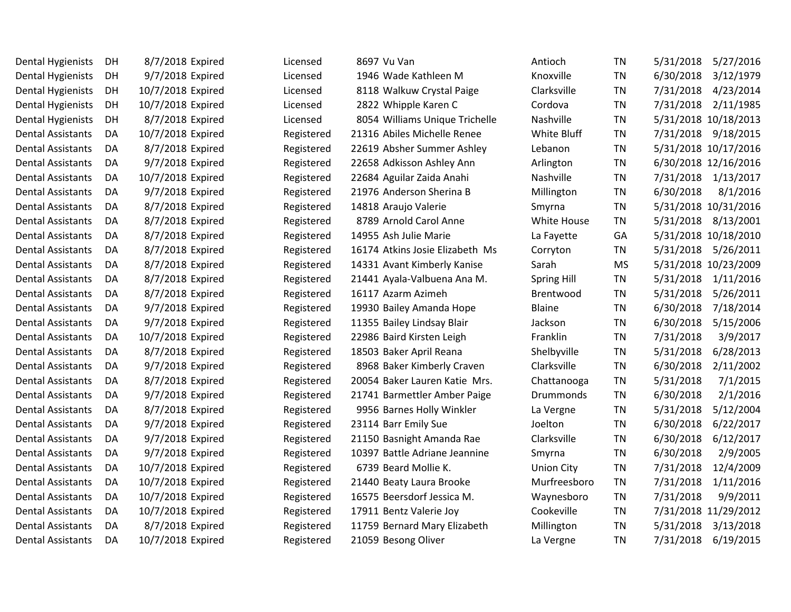| Dental Hygienists        | DH  | 8/7/2018 Expired  | Licensed   | 8697 Vu Van                     | Antioch            | ΤN        | 5/31/2018<br>5/27/2016 |
|--------------------------|-----|-------------------|------------|---------------------------------|--------------------|-----------|------------------------|
| Dental Hygienists        | DH  | 9/7/2018 Expired  | Licensed   | 1946 Wade Kathleen M            | Knoxville          | <b>TN</b> | 6/30/2018<br>3/12/1979 |
| Dental Hygienists        | DH  | 10/7/2018 Expired | Licensed   | 8118 Walkuw Crystal Paige       | Clarksville        | <b>TN</b> | 7/31/2018<br>4/23/2014 |
| Dental Hygienists        | DH  | 10/7/2018 Expired | Licensed   | 2822 Whipple Karen C            | Cordova            | <b>TN</b> | 7/31/2018<br>2/11/1985 |
| Dental Hygienists        | DH  | 8/7/2018 Expired  | Licensed   | 8054 Williams Unique Trichelle  | Nashville          | <b>TN</b> | 5/31/2018 10/18/2013   |
| <b>Dental Assistants</b> | DA  | 10/7/2018 Expired | Registered | 21316 Abiles Michelle Renee     | White Bluff        | <b>TN</b> | 7/31/2018<br>9/18/2015 |
| <b>Dental Assistants</b> | DA  | 8/7/2018 Expired  | Registered | 22619 Absher Summer Ashley      | Lebanon            | <b>TN</b> | 5/31/2018 10/17/2016   |
| <b>Dental Assistants</b> | DA. | 9/7/2018 Expired  | Registered | 22658 Adkisson Ashley Ann       | Arlington          | <b>TN</b> | 6/30/2018 12/16/2016   |
| <b>Dental Assistants</b> | DA  | 10/7/2018 Expired | Registered | 22684 Aguilar Zaida Anahi       | Nashville          | <b>TN</b> | 7/31/2018<br>1/13/2017 |
| <b>Dental Assistants</b> | DA  | 9/7/2018 Expired  | Registered | 21976 Anderson Sherina B        | Millington         | ΤN        | 6/30/2018<br>8/1/2016  |
| <b>Dental Assistants</b> | DA  | 8/7/2018 Expired  | Registered | 14818 Araujo Valerie            | Smyrna             | <b>TN</b> | 5/31/2018 10/31/2016   |
| <b>Dental Assistants</b> | DA. | 8/7/2018 Expired  | Registered | 8789 Arnold Carol Anne          | White House        | <b>TN</b> | 5/31/2018 8/13/2001    |
| <b>Dental Assistants</b> | DA  | 8/7/2018 Expired  | Registered | 14955 Ash Julie Marie           | La Fayette         | GA        | 5/31/2018 10/18/2010   |
| Dental Assistants        | DA  | 8/7/2018 Expired  | Registered | 16174 Atkins Josie Elizabeth Ms | Corryton           | <b>TN</b> | 5/31/2018<br>5/26/2011 |
| <b>Dental Assistants</b> | DA  | 8/7/2018 Expired  | Registered | 14331 Avant Kimberly Kanise     | Sarah              | <b>MS</b> | 5/31/2018 10/23/2009   |
| <b>Dental Assistants</b> | DA  | 8/7/2018 Expired  | Registered | 21441 Ayala-Valbuena Ana M.     | <b>Spring Hill</b> | <b>TN</b> | 5/31/2018<br>1/11/2016 |
| <b>Dental Assistants</b> | DA  | 8/7/2018 Expired  | Registered | 16117 Azarm Azimeh              | Brentwood          | <b>TN</b> | 5/31/2018<br>5/26/2011 |
| <b>Dental Assistants</b> | DA  | 9/7/2018 Expired  | Registered | 19930 Bailey Amanda Hope        | <b>Blaine</b>      | <b>TN</b> | 6/30/2018<br>7/18/2014 |
| <b>Dental Assistants</b> | DA  | 9/7/2018 Expired  | Registered | 11355 Bailey Lindsay Blair      | Jackson            | <b>TN</b> | 6/30/2018<br>5/15/2006 |
| <b>Dental Assistants</b> | DA  | 10/7/2018 Expired | Registered | 22986 Baird Kirsten Leigh       | Franklin           | ΤN        | 7/31/2018<br>3/9/2017  |
| <b>Dental Assistants</b> | DA  | 8/7/2018 Expired  | Registered | 18503 Baker April Reana         | Shelbyville        | <b>TN</b> | 5/31/2018<br>6/28/2013 |
| <b>Dental Assistants</b> | DA. | 9/7/2018 Expired  | Registered | 8968 Baker Kimberly Craven      | Clarksville        | <b>TN</b> | 6/30/2018<br>2/11/2002 |
| <b>Dental Assistants</b> | DA  | 8/7/2018 Expired  | Registered | 20054 Baker Lauren Katie Mrs.   | Chattanooga        | <b>TN</b> | 5/31/2018<br>7/1/2015  |
| <b>Dental Assistants</b> | DA  | 9/7/2018 Expired  | Registered | 21741 Barmettler Amber Paige    | Drummonds          | <b>TN</b> | 6/30/2018<br>2/1/2016  |
| <b>Dental Assistants</b> | DA  | 8/7/2018 Expired  | Registered | 9956 Barnes Holly Winkler       | La Vergne          | <b>TN</b> | 5/31/2018<br>5/12/2004 |
| <b>Dental Assistants</b> | DA  | 9/7/2018 Expired  | Registered | 23114 Barr Emily Sue            | Joelton            | <b>TN</b> | 6/30/2018<br>6/22/2017 |
| <b>Dental Assistants</b> | DA. | 9/7/2018 Expired  | Registered | 21150 Basnight Amanda Rae       | Clarksville        | <b>TN</b> | 6/30/2018<br>6/12/2017 |
| <b>Dental Assistants</b> | DA  | 9/7/2018 Expired  | Registered | 10397 Battle Adriane Jeannine   | Smyrna             | <b>TN</b> | 6/30/2018<br>2/9/2005  |
| <b>Dental Assistants</b> | DA  | 10/7/2018 Expired | Registered | 6739 Beard Mollie K.            | <b>Union City</b>  | <b>TN</b> | 7/31/2018<br>12/4/2009 |
| <b>Dental Assistants</b> | DA  | 10/7/2018 Expired | Registered | 21440 Beaty Laura Brooke        | Murfreesboro       | <b>TN</b> | 7/31/2018<br>1/11/2016 |
| <b>Dental Assistants</b> | DA  | 10/7/2018 Expired | Registered | 16575 Beersdorf Jessica M.      | Waynesboro         | <b>TN</b> | 7/31/2018<br>9/9/2011  |
| <b>Dental Assistants</b> | DA  | 10/7/2018 Expired | Registered | 17911 Bentz Valerie Joy         | Cookeville         | <b>TN</b> | 7/31/2018 11/29/2012   |
| <b>Dental Assistants</b> | DA  | 8/7/2018 Expired  | Registered | 11759 Bernard Mary Elizabeth    | Millington         | <b>TN</b> | 5/31/2018<br>3/13/2018 |
| Dental Assistants        | DA  | 10/7/2018 Expired | Registered | 21059 Besong Oliver             | La Vergne          | ΤN        | 7/31/2018<br>6/19/2015 |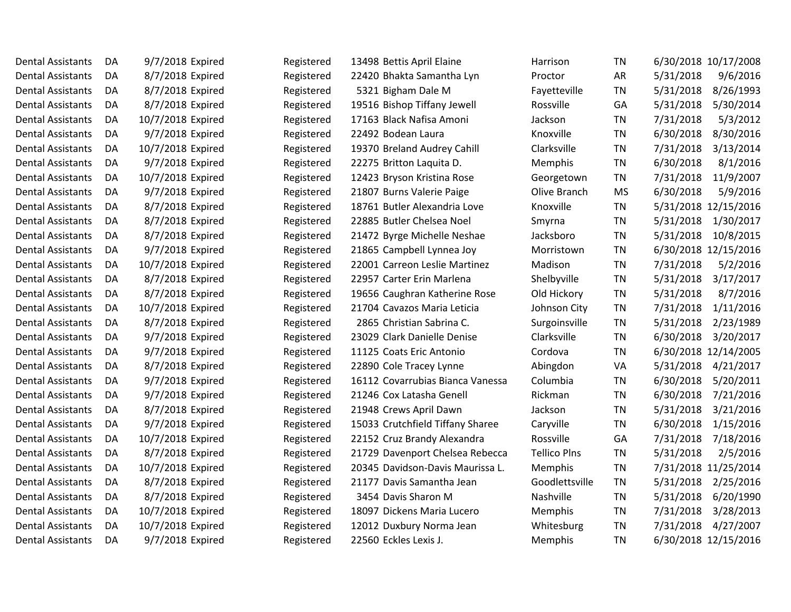| Dental Assistants        | DA | 9/7/2018 Expired  | Registered | 13498 Bettis April Elaine        | Harrison            | ΤN        | 6/30/2018 10/17/2008   |
|--------------------------|----|-------------------|------------|----------------------------------|---------------------|-----------|------------------------|
| <b>Dental Assistants</b> | DA | 8/7/2018 Expired  | Registered | 22420 Bhakta Samantha Lyn        | Proctor             | AR        | 5/31/2018<br>9/6/2016  |
| <b>Dental Assistants</b> | DA | 8/7/2018 Expired  | Registered | 5321 Bigham Dale M               | Fayetteville        | <b>TN</b> | 8/26/1993<br>5/31/2018 |
| <b>Dental Assistants</b> | DA | 8/7/2018 Expired  | Registered | 19516 Bishop Tiffany Jewell      | Rossville           | GA        | 5/31/2018<br>5/30/2014 |
| Dental Assistants        | DA | 10/7/2018 Expired | Registered | 17163 Black Nafisa Amoni         | Jackson             | <b>TN</b> | 7/31/2018<br>5/3/2012  |
| <b>Dental Assistants</b> | DA | 9/7/2018 Expired  | Registered | 22492 Bodean Laura               | Knoxville           | <b>TN</b> | 6/30/2018<br>8/30/2016 |
| <b>Dental Assistants</b> | DA | 10/7/2018 Expired | Registered | 19370 Breland Audrey Cahill      | Clarksville         | <b>TN</b> | 7/31/2018<br>3/13/2014 |
| <b>Dental Assistants</b> | DA | 9/7/2018 Expired  | Registered | 22275 Britton Laquita D.         | Memphis             | <b>TN</b> | 6/30/2018<br>8/1/2016  |
| <b>Dental Assistants</b> | DA | 10/7/2018 Expired | Registered | 12423 Bryson Kristina Rose       | Georgetown          | <b>TN</b> | 7/31/2018<br>11/9/2007 |
| <b>Dental Assistants</b> | DA | 9/7/2018 Expired  | Registered | 21807 Burns Valerie Paige        | Olive Branch        | <b>MS</b> | 6/30/2018<br>5/9/2016  |
| <b>Dental Assistants</b> | DA | 8/7/2018 Expired  | Registered | 18761 Butler Alexandria Love     | Knoxville           | <b>TN</b> | 5/31/2018 12/15/2016   |
| <b>Dental Assistants</b> | DA | 8/7/2018 Expired  | Registered | 22885 Butler Chelsea Noel        | Smyrna              | <b>TN</b> | 5/31/2018<br>1/30/2017 |
| <b>Dental Assistants</b> | DA | 8/7/2018 Expired  | Registered | 21472 Byrge Michelle Neshae      | Jacksboro           | <b>TN</b> | 5/31/2018<br>10/8/2015 |
| <b>Dental Assistants</b> | DA | 9/7/2018 Expired  | Registered | 21865 Campbell Lynnea Joy        | Morristown          | <b>TN</b> | 6/30/2018 12/15/2016   |
| <b>Dental Assistants</b> | DA | 10/7/2018 Expired | Registered | 22001 Carreon Leslie Martinez    | Madison             | <b>TN</b> | 7/31/2018<br>5/2/2016  |
| <b>Dental Assistants</b> | DA | 8/7/2018 Expired  | Registered | 22957 Carter Erin Marlena        | Shelbyville         | <b>TN</b> | 5/31/2018<br>3/17/2017 |
| <b>Dental Assistants</b> | DA | 8/7/2018 Expired  | Registered | 19656 Caughran Katherine Rose    | Old Hickory         | <b>TN</b> | 5/31/2018<br>8/7/2016  |
| <b>Dental Assistants</b> | DA | 10/7/2018 Expired | Registered | 21704 Cavazos Maria Leticia      | Johnson City        | <b>TN</b> | 7/31/2018<br>1/11/2016 |
| <b>Dental Assistants</b> | DA | 8/7/2018 Expired  | Registered | 2865 Christian Sabrina C.        | Surgoinsville       | <b>TN</b> | 5/31/2018<br>2/23/1989 |
| <b>Dental Assistants</b> | DA | 9/7/2018 Expired  | Registered | 23029 Clark Danielle Denise      | Clarksville         | <b>TN</b> | 6/30/2018<br>3/20/2017 |
| <b>Dental Assistants</b> | DA | 9/7/2018 Expired  | Registered | 11125 Coats Eric Antonio         | Cordova             | <b>TN</b> | 6/30/2018 12/14/2005   |
| <b>Dental Assistants</b> | DA | 8/7/2018 Expired  | Registered | 22890 Cole Tracey Lynne          | Abingdon            | VA        | 5/31/2018<br>4/21/2017 |
| <b>Dental Assistants</b> | DA | 9/7/2018 Expired  | Registered | 16112 Covarrubias Bianca Vanessa | Columbia            | <b>TN</b> | 6/30/2018<br>5/20/2011 |
| <b>Dental Assistants</b> | DA | 9/7/2018 Expired  | Registered | 21246 Cox Latasha Genell         | Rickman             | ΤN        | 6/30/2018<br>7/21/2016 |
| <b>Dental Assistants</b> | DA | 8/7/2018 Expired  | Registered | 21948 Crews April Dawn           | Jackson             | <b>TN</b> | 5/31/2018<br>3/21/2016 |
| <b>Dental Assistants</b> | DA | 9/7/2018 Expired  | Registered | 15033 Crutchfield Tiffany Sharee | Caryville           | <b>TN</b> | 6/30/2018<br>1/15/2016 |
| <b>Dental Assistants</b> | DA | 10/7/2018 Expired | Registered | 22152 Cruz Brandy Alexandra      | Rossville           | GA        | 7/18/2016<br>7/31/2018 |
| <b>Dental Assistants</b> | DA | 8/7/2018 Expired  | Registered | 21729 Davenport Chelsea Rebecca  | <b>Tellico Plns</b> | <b>TN</b> | 5/31/2018<br>2/5/2016  |
| <b>Dental Assistants</b> | DA | 10/7/2018 Expired | Registered | 20345 Davidson-Davis Maurissa L. | Memphis             | <b>TN</b> | 7/31/2018 11/25/2014   |
| <b>Dental Assistants</b> | DA | 8/7/2018 Expired  | Registered | 21177 Davis Samantha Jean        | Goodlettsville      | <b>TN</b> | 5/31/2018<br>2/25/2016 |
| <b>Dental Assistants</b> | DA | 8/7/2018 Expired  | Registered | 3454 Davis Sharon M              | <b>Nashville</b>    | <b>TN</b> | 5/31/2018<br>6/20/1990 |
| <b>Dental Assistants</b> | DA | 10/7/2018 Expired | Registered | 18097 Dickens Maria Lucero       | <b>Memphis</b>      | <b>TN</b> | 7/31/2018<br>3/28/2013 |
| <b>Dental Assistants</b> | DA | 10/7/2018 Expired | Registered | 12012 Duxbury Norma Jean         | Whitesburg          | <b>TN</b> | 7/31/2018<br>4/27/2007 |
| <b>Dental Assistants</b> | DA | 9/7/2018 Expired  | Registered | 22560 Eckles Lexis J.            | Memphis             | <b>TN</b> | 6/30/2018 12/15/2016   |
|                          |    |                   |            |                                  |                     |           |                        |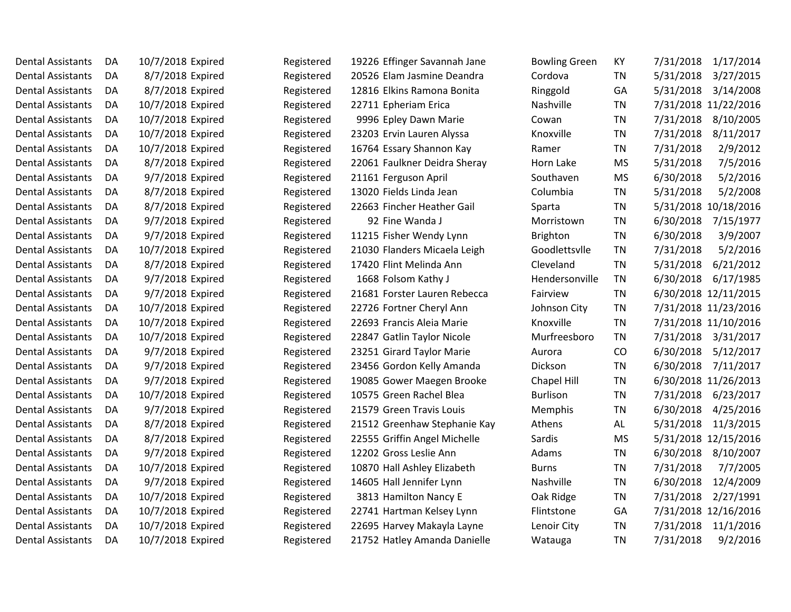| <b>Dental Assistants</b> | DA. | 10/7/2018 Expired | Registered | 19226 Effinger Savannah Jane | <b>Bowling Green</b> | KY        | 7/31/2018<br>1/17/2014 |
|--------------------------|-----|-------------------|------------|------------------------------|----------------------|-----------|------------------------|
| <b>Dental Assistants</b> | DA  | 8/7/2018 Expired  | Registered | 20526 Elam Jasmine Deandra   | Cordova              | <b>TN</b> | 5/31/2018<br>3/27/2015 |
| <b>Dental Assistants</b> | DA  | 8/7/2018 Expired  | Registered | 12816 Elkins Ramona Bonita   | Ringgold             | GA        | 5/31/2018<br>3/14/2008 |
| <b>Dental Assistants</b> | DA  | 10/7/2018 Expired | Registered | 22711 Epheriam Erica         | Nashville            | <b>TN</b> | 7/31/2018 11/22/2016   |
| <b>Dental Assistants</b> | DA  | 10/7/2018 Expired | Registered | 9996 Epley Dawn Marie        | Cowan                | <b>TN</b> | 7/31/2018<br>8/10/2005 |
| <b>Dental Assistants</b> | DA  | 10/7/2018 Expired | Registered | 23203 Ervin Lauren Alyssa    | Knoxville            | <b>TN</b> | 7/31/2018<br>8/11/2017 |
| <b>Dental Assistants</b> | DA  | 10/7/2018 Expired | Registered | 16764 Essary Shannon Kay     | Ramer                | <b>TN</b> | 7/31/2018<br>2/9/2012  |
| <b>Dental Assistants</b> | DA. | 8/7/2018 Expired  | Registered | 22061 Faulkner Deidra Sheray | Horn Lake            | <b>MS</b> | 5/31/2018<br>7/5/2016  |
| <b>Dental Assistants</b> | DA  | 9/7/2018 Expired  | Registered | 21161 Ferguson April         | Southaven            | <b>MS</b> | 6/30/2018<br>5/2/2016  |
| <b>Dental Assistants</b> | DA  | 8/7/2018 Expired  | Registered | 13020 Fields Linda Jean      | Columbia             | <b>TN</b> | 5/31/2018<br>5/2/2008  |
| <b>Dental Assistants</b> | DA  | 8/7/2018 Expired  | Registered | 22663 Fincher Heather Gail   | Sparta               | <b>TN</b> | 5/31/2018 10/18/2016   |
| <b>Dental Assistants</b> | DA. | 9/7/2018 Expired  | Registered | 92 Fine Wanda J              | Morristown           | <b>TN</b> | 6/30/2018<br>7/15/1977 |
| <b>Dental Assistants</b> | DA  | 9/7/2018 Expired  | Registered | 11215 Fisher Wendy Lynn      | <b>Brighton</b>      | <b>TN</b> | 6/30/2018<br>3/9/2007  |
| <b>Dental Assistants</b> | DA  | 10/7/2018 Expired | Registered | 21030 Flanders Micaela Leigh | Goodlettsvlle        | <b>TN</b> | 7/31/2018<br>5/2/2016  |
| <b>Dental Assistants</b> | DA  | 8/7/2018 Expired  | Registered | 17420 Flint Melinda Ann      | Cleveland            | <b>TN</b> | 5/31/2018<br>6/21/2012 |
| <b>Dental Assistants</b> | DA  | 9/7/2018 Expired  | Registered | 1668 Folsom Kathy J          | Hendersonville       | <b>TN</b> | 6/30/2018<br>6/17/1985 |
| <b>Dental Assistants</b> | DA  | 9/7/2018 Expired  | Registered | 21681 Forster Lauren Rebecca | Fairview             | <b>TN</b> | 6/30/2018 12/11/2015   |
| <b>Dental Assistants</b> | DA  | 10/7/2018 Expired | Registered | 22726 Fortner Cheryl Ann     | Johnson City         | <b>TN</b> | 7/31/2018 11/23/2016   |
| <b>Dental Assistants</b> | DA  | 10/7/2018 Expired | Registered | 22693 Francis Aleia Marie    | Knoxville            | <b>TN</b> | 7/31/2018 11/10/2016   |
| <b>Dental Assistants</b> | DA  | 10/7/2018 Expired | Registered | 22847 Gatlin Taylor Nicole   | Murfreesboro         | <b>TN</b> | 7/31/2018<br>3/31/2017 |
| <b>Dental Assistants</b> | DA  | 9/7/2018 Expired  | Registered | 23251 Girard Taylor Marie    | Aurora               | CO        | 6/30/2018<br>5/12/2017 |
| <b>Dental Assistants</b> | DA. | 9/7/2018 Expired  | Registered | 23456 Gordon Kelly Amanda    | Dickson              | <b>TN</b> | 6/30/2018<br>7/11/2017 |
| Dental Assistants        | DA  | 9/7/2018 Expired  | Registered | 19085 Gower Maegen Brooke    | Chapel Hill          | <b>TN</b> | 6/30/2018 11/26/2013   |
| <b>Dental Assistants</b> | DA  | 10/7/2018 Expired | Registered | 10575 Green Rachel Blea      | <b>Burlison</b>      | <b>TN</b> | 7/31/2018<br>6/23/2017 |
| <b>Dental Assistants</b> | DA  | 9/7/2018 Expired  | Registered | 21579 Green Travis Louis     | Memphis              | <b>TN</b> | 6/30/2018<br>4/25/2016 |
| <b>Dental Assistants</b> | DA  | 8/7/2018 Expired  | Registered | 21512 Greenhaw Stephanie Kay | Athens               | AL        | 5/31/2018<br>11/3/2015 |
| <b>Dental Assistants</b> | DA. | 8/7/2018 Expired  | Registered | 22555 Griffin Angel Michelle | Sardis               | <b>MS</b> | 5/31/2018 12/15/2016   |
| <b>Dental Assistants</b> | DA  | 9/7/2018 Expired  | Registered | 12202 Gross Leslie Ann       | Adams                | <b>TN</b> | 6/30/2018<br>8/10/2007 |
| <b>Dental Assistants</b> | DA  | 10/7/2018 Expired | Registered | 10870 Hall Ashley Elizabeth  | <b>Burns</b>         | <b>TN</b> | 7/31/2018<br>7/7/2005  |
| <b>Dental Assistants</b> | DA  | 9/7/2018 Expired  | Registered | 14605 Hall Jennifer Lynn     | Nashville            | <b>TN</b> | 6/30/2018<br>12/4/2009 |
| <b>Dental Assistants</b> | DA  | 10/7/2018 Expired | Registered | 3813 Hamilton Nancy E        | Oak Ridge            | <b>TN</b> | 7/31/2018<br>2/27/1991 |
| <b>Dental Assistants</b> | DA  | 10/7/2018 Expired | Registered | 22741 Hartman Kelsey Lynn    | Flintstone           | GA        | 7/31/2018 12/16/2016   |
| <b>Dental Assistants</b> | DA  | 10/7/2018 Expired | Registered | 22695 Harvey Makayla Layne   | Lenoir City          | <b>TN</b> | 7/31/2018<br>11/1/2016 |
| <b>Dental Assistants</b> | DA  | 10/7/2018 Expired | Registered | 21752 Hatley Amanda Danielle | Watauga              | <b>TN</b> | 7/31/2018<br>9/2/2016  |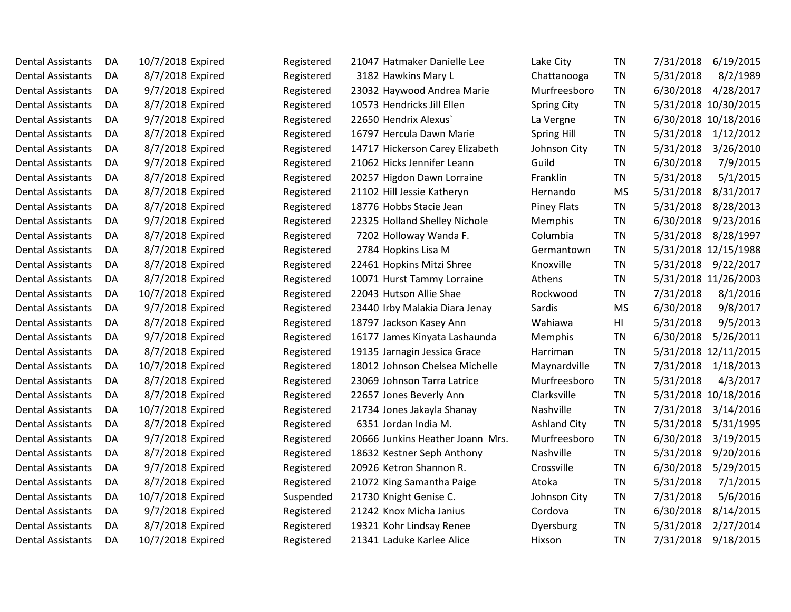| Dental Assistants        | DA  | 10/7/2018 Expired | Registered | 21047 Hatmaker Danielle Lee      | Lake City           | <b>TN</b> | 7/31/2018<br>6/19/2015 |
|--------------------------|-----|-------------------|------------|----------------------------------|---------------------|-----------|------------------------|
| <b>Dental Assistants</b> | DA  | 8/7/2018 Expired  | Registered | 3182 Hawkins Mary L              | Chattanooga         | <b>TN</b> | 5/31/2018<br>8/2/1989  |
| Dental Assistants        | DA  | 9/7/2018 Expired  | Registered | 23032 Haywood Andrea Marie       | Murfreesboro        | <b>TN</b> | 4/28/2017<br>6/30/2018 |
| <b>Dental Assistants</b> | DA  | 8/7/2018 Expired  | Registered | 10573 Hendricks Jill Ellen       | Spring City         | <b>TN</b> | 5/31/2018 10/30/2015   |
| <b>Dental Assistants</b> | DA  | 9/7/2018 Expired  | Registered | 22650 Hendrix Alexus             | La Vergne           | <b>TN</b> | 6/30/2018 10/18/2016   |
| <b>Dental Assistants</b> | DA  | 8/7/2018 Expired  | Registered | 16797 Hercula Dawn Marie         | <b>Spring Hill</b>  | <b>TN</b> | 5/31/2018<br>1/12/2012 |
| <b>Dental Assistants</b> | DA  | 8/7/2018 Expired  | Registered | 14717 Hickerson Carey Elizabeth  | Johnson City        | <b>TN</b> | 5/31/2018<br>3/26/2010 |
| <b>Dental Assistants</b> | DA  | 9/7/2018 Expired  | Registered | 21062 Hicks Jennifer Leann       | Guild               | ΤN        | 6/30/2018<br>7/9/2015  |
| Dental Assistants        | DA. | 8/7/2018 Expired  | Registered | 20257 Higdon Dawn Lorraine       | Franklin            | TN        | 5/1/2015<br>5/31/2018  |
| <b>Dental Assistants</b> | DA  | 8/7/2018 Expired  | Registered | 21102 Hill Jessie Katheryn       | Hernando            | <b>MS</b> | 5/31/2018<br>8/31/2017 |
| <b>Dental Assistants</b> | DA. | 8/7/2018 Expired  | Registered | 18776 Hobbs Stacie Jean          | <b>Piney Flats</b>  | <b>TN</b> | 5/31/2018<br>8/28/2013 |
| <b>Dental Assistants</b> | DA  | 9/7/2018 Expired  | Registered | 22325 Holland Shelley Nichole    | Memphis             | <b>TN</b> | 6/30/2018<br>9/23/2016 |
| <b>Dental Assistants</b> | DA  | 8/7/2018 Expired  | Registered | 7202 Holloway Wanda F.           | Columbia            | <b>TN</b> | 5/31/2018<br>8/28/1997 |
| <b>Dental Assistants</b> | DA  | 8/7/2018 Expired  | Registered | 2784 Hopkins Lisa M              | Germantown          | <b>TN</b> | 5/31/2018 12/15/1988   |
| <b>Dental Assistants</b> | DA  | 8/7/2018 Expired  | Registered | 22461 Hopkins Mitzi Shree        | Knoxville           | <b>TN</b> | 5/31/2018<br>9/22/2017 |
| <b>Dental Assistants</b> | DA  | 8/7/2018 Expired  | Registered | 10071 Hurst Tammy Lorraine       | Athens              | <b>TN</b> | 5/31/2018 11/26/2003   |
| <b>Dental Assistants</b> | DA  | 10/7/2018 Expired | Registered | 22043 Hutson Allie Shae          | Rockwood            | <b>TN</b> | 7/31/2018<br>8/1/2016  |
| <b>Dental Assistants</b> | DA. | 9/7/2018 Expired  | Registered | 23440 Irby Malakia Diara Jenay   | Sardis              | <b>MS</b> | 6/30/2018<br>9/8/2017  |
| <b>Dental Assistants</b> | DA  | 8/7/2018 Expired  | Registered | 18797 Jackson Kasey Ann          | Wahiawa             | H1        | 5/31/2018<br>9/5/2013  |
| <b>Dental Assistants</b> | DA  | 9/7/2018 Expired  | Registered | 16177 James Kinyata Lashaunda    | Memphis             | TN        | 5/26/2011<br>6/30/2018 |
| <b>Dental Assistants</b> | DA  | 8/7/2018 Expired  | Registered | 19135 Jarnagin Jessica Grace     | Harriman            | <b>TN</b> | 5/31/2018 12/11/2015   |
| <b>Dental Assistants</b> | DA  | 10/7/2018 Expired | Registered | 18012 Johnson Chelsea Michelle   | Maynardville        | <b>TN</b> | 7/31/2018<br>1/18/2013 |
| <b>Dental Assistants</b> | DA  | 8/7/2018 Expired  | Registered | 23069 Johnson Tarra Latrice      | Murfreesboro        | <b>TN</b> | 5/31/2018<br>4/3/2017  |
| Dental Assistants        | DA  | 8/7/2018 Expired  | Registered | 22657 Jones Beverly Ann          | Clarksville         | <b>TN</b> | 5/31/2018 10/18/2016   |
| <b>Dental Assistants</b> | DA  | 10/7/2018 Expired | Registered | 21734 Jones Jakayla Shanay       | Nashville           | <b>TN</b> | 7/31/2018<br>3/14/2016 |
| <b>Dental Assistants</b> | DA  | 8/7/2018 Expired  | Registered | 6351 Jordan India M.             | <b>Ashland City</b> | <b>TN</b> | 5/31/2018<br>5/31/1995 |
| <b>Dental Assistants</b> | DA  | 9/7/2018 Expired  | Registered | 20666 Junkins Heather Joann Mrs. | Murfreesboro        | <b>TN</b> | 6/30/2018<br>3/19/2015 |
| <b>Dental Assistants</b> | DA  | 8/7/2018 Expired  | Registered | 18632 Kestner Seph Anthony       | Nashville           | <b>TN</b> | 5/31/2018<br>9/20/2016 |
| Dental Assistants        | DA  | 9/7/2018 Expired  | Registered | 20926 Ketron Shannon R.          | Crossville          | <b>TN</b> | 6/30/2018<br>5/29/2015 |
| <b>Dental Assistants</b> | DA  | 8/7/2018 Expired  | Registered | 21072 King Samantha Paige        | Atoka               | <b>TN</b> | 5/31/2018<br>7/1/2015  |
| <b>Dental Assistants</b> | DA  | 10/7/2018 Expired | Suspended  | 21730 Knight Genise C.           | Johnson City        | <b>TN</b> | 5/6/2016<br>7/31/2018  |
| <b>Dental Assistants</b> | DA  | 9/7/2018 Expired  | Registered | 21242 Knox Micha Janius          | Cordova             | <b>TN</b> | 6/30/2018<br>8/14/2015 |
| <b>Dental Assistants</b> | DA  | 8/7/2018 Expired  | Registered | 19321 Kohr Lindsay Renee         | Dyersburg           | ΤN        | 5/31/2018<br>2/27/2014 |
| Dental Assistants        | DA  | 10/7/2018 Expired | Registered | 21341 Laduke Karlee Alice        | Hixson              | ΤN        | 7/31/2018<br>9/18/2015 |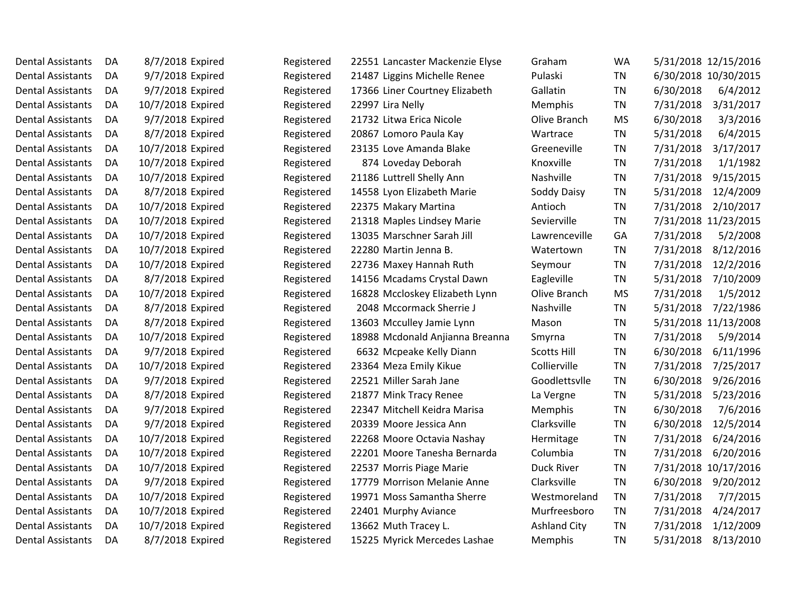| Dental Assistants        | DA. | 8/7/2018 Expired  | Registered | 22551 Lancaster Mackenzie Elyse | Graham              | WA        | 5/31/2018 12/15/2016   |
|--------------------------|-----|-------------------|------------|---------------------------------|---------------------|-----------|------------------------|
| <b>Dental Assistants</b> | DA. | 9/7/2018 Expired  | Registered | 21487 Liggins Michelle Renee    | Pulaski             | <b>TN</b> | 6/30/2018 10/30/2015   |
| <b>Dental Assistants</b> | DA. | 9/7/2018 Expired  | Registered | 17366 Liner Courtney Elizabeth  | Gallatin            | <b>TN</b> | 6/30/2018<br>6/4/2012  |
| <b>Dental Assistants</b> | DA. | 10/7/2018 Expired | Registered | 22997 Lira Nelly                | Memphis             | TN        | 7/31/2018<br>3/31/2017 |
| <b>Dental Assistants</b> | DA  | 9/7/2018 Expired  | Registered | 21732 Litwa Erica Nicole        | Olive Branch        | <b>MS</b> | 6/30/2018<br>3/3/2016  |
| <b>Dental Assistants</b> | DA. | 8/7/2018 Expired  | Registered | 20867 Lomoro Paula Kay          | Wartrace            | <b>TN</b> | 5/31/2018<br>6/4/2015  |
| <b>Dental Assistants</b> | DA  | 10/7/2018 Expired | Registered | 23135 Love Amanda Blake         | Greeneville         | <b>TN</b> | 3/17/2017<br>7/31/2018 |
| <b>Dental Assistants</b> | DA  | 10/7/2018 Expired | Registered | 874 Loveday Deborah             | Knoxville           | <b>TN</b> | 7/31/2018<br>1/1/1982  |
| <b>Dental Assistants</b> | DA. | 10/7/2018 Expired | Registered | 21186 Luttrell Shelly Ann       | Nashville           | TN        | 7/31/2018<br>9/15/2015 |
| <b>Dental Assistants</b> | DA  | 8/7/2018 Expired  | Registered | 14558 Lyon Elizabeth Marie      | Soddy Daisy         | <b>TN</b> | 5/31/2018<br>12/4/2009 |
| <b>Dental Assistants</b> | DA. | 10/7/2018 Expired | Registered | 22375 Makary Martina            | Antioch             | TN        | 7/31/2018<br>2/10/2017 |
| <b>Dental Assistants</b> | DA  | 10/7/2018 Expired | Registered | 21318 Maples Lindsey Marie      | Sevierville         | <b>TN</b> | 7/31/2018 11/23/2015   |
| <b>Dental Assistants</b> | DA  | 10/7/2018 Expired | Registered | 13035 Marschner Sarah Jill      | Lawrenceville       | GA        | 7/31/2018<br>5/2/2008  |
| <b>Dental Assistants</b> | DA  | 10/7/2018 Expired | Registered | 22280 Martin Jenna B.           | Watertown           | TN        | 7/31/2018<br>8/12/2016 |
| <b>Dental Assistants</b> | DA  | 10/7/2018 Expired | Registered | 22736 Maxey Hannah Ruth         | Seymour             | <b>TN</b> | 7/31/2018<br>12/2/2016 |
| Dental Assistants        | DA. | 8/7/2018 Expired  | Registered | 14156 Mcadams Crystal Dawn      | Eagleville          | TN        | 5/31/2018<br>7/10/2009 |
| <b>Dental Assistants</b> | DA  | 10/7/2018 Expired | Registered | 16828 Mccloskey Elizabeth Lynn  | Olive Branch        | <b>MS</b> | 7/31/2018<br>1/5/2012  |
| <b>Dental Assistants</b> | DA. | 8/7/2018 Expired  | Registered | 2048 Mccormack Sherrie J        | Nashville           | <b>TN</b> | 5/31/2018<br>7/22/1986 |
| <b>Dental Assistants</b> | DA  | 8/7/2018 Expired  | Registered | 13603 Mcculley Jamie Lynn       | Mason               | <b>TN</b> | 5/31/2018 11/13/2008   |
| <b>Dental Assistants</b> | DA  | 10/7/2018 Expired | Registered | 18988 Mcdonald Anjianna Breanna | Smyrna              | <b>TN</b> | 7/31/2018<br>5/9/2014  |
| <b>Dental Assistants</b> | DA. | 9/7/2018 Expired  | Registered | 6632 Mcpeake Kelly Diann        | Scotts Hill         | TN        | 6/11/1996<br>6/30/2018 |
| <b>Dental Assistants</b> | DA  | 10/7/2018 Expired | Registered | 23364 Meza Emily Kikue          | Collierville        | <b>TN</b> | 7/31/2018<br>7/25/2017 |
| <b>Dental Assistants</b> | DA. | 9/7/2018 Expired  | Registered | 22521 Miller Sarah Jane         | Goodlettsvlle       | <b>TN</b> | 6/30/2018<br>9/26/2016 |
| <b>Dental Assistants</b> | DA. | 8/7/2018 Expired  | Registered | 21877 Mink Tracy Renee          | La Vergne           | <b>TN</b> | 5/31/2018<br>5/23/2016 |
| <b>Dental Assistants</b> | DA  | 9/7/2018 Expired  | Registered | 22347 Mitchell Keidra Marisa    | Memphis             | <b>TN</b> | 6/30/2018<br>7/6/2016  |
| <b>Dental Assistants</b> | DA. | 9/7/2018 Expired  | Registered | 20339 Moore Jessica Ann         | Clarksville         | <b>TN</b> | 6/30/2018<br>12/5/2014 |
| <b>Dental Assistants</b> | DA  | 10/7/2018 Expired | Registered | 22268 Moore Octavia Nashay      | Hermitage           | <b>TN</b> | 7/31/2018<br>6/24/2016 |
| Dental Assistants        | DA. | 10/7/2018 Expired | Registered | 22201 Moore Tanesha Bernarda    | Columbia            | <b>TN</b> | 7/31/2018<br>6/20/2016 |
| <b>Dental Assistants</b> | DA  | 10/7/2018 Expired | Registered | 22537 Morris Piage Marie        | Duck River          | <b>TN</b> | 7/31/2018 10/17/2016   |
| <b>Dental Assistants</b> | DA. | 9/7/2018 Expired  | Registered | 17779 Morrison Melanie Anne     | Clarksville         | <b>TN</b> | 6/30/2018<br>9/20/2012 |
| <b>Dental Assistants</b> | DA  | 10/7/2018 Expired | Registered | 19971 Moss Samantha Sherre      | Westmoreland        | <b>TN</b> | 7/31/2018<br>7/7/2015  |
| <b>Dental Assistants</b> | DA  | 10/7/2018 Expired | Registered | 22401 Murphy Aviance            | Murfreesboro        | <b>TN</b> | 7/31/2018<br>4/24/2017 |
| <b>Dental Assistants</b> | DA. | 10/7/2018 Expired | Registered | 13662 Muth Tracey L.            | <b>Ashland City</b> | TN        | 7/31/2018<br>1/12/2009 |
| Dental Assistants        | DA  | 8/7/2018 Expired  | Registered | 15225 Myrick Mercedes Lashae    | <b>Memphis</b>      | TN        | 5/31/2018<br>8/13/2010 |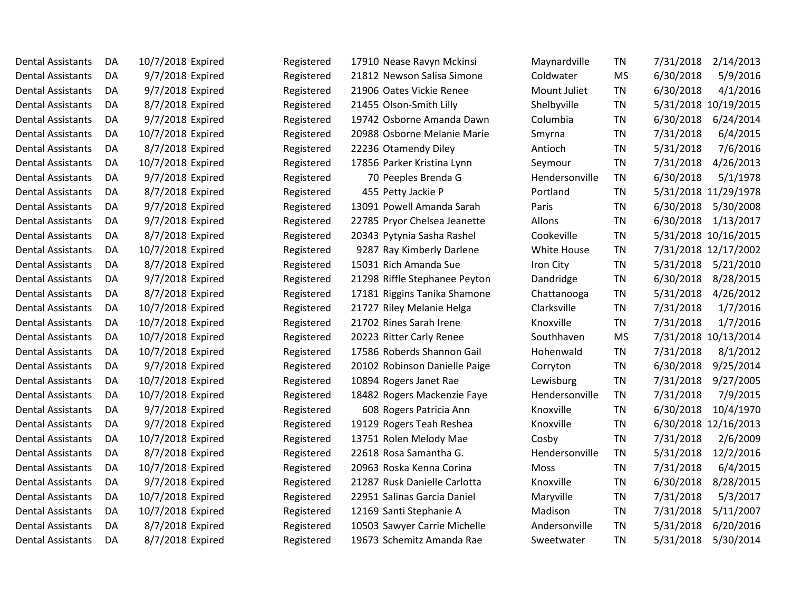| Dental Assistants        | DA  | 10/7/2018 Expired | Registered | 17910 Nease Ravyn Mckinsi     | Maynardville   | TN        | 7/31/2018<br>2/14/2013 |
|--------------------------|-----|-------------------|------------|-------------------------------|----------------|-----------|------------------------|
| <b>Dental Assistants</b> | DA  | 9/7/2018 Expired  | Registered | 21812 Newson Salisa Simone    | Coldwater      | <b>MS</b> | 6/30/2018<br>5/9/2016  |
| <b>Dental Assistants</b> | DA  | 9/7/2018 Expired  | Registered | 21906 Oates Vickie Renee      | Mount Juliet   | <b>TN</b> | 6/30/2018<br>4/1/2016  |
| <b>Dental Assistants</b> | DA  | 8/7/2018 Expired  | Registered | 21455 Olson-Smith Lilly       | Shelbyville    | TN        | 5/31/2018 10/19/2015   |
| <b>Dental Assistants</b> | DA  | 9/7/2018 Expired  | Registered | 19742 Osborne Amanda Dawn     | Columbia       | <b>TN</b> | 6/30/2018<br>6/24/2014 |
| <b>Dental Assistants</b> | DA  | 10/7/2018 Expired | Registered | 20988 Osborne Melanie Marie   | Smyrna         | <b>TN</b> | 7/31/2018<br>6/4/2015  |
| <b>Dental Assistants</b> | DA  | 8/7/2018 Expired  | Registered | 22236 Otamendy Diley          | Antioch        | <b>TN</b> | 5/31/2018<br>7/6/2016  |
| <b>Dental Assistants</b> | DA  | 10/7/2018 Expired | Registered | 17856 Parker Kristina Lynn    | Seymour        | <b>TN</b> | 7/31/2018<br>4/26/2013 |
| <b>Dental Assistants</b> | DA  | 9/7/2018 Expired  | Registered | 70 Peeples Brenda G           | Hendersonville | <b>TN</b> | 6/30/2018<br>5/1/1978  |
| <b>Dental Assistants</b> | DA  | 8/7/2018 Expired  | Registered | 455 Petty Jackie P            | Portland       | <b>TN</b> | 5/31/2018 11/29/1978   |
| <b>Dental Assistants</b> | DA  | 9/7/2018 Expired  | Registered | 13091 Powell Amanda Sarah     | Paris          | TN        | 6/30/2018<br>5/30/2008 |
| <b>Dental Assistants</b> | DA  | 9/7/2018 Expired  | Registered | 22785 Pryor Chelsea Jeanette  | Allons         | TN        | 6/30/2018<br>1/13/2017 |
| <b>Dental Assistants</b> | DA  | 8/7/2018 Expired  | Registered | 20343 Pytynia Sasha Rashel    | Cookeville     | <b>TN</b> | 5/31/2018 10/16/2015   |
| <b>Dental Assistants</b> | DA  | 10/7/2018 Expired | Registered | 9287 Ray Kimberly Darlene     | White House    | <b>TN</b> | 7/31/2018 12/17/2002   |
| <b>Dental Assistants</b> | DA  | 8/7/2018 Expired  | Registered | 15031 Rich Amanda Sue         | Iron City      | <b>TN</b> | 5/31/2018<br>5/21/2010 |
| <b>Dental Assistants</b> | DA  | 9/7/2018 Expired  | Registered | 21298 Riffle Stephanee Peyton | Dandridge      | <b>TN</b> | 6/30/2018<br>8/28/2015 |
| <b>Dental Assistants</b> | DA  | 8/7/2018 Expired  | Registered | 17181 Riggins Tanika Shamone  | Chattanooga    | <b>TN</b> | 5/31/2018<br>4/26/2012 |
| <b>Dental Assistants</b> | DA  | 10/7/2018 Expired | Registered | 21727 Riley Melanie Helga     | Clarksville    | <b>TN</b> | 7/31/2018<br>1/7/2016  |
| Dental Assistants        | DA  | 10/7/2018 Expired | Registered | 21702 Rines Sarah Irene       | Knoxville      | <b>TN</b> | 7/31/2018<br>1/7/2016  |
| <b>Dental Assistants</b> | DA  | 10/7/2018 Expired | Registered | 20223 Ritter Carly Renee      | Southhaven     | <b>MS</b> | 7/31/2018 10/13/2014   |
| <b>Dental Assistants</b> | DA  | 10/7/2018 Expired | Registered | 17586 Roberds Shannon Gail    | Hohenwald      | <b>TN</b> | 7/31/2018<br>8/1/2012  |
| <b>Dental Assistants</b> | DA  | 9/7/2018 Expired  | Registered | 20102 Robinson Danielle Paige | Corryton       | <b>TN</b> | 6/30/2018<br>9/25/2014 |
| <b>Dental Assistants</b> | DA  | 10/7/2018 Expired | Registered | 10894 Rogers Janet Rae        | Lewisburg      | <b>TN</b> | 7/31/2018<br>9/27/2005 |
| <b>Dental Assistants</b> | DA  | 10/7/2018 Expired | Registered | 18482 Rogers Mackenzie Faye   | Hendersonville | <b>TN</b> | 7/31/2018<br>7/9/2015  |
| <b>Dental Assistants</b> | DA  | 9/7/2018 Expired  | Registered | 608 Rogers Patricia Ann       | Knoxville      | <b>TN</b> | 6/30/2018<br>10/4/1970 |
| <b>Dental Assistants</b> | DA  | 9/7/2018 Expired  | Registered | 19129 Rogers Teah Reshea      | Knoxville      | <b>TN</b> | 6/30/2018 12/16/2013   |
| <b>Dental Assistants</b> | DA  | 10/7/2018 Expired | Registered | 13751 Rolen Melody Mae        | Cosby          | <b>TN</b> | 7/31/2018<br>2/6/2009  |
| Dental Assistants        | DA. | 8/7/2018 Expired  | Registered | 22618 Rosa Samantha G.        | Hendersonville | <b>TN</b> | 5/31/2018<br>12/2/2016 |
| <b>Dental Assistants</b> | DA  | 10/7/2018 Expired | Registered | 20963 Roska Kenna Corina      | <b>Moss</b>    | <b>TN</b> | 7/31/2018<br>6/4/2015  |
| <b>Dental Assistants</b> | DA  | 9/7/2018 Expired  | Registered | 21287 Rusk Danielle Carlotta  | Knoxville      | <b>TN</b> | 6/30/2018<br>8/28/2015 |
| <b>Dental Assistants</b> | DA  | 10/7/2018 Expired | Registered | 22951 Salinas Garcia Daniel   | Maryville      | <b>TN</b> | 7/31/2018<br>5/3/2017  |
| <b>Dental Assistants</b> | DA  | 10/7/2018 Expired | Registered | 12169 Santi Stephanie A       | <b>Madison</b> | <b>TN</b> | 7/31/2018<br>5/11/2007 |
| Dental Assistants        | DA  | 8/7/2018 Expired  | Registered | 10503 Sawyer Carrie Michelle  | Andersonville  | <b>TN</b> | 5/31/2018<br>6/20/2016 |
| Dental Assistants        | DA  | 8/7/2018 Expired  | Registered | 19673 Schemitz Amanda Rae     | Sweetwater     | TN        | 5/31/2018<br>5/30/2014 |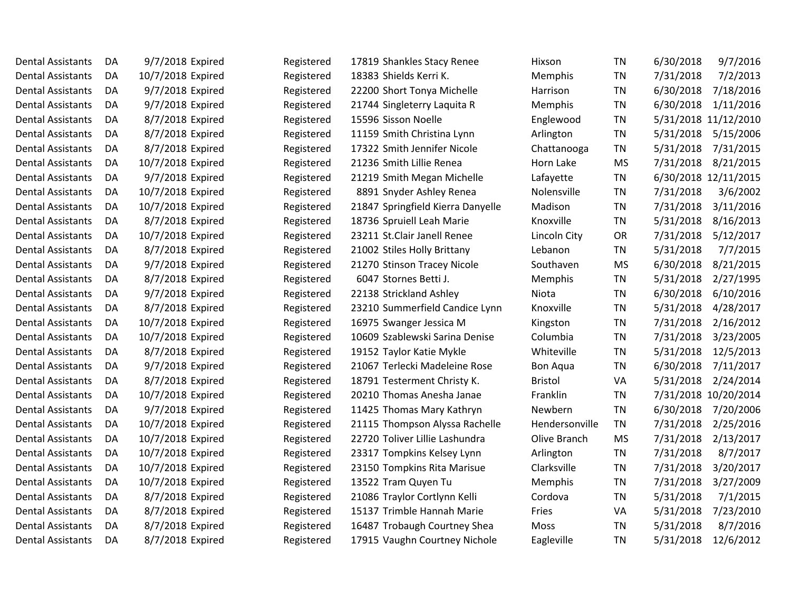| 7/2/2013<br><b>Dental Assistants</b><br>10/7/2018 Expired<br>18383 Shields Kerri K.<br><b>TN</b><br>7/31/2018<br>DA<br>Registered<br>Memphis<br>9/7/2018 Expired<br>22200 Short Tonya Michelle<br><b>TN</b><br>6/30/2018<br>7/18/2016<br><b>Dental Assistants</b><br>DA<br>Registered<br><b>Harrison</b><br>9/7/2018 Expired<br><b>TN</b><br>6/30/2018<br>1/11/2016<br><b>Dental Assistants</b><br>Registered<br>21744 Singleterry Laquita R<br>Memphis<br>DA<br>8/7/2018 Expired<br>5/31/2018 11/12/2010<br><b>Dental Assistants</b><br>15596 Sisson Noelle<br><b>TN</b><br>DA<br>Registered<br>Englewood<br>8/7/2018 Expired<br>5/31/2018<br>5/15/2006<br><b>Dental Assistants</b><br>DA<br>Registered<br>11159 Smith Christina Lynn<br>Arlington<br><b>TN</b><br>8/7/2018 Expired<br>5/31/2018<br>7/31/2015<br><b>Dental Assistants</b><br>DA<br>Registered<br>17322 Smith Jennifer Nicole<br><b>TN</b><br>Chattanooga<br>21236 Smith Lillie Renea<br><b>MS</b><br>7/31/2018<br>8/21/2015<br><b>Dental Assistants</b><br>10/7/2018 Expired<br>Registered<br>Horn Lake<br>DA<br>6/30/2018 12/11/2015<br>9/7/2018 Expired<br>21219 Smith Megan Michelle<br><b>TN</b><br><b>Dental Assistants</b><br>DA<br>Registered<br>Lafayette<br>10/7/2018 Expired<br>Nolensville<br>7/31/2018<br>3/6/2002<br><b>Dental Assistants</b><br>Registered<br>8891 Snyder Ashley Renea<br>TN<br>DA<br>10/7/2018 Expired<br>3/11/2016<br><b>Dental Assistants</b><br>Registered<br>21847 Springfield Kierra Danyelle<br>Madison<br><b>TN</b><br>7/31/2018<br>DA<br>8/7/2018 Expired<br>5/31/2018<br>8/16/2013<br>DA<br>18736 Spruiell Leah Marie<br>Knoxville<br><b>TN</b><br>Registered<br>10/7/2018 Expired<br>23211 St.Clair Janell Renee<br>7/31/2018<br>5/12/2017<br><b>Dental Assistants</b><br>DA<br>Registered<br>Lincoln City<br><b>OR</b><br>8/7/2018 Expired<br>21002 Stiles Holly Brittany<br>5/31/2018<br>7/7/2015<br><b>Dental Assistants</b><br>DA<br>Registered<br>Lebanon<br><b>TN</b><br>9/7/2018 Expired<br>Southaven<br>6/30/2018<br>8/21/2015<br><b>Dental Assistants</b><br>Registered<br>21270 Stinson Tracey Nicole<br><b>MS</b><br>DA<br>8/7/2018 Expired<br>6047 Stornes Betti J.<br>5/31/2018<br>2/27/1995<br><b>Dental Assistants</b><br>DA<br>Registered<br><b>TN</b><br><b>Memphis</b><br>9/7/2018 Expired<br>6/30/2018<br>6/10/2016<br><b>Dental Assistants</b><br>DA<br>Registered<br>22138 Strickland Ashley<br><b>TN</b><br>Niota<br>5/31/2018<br><b>Dental Assistants</b><br>8/7/2018 Expired<br>Registered<br>23210 Summerfield Candice Lynn<br>Knoxville<br><b>TN</b><br>4/28/2017<br>DA<br>7/31/2018<br>2/16/2012<br><b>Dental Assistants</b><br>10/7/2018 Expired<br><b>TN</b><br>DA<br>Registered<br>16975 Swanger Jessica M<br>Kingston<br>10/7/2018 Expired<br>10609 Szablewski Sarina Denise<br>Columbia<br><b>TN</b><br>7/31/2018<br>3/23/2005<br><b>Dental Assistants</b><br>Registered<br>DA<br>8/7/2018 Expired<br>5/31/2018<br>12/5/2013<br><b>Dental Assistants</b><br>Registered<br>19152 Taylor Katie Mykle<br>Whiteville<br><b>TN</b><br>DA<br>9/7/2018 Expired<br>6/30/2018<br>7/11/2017<br><b>Dental Assistants</b><br>Registered<br>21067 Terlecki Madeleine Rose<br><b>TN</b><br>DA<br><b>Bon Aqua</b><br>8/7/2018 Expired<br>5/31/2018<br>2/24/2014<br><b>Dental Assistants</b><br>DA<br>Registered<br>18791 Testerment Christy K.<br>Bristol<br>VA<br>Franklin<br>7/31/2018 10/20/2014<br><b>Dental Assistants</b><br>10/7/2018 Expired<br>20210 Thomas Anesha Janae<br><b>TN</b><br>DA<br>Registered<br>9/7/2018 Expired<br>Newbern<br>6/30/2018<br>7/20/2006<br><b>Dental Assistants</b><br>Registered<br>11425 Thomas Mary Kathryn<br><b>TN</b><br>DA<br>10/7/2018 Expired<br>7/31/2018<br>21115 Thompson Alyssa Rachelle<br>Hendersonville<br><b>TN</b><br>2/25/2016<br><b>Dental Assistants</b><br>DA<br>Registered<br>10/7/2018 Expired<br><b>MS</b><br>7/31/2018<br><b>Dental Assistants</b><br>DA<br>22720 Toliver Lillie Lashundra<br>Olive Branch<br>2/13/2017<br>Registered<br>10/7/2018 Expired<br>7/31/2018<br>8/7/2017<br>DA<br>23317 Tompkins Kelsey Lynn<br><b>TN</b><br>Registered<br>Arlington<br><b>Dental Assistants</b><br>10/7/2018 Expired<br>23150 Tompkins Rita Marisue<br>Clarksville<br><b>TN</b><br>7/31/2018<br>3/20/2017<br>DA<br>Registered<br>7/31/2018<br>3/27/2009<br>10/7/2018 Expired<br>13522 Tram Quyen Tu<br><b>TN</b><br>DA<br>Registered<br>Memphis<br>8/7/2018 Expired<br>5/31/2018<br>7/1/2015<br><b>Dental Assistants</b><br>Registered<br>21086 Traylor Cortlynn Kelli<br>Cordova<br>TN<br>DA<br>8/7/2018 Expired<br>5/31/2018<br>7/23/2010<br>15137 Trimble Hannah Marie<br><b>Dental Assistants</b><br>DA<br>Registered<br><b>Fries</b><br>VA<br>8/7/2018 Expired<br><b>Dental Assistants</b><br>16487 Trobaugh Courtney Shea<br>5/31/2018<br>8/7/2016<br>DA<br>Registered<br><b>Moss</b><br><b>TN</b><br>8/7/2018 Expired<br>5/31/2018<br>12/6/2012<br><b>Dental Assistants</b><br>DA<br>Registered<br>17915 Vaughn Courtney Nichole<br>Eagleville<br><b>TN</b> | Dental Assistants        | DA | 9/7/2018 Expired | Registered | 17819 Shankles Stacy Renee | Hixson | ΤN | 6/30/2018<br>9/7/2016 |
|---------------------------------------------------------------------------------------------------------------------------------------------------------------------------------------------------------------------------------------------------------------------------------------------------------------------------------------------------------------------------------------------------------------------------------------------------------------------------------------------------------------------------------------------------------------------------------------------------------------------------------------------------------------------------------------------------------------------------------------------------------------------------------------------------------------------------------------------------------------------------------------------------------------------------------------------------------------------------------------------------------------------------------------------------------------------------------------------------------------------------------------------------------------------------------------------------------------------------------------------------------------------------------------------------------------------------------------------------------------------------------------------------------------------------------------------------------------------------------------------------------------------------------------------------------------------------------------------------------------------------------------------------------------------------------------------------------------------------------------------------------------------------------------------------------------------------------------------------------------------------------------------------------------------------------------------------------------------------------------------------------------------------------------------------------------------------------------------------------------------------------------------------------------------------------------------------------------------------------------------------------------------------------------------------------------------------------------------------------------------------------------------------------------------------------------------------------------------------------------------------------------------------------------------------------------------------------------------------------------------------------------------------------------------------------------------------------------------------------------------------------------------------------------------------------------------------------------------------------------------------------------------------------------------------------------------------------------------------------------------------------------------------------------------------------------------------------------------------------------------------------------------------------------------------------------------------------------------------------------------------------------------------------------------------------------------------------------------------------------------------------------------------------------------------------------------------------------------------------------------------------------------------------------------------------------------------------------------------------------------------------------------------------------------------------------------------------------------------------------------------------------------------------------------------------------------------------------------------------------------------------------------------------------------------------------------------------------------------------------------------------------------------------------------------------------------------------------------------------------------------------------------------------------------------------------------------------------------------------------------------------------------------------------------------------------------------------------------------------------------------------------------------------------------------------------------------------------------------------------------------------------------------------------------------------------------------------------------------------------------------------------------------------------------------------------------------------------------------------------------------------------------------------------------------------------------------------------------------------------------------------------------------------------------------------------------------------------------------------------------------------------------------------------------------------|--------------------------|----|------------------|------------|----------------------------|--------|----|-----------------------|
|                                                                                                                                                                                                                                                                                                                                                                                                                                                                                                                                                                                                                                                                                                                                                                                                                                                                                                                                                                                                                                                                                                                                                                                                                                                                                                                                                                                                                                                                                                                                                                                                                                                                                                                                                                                                                                                                                                                                                                                                                                                                                                                                                                                                                                                                                                                                                                                                                                                                                                                                                                                                                                                                                                                                                                                                                                                                                                                                                                                                                                                                                                                                                                                                                                                                                                                                                                                                                                                                                                                                                                                                                                                                                                                                                                                                                                                                                                                                                                                                                                                                                                                                                                                                                                                                                                                                                                                                                                                                                                                                                                                                                                                                                                                                                                                                                                                                                                                                                                                                                                                         |                          |    |                  |            |                            |        |    |                       |
|                                                                                                                                                                                                                                                                                                                                                                                                                                                                                                                                                                                                                                                                                                                                                                                                                                                                                                                                                                                                                                                                                                                                                                                                                                                                                                                                                                                                                                                                                                                                                                                                                                                                                                                                                                                                                                                                                                                                                                                                                                                                                                                                                                                                                                                                                                                                                                                                                                                                                                                                                                                                                                                                                                                                                                                                                                                                                                                                                                                                                                                                                                                                                                                                                                                                                                                                                                                                                                                                                                                                                                                                                                                                                                                                                                                                                                                                                                                                                                                                                                                                                                                                                                                                                                                                                                                                                                                                                                                                                                                                                                                                                                                                                                                                                                                                                                                                                                                                                                                                                                                         |                          |    |                  |            |                            |        |    |                       |
|                                                                                                                                                                                                                                                                                                                                                                                                                                                                                                                                                                                                                                                                                                                                                                                                                                                                                                                                                                                                                                                                                                                                                                                                                                                                                                                                                                                                                                                                                                                                                                                                                                                                                                                                                                                                                                                                                                                                                                                                                                                                                                                                                                                                                                                                                                                                                                                                                                                                                                                                                                                                                                                                                                                                                                                                                                                                                                                                                                                                                                                                                                                                                                                                                                                                                                                                                                                                                                                                                                                                                                                                                                                                                                                                                                                                                                                                                                                                                                                                                                                                                                                                                                                                                                                                                                                                                                                                                                                                                                                                                                                                                                                                                                                                                                                                                                                                                                                                                                                                                                                         |                          |    |                  |            |                            |        |    |                       |
|                                                                                                                                                                                                                                                                                                                                                                                                                                                                                                                                                                                                                                                                                                                                                                                                                                                                                                                                                                                                                                                                                                                                                                                                                                                                                                                                                                                                                                                                                                                                                                                                                                                                                                                                                                                                                                                                                                                                                                                                                                                                                                                                                                                                                                                                                                                                                                                                                                                                                                                                                                                                                                                                                                                                                                                                                                                                                                                                                                                                                                                                                                                                                                                                                                                                                                                                                                                                                                                                                                                                                                                                                                                                                                                                                                                                                                                                                                                                                                                                                                                                                                                                                                                                                                                                                                                                                                                                                                                                                                                                                                                                                                                                                                                                                                                                                                                                                                                                                                                                                                                         |                          |    |                  |            |                            |        |    |                       |
|                                                                                                                                                                                                                                                                                                                                                                                                                                                                                                                                                                                                                                                                                                                                                                                                                                                                                                                                                                                                                                                                                                                                                                                                                                                                                                                                                                                                                                                                                                                                                                                                                                                                                                                                                                                                                                                                                                                                                                                                                                                                                                                                                                                                                                                                                                                                                                                                                                                                                                                                                                                                                                                                                                                                                                                                                                                                                                                                                                                                                                                                                                                                                                                                                                                                                                                                                                                                                                                                                                                                                                                                                                                                                                                                                                                                                                                                                                                                                                                                                                                                                                                                                                                                                                                                                                                                                                                                                                                                                                                                                                                                                                                                                                                                                                                                                                                                                                                                                                                                                                                         |                          |    |                  |            |                            |        |    |                       |
|                                                                                                                                                                                                                                                                                                                                                                                                                                                                                                                                                                                                                                                                                                                                                                                                                                                                                                                                                                                                                                                                                                                                                                                                                                                                                                                                                                                                                                                                                                                                                                                                                                                                                                                                                                                                                                                                                                                                                                                                                                                                                                                                                                                                                                                                                                                                                                                                                                                                                                                                                                                                                                                                                                                                                                                                                                                                                                                                                                                                                                                                                                                                                                                                                                                                                                                                                                                                                                                                                                                                                                                                                                                                                                                                                                                                                                                                                                                                                                                                                                                                                                                                                                                                                                                                                                                                                                                                                                                                                                                                                                                                                                                                                                                                                                                                                                                                                                                                                                                                                                                         |                          |    |                  |            |                            |        |    |                       |
|                                                                                                                                                                                                                                                                                                                                                                                                                                                                                                                                                                                                                                                                                                                                                                                                                                                                                                                                                                                                                                                                                                                                                                                                                                                                                                                                                                                                                                                                                                                                                                                                                                                                                                                                                                                                                                                                                                                                                                                                                                                                                                                                                                                                                                                                                                                                                                                                                                                                                                                                                                                                                                                                                                                                                                                                                                                                                                                                                                                                                                                                                                                                                                                                                                                                                                                                                                                                                                                                                                                                                                                                                                                                                                                                                                                                                                                                                                                                                                                                                                                                                                                                                                                                                                                                                                                                                                                                                                                                                                                                                                                                                                                                                                                                                                                                                                                                                                                                                                                                                                                         |                          |    |                  |            |                            |        |    |                       |
|                                                                                                                                                                                                                                                                                                                                                                                                                                                                                                                                                                                                                                                                                                                                                                                                                                                                                                                                                                                                                                                                                                                                                                                                                                                                                                                                                                                                                                                                                                                                                                                                                                                                                                                                                                                                                                                                                                                                                                                                                                                                                                                                                                                                                                                                                                                                                                                                                                                                                                                                                                                                                                                                                                                                                                                                                                                                                                                                                                                                                                                                                                                                                                                                                                                                                                                                                                                                                                                                                                                                                                                                                                                                                                                                                                                                                                                                                                                                                                                                                                                                                                                                                                                                                                                                                                                                                                                                                                                                                                                                                                                                                                                                                                                                                                                                                                                                                                                                                                                                                                                         |                          |    |                  |            |                            |        |    |                       |
|                                                                                                                                                                                                                                                                                                                                                                                                                                                                                                                                                                                                                                                                                                                                                                                                                                                                                                                                                                                                                                                                                                                                                                                                                                                                                                                                                                                                                                                                                                                                                                                                                                                                                                                                                                                                                                                                                                                                                                                                                                                                                                                                                                                                                                                                                                                                                                                                                                                                                                                                                                                                                                                                                                                                                                                                                                                                                                                                                                                                                                                                                                                                                                                                                                                                                                                                                                                                                                                                                                                                                                                                                                                                                                                                                                                                                                                                                                                                                                                                                                                                                                                                                                                                                                                                                                                                                                                                                                                                                                                                                                                                                                                                                                                                                                                                                                                                                                                                                                                                                                                         |                          |    |                  |            |                            |        |    |                       |
|                                                                                                                                                                                                                                                                                                                                                                                                                                                                                                                                                                                                                                                                                                                                                                                                                                                                                                                                                                                                                                                                                                                                                                                                                                                                                                                                                                                                                                                                                                                                                                                                                                                                                                                                                                                                                                                                                                                                                                                                                                                                                                                                                                                                                                                                                                                                                                                                                                                                                                                                                                                                                                                                                                                                                                                                                                                                                                                                                                                                                                                                                                                                                                                                                                                                                                                                                                                                                                                                                                                                                                                                                                                                                                                                                                                                                                                                                                                                                                                                                                                                                                                                                                                                                                                                                                                                                                                                                                                                                                                                                                                                                                                                                                                                                                                                                                                                                                                                                                                                                                                         |                          |    |                  |            |                            |        |    |                       |
|                                                                                                                                                                                                                                                                                                                                                                                                                                                                                                                                                                                                                                                                                                                                                                                                                                                                                                                                                                                                                                                                                                                                                                                                                                                                                                                                                                                                                                                                                                                                                                                                                                                                                                                                                                                                                                                                                                                                                                                                                                                                                                                                                                                                                                                                                                                                                                                                                                                                                                                                                                                                                                                                                                                                                                                                                                                                                                                                                                                                                                                                                                                                                                                                                                                                                                                                                                                                                                                                                                                                                                                                                                                                                                                                                                                                                                                                                                                                                                                                                                                                                                                                                                                                                                                                                                                                                                                                                                                                                                                                                                                                                                                                                                                                                                                                                                                                                                                                                                                                                                                         | <b>Dental Assistants</b> |    |                  |            |                            |        |    |                       |
|                                                                                                                                                                                                                                                                                                                                                                                                                                                                                                                                                                                                                                                                                                                                                                                                                                                                                                                                                                                                                                                                                                                                                                                                                                                                                                                                                                                                                                                                                                                                                                                                                                                                                                                                                                                                                                                                                                                                                                                                                                                                                                                                                                                                                                                                                                                                                                                                                                                                                                                                                                                                                                                                                                                                                                                                                                                                                                                                                                                                                                                                                                                                                                                                                                                                                                                                                                                                                                                                                                                                                                                                                                                                                                                                                                                                                                                                                                                                                                                                                                                                                                                                                                                                                                                                                                                                                                                                                                                                                                                                                                                                                                                                                                                                                                                                                                                                                                                                                                                                                                                         |                          |    |                  |            |                            |        |    |                       |
|                                                                                                                                                                                                                                                                                                                                                                                                                                                                                                                                                                                                                                                                                                                                                                                                                                                                                                                                                                                                                                                                                                                                                                                                                                                                                                                                                                                                                                                                                                                                                                                                                                                                                                                                                                                                                                                                                                                                                                                                                                                                                                                                                                                                                                                                                                                                                                                                                                                                                                                                                                                                                                                                                                                                                                                                                                                                                                                                                                                                                                                                                                                                                                                                                                                                                                                                                                                                                                                                                                                                                                                                                                                                                                                                                                                                                                                                                                                                                                                                                                                                                                                                                                                                                                                                                                                                                                                                                                                                                                                                                                                                                                                                                                                                                                                                                                                                                                                                                                                                                                                         |                          |    |                  |            |                            |        |    |                       |
|                                                                                                                                                                                                                                                                                                                                                                                                                                                                                                                                                                                                                                                                                                                                                                                                                                                                                                                                                                                                                                                                                                                                                                                                                                                                                                                                                                                                                                                                                                                                                                                                                                                                                                                                                                                                                                                                                                                                                                                                                                                                                                                                                                                                                                                                                                                                                                                                                                                                                                                                                                                                                                                                                                                                                                                                                                                                                                                                                                                                                                                                                                                                                                                                                                                                                                                                                                                                                                                                                                                                                                                                                                                                                                                                                                                                                                                                                                                                                                                                                                                                                                                                                                                                                                                                                                                                                                                                                                                                                                                                                                                                                                                                                                                                                                                                                                                                                                                                                                                                                                                         |                          |    |                  |            |                            |        |    |                       |
|                                                                                                                                                                                                                                                                                                                                                                                                                                                                                                                                                                                                                                                                                                                                                                                                                                                                                                                                                                                                                                                                                                                                                                                                                                                                                                                                                                                                                                                                                                                                                                                                                                                                                                                                                                                                                                                                                                                                                                                                                                                                                                                                                                                                                                                                                                                                                                                                                                                                                                                                                                                                                                                                                                                                                                                                                                                                                                                                                                                                                                                                                                                                                                                                                                                                                                                                                                                                                                                                                                                                                                                                                                                                                                                                                                                                                                                                                                                                                                                                                                                                                                                                                                                                                                                                                                                                                                                                                                                                                                                                                                                                                                                                                                                                                                                                                                                                                                                                                                                                                                                         |                          |    |                  |            |                            |        |    |                       |
|                                                                                                                                                                                                                                                                                                                                                                                                                                                                                                                                                                                                                                                                                                                                                                                                                                                                                                                                                                                                                                                                                                                                                                                                                                                                                                                                                                                                                                                                                                                                                                                                                                                                                                                                                                                                                                                                                                                                                                                                                                                                                                                                                                                                                                                                                                                                                                                                                                                                                                                                                                                                                                                                                                                                                                                                                                                                                                                                                                                                                                                                                                                                                                                                                                                                                                                                                                                                                                                                                                                                                                                                                                                                                                                                                                                                                                                                                                                                                                                                                                                                                                                                                                                                                                                                                                                                                                                                                                                                                                                                                                                                                                                                                                                                                                                                                                                                                                                                                                                                                                                         |                          |    |                  |            |                            |        |    |                       |
|                                                                                                                                                                                                                                                                                                                                                                                                                                                                                                                                                                                                                                                                                                                                                                                                                                                                                                                                                                                                                                                                                                                                                                                                                                                                                                                                                                                                                                                                                                                                                                                                                                                                                                                                                                                                                                                                                                                                                                                                                                                                                                                                                                                                                                                                                                                                                                                                                                                                                                                                                                                                                                                                                                                                                                                                                                                                                                                                                                                                                                                                                                                                                                                                                                                                                                                                                                                                                                                                                                                                                                                                                                                                                                                                                                                                                                                                                                                                                                                                                                                                                                                                                                                                                                                                                                                                                                                                                                                                                                                                                                                                                                                                                                                                                                                                                                                                                                                                                                                                                                                         |                          |    |                  |            |                            |        |    |                       |
|                                                                                                                                                                                                                                                                                                                                                                                                                                                                                                                                                                                                                                                                                                                                                                                                                                                                                                                                                                                                                                                                                                                                                                                                                                                                                                                                                                                                                                                                                                                                                                                                                                                                                                                                                                                                                                                                                                                                                                                                                                                                                                                                                                                                                                                                                                                                                                                                                                                                                                                                                                                                                                                                                                                                                                                                                                                                                                                                                                                                                                                                                                                                                                                                                                                                                                                                                                                                                                                                                                                                                                                                                                                                                                                                                                                                                                                                                                                                                                                                                                                                                                                                                                                                                                                                                                                                                                                                                                                                                                                                                                                                                                                                                                                                                                                                                                                                                                                                                                                                                                                         |                          |    |                  |            |                            |        |    |                       |
|                                                                                                                                                                                                                                                                                                                                                                                                                                                                                                                                                                                                                                                                                                                                                                                                                                                                                                                                                                                                                                                                                                                                                                                                                                                                                                                                                                                                                                                                                                                                                                                                                                                                                                                                                                                                                                                                                                                                                                                                                                                                                                                                                                                                                                                                                                                                                                                                                                                                                                                                                                                                                                                                                                                                                                                                                                                                                                                                                                                                                                                                                                                                                                                                                                                                                                                                                                                                                                                                                                                                                                                                                                                                                                                                                                                                                                                                                                                                                                                                                                                                                                                                                                                                                                                                                                                                                                                                                                                                                                                                                                                                                                                                                                                                                                                                                                                                                                                                                                                                                                                         |                          |    |                  |            |                            |        |    |                       |
|                                                                                                                                                                                                                                                                                                                                                                                                                                                                                                                                                                                                                                                                                                                                                                                                                                                                                                                                                                                                                                                                                                                                                                                                                                                                                                                                                                                                                                                                                                                                                                                                                                                                                                                                                                                                                                                                                                                                                                                                                                                                                                                                                                                                                                                                                                                                                                                                                                                                                                                                                                                                                                                                                                                                                                                                                                                                                                                                                                                                                                                                                                                                                                                                                                                                                                                                                                                                                                                                                                                                                                                                                                                                                                                                                                                                                                                                                                                                                                                                                                                                                                                                                                                                                                                                                                                                                                                                                                                                                                                                                                                                                                                                                                                                                                                                                                                                                                                                                                                                                                                         |                          |    |                  |            |                            |        |    |                       |
|                                                                                                                                                                                                                                                                                                                                                                                                                                                                                                                                                                                                                                                                                                                                                                                                                                                                                                                                                                                                                                                                                                                                                                                                                                                                                                                                                                                                                                                                                                                                                                                                                                                                                                                                                                                                                                                                                                                                                                                                                                                                                                                                                                                                                                                                                                                                                                                                                                                                                                                                                                                                                                                                                                                                                                                                                                                                                                                                                                                                                                                                                                                                                                                                                                                                                                                                                                                                                                                                                                                                                                                                                                                                                                                                                                                                                                                                                                                                                                                                                                                                                                                                                                                                                                                                                                                                                                                                                                                                                                                                                                                                                                                                                                                                                                                                                                                                                                                                                                                                                                                         |                          |    |                  |            |                            |        |    |                       |
|                                                                                                                                                                                                                                                                                                                                                                                                                                                                                                                                                                                                                                                                                                                                                                                                                                                                                                                                                                                                                                                                                                                                                                                                                                                                                                                                                                                                                                                                                                                                                                                                                                                                                                                                                                                                                                                                                                                                                                                                                                                                                                                                                                                                                                                                                                                                                                                                                                                                                                                                                                                                                                                                                                                                                                                                                                                                                                                                                                                                                                                                                                                                                                                                                                                                                                                                                                                                                                                                                                                                                                                                                                                                                                                                                                                                                                                                                                                                                                                                                                                                                                                                                                                                                                                                                                                                                                                                                                                                                                                                                                                                                                                                                                                                                                                                                                                                                                                                                                                                                                                         |                          |    |                  |            |                            |        |    |                       |
|                                                                                                                                                                                                                                                                                                                                                                                                                                                                                                                                                                                                                                                                                                                                                                                                                                                                                                                                                                                                                                                                                                                                                                                                                                                                                                                                                                                                                                                                                                                                                                                                                                                                                                                                                                                                                                                                                                                                                                                                                                                                                                                                                                                                                                                                                                                                                                                                                                                                                                                                                                                                                                                                                                                                                                                                                                                                                                                                                                                                                                                                                                                                                                                                                                                                                                                                                                                                                                                                                                                                                                                                                                                                                                                                                                                                                                                                                                                                                                                                                                                                                                                                                                                                                                                                                                                                                                                                                                                                                                                                                                                                                                                                                                                                                                                                                                                                                                                                                                                                                                                         |                          |    |                  |            |                            |        |    |                       |
|                                                                                                                                                                                                                                                                                                                                                                                                                                                                                                                                                                                                                                                                                                                                                                                                                                                                                                                                                                                                                                                                                                                                                                                                                                                                                                                                                                                                                                                                                                                                                                                                                                                                                                                                                                                                                                                                                                                                                                                                                                                                                                                                                                                                                                                                                                                                                                                                                                                                                                                                                                                                                                                                                                                                                                                                                                                                                                                                                                                                                                                                                                                                                                                                                                                                                                                                                                                                                                                                                                                                                                                                                                                                                                                                                                                                                                                                                                                                                                                                                                                                                                                                                                                                                                                                                                                                                                                                                                                                                                                                                                                                                                                                                                                                                                                                                                                                                                                                                                                                                                                         |                          |    |                  |            |                            |        |    |                       |
|                                                                                                                                                                                                                                                                                                                                                                                                                                                                                                                                                                                                                                                                                                                                                                                                                                                                                                                                                                                                                                                                                                                                                                                                                                                                                                                                                                                                                                                                                                                                                                                                                                                                                                                                                                                                                                                                                                                                                                                                                                                                                                                                                                                                                                                                                                                                                                                                                                                                                                                                                                                                                                                                                                                                                                                                                                                                                                                                                                                                                                                                                                                                                                                                                                                                                                                                                                                                                                                                                                                                                                                                                                                                                                                                                                                                                                                                                                                                                                                                                                                                                                                                                                                                                                                                                                                                                                                                                                                                                                                                                                                                                                                                                                                                                                                                                                                                                                                                                                                                                                                         |                          |    |                  |            |                            |        |    |                       |
|                                                                                                                                                                                                                                                                                                                                                                                                                                                                                                                                                                                                                                                                                                                                                                                                                                                                                                                                                                                                                                                                                                                                                                                                                                                                                                                                                                                                                                                                                                                                                                                                                                                                                                                                                                                                                                                                                                                                                                                                                                                                                                                                                                                                                                                                                                                                                                                                                                                                                                                                                                                                                                                                                                                                                                                                                                                                                                                                                                                                                                                                                                                                                                                                                                                                                                                                                                                                                                                                                                                                                                                                                                                                                                                                                                                                                                                                                                                                                                                                                                                                                                                                                                                                                                                                                                                                                                                                                                                                                                                                                                                                                                                                                                                                                                                                                                                                                                                                                                                                                                                         |                          |    |                  |            |                            |        |    |                       |
|                                                                                                                                                                                                                                                                                                                                                                                                                                                                                                                                                                                                                                                                                                                                                                                                                                                                                                                                                                                                                                                                                                                                                                                                                                                                                                                                                                                                                                                                                                                                                                                                                                                                                                                                                                                                                                                                                                                                                                                                                                                                                                                                                                                                                                                                                                                                                                                                                                                                                                                                                                                                                                                                                                                                                                                                                                                                                                                                                                                                                                                                                                                                                                                                                                                                                                                                                                                                                                                                                                                                                                                                                                                                                                                                                                                                                                                                                                                                                                                                                                                                                                                                                                                                                                                                                                                                                                                                                                                                                                                                                                                                                                                                                                                                                                                                                                                                                                                                                                                                                                                         | <b>Dental Assistants</b> |    |                  |            |                            |        |    |                       |
|                                                                                                                                                                                                                                                                                                                                                                                                                                                                                                                                                                                                                                                                                                                                                                                                                                                                                                                                                                                                                                                                                                                                                                                                                                                                                                                                                                                                                                                                                                                                                                                                                                                                                                                                                                                                                                                                                                                                                                                                                                                                                                                                                                                                                                                                                                                                                                                                                                                                                                                                                                                                                                                                                                                                                                                                                                                                                                                                                                                                                                                                                                                                                                                                                                                                                                                                                                                                                                                                                                                                                                                                                                                                                                                                                                                                                                                                                                                                                                                                                                                                                                                                                                                                                                                                                                                                                                                                                                                                                                                                                                                                                                                                                                                                                                                                                                                                                                                                                                                                                                                         |                          |    |                  |            |                            |        |    |                       |
|                                                                                                                                                                                                                                                                                                                                                                                                                                                                                                                                                                                                                                                                                                                                                                                                                                                                                                                                                                                                                                                                                                                                                                                                                                                                                                                                                                                                                                                                                                                                                                                                                                                                                                                                                                                                                                                                                                                                                                                                                                                                                                                                                                                                                                                                                                                                                                                                                                                                                                                                                                                                                                                                                                                                                                                                                                                                                                                                                                                                                                                                                                                                                                                                                                                                                                                                                                                                                                                                                                                                                                                                                                                                                                                                                                                                                                                                                                                                                                                                                                                                                                                                                                                                                                                                                                                                                                                                                                                                                                                                                                                                                                                                                                                                                                                                                                                                                                                                                                                                                                                         | <b>Dental Assistants</b> |    |                  |            |                            |        |    |                       |
|                                                                                                                                                                                                                                                                                                                                                                                                                                                                                                                                                                                                                                                                                                                                                                                                                                                                                                                                                                                                                                                                                                                                                                                                                                                                                                                                                                                                                                                                                                                                                                                                                                                                                                                                                                                                                                                                                                                                                                                                                                                                                                                                                                                                                                                                                                                                                                                                                                                                                                                                                                                                                                                                                                                                                                                                                                                                                                                                                                                                                                                                                                                                                                                                                                                                                                                                                                                                                                                                                                                                                                                                                                                                                                                                                                                                                                                                                                                                                                                                                                                                                                                                                                                                                                                                                                                                                                                                                                                                                                                                                                                                                                                                                                                                                                                                                                                                                                                                                                                                                                                         |                          |    |                  |            |                            |        |    |                       |
|                                                                                                                                                                                                                                                                                                                                                                                                                                                                                                                                                                                                                                                                                                                                                                                                                                                                                                                                                                                                                                                                                                                                                                                                                                                                                                                                                                                                                                                                                                                                                                                                                                                                                                                                                                                                                                                                                                                                                                                                                                                                                                                                                                                                                                                                                                                                                                                                                                                                                                                                                                                                                                                                                                                                                                                                                                                                                                                                                                                                                                                                                                                                                                                                                                                                                                                                                                                                                                                                                                                                                                                                                                                                                                                                                                                                                                                                                                                                                                                                                                                                                                                                                                                                                                                                                                                                                                                                                                                                                                                                                                                                                                                                                                                                                                                                                                                                                                                                                                                                                                                         |                          |    |                  |            |                            |        |    |                       |
|                                                                                                                                                                                                                                                                                                                                                                                                                                                                                                                                                                                                                                                                                                                                                                                                                                                                                                                                                                                                                                                                                                                                                                                                                                                                                                                                                                                                                                                                                                                                                                                                                                                                                                                                                                                                                                                                                                                                                                                                                                                                                                                                                                                                                                                                                                                                                                                                                                                                                                                                                                                                                                                                                                                                                                                                                                                                                                                                                                                                                                                                                                                                                                                                                                                                                                                                                                                                                                                                                                                                                                                                                                                                                                                                                                                                                                                                                                                                                                                                                                                                                                                                                                                                                                                                                                                                                                                                                                                                                                                                                                                                                                                                                                                                                                                                                                                                                                                                                                                                                                                         |                          |    |                  |            |                            |        |    |                       |
|                                                                                                                                                                                                                                                                                                                                                                                                                                                                                                                                                                                                                                                                                                                                                                                                                                                                                                                                                                                                                                                                                                                                                                                                                                                                                                                                                                                                                                                                                                                                                                                                                                                                                                                                                                                                                                                                                                                                                                                                                                                                                                                                                                                                                                                                                                                                                                                                                                                                                                                                                                                                                                                                                                                                                                                                                                                                                                                                                                                                                                                                                                                                                                                                                                                                                                                                                                                                                                                                                                                                                                                                                                                                                                                                                                                                                                                                                                                                                                                                                                                                                                                                                                                                                                                                                                                                                                                                                                                                                                                                                                                                                                                                                                                                                                                                                                                                                                                                                                                                                                                         |                          |    |                  |            |                            |        |    |                       |